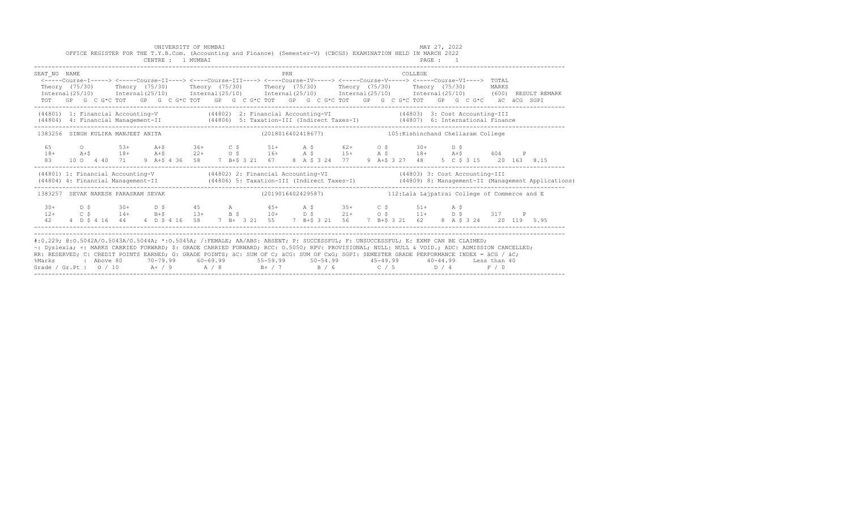|                                                                                                                                                                                                                                                                                                                                                                                                                                                                                                                 |  |  | UNIVERSITY OF MUMBAI<br>CENTRE : 1 MUMBAI |  | OFFICE REGISTER FOR THE T.Y.B.Com. (Accounting and Finance) (Semester-V) (CBCGS) EXAMINATION HELD IN MARCH 2022                                                                                                                                                                                                                             |     |  |  |  |          | MAY 27, 2022<br>PAGE : 1 |  |  |                                                                                                                                  |  |
|-----------------------------------------------------------------------------------------------------------------------------------------------------------------------------------------------------------------------------------------------------------------------------------------------------------------------------------------------------------------------------------------------------------------------------------------------------------------------------------------------------------------|--|--|-------------------------------------------|--|---------------------------------------------------------------------------------------------------------------------------------------------------------------------------------------------------------------------------------------------------------------------------------------------------------------------------------------------|-----|--|--|--|----------|--------------------------|--|--|----------------------------------------------------------------------------------------------------------------------------------|--|
| SEAT NO NAME                                                                                                                                                                                                                                                                                                                                                                                                                                                                                                    |  |  |                                           |  | <----Course-I-----> <----Course-II----> <----Course-III----> <----Course-IV-----> <----Course-V-----> <----Course-VI----> TOTAL<br>Theory (75/30) Theory (75/30) Theory (75/30) Theory (75/30) Theory (75/30) Theory (75/30) MARKS<br>TOT GP G C G*C TOT GP G C G*C TOT GP G C G*C TOT GP G C G*C TOT GP G C G*C TOT GP G C G*C aC aCG SGPI | PRN |  |  |  | COLLEGE. |                          |  |  | Internal(25/10) Internal(25/10) Internal(25/10) Internal(25/10) Internal(25/10) Internal(25/10) (600) RESULT REMARK              |  |
|                                                                                                                                                                                                                                                                                                                                                                                                                                                                                                                 |  |  |                                           |  | (41801) 1: Financial Accounting-V (41802) 2: Financial Accounting-VI (41803) 3: Cost Accounting-III<br>(41804) 4: Financial Management-II (44806) 5: Taxation-III (Indirect Taxes-I) (44807) 6: International Finance                                                                                                                       |     |  |  |  |          |                          |  |  |                                                                                                                                  |  |
| 1383256 SINGH KULIKA MANJEET ANITA                                                                                                                                                                                                                                                                                                                                                                                                                                                                              |  |  |                                           |  | (2018016402418677) 105: Kishinchand Chellaram College                                                                                                                                                                                                                                                                                       |     |  |  |  |          |                          |  |  |                                                                                                                                  |  |
| 65<br>$18+$<br>83                                                                                                                                                                                                                                                                                                                                                                                                                                                                                               |  |  |                                           |  | 0 53+ A+\$ 36+ C \$ 51+ A \$ 62+ O \$ 30+ D \$<br>A+\$ 18+ A+\$ 22+ 0\$ 16+ A \$ 15+ A \$ 18+ A+\$ 404 P<br>10 0 4 40 71 9 A+\$ 4 36 58 7 B+\$ 3 21 67 8 A \$ 3 24 77 9 A+\$ 3 27 48 5 C \$ 3 15 20 163 8.15                                                                                                                                |     |  |  |  |          |                          |  |  |                                                                                                                                  |  |
|                                                                                                                                                                                                                                                                                                                                                                                                                                                                                                                 |  |  |                                           |  | (44801) 1: Financial Accounting-V (44802) 2: Financial Accounting-VI (44803) 3: Cost Accounting-III                                                                                                                                                                                                                                         |     |  |  |  |          |                          |  |  | (44804) 4: Financial Management-II (44806) 5: Taxation-III (Indirect Taxes-I) (44809) 8: Management-II (Management Applications) |  |
| 1383257 SEVAK NARESH PARASRAM SEVAK                                                                                                                                                                                                                                                                                                                                                                                                                                                                             |  |  |                                           |  | $(2019016402429587)$ and $112:$ Lala Lajpatrai College of Commerce and E                                                                                                                                                                                                                                                                    |     |  |  |  |          |                          |  |  |                                                                                                                                  |  |
|                                                                                                                                                                                                                                                                                                                                                                                                                                                                                                                 |  |  |                                           |  | $12+$ $12+$ $130+$ $130+$ $13+$ $13+$ $13+$ $15+$ $16+$ $17+$ $18+$ $19+$ $19+$ $10+$ $10+$ $15+$ $10+$ $15+$ $11+$ $15+$ $11+$ $15+$ $11+$ $15+$ $11+$ $15+$ $11+$ $15+$ $11+$<br>42  4  D \$ 4 16  44  4  D \$ 4 16  58  7  B + 3 21  55  7  B + \$ 3 21  56  7  B + \$ 3 21  62  8  A \$ 3 24  20  119  5.95                             |     |  |  |  |          |                          |  |  |                                                                                                                                  |  |
| #:0.229; @:0.5042A/0.5043A/0.5044A; *:0.5045A; /:FEMALE; AA/ABS: ABSENT; P: SUCCESSFUL; F: UNSUCCESSFUL; E: EXMP CAN BE CLAIMED;<br>~: Dyslexia; +: MARKS CARRIED FORWARD; \$: GRADE CARRIED FORWARD; RCC: 0.5050; RPV: PROVISIONAL; NULL: NULL & VOID.; ADC: ADMISSION CANCELLED;<br>RR: RESERVED; C: CREDIT POINTS EARNED; G: GRADE POINTS; äC: SUM OF C; äCG: SUM OF CxG; SGPI: SEMESTER GRADE PERFORMANCE INDEX = äCG / äC;<br>%Marks<br>Grade / Gr.Pt : $0/10$ A / 9 A / 8 B + / 7 B / 6 C / 5 D / 4 F / 0 |  |  |                                           |  | 10−44.99 Less than 40 (10−79.99 10−5.99 10−54.99 10−54.99 10−44.99 Less than 40;                                                                                                                                                                                                                                                            |     |  |  |  |          |                          |  |  |                                                                                                                                  |  |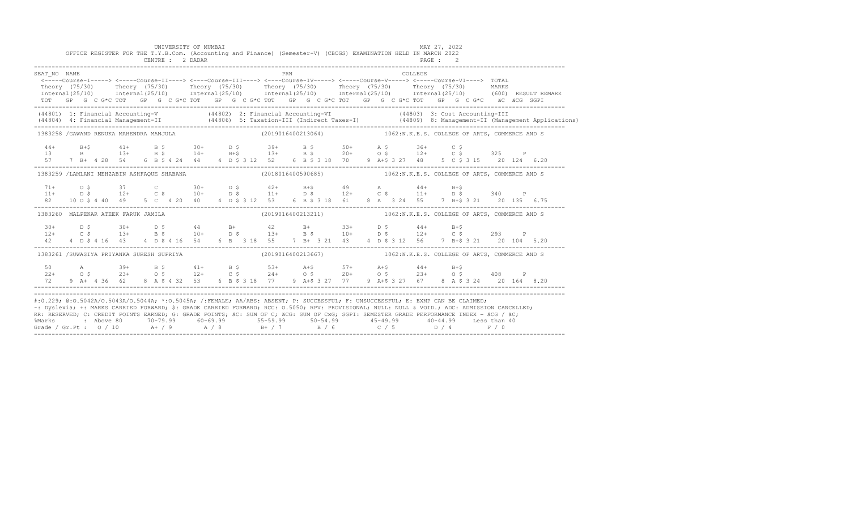|              |  |  | UNIVERSITY OF MUMBAI                      |  |  |     |  | OFFICE REGISTER FOR THE T.Y.B.Com. (Accounting and Finance) (Semester-V) (CBCGS) EXAMINATION HELD IN MARCH 2022                                                                                                                                                                                                                                                                                                                                                                                                                                                                                |         | MAY 27, 2022 |  |  |                                                                                                                                                                                                                                   |
|--------------|--|--|-------------------------------------------|--|--|-----|--|------------------------------------------------------------------------------------------------------------------------------------------------------------------------------------------------------------------------------------------------------------------------------------------------------------------------------------------------------------------------------------------------------------------------------------------------------------------------------------------------------------------------------------------------------------------------------------------------|---------|--------------|--|--|-----------------------------------------------------------------------------------------------------------------------------------------------------------------------------------------------------------------------------------|
| SEAT NO NAME |  |  |                                           |  |  | PRN |  | <----Course-I-----> <----Course-II----> <----Course-III----> <----Course-IV-----> <----Course-V-----> <----Course-VI----> TOTAL<br>Theory (75/30) Theory (75/30) Theory (75/30) Theory (75/30) Theory (75/30) Theory (75/30) MARKS<br>Internal (25/10) Internal (25/10) Internal (25/10) Internal (25/10) Internal (25/10) Internal (25/10) (600) RESULT REMARK<br>TOT GP G C G*C TOT GP G C G*C TOT GP G C G*C TOT GP G C G*C TOT GP G C G*C TOT GP G C G*C äC äCG SGPI                                                                                                                       | COLLEGE |              |  |  |                                                                                                                                                                                                                                   |
|              |  |  |                                           |  |  |     |  |                                                                                                                                                                                                                                                                                                                                                                                                                                                                                                                                                                                                |         |              |  |  | (44801) 1: Financial Accounting-V (44802) 2: Financial Accounting-VI (44803) 3: Cost Accounting-III<br>(44804) 4: Financial Management-II (44806) 5: Taxation-III (Indirect Taxes-I) (44809) 8: Management-II (Management Applica |
|              |  |  |                                           |  |  |     |  | 1383258 / GAWAND RENUKA MAHENDRA MANJULA (2019016400213064) 1062:N.K.E.S. COLLEGE OF ARTS, COMMERCE AND S                                                                                                                                                                                                                                                                                                                                                                                                                                                                                      |         |              |  |  |                                                                                                                                                                                                                                   |
|              |  |  |                                           |  |  |     |  | $\begin{array}{cccccccccccccccc} 44 & & & B+\$ & & & 41+ & & B & \$ & & 30+ & & D & \$ & & 39+ & & B & \$ & & 50+ & & A & \$ & & 36+ & & C & \$ \\ 13 & & & B & & & 13+ & & B & \$ & & 14+ & & B+\$ & & & 13+ & & B & \$ & & 20+ & & O & \$ & & 12+ & & C & \$ & & 325 & & P \\ 57 & & 7 & B+ & 4 & 28 & & 54 & & 6 & B & \$ & 4 & 44 & & 4 & D & \$ & 312 & & 52 & & 6 & B & \$ & 3 & 18$                                                                                                                                                                                                     |         |              |  |  |                                                                                                                                                                                                                                   |
|              |  |  |                                           |  |  |     |  | 1383259 /LAMLANI MEHZABIN ASHFAOUE SHABANA (2018016400590685) 1062:N.K.E.S. COLLEGE OF ARTS, COMMERCE AND S                                                                                                                                                                                                                                                                                                                                                                                                                                                                                    |         |              |  |  |                                                                                                                                                                                                                                   |
|              |  |  |                                           |  |  |     |  | $\begin{array}{cccccccccccccccc} 71+ & & & 0 & \xi & & & 37 & & C & & 30+ & D & \xi & & 42+ & B+5 & & 49 & A & & 44+ & B+5 \\ 11+ & & & 0 & \xi & & & 12+ & C & \xi & & 10+ & D & \xi & & 11+ & D & \xi & & 12+ & C & \xi & & 11+ & D & \xi & & 340 & P \\ 82 & & 10 & 0 & \xi & 4 & 40 & 49 & 5 & C & 4 & 20 & 40 & 4 & D & \xi & 312 & 53 & 6 & B & \xi & 3 & 18$                                                                                                                                                                                                                            |         |              |  |  |                                                                                                                                                                                                                                   |
|              |  |  | 1383260 MALPEKAR ATEEK FARUK JAMILA       |  |  |     |  | (2019016400213211) 1062:N.K.E.S. COLLEGE OF ARTS, COMMERCE AND S                                                                                                                                                                                                                                                                                                                                                                                                                                                                                                                               |         |              |  |  |                                                                                                                                                                                                                                   |
| 42           |  |  |                                           |  |  |     |  | $12 + C$ \$ $30 + D$ \$ $44$ B+ $42$ B+ $33 + D$ \$ $44 + B +$<br>$12 + C$ \$ $13 + B$ \$ $10 + D$ \$ $13 + B$ \$ $10 + D$ \$ $12 + C$ \$ 293 P<br>4 D \$ 4 16 43 4 D \$ 4 16 54 6 B 3 18 55 7 B + 3 21 43 4 D \$ 3 12 56 7 B + \$ 3 21 20 104 5.20                                                                                                                                                                                                                                                                                                                                            |         |              |  |  |                                                                                                                                                                                                                                   |
|              |  |  | 1383261 /SUWASIYA PRIYANKA SURESH SUPRIYA |  |  |     |  | (2019016400213667) 1062:N.K.E.S. COLLEGE OF ARTS, COMMERCE AND S                                                                                                                                                                                                                                                                                                                                                                                                                                                                                                                               |         |              |  |  |                                                                                                                                                                                                                                   |
|              |  |  |                                           |  |  |     |  | 50 A 39+ B \$ 41+ B \$ 53+ A+\$ 57+ A+\$ 44+ B+\$<br>$22+ \qquad \qquad \circ \hspace{1.5cm} 8 \qquad \qquad 23+ \qquad \qquad \circ \hspace{1.5cm} 9 \qquad \qquad 12+ \qquad \qquad \circ \hspace{1.5cm} 8 \qquad \qquad 24+ \qquad \qquad \circ \hspace{1.5cm} 8 \qquad \qquad 20+ \qquad \qquad \circ \hspace{1.5cm} 8 \qquad \qquad 23+ \qquad \qquad \circ \hspace{1.5cm} 8 \qquad \qquad 408 \qquad \qquad \textbf{P}$<br>72 9 A+ 4 36 62 8 A \$ 4 32 53 6 B \$ 3 18 77 9 A+\$ 3 27 77 9 A+\$ 3 27 67 8 A \$ 3 24 20 164 8.20                                                           |         |              |  |  |                                                                                                                                                                                                                                   |
|              |  |  |                                           |  |  |     |  | #:0.229; @:0.5042A/0.5043A/0.5044A; *:0.5045A; /:FEMALE; AA/ABS: ABSENT; P: SUCCESSFUL; F: UNSUCCESSFUL; E: EXMP CAN BE CLAIMED;<br>~: Dyslexia; +: MARKS CARRIED FORWARD; \$: GRADE CARRIED FORWARD; RCC: 0.5050; RPV: PROVISIONAL; NULL: NULL & VOID.; ADC: ADMISSION CANCELLED;<br>RR: RESERVED; C: CREDIT POINTS EARNED; G: GRADE POINTS; äC: SUM OF C; äCG: SUM OF CxG; SGPI: SEMESTER GRADE PERFORMANCE INDEX = äCG / äC;<br>% Marks : Above 80 70-79.99 60-69.99 55-59.99 50-54.99 45-49.99 40-44.99 Less than 40<br>Grade / Gr.Pt : 0 / 10 A+ / 9 A / 8 B+ / 7 B / 6 C / 5 D / 4 F / 0 |         |              |  |  |                                                                                                                                                                                                                                   |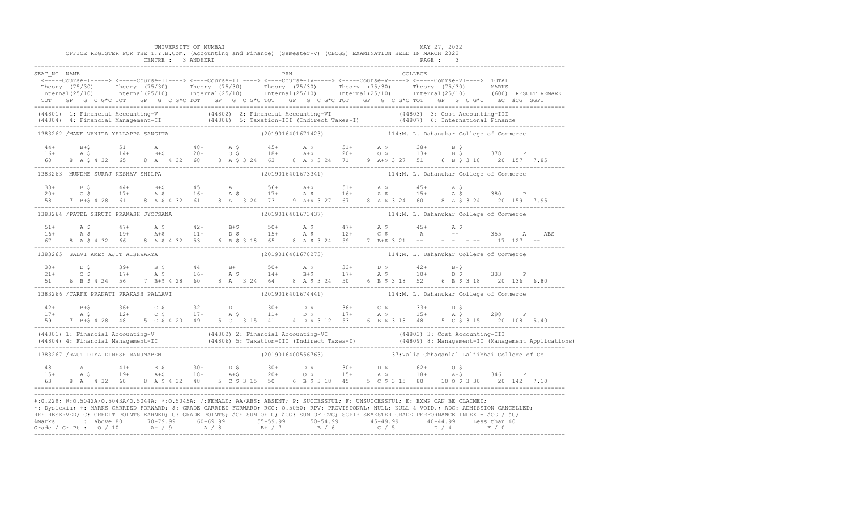|              |  | UNIVERSITY OF MUMBAI                    |  |  | OFFICE REGISTER FOR THE T.Y.B.Com. (Accounting and Finance) (Semester-V) (CBCGS) EXAMINATION HELD IN MARCH 2022                                                                                                                                                                                                                                                                                                                                     |  |          | MAY 27, 2022 |  |  |
|--------------|--|-----------------------------------------|--|--|-----------------------------------------------------------------------------------------------------------------------------------------------------------------------------------------------------------------------------------------------------------------------------------------------------------------------------------------------------------------------------------------------------------------------------------------------------|--|----------|--------------|--|--|
| SEAT NO NAME |  |                                         |  |  | PRN                                                                                                                                                                                                                                                                                                                                                                                                                                                 |  | COLLEGE. |              |  |  |
|              |  |                                         |  |  | <-----Course-I-----> <-----Course-II----> <----Course-III----> <----Course-IV-----> <-----Course-V----> <-----Course-VI----> TOTAL                                                                                                                                                                                                                                                                                                                  |  |          |              |  |  |
|              |  |                                         |  |  | Theory (75/30) Theory (75/30) Theory (75/30) Theory (75/30) Theory (75/30) Theory (75/30) Theory (75/30) Theory (75/30) Theory (75/30) Theory (75/30) Theory (75/30) Theory (75/30) Theory (75/30) Theory (75/30) Theory (75/3                                                                                                                                                                                                                      |  |          |              |  |  |
|              |  |                                         |  |  | TOT GP G C G*C TOT GP G C G*C TOT GP G C G*C TOT GP G C G*C TOT GP G C G*C TOT GP G C G*C äC äCG SGPI                                                                                                                                                                                                                                                                                                                                               |  |          |              |  |  |
|              |  |                                         |  |  | (44801) 1: Financial Accounting-V (44802) 2: Financial Accounting-VI (44803) 3: Cost Accounting-III (19804) 4:<br>(44804) 4: Financial Management-II (44806) 5: Taxation-III (Indirect Taxes-I) (44807) 6: International Finance<br>                                                                                                                                                                                                                |  |          |              |  |  |
|              |  | 1383262 /MANE VANITA YELLAPPA SANGITA   |  |  | (2019016401671423) 114:M. L. Dahanukar College of Commerce                                                                                                                                                                                                                                                                                                                                                                                          |  |          |              |  |  |
|              |  |                                         |  |  |                                                                                                                                                                                                                                                                                                                                                                                                                                                     |  |          |              |  |  |
|              |  |                                         |  |  | $\begin{array}{cccccccccccccccc} 44 & 8+5 & 51 & \text{A} & 48+ & \text{A} & 5 & 45+ & \text{A} & 5 & 51+ & \text{A} & 5 & 38+ & \text{B} & 5 \\ 16+ & \text{A} & 5 & 14+ & \text{B}+5 & 20+ & 0 & 5 & 18+ & \text{A}+5 & 20+ & 0 & 5 & 13+ & \text{B} & 5 & 378 & \text{P} \\ 60 & 8 & \text{A} & 5 & 4 & 32 & 65 & 8 & \text{A} & 4 & 32 & 68 & $                                                                                                 |  |          |              |  |  |
|              |  |                                         |  |  |                                                                                                                                                                                                                                                                                                                                                                                                                                                     |  |          |              |  |  |
|              |  |                                         |  |  | 1383263 MUNDHE SURAJ KESHAV SHILPA (2019016401673341) (2019016401673341) 114:M. L. Dahanukar College of Commerce                                                                                                                                                                                                                                                                                                                                    |  |          |              |  |  |
|              |  |                                         |  |  |                                                                                                                                                                                                                                                                                                                                                                                                                                                     |  |          |              |  |  |
|              |  |                                         |  |  |                                                                                                                                                                                                                                                                                                                                                                                                                                                     |  |          |              |  |  |
|              |  |                                         |  |  |                                                                                                                                                                                                                                                                                                                                                                                                                                                     |  |          |              |  |  |
|              |  | 1383264 / PATEL SHRUTI PRAKASH JYOTSANA |  |  | (2019016401673437) 114:M. L. Dahanukar College of Commerce                                                                                                                                                                                                                                                                                                                                                                                          |  |          |              |  |  |
|              |  |                                         |  |  |                                                                                                                                                                                                                                                                                                                                                                                                                                                     |  |          |              |  |  |
|              |  |                                         |  |  |                                                                                                                                                                                                                                                                                                                                                                                                                                                     |  |          |              |  |  |
|              |  |                                         |  |  |                                                                                                                                                                                                                                                                                                                                                                                                                                                     |  |          |              |  |  |
|              |  | 1383265 SALVI AMEY AJIT AISHWARYA       |  |  | (2019016401670273) 114:M. L. Dahanukar College of Commerce                                                                                                                                                                                                                                                                                                                                                                                          |  |          |              |  |  |
|              |  |                                         |  |  |                                                                                                                                                                                                                                                                                                                                                                                                                                                     |  |          |              |  |  |
|              |  |                                         |  |  |                                                                                                                                                                                                                                                                                                                                                                                                                                                     |  |          |              |  |  |
|              |  |                                         |  |  | $30+$ $D$ \$ $39+$ $B$ \$ $44$ $B+$ $50+$ $A$ \$ $33+$ $D$ \$ $42+$ $B+$ $533$ $P$<br>$21+$ $O$ \$ $17+$ $A$ \$ $16+$ $A$ \$ $14+$ $B+$ $17+$ $A$ \$ $10+$ $D$ \$ $333$ $P$<br>$51$ 6 $B$ \$ 4 $24$ 56 $7$ $B+$ \$ $4$ $28$ 60 $8$ $A$ $3$ $24$                                                                                                                                                                                                     |  |          |              |  |  |
|              |  | 1383266 /TARFE PRANATI PRAKASH PALLAVI  |  |  | (2019016401674441) 114:M. L. Dahanukar College of Commerce                                                                                                                                                                                                                                                                                                                                                                                          |  |          |              |  |  |
|              |  |                                         |  |  | $17+$ B+\$ $36+$ C \$ $32$ D $30+$ D \$ $36+$ C \$ $33+$ D \$<br>$17+$ A \$ $12+$ C \$ $17+$ A \$ $11+$ D \$ $17+$ A \$ $15+$ A \$ $298$ P                                                                                                                                                                                                                                                                                                          |  |          |              |  |  |
|              |  |                                         |  |  |                                                                                                                                                                                                                                                                                                                                                                                                                                                     |  |          |              |  |  |
|              |  |                                         |  |  |                                                                                                                                                                                                                                                                                                                                                                                                                                                     |  |          |              |  |  |
|              |  |                                         |  |  | (44801) 1: Financial Accounting-V (44802) 2: Financial Accounting-VI (44803) 3: Cost Accounting-III<br>(44804) 4: Financial Management-II (44806) 5: Taxation-III (Indirect Taxes-I) (44809) 8: Management-II (Management Applica                                                                                                                                                                                                                   |  |          |              |  |  |
|              |  | 1383267 /RAUT DIYA DINESH RANJNABEN     |  |  | (2019016400556763) 37: Valia Chhaganlal Laljibhai College of Co                                                                                                                                                                                                                                                                                                                                                                                     |  |          |              |  |  |
|              |  |                                         |  |  |                                                                                                                                                                                                                                                                                                                                                                                                                                                     |  |          |              |  |  |
|              |  |                                         |  |  |                                                                                                                                                                                                                                                                                                                                                                                                                                                     |  |          |              |  |  |
|              |  |                                         |  |  | $\begin{array}{cccccccccccccccc} 48 & \quad & \mathsf{A} & \quad & 41+ & \quad \mathsf{B} & \mathsf{S} & \quad & 30+ & \quad \mathsf{D} & \mathsf{S} & \quad & 30+ & \quad \mathsf{D} & \mathsf{S} & \quad & 62+ & \quad \mathsf{O} & \mathsf{S} & \quad & 346 & \quad \mathsf{P} \\ 15+ & \quad & \mathsf{A} & \mathsf{S} & \quad & 19+ & \quad \mathsf{A}+ \mathsf{S} & \quad & 18+ & \quad \mathsf{A}+ \mathsf{S} & \quad & 20+ & \quad \mathsf$ |  |          |              |  |  |
|              |  |                                         |  |  | #:0.229; @:0.5042A/0.5043A/0.5044A; *:0.5045A; /:FEMALE; AA/ABS: ABSENT; P: SUCCESSFUL; F: UNSUCCESSFUL; E: EXMP CAN BE CLAIMED;                                                                                                                                                                                                                                                                                                                    |  |          |              |  |  |
|              |  |                                         |  |  | ~: Dyslexia; +: MARKS CARRIED FORWARD; \$: GRADE CARRIED FORWARD; RCC: 0.5050; RPV: PROVISIONAL; NULL: NULL & VOID.; ADC: ADMISSION CANCELLED;<br>RR: RESERVED; C: CREDIT POINTS EARNED; G: GRADE POINTS; äC: SUM OF C; äCG: SUM OF CxG; SGPI: SEMESTER GRADE PERFORMANCE INDEX = äCG / äC;                                                                                                                                                         |  |          |              |  |  |
|              |  |                                         |  |  |                                                                                                                                                                                                                                                                                                                                                                                                                                                     |  |          |              |  |  |
|              |  |                                         |  |  |                                                                                                                                                                                                                                                                                                                                                                                                                                                     |  |          |              |  |  |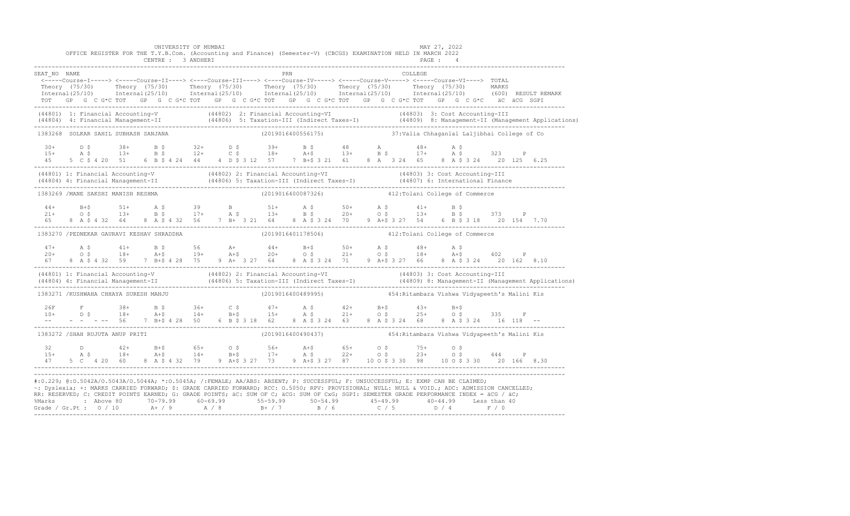|              |                                       |  | UNIVERSITY OF MUMBAI |  | OFFICE REGISTER FOR THE T.Y.B.Com. (Accounting and Finance) (Semester-V) (CBCGS) EXAMINATION HELD IN MARCH 2022                                                                                                                           |  | MAY 27, 2022 |     |              |  |
|--------------|---------------------------------------|--|----------------------|--|-------------------------------------------------------------------------------------------------------------------------------------------------------------------------------------------------------------------------------------------|--|--------------|-----|--------------|--|
|              |                                       |  |                      |  |                                                                                                                                                                                                                                           |  |              |     |              |  |
| SEAT NO NAME |                                       |  |                      |  | PRN COLLEGE<br><-----Course-I-----> <-----Course-II----> <----Course-III----> <----Course-IV-----> <----Course-V-----> <----Course-VI----> TOTAL                                                                                          |  |              |     |              |  |
|              |                                       |  |                      |  | Theory (75/30) Theory (75/30) Theory (75/30) Theory (75/30) Theory (75/30) Theory (75/30) MARKS<br>Internal(25/10) Internal(25/10) Internal(25/10) Internal(25/10) Internal(25/10) Internal(25/10) (600)RESULTREMARK                      |  |              |     |              |  |
|              |                                       |  |                      |  | TOT GP G C G*C TOT GP G C G*C TOT GP G C G*C TOT GP G C G*C TOT GP G C G*C TOT GP G C G*C äC äCG SGPI                                                                                                                                     |  |              |     |              |  |
|              |                                       |  |                      |  |                                                                                                                                                                                                                                           |  |              |     |              |  |
|              |                                       |  |                      |  | (44801) 1: Financial Accounting-V (44802) 2: Financial Accounting-VI (44803) 3: Cost Accounting-III<br>(44804) 4: Financial Management-II (44806) 5: Taxation-III (Indirect Taxes-I) (44809) 8: Management-II (Management Applica         |  |              |     |              |  |
|              | 1383268 SOLKAR SAHIL SUBHASH SANJANA  |  |                      |  | (2019016400556175) 37: Valia Chhaganlal Laljibhai College of Co                                                                                                                                                                           |  |              |     |              |  |
| $30+$        | D S                                   |  |                      |  | $38+$ B \$ $32+$ D \$ $39+$ B \$ $48+$ A $48+$ A \$<br>$13+$ B \$ $12+$ C \$ $18+$ A+\$ $13+$ B \$ $17+$ A \$                                                                                                                             |  |              |     |              |  |
| $15+$        | A S                                   |  |                      |  | 45 5 C \$ 4 20 51 6 B \$ 4 24 44 4 D \$ 3 12 57 7 B + \$ 3 21 61 8 A 3 24 65 8 A \$ 3 24 20 125 6.25                                                                                                                                      |  |              | 323 | $\mathbb{P}$ |  |
|              |                                       |  |                      |  |                                                                                                                                                                                                                                           |  |              |     |              |  |
|              |                                       |  |                      |  | (44801) 1: Financial Accounting-V (44802) 2: Financial Accounting-VI (44803) 3: Cost Accounting-III<br>(44804) 4: Financial Management-II (44806) 5: Taxation-III (Indirect Taxes-I) (44807) 6: International Finance<br>-----------      |  |              |     |              |  |
|              | 1383269 /MANE SAKSHI MANISH RESHMA    |  |                      |  | (2019016400087326)  412: Tolani College of Commerce                                                                                                                                                                                       |  |              |     |              |  |
| $44+$        |                                       |  |                      |  |                                                                                                                                                                                                                                           |  |              |     |              |  |
| $21+$<br>6.5 |                                       |  |                      |  |                                                                                                                                                                                                                                           |  |              |     |              |  |
|              |                                       |  |                      |  |                                                                                                                                                                                                                                           |  |              |     |              |  |
|              |                                       |  |                      |  | 1383270 /PEDNEKAR GAURAVI KESHAV SHRADDHA (2019016401178506) 412: Tolani College of Commerce                                                                                                                                              |  |              |     |              |  |
| $47+$        |                                       |  |                      |  | A \$41+ B \$56 A+44+ B+\$50+ A \$48+ A \$402 P<br>O \$18+ A+\$19+ A+\$20+ O \$21+ O \$18+ A+\$402 P                                                                                                                                       |  |              |     |              |  |
| $20+$        |                                       |  |                      |  | 8 A \$ 4 32 59 7 B+\$ 4 28 75 9 A+ 3 27 64 8 A \$ 3 24 71 9 A+\$ 3 27 66 8 A \$ 3 24 20 162 8.10                                                                                                                                          |  |              |     |              |  |
|              |                                       |  |                      |  |                                                                                                                                                                                                                                           |  |              |     |              |  |
|              |                                       |  |                      |  | (44801) 1: Financial Accounting-V (44802) 2: Financial Accounting-VI (44803) 3: Cost Accounting-III<br>(44804) 4: Financial Management-II (44806) 5: Taxation-III (Indirect Taxes-I) (44809) 8: Management-II (Management Applica         |  |              |     |              |  |
|              | 1383271 /KUSHWAHA CHHAYA SURESH MANJU |  |                      |  |                                                                                                                                                                                                                                           |  |              |     |              |  |
|              |                                       |  |                      |  |                                                                                                                                                                                                                                           |  |              |     |              |  |
|              |                                       |  |                      |  |                                                                                                                                                                                                                                           |  |              |     |              |  |
|              |                                       |  |                      |  |                                                                                                                                                                                                                                           |  |              |     |              |  |
|              | 1383272 /SHAH RUJUTA ANUP PRITI       |  |                      |  |                                                                                                                                                                                                                                           |  |              |     |              |  |
|              |                                       |  |                      |  |                                                                                                                                                                                                                                           |  |              |     |              |  |
|              |                                       |  |                      |  | $32$ D $42+$ B+\$ $65+$ O \$ $56+$ A+\$ $65+$ O \$ 75+ O \$<br>15+ A \$ 18+ A+\$ 14+ B+\$ 17+ A \$ 22+ O \$ 23+ O \$ 444<br>5 C  4 20 60  8 A \$ 4 32 79  9 A + \$ 3 27 73  9 A + \$ 3 27 87  10 O \$ 3 30 98  10 O \$ 3 30  20 166  8.30 |  |              |     |              |  |
|              |                                       |  |                      |  |                                                                                                                                                                                                                                           |  |              |     |              |  |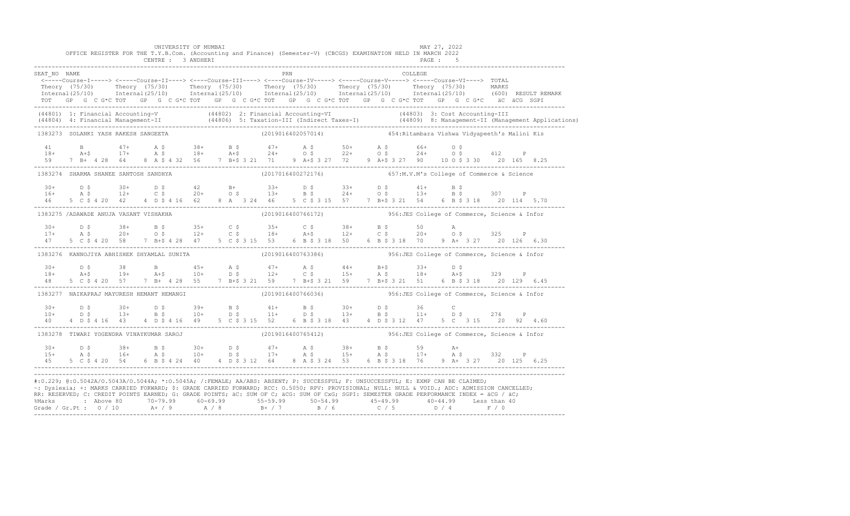|                                            |  |  |  | UNIVERSITY OF MUMBAI<br>CENTRE : 3 ANDHERI |  |  |     |  |  | OFFICE REGISTER FOR THE T.Y.B.Com. (Accounting and Finance) (Semester-V) (CBCGS) EXAMINATION HELD IN MARCH 2022                                                                                                                                                                                                                                                                                                               |         | MAY 27, 2022<br>PAGE : 5 |  |  |                                                                                                                                                                                                                                   |
|--------------------------------------------|--|--|--|--------------------------------------------|--|--|-----|--|--|-------------------------------------------------------------------------------------------------------------------------------------------------------------------------------------------------------------------------------------------------------------------------------------------------------------------------------------------------------------------------------------------------------------------------------|---------|--------------------------|--|--|-----------------------------------------------------------------------------------------------------------------------------------------------------------------------------------------------------------------------------------|
| SEAT NO NAME                               |  |  |  |                                            |  |  | PRN |  |  | <-----Course-I-----> <-----Course-II----> <----Course-III----> <----Course-IV-----> <-----Course-V-----> <-----Course-VI----> TOTAL<br>TOT GP G C G*C TOT GP G C G*C TOT GP G C G*C TOT GP G C G*C TOT GP G C G*C TOT GP G C G*C äC äCG SGPI                                                                                                                                                                                  | COLLEGE |                          |  |  | Theory (75/30) Theory (75/30) Theory (75/30) Theory (75/30) Theory (75/30) Theory (75/30) Theory (75/30) Theory (75/30) Theory (75/30) Theory (75/30) Theory (75/30) Theory (75/30) Theory (75/30) Theory (75/30) Theory (75/3    |
|                                            |  |  |  |                                            |  |  |     |  |  |                                                                                                                                                                                                                                                                                                                                                                                                                               |         |                          |  |  | (44801) 1: Financial Accounting-V (44802) 2: Financial Accounting-VI (44803) 3: Cost Accounting-III<br>(44804) 4: Financial Management-II (44806) 5: Taxation-III (Indirect Taxes-I) (44809) 8: Management-II (Management Applica |
| 1383273 SOLANKI YASH RAKESH SANGEETA       |  |  |  |                                            |  |  |     |  |  | (2019016402057014)  454: Ritambara Vishwa Vidyapeeth's Malini Kis                                                                                                                                                                                                                                                                                                                                                             |         |                          |  |  |                                                                                                                                                                                                                                   |
|                                            |  |  |  |                                            |  |  |     |  |  | $\begin{array}{cccccccccccccccc} 41 & B & 47+ & A & \xi & 38+ & B & \xi & 47+ & A & \xi & 50+ & A & \xi & 66+ & 0 & \xi \\ 18+ & A & \xi & 17+ & A & \xi & 18+ & A & \xi & 24+ & 0 & \xi & 22+ & 0 & \xi & 24+ & 0 & \xi & 412 & P \\ 59 & 7 & B+ & 4 & 28 & 64 & 8 & A & \xi & 4 & 32 & 56 & 7 & B & \xi & 321 & 71 & 9 & A & \xi & 3 & 27 & 72 & 9 & A & \xi$                                                               |         |                          |  |  |                                                                                                                                                                                                                                   |
| 1383274 SHARMA SHANEE SANTOSH SANDHYA      |  |  |  |                                            |  |  |     |  |  | (2017016400272176) 657:M.V.M's College of Commerce & Science                                                                                                                                                                                                                                                                                                                                                                  |         |                          |  |  |                                                                                                                                                                                                                                   |
| 46                                         |  |  |  |                                            |  |  |     |  |  | $16+$ $16+$ $12+$ $12+$ $12+$ $12+$ $12+$ $12+$ $12+$ $12+$ $12+$ $12+$ $12+$ $12+$ $12+$ $12+$ $12+$ $12+$ $12+$ $12+$ $12+$ $12+$ $12+$ $12+$ $12+$ $12+$ $12+$ $12+$ $12+$ $12+$ $12+$ $12+$ $12+$ $12+$ $12+$ $12+$ $12+$<br>5 C \$ 4 20 42 4 D \$ 4 16 62 8 A 3 24 46 5 C \$ 3 15 57 7 B+\$ 3 21 54 6 B \$ 3 18 20 114 5.70                                                                                              |         |                          |  |  |                                                                                                                                                                                                                                   |
| 1383275 /ADAWADE ANUJA VASANT VISHAKHA     |  |  |  |                                            |  |  |     |  |  | (2019016400766172) 356: JES College of Commerce, Science & Infor                                                                                                                                                                                                                                                                                                                                                              |         |                          |  |  |                                                                                                                                                                                                                                   |
| 47                                         |  |  |  |                                            |  |  |     |  |  | $17+$ $18+$ $19+$ $19+$ $18+$ $19+$ $19+$ $19+$ $19+$ $19+$ $19+$ $19+$ $19+$ $19+$ $19+$ $19+$ $19+$ $19+$ $19+$ $19+$ $19+$ $19+$ $19+$ $19+$ $19+$ $19+$ $19+$ $19+$ $19+$ $19+$ $19+$ $19+$ $19+$ $19+$ $19+$ $19+$ $19+$<br>5 C \$ 4 20 58 7 B + \$ 4 28 47 5 C \$ 3 15 53 6 B \$ 3 18 50 6 B \$ 3 18 70 9 A + 3 27 20 126 6.30                                                                                          |         |                          |  |  |                                                                                                                                                                                                                                   |
| 1383276 KANNOJIYA ABHISHEK SHYAMLAL SUNITA |  |  |  |                                            |  |  |     |  |  | (2019016400763386)  956: JES College of Commerce, Science & Infor                                                                                                                                                                                                                                                                                                                                                             |         |                          |  |  |                                                                                                                                                                                                                                   |
|                                            |  |  |  |                                            |  |  |     |  |  | $\begin{array}{cccccccccccccccccccccccccccccc} 30+& & D & \xi & & 38 & & B & & 45+ & A & \xi & & 47+ & A & \xi & & 44+ & B+\xi & & 33+ & D & \xi \\ 18+& & A+\xi & & 19+ & & A+\xi & & 10+ & D & \xi & & 12+ & C & \xi & & 15+ & A & \xi & & 18+ & A+\xi & & 329 & P \\ 48 & & 5 & C & \xi & 4 & 20 & 57 & 7 & B+ & 4 & 28 & 55 & 7 & B+\xi & 3 & 21 & 59 & 7 & B+\xi & 3 & 21$                                               |         |                          |  |  |                                                                                                                                                                                                                                   |
| 1383277 NAIKAPRAJ MAYURESH HEMANT HEMANGI  |  |  |  |                                            |  |  |     |  |  | $(2019016400766036)$ 956: JES College of Commerce, Science & Infor                                                                                                                                                                                                                                                                                                                                                            |         |                          |  |  |                                                                                                                                                                                                                                   |
|                                            |  |  |  |                                            |  |  |     |  |  | $\begin{array}{ccccccccccccccccccccccccccccccccccccc} 30+& & D & \xi & & 30+& & D & \xi & & 39+& & B & \xi & & 41+& & B & \xi & & 30+& & D & \xi & & 36 & & C \\ 10+& & D & \xi & & 13+& & B & \xi & & 10+& & D & \xi & & 11+& & D & \xi & & 13+& & B & \xi & & 11+& & D & \xi & & 274 & & P \\ 40 & & 4 & D & \xi & 4 & 16 & & 43 & & 4 & D & \xi & 4 & 16 & & 49 & & 5 & & C & \xi & $                                      |         |                          |  |  |                                                                                                                                                                                                                                   |
| 1383278 TIWARI YOGENDRA VINAYKUMAR SAROJ   |  |  |  |                                            |  |  |     |  |  | $(2019016400765412)$ 956: JES College of Commerce, Science & Infor                                                                                                                                                                                                                                                                                                                                                            |         |                          |  |  |                                                                                                                                                                                                                                   |
|                                            |  |  |  |                                            |  |  |     |  |  |                                                                                                                                                                                                                                                                                                                                                                                                                               |         |                          |  |  |                                                                                                                                                                                                                                   |
|                                            |  |  |  |                                            |  |  |     |  |  | #:0.229; @:0.5042A/0.5043A/0.5044A; *:0.5045A; /:FEMALE; AA/ABS: ABSENT; P: SUCCESSFUL; F: UNSUCCESSFUL; E: EXMP CAN BE CLAIMED;<br>~: Dyslexia; +: MARKS CARRIED FORWARD; \$: GRADE CARRIED FORWARD; RCC: 0.5050; RPV: PROVISIONAL; NULL: NULL: AULL: ADC: ADMISSION CANCELLED;<br>RR: RESERVED; C: CREDIT POINTS EARNED; G: GRADE POINTS; äC: SUM OF C; äCG: SUM OF CxG; SGPI: SEMESTER GRADE PERFORMANCE INDEX = äCG / äC; |         |                          |  |  |                                                                                                                                                                                                                                   |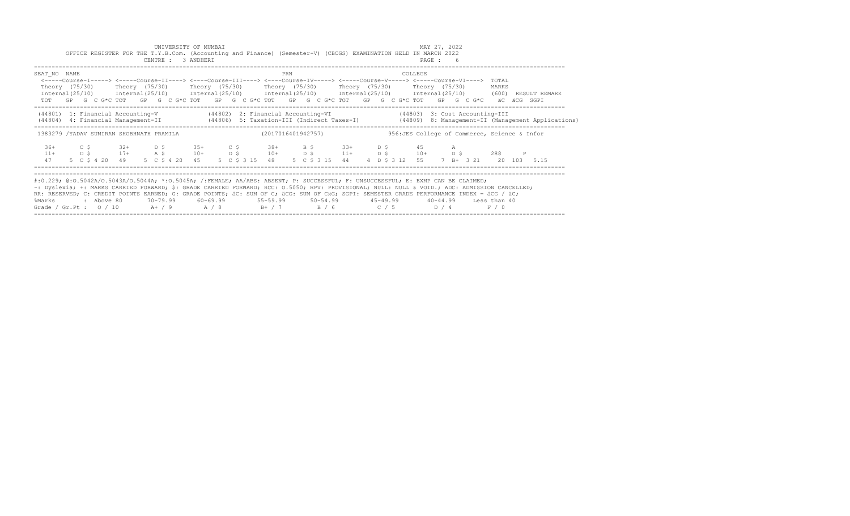|                                                                                                                                                                                                                                                                                                                                                                                                                                                                                                           |            |            |                          |  | UNIVERSITY OF MUMBAI<br>CENTRE : 3 ANDHERI |  | OFFICE REGISTER FOR THE T.Y.B.Com. (Accounting and Finance) (Semester-V) (CBCGS) EXAMINATION HELD IN MARCH 2022                                                                                                                                                                                                                                                                                                                                                                 |     |  |                |  |                                               | MAY 27, 2022<br>PAGE: 6 |             |                |   |                                                                                                                                  |
|-----------------------------------------------------------------------------------------------------------------------------------------------------------------------------------------------------------------------------------------------------------------------------------------------------------------------------------------------------------------------------------------------------------------------------------------------------------------------------------------------------------|------------|------------|--------------------------|--|--------------------------------------------|--|---------------------------------------------------------------------------------------------------------------------------------------------------------------------------------------------------------------------------------------------------------------------------------------------------------------------------------------------------------------------------------------------------------------------------------------------------------------------------------|-----|--|----------------|--|-----------------------------------------------|-------------------------|-------------|----------------|---|----------------------------------------------------------------------------------------------------------------------------------|
| SEAT NO NAME                                                                                                                                                                                                                                                                                                                                                                                                                                                                                              |            |            |                          |  |                                            |  | <-----Course-I-----> <-----Course-II----> <----Course-III----> <----Course-IV-----> <-----Course-V-----> <-----Course-VI----><br>Theory (75/30)    Theory (75/30)    Theory (75/30)    Theory (75/30)    Theory (75/30)    Theory (75/30)<br>Internal (25/10) Internal (25/10) Internal (25/10) Internal (25/10) Internal (25/10) Internal (25/10) (600) RESULT REMARK<br>TOT GP G C G*C TOT GP G C G*C TOT GP G C G*C TOT GP G C G*C TOT GP G C G*C TOT GP G C G*C aC aCG SGPI | PRN |  |                |  | COLLEGE                                       |                         |             | TOTAL<br>MARKS |   |                                                                                                                                  |
|                                                                                                                                                                                                                                                                                                                                                                                                                                                                                                           |            |            |                          |  |                                            |  | (44801) 1: Financial Accounting-V (44802) 2: Financial Accounting-VI (44803) 3: Cost Accounting-III                                                                                                                                                                                                                                                                                                                                                                             |     |  |                |  |                                               |                         |             |                |   | (44806) 4: Financial Management-II (44806) 5: Taxation-III (Indirect Taxes-I) (44809) 8: Management-II (Management Applications) |
| 1383279 /YADAV SUMIRAN SHOBHNATH PRAMILA                                                                                                                                                                                                                                                                                                                                                                                                                                                                  |            |            |                          |  |                                            |  | (2017016401942757)                                                                                                                                                                                                                                                                                                                                                                                                                                                              |     |  |                |  | 956: JES College of Commerce, Science & Infor |                         |             |                |   |                                                                                                                                  |
| $36+$<br>$11+$<br>47                                                                                                                                                                                                                                                                                                                                                                                                                                                                                      | C S<br>D S |            | $32+$ D \$<br>$17+$ A \$ |  | $35+$ C \$<br>$10+$ D \$                   |  | $38+$ B \$ 33+ D \$ 45<br>$10+$ $D \,$ \$ $11+$ $D \,$ \$ $10+$ $D \,$ \$<br>5 C \$ 4 20 49 5 C \$ 4 20 45 5 C \$ 3 15 48                                                                                                                                                                                                                                                                                                                                                       |     |  | 5 C \$ 3 15 44 |  | 4 D \$ 3 12 55 7 B + 3 21 20 103 5.15         |                         | $\mathbb A$ | 288            | P |                                                                                                                                  |
| #:0.229; @:0.5042A/0.5043A/0.5044A; *:0.5045A; /:FEMALE; AA/ABS: ABSENT; P: SUCCESSFUL; F: UNSUCCESSFUL; E: EXMP CAN BE CLAIMED;<br>~: Dyslexia; +: MARKS CARRIED FORWARD; \$: GRADE CARRIED FORWARD; RCC: 0.5050; RPV: PROVISIONAL; NULL: NULL & VOID.; ADC: ADMISSION CANCELLED;<br>RR: RESERVED; C: CREDIT POINTS EARNED; G: GRADE POINTS; äC: SUM OF C; äCG: SUM OF CxG; SGPI: SEMESTER GRADE PERFORMANCE INDEX = äCG / äC;<br>%Marks<br>Grade / Gr.Pt : $0/10$ A+ / 9 A / 8 B+ / 7 B / 6 C / 5 D / 4 |            | : Above 80 |                          |  |                                            |  | 70-79.99 60-69.99 55-59.99 50-54.99 45-49.99 40-44.99 Less than 40                                                                                                                                                                                                                                                                                                                                                                                                              |     |  |                |  |                                               |                         |             | F / 0          |   |                                                                                                                                  |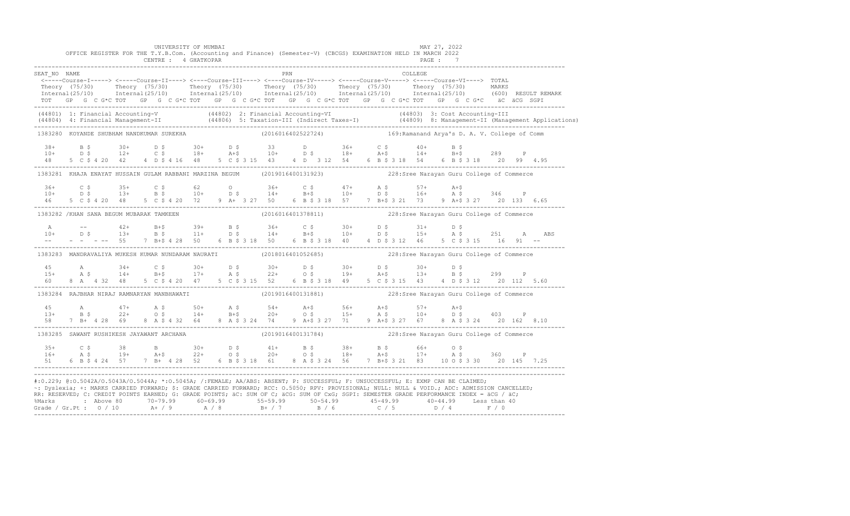|                                                                                                                                                                                                                                                                                                                                                                                                                                                                                                                                                                                               |  |  |  |  | UNIVERSITY OF MUMBAI<br>CENTRE : 4 GHATKOPAR |  |  |  | OFFICE REGISTER FOR THE T.Y.B.Com. (Accounting and Finance) (Semester-V) (CBCGS) EXAMINATION HELD IN MARCH 2022                                                                                                                                                                                                                                                                      |     |  |  |  |                | MAY 27, 2022<br>PAGE: 7 |  |  |                                                                                                                                                                                                                                   |
|-----------------------------------------------------------------------------------------------------------------------------------------------------------------------------------------------------------------------------------------------------------------------------------------------------------------------------------------------------------------------------------------------------------------------------------------------------------------------------------------------------------------------------------------------------------------------------------------------|--|--|--|--|----------------------------------------------|--|--|--|--------------------------------------------------------------------------------------------------------------------------------------------------------------------------------------------------------------------------------------------------------------------------------------------------------------------------------------------------------------------------------------|-----|--|--|--|----------------|-------------------------|--|--|-----------------------------------------------------------------------------------------------------------------------------------------------------------------------------------------------------------------------------------|
| SEAT NO NAME                                                                                                                                                                                                                                                                                                                                                                                                                                                                                                                                                                                  |  |  |  |  |                                              |  |  |  | <-----Course-I-----> <-----Course-II----> <----Course-III----> <----Course-IV-----> <----Course-V-----> <----Course-VI----> TOTAL<br>TOT GP G C G*C TOT GP G C G*C TOT GP G C G*C TOT GP G C G*C TOT GP G C G*C TOT GP G C G*C äC äCG SGPI                                                                                                                                           | PRN |  |  |  | <b>COLLEGE</b> |                         |  |  | Theory (75/30) Theory (75/30) Theory (75/30) Theory (75/30) Theory (75/30) Theory (75/30) Theory (75/30) MARKS<br>Thternal(25/10) Internal(25/10) Internal(25/10) Internal(25/10) Internal(25/10) Internal(25/10) (600) RESULTREM |
|                                                                                                                                                                                                                                                                                                                                                                                                                                                                                                                                                                                               |  |  |  |  |                                              |  |  |  |                                                                                                                                                                                                                                                                                                                                                                                      |     |  |  |  |                |                         |  |  | (44801) 1: Financial Accounting-V (44802) 2: Financial Accounting-VI (44803) 3: Cost Accounting-III<br>(44804) 4: Financial Management-II (44806) 5: Taxation-III (Indirect Taxes-I) (44809) 8: Management-II (Management Applica |
| 1383280 KOYANDE SHUBHAM NANDKUMAR SUREKHA                                                                                                                                                                                                                                                                                                                                                                                                                                                                                                                                                     |  |  |  |  |                                              |  |  |  | (2016016402522724) 169: Ramanand Arya's D. A. V. College of Comm                                                                                                                                                                                                                                                                                                                     |     |  |  |  |                |                         |  |  |                                                                                                                                                                                                                                   |
|                                                                                                                                                                                                                                                                                                                                                                                                                                                                                                                                                                                               |  |  |  |  |                                              |  |  |  | $38+$ B \$ $30+$ D \$ $30+$ D \$ $33+$ D $36+$ C \$ $40+$ B \$ $10+$ D \$ $12+$ C \$ $18+$ A+\$ $10+$ D \$ $18+$ A+\$ $14+$ B+\$ $289+$ P<br>48 5 C \$ 4 20 42 4 D \$ 4 16 48 5 C \$ 3 15 43 4 D 3 12 54 6 B \$ 3 18 54 6 B \$ 3 18 20 99 4.95                                                                                                                                       |     |  |  |  |                |                         |  |  |                                                                                                                                                                                                                                   |
|                                                                                                                                                                                                                                                                                                                                                                                                                                                                                                                                                                                               |  |  |  |  |                                              |  |  |  | 1383281 KHAJA ENAYAT HUSSAIN GULAM RABBANI MARZINA BEGUM (2019016400131923) 228:Sree Narayan Guru College of Commerce                                                                                                                                                                                                                                                                |     |  |  |  |                |                         |  |  |                                                                                                                                                                                                                                   |
| 46                                                                                                                                                                                                                                                                                                                                                                                                                                                                                                                                                                                            |  |  |  |  |                                              |  |  |  | 5 C \$ 4 20 48 5 C \$ 4 20 72 9 A+ 3 27 50 6 B \$ 3 18 57 7 B+\$ 3 21 73 9 A+\$ 3 27 20 133 6.65                                                                                                                                                                                                                                                                                     |     |  |  |  |                |                         |  |  |                                                                                                                                                                                                                                   |
| 1383282 / KHAN SANA BEGUM MUBARAK TAMKEEN                                                                                                                                                                                                                                                                                                                                                                                                                                                                                                                                                     |  |  |  |  |                                              |  |  |  |                                                                                                                                                                                                                                                                                                                                                                                      |     |  |  |  |                |                         |  |  |                                                                                                                                                                                                                                   |
| A<br>$10+$                                                                                                                                                                                                                                                                                                                                                                                                                                                                                                                                                                                    |  |  |  |  |                                              |  |  |  |                                                                                                                                                                                                                                                                                                                                                                                      |     |  |  |  |                |                         |  |  | -- 42+ B+\$ 39+ B \$ 36+ C \$ 30+ D \$ 31+ D \$<br>D \$ 13+ B \$ 11+ D \$ 14+ B+\$ 10+ D \$ 15+ A \$ 251 A ABS<br>$-$ - -- 55 7 B+\$ 4 28 50 6 B \$ 3 18 50 6 B \$ 3 18 40 4 D \$ 3 12 46 5 C \$ 3 15 16 91 --                    |
|                                                                                                                                                                                                                                                                                                                                                                                                                                                                                                                                                                                               |  |  |  |  |                                              |  |  |  | 1383283 MANDRAVALIYA MUKESH KUMAR NUNDARAM NAURATI (2018016401052685) 228:Sree Narayan Guru College of Commerce                                                                                                                                                                                                                                                                      |     |  |  |  |                |                         |  |  |                                                                                                                                                                                                                                   |
| 60 - 10                                                                                                                                                                                                                                                                                                                                                                                                                                                                                                                                                                                       |  |  |  |  |                                              |  |  |  | $15$ A $34$ C $\frac{1}{2}$ 30 + D $\frac{1}{2}$ 30 + D $\frac{1}{2}$ 30 + D $\frac{1}{2}$ 30 + D $\frac{1}{2}$ 30 + D $\frac{1}{2}$ 30 + D $\frac{1}{2}$ 30 + D $\frac{1}{2}$ 30 + D $\frac{1}{2}$ 30 + D $\frac{1}{2}$ 30 + D $\frac{1}{2}$ 30 + D $\frac{1}{2}$ 31 + B $\frac$<br>8 A 4 32 48 5 C \$ 4 20 47 5 C \$ 3 15 52 6 B \$ 3 18 49 5 C \$ 3 15 43 4 D \$ 3 12 20 112 5.60 |     |  |  |  |                |                         |  |  |                                                                                                                                                                                                                                   |
|                                                                                                                                                                                                                                                                                                                                                                                                                                                                                                                                                                                               |  |  |  |  |                                              |  |  |  | 1383284 RAJBHAR NIRAJ RAMNARYAN MANBHAWATI (2019016400131881) 138328:Sree Narayan Guru College of Commerce                                                                                                                                                                                                                                                                           |     |  |  |  |                |                         |  |  |                                                                                                                                                                                                                                   |
| 58                                                                                                                                                                                                                                                                                                                                                                                                                                                                                                                                                                                            |  |  |  |  |                                              |  |  |  | 7 B+ 4 28 69 8 A \$ 4 32 64 8 A \$ 3 24 74 9 A+\$ 3 27 71 9 A+\$ 3 27 67 8 A \$ 3 24 20 162 8.10                                                                                                                                                                                                                                                                                     |     |  |  |  |                |                         |  |  |                                                                                                                                                                                                                                   |
| 1383285 SAWANT RUSHIKESH JAYAWANT ARCHANA                                                                                                                                                                                                                                                                                                                                                                                                                                                                                                                                                     |  |  |  |  |                                              |  |  |  | (2019016400131784) 228: Sree Narayan Guru College of Commerce                                                                                                                                                                                                                                                                                                                        |     |  |  |  |                |                         |  |  |                                                                                                                                                                                                                                   |
|                                                                                                                                                                                                                                                                                                                                                                                                                                                                                                                                                                                               |  |  |  |  |                                              |  |  |  | $16+$ $22+$ $05$ $20+$ $05$ $18+$ $21+$ $05$ $20+$ $05$ $18+$ $21+$ $21+$ $22+$ $05$ $20+$ $05$ $18+$ $21+$ $21+$ $21+$ $21+$ $21+$ $21+$ $21+$ $21+$ $21+$ $21+$ $21+$ $21+$ $21+$ $21+$ $21+$ $21+$ $21+$ $21+$ $21+$ $21+$                                                                                                                                                        |     |  |  |  |                |                         |  |  | 51 6 B \$ 4 24 57 7 B + 4 28 52 6 B \$ 3 18 61 8 A \$ 3 24 56 7 B + \$ 3 21 83 10 0 \$ 3 30 20 145 7.25                                                                                                                           |
| #:0.229; @:0.5042A/0.5043A/0.5044A; *:0.5045A; /:FEMALE; AA/ABS: ABSENT; P: SUCCESSFUL; F: UNSUCCESSFUL; E: EXMP CAN BE CLAIMED;<br>~: Dyslexia; +: MARKS CARRIED FORWARD; \$: GRADE CARRIED FORWARD; RCC: 0.5050; RPV: PROVISIONAL; NULL: NULL & VOID.; ADC: ADMISSION CANCELLED;<br>RR: RESERVED; C: CREDIT POINTS EARNED; G: GRADE POINTS; äC: SUM OF C; äCG: SUM OF CxG; SGPI: SEMESTER GRADE PERFORMANCE INDEX = äCG / äC;<br>%Marks : Above 80 70-79.99 60-69.99 55-59.99 50-54.99 45-49.99 40-44.99 Less than 40<br>Grade / Gr.Pt : 0 / 10 A+ / 9 A / 8 B+ / 7 B / 6 C / 5 D / 4 F / 0 |  |  |  |  |                                              |  |  |  |                                                                                                                                                                                                                                                                                                                                                                                      |     |  |  |  |                |                         |  |  |                                                                                                                                                                                                                                   |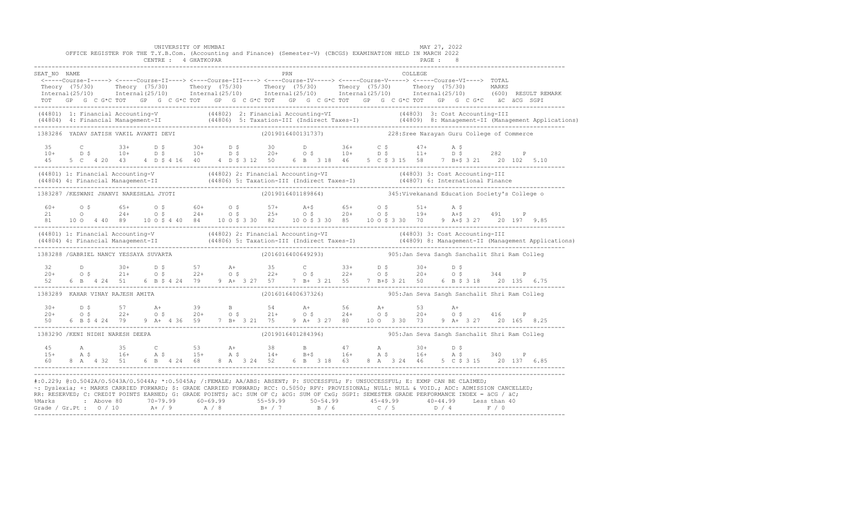|              | OFFICE REGISTER FOR THE T.Y.B.Com. (Accounting and Finance) (Semester-V) (CBCGS) EXAMINATION HELD IN MARCH 2022                                                                                                                                                                                                                                                                                                                                 | UNIVERSITY OF MUMBAI<br>CENTRE : 4 GHATKOPAR |  |     |  |         | MAY 27, 2022<br>PAGE : 8                                          |  |
|--------------|-------------------------------------------------------------------------------------------------------------------------------------------------------------------------------------------------------------------------------------------------------------------------------------------------------------------------------------------------------------------------------------------------------------------------------------------------|----------------------------------------------|--|-----|--|---------|-------------------------------------------------------------------|--|
| SEAT NO NAME |                                                                                                                                                                                                                                                                                                                                                                                                                                                 |                                              |  | PRN |  | COLLEGE |                                                                   |  |
|              | <-----Course-I-----> <-----Course-II----> <----Course-III----> <----Course-IV-----> <-----Course-V----> TOTAL<br>Theory (75/30) Theory (75/30) Theory (75/30) Theory (75/30) Theory (75/30) Theory (75/30) MARKS<br>Internal(25/10) Internal(25/10) Internal(25/10) Internal(25/10) Internal(25/10) Internal(25/10) (600) RESULTREMARK<br>TOT GP G C G*C TOT GP G C G*C TOT GP G C G*C TOT GP G C G*C TOT GP G C G*C TOT GP G C G*C äC äCG SGPI |                                              |  |     |  |         |                                                                   |  |
|              | (44801) 1: Financial Accounting-V (44802) 2: Financial Accounting-VI (44803) 3: Cost Accounting-III<br>(44804) 4: Financial Management-II (44806) 5: Taxation-III (Indirect Taxes-I) (44809) 8: Management-II (Management Applica                                                                                                                                                                                                               |                                              |  |     |  |         |                                                                   |  |
|              | 1383286 YADAV SATISH VAKIL AVANTI DEVI                                                                                                                                                                                                                                                                                                                                                                                                          |                                              |  |     |  |         | (2019016400131737) 228:Sree Narayan Guru College of Commerce      |  |
|              | 35 C 33+ D \$ 30+ D \$ 30 D 36+ C \$ 47+ A \$<br>10+ D \$ 10+ D \$ 10+ D \$ 20+ O \$ 10+ D \$ 11+ D \$ 282 P<br>45 5 C 4 20 43 4 D \$ 4 16 40 4 D \$ 312 50 6 B 3 18 46 5 C \$ 3 15 58 7 B+\$ 3 21 20 102 5.10<br>----------------------------------                                                                                                                                                                                            |                                              |  |     |  |         |                                                                   |  |
|              | (44801) 1: Financial Accounting-V (44802) 2: Financial Accounting-VI (44803) 3: Cost Accounting-III<br>(44804) 4: Financial Management-II (44806) 5: Taxation-III (Indirect Taxes-I) (44807) 6: International Finance<br>-----------                                                                                                                                                                                                            |                                              |  |     |  |         |                                                                   |  |
|              | 1383287 /KESWANI JHANVI NARESHLAL JYOTI                                                                                                                                                                                                                                                                                                                                                                                                         |                                              |  |     |  |         | (2019016401189864) 345: Vivekanand Education Society's College of |  |
|              |                                                                                                                                                                                                                                                                                                                                                                                                                                                 |                                              |  |     |  |         |                                                                   |  |
|              | (44801) 1: Financial Accounting-V (44802) 2: Financial Accounting-VI (44803) 3: Cost Accounting-III<br>(44804) 4: Financial Management-II (44806) 5: Taxation-III (Indirect Taxes-I) (44809) 8: Management-II (Management Applica                                                                                                                                                                                                               |                                              |  |     |  |         |                                                                   |  |
|              | 1383288 / GABRIEL NANCY YESSAYA SUVARTA                                                                                                                                                                                                                                                                                                                                                                                                         |                                              |  |     |  |         | (2016016400649293) 905: Jan Seva Sangh Sanchalit Shri Ram Colleg  |  |
|              |                                                                                                                                                                                                                                                                                                                                                                                                                                                 |                                              |  |     |  |         |                                                                   |  |
|              |                                                                                                                                                                                                                                                                                                                                                                                                                                                 |                                              |  |     |  |         |                                                                   |  |
|              | 1383289 KAHAR VINAY RAJESH AMITA                                                                                                                                                                                                                                                                                                                                                                                                                |                                              |  |     |  |         |                                                                   |  |
|              |                                                                                                                                                                                                                                                                                                                                                                                                                                                 |                                              |  |     |  |         |                                                                   |  |
|              | $100+$ $100+$ $100+$ $100+$ $100+$ $100+$ $100+$ $100+$ $100+$ $100+$ $100+$ $100+$ $100+$ $100+$ $100+$ $100+$ $100+$ $100+$ $100+$ $100+$ $100+$ $100+$ $100+$ $100+$ $100+$ $100+$ $100+$ $100+$ $100+$ $100+$ $100+$ $100$<br>1383290 / KENI NIDHI NARESH DEEPA                                                                                                                                                                             |                                              |  |     |  |         | (2019016401284396)  905: Jan Seva Sangh Sanchalit Shri Ram Colleg |  |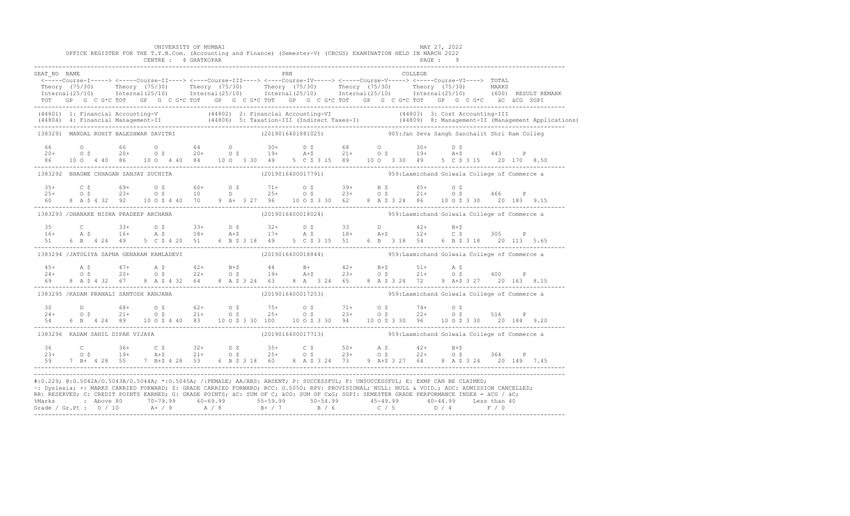|                                                                                                                                                                                                                                                                                                                                                                                                                                                                                                                                                                                              |  |  |  |  | UNIVERSITY OF MUMBAI |  |  | OFFICE REGISTER FOR THE T.Y.B.Com. (Accounting and Finance) (Semester-V) (CBCGS) EXAMINATION HELD IN MARCH 2022                                                                                                                                                                                                                                                                                                                             |     |  |                                              |  |         | MAY 27, 2022 |  |  |                                                                                                                                                                                                                                   |
|----------------------------------------------------------------------------------------------------------------------------------------------------------------------------------------------------------------------------------------------------------------------------------------------------------------------------------------------------------------------------------------------------------------------------------------------------------------------------------------------------------------------------------------------------------------------------------------------|--|--|--|--|----------------------|--|--|---------------------------------------------------------------------------------------------------------------------------------------------------------------------------------------------------------------------------------------------------------------------------------------------------------------------------------------------------------------------------------------------------------------------------------------------|-----|--|----------------------------------------------|--|---------|--------------|--|--|-----------------------------------------------------------------------------------------------------------------------------------------------------------------------------------------------------------------------------------|
|                                                                                                                                                                                                                                                                                                                                                                                                                                                                                                                                                                                              |  |  |  |  | CENTRE : 4 GHATKOPAR |  |  |                                                                                                                                                                                                                                                                                                                                                                                                                                             |     |  |                                              |  |         | PAGE: 9      |  |  |                                                                                                                                                                                                                                   |
| SEAT NO NAME                                                                                                                                                                                                                                                                                                                                                                                                                                                                                                                                                                                 |  |  |  |  |                      |  |  | <-----Course-I-----> <-----Course-II----> <----Course-III----> <----Course-IV-----> <----Course-V-----> <----Course-VI----> TOTAL                                                                                                                                                                                                                                                                                                           | PRN |  |                                              |  | COLLEGE |              |  |  |                                                                                                                                                                                                                                   |
|                                                                                                                                                                                                                                                                                                                                                                                                                                                                                                                                                                                              |  |  |  |  |                      |  |  |                                                                                                                                                                                                                                                                                                                                                                                                                                             |     |  |                                              |  |         |              |  |  |                                                                                                                                                                                                                                   |
|                                                                                                                                                                                                                                                                                                                                                                                                                                                                                                                                                                                              |  |  |  |  |                      |  |  |                                                                                                                                                                                                                                                                                                                                                                                                                                             |     |  |                                              |  |         |              |  |  | Theory (75/30) Theory (75/30) Theory (75/30) Theory (75/30) Theory (75/30) Theory (75/30) Theory (75/30) MARKS<br>Thternal(25/10) Thternal(25/10) Thternal(25/10) Thternal(25/10) Thternal(25/10) Thternal(25/10) (600) RESULT R  |
|                                                                                                                                                                                                                                                                                                                                                                                                                                                                                                                                                                                              |  |  |  |  |                      |  |  | TOT GP G C G*C TOT GP G C G*C TOT GP G C G*C TOT GP G C G*C TOT GP G C G*C TOT GP G C G*C äC äCG SGPI                                                                                                                                                                                                                                                                                                                                       |     |  |                                              |  |         |              |  |  |                                                                                                                                                                                                                                   |
|                                                                                                                                                                                                                                                                                                                                                                                                                                                                                                                                                                                              |  |  |  |  |                      |  |  |                                                                                                                                                                                                                                                                                                                                                                                                                                             |     |  |                                              |  |         |              |  |  | (44801) 1: Financial Accounting-V (44802) 2: Financial Accounting-VI (44803) 3: Cost Accounting-III<br>(44804) 4: Financial Management-II (44806) 5: Taxation-III (Indirect Taxes-I) (44809) 8: Management-II (Management Applica |
| 1383291 MANDAL ROHIT BALESHWAR SAVITRI                                                                                                                                                                                                                                                                                                                                                                                                                                                                                                                                                       |  |  |  |  |                      |  |  | (2019016401881025)                                                                                                                                                                                                                                                                                                                                                                                                                          |     |  | 905:Jan Seva Sangh Sanchalit Shri Ram Colleg |  |         |              |  |  |                                                                                                                                                                                                                                   |
|                                                                                                                                                                                                                                                                                                                                                                                                                                                                                                                                                                                              |  |  |  |  |                      |  |  |                                                                                                                                                                                                                                                                                                                                                                                                                                             |     |  |                                              |  |         |              |  |  |                                                                                                                                                                                                                                   |
|                                                                                                                                                                                                                                                                                                                                                                                                                                                                                                                                                                                              |  |  |  |  |                      |  |  |                                                                                                                                                                                                                                                                                                                                                                                                                                             |     |  |                                              |  |         |              |  |  |                                                                                                                                                                                                                                   |
|                                                                                                                                                                                                                                                                                                                                                                                                                                                                                                                                                                                              |  |  |  |  |                      |  |  |                                                                                                                                                                                                                                                                                                                                                                                                                                             |     |  |                                              |  |         |              |  |  |                                                                                                                                                                                                                                   |
| 1383292 BHAGWE CHHAGAN SANJAY SUCHITA                                                                                                                                                                                                                                                                                                                                                                                                                                                                                                                                                        |  |  |  |  |                      |  |  | (2019016400017791) 959:Laxmichand Golwala College of Commerce a                                                                                                                                                                                                                                                                                                                                                                             |     |  |                                              |  |         |              |  |  |                                                                                                                                                                                                                                   |
|                                                                                                                                                                                                                                                                                                                                                                                                                                                                                                                                                                                              |  |  |  |  |                      |  |  |                                                                                                                                                                                                                                                                                                                                                                                                                                             |     |  |                                              |  |         |              |  |  |                                                                                                                                                                                                                                   |
|                                                                                                                                                                                                                                                                                                                                                                                                                                                                                                                                                                                              |  |  |  |  |                      |  |  |                                                                                                                                                                                                                                                                                                                                                                                                                                             |     |  |                                              |  |         |              |  |  |                                                                                                                                                                                                                                   |
|                                                                                                                                                                                                                                                                                                                                                                                                                                                                                                                                                                                              |  |  |  |  |                      |  |  |                                                                                                                                                                                                                                                                                                                                                                                                                                             |     |  |                                              |  |         |              |  |  |                                                                                                                                                                                                                                   |
| 1383293 / DHANAKE NISHA PRADEEP ARCHANA                                                                                                                                                                                                                                                                                                                                                                                                                                                                                                                                                      |  |  |  |  |                      |  |  | (2019016400018024) 959: Laxmichand Golwala College of Commerce a                                                                                                                                                                                                                                                                                                                                                                            |     |  |                                              |  |         |              |  |  |                                                                                                                                                                                                                                   |
|                                                                                                                                                                                                                                                                                                                                                                                                                                                                                                                                                                                              |  |  |  |  |                      |  |  |                                                                                                                                                                                                                                                                                                                                                                                                                                             |     |  |                                              |  |         |              |  |  |                                                                                                                                                                                                                                   |
|                                                                                                                                                                                                                                                                                                                                                                                                                                                                                                                                                                                              |  |  |  |  |                      |  |  |                                                                                                                                                                                                                                                                                                                                                                                                                                             |     |  |                                              |  |         |              |  |  |                                                                                                                                                                                                                                   |
|                                                                                                                                                                                                                                                                                                                                                                                                                                                                                                                                                                                              |  |  |  |  |                      |  |  |                                                                                                                                                                                                                                                                                                                                                                                                                                             |     |  |                                              |  |         |              |  |  |                                                                                                                                                                                                                                   |
| 1383294 /JATOLIYA SAPNA GENARAM KAMLADEVI                                                                                                                                                                                                                                                                                                                                                                                                                                                                                                                                                    |  |  |  |  |                      |  |  | (2019016400018844) 959: Laxmichand Golwala College of Commerce a                                                                                                                                                                                                                                                                                                                                                                            |     |  |                                              |  |         |              |  |  |                                                                                                                                                                                                                                   |
|                                                                                                                                                                                                                                                                                                                                                                                                                                                                                                                                                                                              |  |  |  |  |                      |  |  |                                                                                                                                                                                                                                                                                                                                                                                                                                             |     |  |                                              |  |         |              |  |  |                                                                                                                                                                                                                                   |
|                                                                                                                                                                                                                                                                                                                                                                                                                                                                                                                                                                                              |  |  |  |  |                      |  |  | $\begin{array}{cccccccccccccccc} 45+ & & {\rm A}\ \ \hat{\textrm{S}}\qquad \qquad & 47+ & & {\rm A}\ \ \hat{\textrm{S}}\qquad \qquad & 47+ & & {\rm A}\ \ \hat{\textrm{S}}\qquad \qquad & 47+ & & {\rm A}\ \ \hat{\textrm{S}}\qquad \qquad & 47+ & & {\rm B}\ \ \hat{\textrm{S}}\qquad \qquad & 47+ & & {\rm B}\ \ \hat{\textrm{S}}\qquad \qquad & 47+ & & {\rm B}\ \ \hat{\textrm{S}}\qquad \qquad & 47+ & & {\rm B}\ \ \hat{\textrm{S}}\$ |     |  |                                              |  |         |              |  |  |                                                                                                                                                                                                                                   |
|                                                                                                                                                                                                                                                                                                                                                                                                                                                                                                                                                                                              |  |  |  |  |                      |  |  |                                                                                                                                                                                                                                                                                                                                                                                                                                             |     |  |                                              |  |         |              |  |  |                                                                                                                                                                                                                                   |
| 1383295 /KADAM PRANALI SANTOSH RANJANA                                                                                                                                                                                                                                                                                                                                                                                                                                                                                                                                                       |  |  |  |  |                      |  |  |                                                                                                                                                                                                                                                                                                                                                                                                                                             |     |  |                                              |  |         |              |  |  |                                                                                                                                                                                                                                   |
|                                                                                                                                                                                                                                                                                                                                                                                                                                                                                                                                                                                              |  |  |  |  |                      |  |  |                                                                                                                                                                                                                                                                                                                                                                                                                                             |     |  |                                              |  |         |              |  |  |                                                                                                                                                                                                                                   |
|                                                                                                                                                                                                                                                                                                                                                                                                                                                                                                                                                                                              |  |  |  |  |                      |  |  |                                                                                                                                                                                                                                                                                                                                                                                                                                             |     |  |                                              |  |         |              |  |  |                                                                                                                                                                                                                                   |
|                                                                                                                                                                                                                                                                                                                                                                                                                                                                                                                                                                                              |  |  |  |  |                      |  |  |                                                                                                                                                                                                                                                                                                                                                                                                                                             |     |  |                                              |  |         |              |  |  |                                                                                                                                                                                                                                   |
| 1383296 KADAM SAHIL DIPAK VIJAYA                                                                                                                                                                                                                                                                                                                                                                                                                                                                                                                                                             |  |  |  |  |                      |  |  | (2019016400017713) 359: Laxmichand Golwala College of Commerce a                                                                                                                                                                                                                                                                                                                                                                            |     |  |                                              |  |         |              |  |  |                                                                                                                                                                                                                                   |
|                                                                                                                                                                                                                                                                                                                                                                                                                                                                                                                                                                                              |  |  |  |  |                      |  |  |                                                                                                                                                                                                                                                                                                                                                                                                                                             |     |  |                                              |  |         |              |  |  |                                                                                                                                                                                                                                   |
|                                                                                                                                                                                                                                                                                                                                                                                                                                                                                                                                                                                              |  |  |  |  |                      |  |  |                                                                                                                                                                                                                                                                                                                                                                                                                                             |     |  |                                              |  |         |              |  |  |                                                                                                                                                                                                                                   |
|                                                                                                                                                                                                                                                                                                                                                                                                                                                                                                                                                                                              |  |  |  |  |                      |  |  |                                                                                                                                                                                                                                                                                                                                                                                                                                             |     |  |                                              |  |         |              |  |  |                                                                                                                                                                                                                                   |
| #:0.229; @:0.5042A/0.5043A/0.5044A; *:0.5045A; /:FEMALE; AA/ABS: ABSENT; P: SUCCESSFUL; F: UNSUCCESSFUL; E: EXMP CAN BE CLAIMED;<br>~: Dyslexia; +: MARKS CARRIED FORWARD; \$: GRADE CARRIED FORWARD; RCC: 0.5050; RPV: PROVISIONAL; NULL: NULL: WOID.; ADC: ADMISSION CANCELLED;<br>RR: RESERVED; C: CREDIT POINTS EARNED; G: GRADE POINTS; äC: SUM OF C; äCG: SUM OF CxG; SGPI: SEMESTER GRADE PERFORMANCE INDEX = äCG / äC;<br>%Marks : Above 80 70-79.99 60-69.99 55-59.99 50-54.99 45-49.99 40-44.99 Less than 40<br>Grade / Gr.Pt : 0 / 10 A+ / 9 A / 8 B+ / 7 B / 6 C / 5 D / 4 F / 0 |  |  |  |  |                      |  |  |                                                                                                                                                                                                                                                                                                                                                                                                                                             |     |  |                                              |  |         |              |  |  |                                                                                                                                                                                                                                   |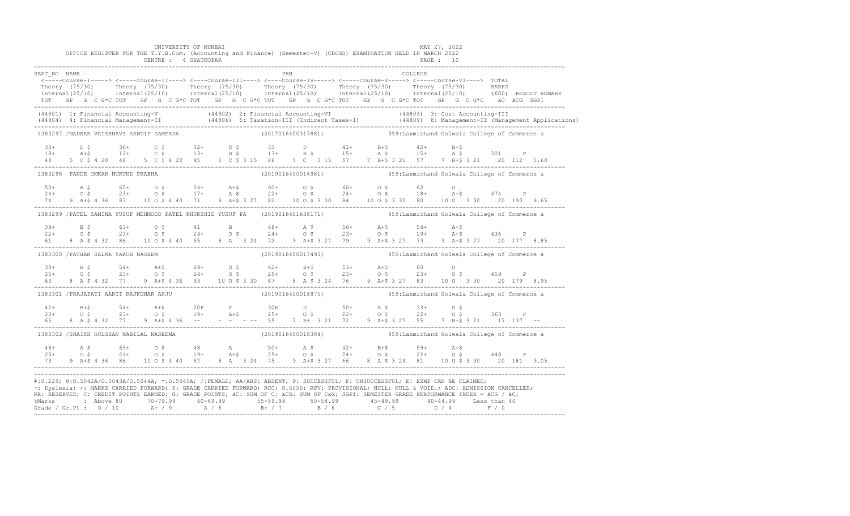|              |  |                                          |  |  | UNIVERSITY OF MUMBAI |  |  |     |  | OFFICE REGISTER FOR THE T.Y.B.Com. (Accounting and Finance) (Semester-V) (CBCGS) EXAMINATION HELD IN MARCH 2022                                                                                                                                                                    |         | MAY 27, 2022 |  |  |                                                                                                                                                                                                                                   |
|--------------|--|------------------------------------------|--|--|----------------------|--|--|-----|--|------------------------------------------------------------------------------------------------------------------------------------------------------------------------------------------------------------------------------------------------------------------------------------|---------|--------------|--|--|-----------------------------------------------------------------------------------------------------------------------------------------------------------------------------------------------------------------------------------|
|              |  |                                          |  |  | CENTRE : 4 GHATKOPAR |  |  |     |  |                                                                                                                                                                                                                                                                                    |         | PAGE : 10    |  |  |                                                                                                                                                                                                                                   |
| SEAT NO NAME |  |                                          |  |  |                      |  |  | PRN |  |                                                                                                                                                                                                                                                                                    | COLLEGE |              |  |  |                                                                                                                                                                                                                                   |
|              |  |                                          |  |  |                      |  |  |     |  | <-----Course-I-----> <-----Course-II----> <----Course-III----> <----Course-IV-----> <----Course-V-----> <----Course-VI----> TOTAL                                                                                                                                                  |         |              |  |  |                                                                                                                                                                                                                                   |
|              |  |                                          |  |  |                      |  |  |     |  | Theory (75/30) Theory (75/30) Theory (75/30) Theory (75/30) Theory (75/30) Theory (75/30) MARKS<br>Internal(25/10) Internal(25/10) Internal(25/10) Internal(25/10) Internal(25/10) Internal(25/10) (600)RESULTREMARK                                                               |         |              |  |  |                                                                                                                                                                                                                                   |
|              |  |                                          |  |  |                      |  |  |     |  | TOT GP G C G*C TOT GP G C G*C TOT GP G C G*C TOT GP G C G*C TOT GP G C G*C TOT GP G C G*C äC äCG SGPI                                                                                                                                                                              |         |              |  |  |                                                                                                                                                                                                                                   |
|              |  |                                          |  |  |                      |  |  |     |  |                                                                                                                                                                                                                                                                                    |         |              |  |  | (44801) 1: Financial Accounting-V (44802) 2: Financial Accounting-VI (44803) 3: Cost Accounting-III<br>(44804) 4: Financial Management-II (44806) 5: Taxation-III (Indirect Taxes-I) (44809) 8: Management-II (Management Applica |
|              |  | 1383297 /NADKAR VAISHNAVI SANDIP SAMPADA |  |  |                      |  |  |     |  | (2017016400317881) 59:Laxmichand Golwala College of Commerce a                                                                                                                                                                                                                     |         |              |  |  |                                                                                                                                                                                                                                   |
|              |  |                                          |  |  |                      |  |  |     |  | $30+$ $D$ $\zeta$ $36+$ $C$ $\zeta$ $32+$ $D$ $\zeta$ $33$ $D$ $42+$ $B+$ $42+$ $B+$ $5$                                                                                                                                                                                           |         |              |  |  |                                                                                                                                                                                                                                   |
|              |  |                                          |  |  |                      |  |  |     |  | $18+$ $2+$ $12+$ $C$ $5$ $13+$ $B$ $5$ $13+$ $B$ $5$ $15+$ $A$ $5$ $15+$ $A$ $5$ $301$ $P$                                                                                                                                                                                         |         |              |  |  |                                                                                                                                                                                                                                   |
| 48           |  |                                          |  |  |                      |  |  |     |  | 5 C \$ 4 20 48 5 C \$ 4 20 45 5 C \$ 3 15 46 5 C 3 15 57 7 B+\$ 3 21 57 7 B+\$ 3 21 20 112 5.60                                                                                                                                                                                    |         |              |  |  |                                                                                                                                                                                                                                   |
|              |  | 1383298 PANDE OMKAR MUKUND PRABHA        |  |  |                      |  |  |     |  |                                                                                                                                                                                                                                                                                    |         |              |  |  |                                                                                                                                                                                                                                   |
|              |  |                                          |  |  |                      |  |  |     |  |                                                                                                                                                                                                                                                                                    |         |              |  |  |                                                                                                                                                                                                                                   |
|              |  |                                          |  |  |                      |  |  |     |  |                                                                                                                                                                                                                                                                                    |         |              |  |  |                                                                                                                                                                                                                                   |
| 74 74        |  |                                          |  |  |                      |  |  |     |  | 9 A+\$ 4 36 83 10 0 \$ 4 40 71 9 A+\$ 3 27 82 10 0 \$ 3 30 84 10 0 \$ 3 30 80 10 0 3 30 20 193 9.65                                                                                                                                                                                |         |              |  |  |                                                                                                                                                                                                                                   |
|              |  |                                          |  |  |                      |  |  |     |  | 1383299 / PATEL SAMINA YUSUF MEHMOOD PATEL KHURSHID YUSUF PA (2019016401638171) 959:Laxmichand Golwala College of Commerce a                                                                                                                                                       |         |              |  |  |                                                                                                                                                                                                                                   |
|              |  |                                          |  |  |                      |  |  |     |  | $39+$ B \$ $63+$ O \$ $41$ B $48+$ A \$ $56+$ A +\$ $54+$ A +\$<br>22+ O \$ 23+ O \$ 24+ O \$ 24+ O \$ 23+ O \$ 19+ A +\$ 436 P                                                                                                                                                    |         |              |  |  |                                                                                                                                                                                                                                   |
|              |  |                                          |  |  |                      |  |  |     |  |                                                                                                                                                                                                                                                                                    |         |              |  |  |                                                                                                                                                                                                                                   |
| 61           |  |                                          |  |  |                      |  |  |     |  | 8 A \$ 4 32 86 10 0 \$ 4 40 65 8 A 3 24 72 9 A+\$ 3 27 79 9 A+\$ 3 27 73 9 A+\$ 3 27 20 177 8.85                                                                                                                                                                                   |         |              |  |  |                                                                                                                                                                                                                                   |
|              |  | 1383300 / PATHAN SALMA YAKUB NASEEM      |  |  |                      |  |  |     |  | $(2019016400017493)$ 959: Laxmichand Golwala College of Commerce a                                                                                                                                                                                                                 |         |              |  |  |                                                                                                                                                                                                                                   |
|              |  |                                          |  |  |                      |  |  |     |  |                                                                                                                                                                                                                                                                                    |         |              |  |  |                                                                                                                                                                                                                                   |
|              |  |                                          |  |  |                      |  |  |     |  |                                                                                                                                                                                                                                                                                    |         |              |  |  |                                                                                                                                                                                                                                   |
| 6.3          |  |                                          |  |  |                      |  |  |     |  | 8 A \$ 4 32 77 9 A + \$ 4 36 93 10 0 \$ 3 30 67 8 A \$ 3 24 76 9 A + \$ 3 27 83 10 0 3 30 20 179 8.95                                                                                                                                                                              |         |              |  |  |                                                                                                                                                                                                                                   |
|              |  | 1383301 /PRAJAPATI AARTI RAJKUMAR ANJU   |  |  |                      |  |  |     |  | $(2019016400018875)$ 959: Laxmichand Golwala College of Commerce a                                                                                                                                                                                                                 |         |              |  |  |                                                                                                                                                                                                                                   |
|              |  |                                          |  |  |                      |  |  |     |  |                                                                                                                                                                                                                                                                                    |         |              |  |  |                                                                                                                                                                                                                                   |
|              |  |                                          |  |  |                      |  |  |     |  |                                                                                                                                                                                                                                                                                    |         |              |  |  |                                                                                                                                                                                                                                   |
|              |  |                                          |  |  |                      |  |  |     |  |                                                                                                                                                                                                                                                                                    |         |              |  |  |                                                                                                                                                                                                                                   |
|              |  | 1383302 /SHAIKH GULSHAN NABILAL NASEEMA  |  |  |                      |  |  |     |  | (2019016400018384)  959:Laxmichand Golwala College of Commerce a                                                                                                                                                                                                                   |         |              |  |  |                                                                                                                                                                                                                                   |
|              |  |                                          |  |  |                      |  |  |     |  |                                                                                                                                                                                                                                                                                    |         |              |  |  |                                                                                                                                                                                                                                   |
|              |  |                                          |  |  |                      |  |  |     |  |                                                                                                                                                                                                                                                                                    |         |              |  |  |                                                                                                                                                                                                                                   |
| 73 —         |  |                                          |  |  |                      |  |  |     |  | 9 A+\$ 4 36 86 10 0 \$ 4 40 67 8 A 3 24 75 9 A+\$ 3 27 66 8 A \$ 3 24 81 10 0 \$ 3 30 20 181 9.05                                                                                                                                                                                  |         |              |  |  |                                                                                                                                                                                                                                   |
|              |  |                                          |  |  |                      |  |  |     |  |                                                                                                                                                                                                                                                                                    |         |              |  |  |                                                                                                                                                                                                                                   |
|              |  |                                          |  |  |                      |  |  |     |  | #:0.229; @:0.5042A/0.5043A/0.5044A; *:0.5045A; /:FEMALE; AA/ABS: ABSENT; P: SUCCESSFUL; F: UNSUCCESSFUL; E: EXMP CAN BE CLAIMED;<br>~: Dyslexia; +: MARKS CARRIED FORWARD; \$: GRADE CARRIED FORWARD; RCC: 0.5050; RPV: PROVISIONAL; NULL: NULL & VOID.; ADC: ADMISSION CANCELLED; |         |              |  |  |                                                                                                                                                                                                                                   |
|              |  |                                          |  |  |                      |  |  |     |  | RR: RESERVED; C: CREDIT POINTS EARNED; G: GRADE POINTS; äC: SUM OF C; äCG: SUM OF CxG; SGPI: SEMESTER GRADE PERFORMANCE INDEX = äCG / äC;                                                                                                                                          |         |              |  |  |                                                                                                                                                                                                                                   |
|              |  |                                          |  |  |                      |  |  |     |  | %Marks : Above 80 70-79.99 60-69.99 55-59.99 50-54.99 45-49.99 40-44.99 Less than 40<br>Grade / Gr.Pt : 0 / 10 A+ / 9 A / 8 B+ / 7 B / 6 C / 5 D / 4 F / 0                                                                                                                         |         |              |  |  |                                                                                                                                                                                                                                   |
|              |  |                                          |  |  |                      |  |  |     |  |                                                                                                                                                                                                                                                                                    |         |              |  |  |                                                                                                                                                                                                                                   |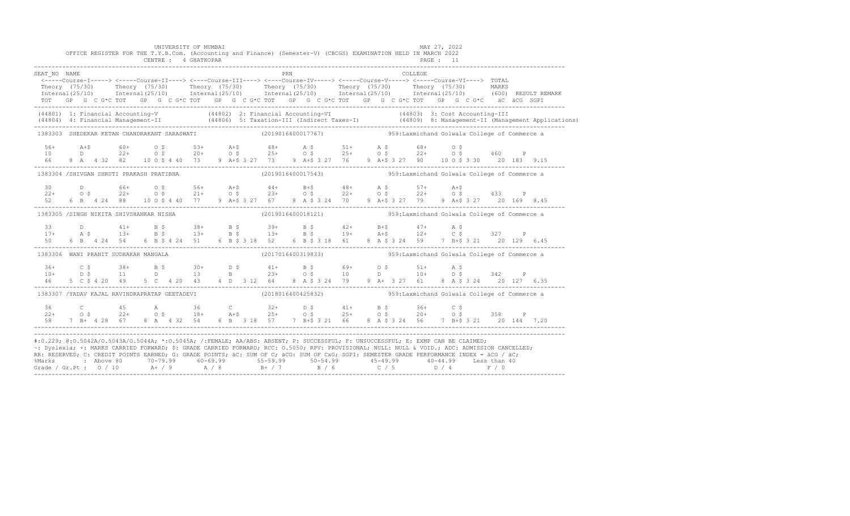|                        | OFFICE REGISTER FOR THE T.Y.B.Com. (Accounting and Finance) (Semester-V) (CBCGS) EXAMINATION HELD IN MARCH 2022                                                                                                                                                                                                                                                                                                                                                                                                                                                                            |  |  | UNIVERSITY OF MUMBAI<br>CENTRE : 4 GHATKOPAR |  |     |                                                                  |  |  |         | MAY 27, 2022<br>PAGE : 11 |  |              |  |
|------------------------|--------------------------------------------------------------------------------------------------------------------------------------------------------------------------------------------------------------------------------------------------------------------------------------------------------------------------------------------------------------------------------------------------------------------------------------------------------------------------------------------------------------------------------------------------------------------------------------------|--|--|----------------------------------------------|--|-----|------------------------------------------------------------------|--|--|---------|---------------------------|--|--------------|--|
| SEAT NO NAME           |                                                                                                                                                                                                                                                                                                                                                                                                                                                                                                                                                                                            |  |  |                                              |  | PRN |                                                                  |  |  | COLLEGE |                           |  |              |  |
|                        | <-----Course-I-----> <-----Course-II----> <----Course-III----> <----Course-IV-----> <----Course-V-----> <----Course-VI----> TOTAL<br>Theory (75/30) Theory (75/30) Theory (75/30) Theory (75/30) Theory (75/30) Theory (75/30) MARKS<br>Internal(25/10) Internal(25/10) Internal(25/10) Internal(25/10) Internal(25/10) Internal(25/10) (600) RESULTREMARK<br>TOT GP G C G*C TOT GP G C G*C TOT GP G C G*C TOT GP G C G*C TOT GP G C G*C TOT GP G C G*C äC äCG SGPI                                                                                                                        |  |  |                                              |  |     |                                                                  |  |  |         |                           |  |              |  |
|                        | (44801) 1: Financial Accounting-V (44802) 2: Financial Accounting-VI (44803) 3: Cost Accounting-III<br>(44804) 4: Financial Management-II (44806) 5: Taxation-III (Indirect Taxes-I) (44809) 8: Management-II (Management Applica                                                                                                                                                                                                                                                                                                                                                          |  |  |                                              |  |     |                                                                  |  |  |         |                           |  |              |  |
|                        | 1383303 SHEDEKAR KETAN CHANDRAKANT SARASWATI                                                                                                                                                                                                                                                                                                                                                                                                                                                                                                                                               |  |  |                                              |  |     | (2019016400017767) 959: Laxmichand Golwala College of Commerce a |  |  |         |                           |  |              |  |
| $56+$<br>10<br>66 - 10 | 4+\$<br>D 22+ 0\$ 20+ 0\$ 25+ 0\$ 25+ 0\$ 25+ 0\$ 22+ 0\$ 460 P<br>8 A 4 32 82 10 0\$ 40 73 9 A+\$ 3 27 73 9 A+\$ 3 27 76 9 A+\$ 3 27 90 10 0\$ 3 30 20 183 9.15                                                                                                                                                                                                                                                                                                                                                                                                                           |  |  |                                              |  |     |                                                                  |  |  |         |                           |  |              |  |
|                        | 1383304 /SHIVGAN SHRUTI PRAKASH PRATIBHA                                                                                                                                                                                                                                                                                                                                                                                                                                                                                                                                                   |  |  |                                              |  |     | (2019016400017543) 959: Laxmichand Golwala College of Commerce a |  |  |         |                           |  |              |  |
| 30<br>$22+$<br>52      | $\begin{array}{cccccccccccccccc} \text{D} & 66+ & 0& 5 & 56+ & \text{A}+5 & 44+ & \text{B}+5 & 48+ & \text{A} & 5 & 57+ & \text{A}+5 \\ 0& 5 & 22+ & 0& 5 & 21+ & 0& 5 & 23+ & 0& 5 & 22+ & 0& 5 & 43 & 5 \\ 6& 5 & 4& 24 & 88 & 10& 0& 5& 440 & 77 & 9 & \text{A}+5& 3& 27 & 67 & 8 & \text{A} & 5& 3& 24 & 70 & 9$                                                                                                                                                                                                                                                                       |  |  |                                              |  |     |                                                                  |  |  |         |                           |  |              |  |
|                        | 1383305 /SINGH NIKITA SHIVSHANKAR NISHA                                                                                                                                                                                                                                                                                                                                                                                                                                                                                                                                                    |  |  |                                              |  |     | (2019016400018121) 59:Laxmichand Golwala College of Commerce a   |  |  |         |                           |  |              |  |
|                        |                                                                                                                                                                                                                                                                                                                                                                                                                                                                                                                                                                                            |  |  |                                              |  |     |                                                                  |  |  |         |                           |  |              |  |
|                        | 1383306 WANI PRANIT SUDHAKAR MANGALA                                                                                                                                                                                                                                                                                                                                                                                                                                                                                                                                                       |  |  |                                              |  |     | (2017016400319833) 359: Laxmichand Golwala College of Commerce a |  |  |         |                           |  |              |  |
|                        | $\begin{array}{cccccccccccccccc} 36+ & C & \xi & 38+ & B & \xi & 30+ & D & \xi & 41+ & B & \xi & 69+ & O & \xi & 51+ & A & \xi \\ 10+ & D & \xi & 11 & D & 13 & B & 23+ & O & \xi & 10 & D & 10+ & D & \xi & 342 & P \\ 46 & 5 & C & \xi & 4 & 20 & 49 & 5 & C & 4 & 20 & 43 & 4 & D & 3 & 12 & 64 & 8 & A & \xi & 3 & 24 & 79 & 9 & A+ & 3 & 27 & 61 & 8 & A$                                                                                                                                                                                                                             |  |  |                                              |  |     |                                                                  |  |  |         |                           |  |              |  |
|                        | 1383307 /YADAV KAJAL RAVINDRAPRATAP GEETADEVI (2018016400425832) 359:Laxmichand Golwala College of Commerce a                                                                                                                                                                                                                                                                                                                                                                                                                                                                              |  |  |                                              |  |     |                                                                  |  |  |         |                           |  |              |  |
|                        | $22+$ 0.5 $22+$ 0.5 $22+$ 0.5 $22+$ 0.5 $22+$ 0.5 $22+$ 0.5 $22+$ 0.5 $22+$ 0.5 $22+$ 0.5 $22+$ 0.5 $22+$ 0.5 $22+$ 0.5 $22+$ 0.5 $22+$ 0.5 $22+$ 0.5 $22+$ 0.5 $22+$ 0.5 $22+$ 0.5 $22+$ 0.5 $22+$ 0.5 $22+$ 0.5 $22+$ 0.5<br>58 7 B + 4 28 67 8 A 4 32 54 6 B 3 18 57 7 B + \$ 3 21 66 8 A \$ 3 24 56 7 B + \$ 3 21 20 144 7.20                                                                                                                                                                                                                                                          |  |  |                                              |  |     |                                                                  |  |  |         |                           |  |              |  |
|                        | #:0.229; @:0.5042A/0.5043A/0.5044A; *:0.5045A; /:FEMALE; AA/ABS: ABSENT; P: SUCCESSFUL; F: UNSUCCESSFUL; E: EXMP CAN BE CLAIMED;<br>~: Dyslexia; +: MARKS CARRIED FORWARD; \$: GRADE CARRIED FORWARD; RCC: 0.5050; RPV: PROVISIONAL; NULL: NULL & VOID.; ADC: ADMISSION CANCELLED;<br>RR: RESERVED; C: CREDIT POINTS EARNED; G: GRADE POINTS; äC: SUM OF C; äCG: SUM OF CxG; SGPI: SEMESTER GRADE PERFORMANCE INDEX = äCG / äC;<br>%Marks : Above 80 70-79.99 60-69.99 55-59.99 50-54.99 45-49.99 40-44.99 Less than<br>Grade / Gr.Pt : 0 / 10 A+ / 9 A / 8 B+ / 7 B / 6 C / 5 D / 4 F / 0 |  |  |                                              |  |     |                                                                  |  |  |         |                           |  | Less than 40 |  |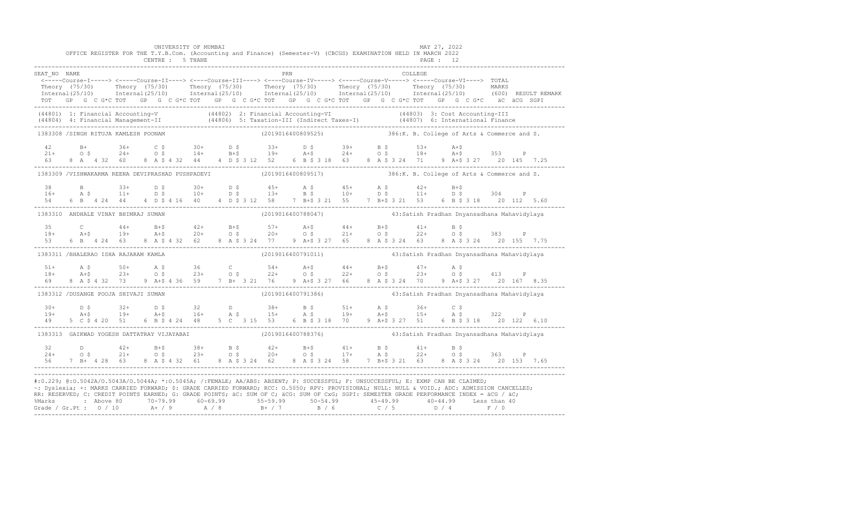|              |  |                                            |  |  | UNIVERSITY OF MUMBAI<br>CENTRE : 5 THANE |  |  |            | OFFICE REGISTER FOR THE T.Y.B.Com. (Accounting and Finance) (Semester-V) (CBCGS) EXAMINATION HELD IN MARCH 2022                                                                                                                                                                                                                                                                                                                                                                                                                                                                              |  |  |         | MAY 27, 2022<br>PAGE : 12 |  |                                                                                                                                                                                                                                                      |
|--------------|--|--------------------------------------------|--|--|------------------------------------------|--|--|------------|----------------------------------------------------------------------------------------------------------------------------------------------------------------------------------------------------------------------------------------------------------------------------------------------------------------------------------------------------------------------------------------------------------------------------------------------------------------------------------------------------------------------------------------------------------------------------------------------|--|--|---------|---------------------------|--|------------------------------------------------------------------------------------------------------------------------------------------------------------------------------------------------------------------------------------------------------|
| SEAT NO NAME |  |                                            |  |  |                                          |  |  | <b>PRN</b> | <-----Course-I-----> <-----Course-II----> <----Course-III----> <----Course-IV-----> <-----Course-V-----> TOTAL<br>TOT GP G C G*C TOT GP G C G*C TOT GP G C G*C TOT GP G C G*C TOT GP G C G*C TOT GP G C G*C äC äCG SGPI                                                                                                                                                                                                                                                                                                                                                                      |  |  | COLLEGE |                           |  | Theory (75/30) Theory (75/30) Theory (75/30) Theory (75/30) Theory (75/30) Theory (75/30) Theory (75/30) Theory (75/30) Theory (75/30) Theory (75/30) Theory (75/30) Theory (75/30) Theory (75/30) Theory (75/30) Theory (75/3                       |
|              |  |                                            |  |  |                                          |  |  |            |                                                                                                                                                                                                                                                                                                                                                                                                                                                                                                                                                                                              |  |  |         |                           |  | (44801) 1: Financial Accounting-V (44802) 2: Financial Accounting-VI (44803) 3: Cost Accounting-III<br>(44804) 4: Financial Management-II (44806) 5: Taxation-III (Indirect Taxes-I) (44807) 6: International Finance<br>-----------                 |
|              |  | 1383308 /SINGH RITUJA KAMLESH POONAM       |  |  |                                          |  |  |            | (2019016400809525) 386:K. B. College of Arts & Commerce and S.                                                                                                                                                                                                                                                                                                                                                                                                                                                                                                                               |  |  |         |                           |  |                                                                                                                                                                                                                                                      |
|              |  |                                            |  |  |                                          |  |  |            |                                                                                                                                                                                                                                                                                                                                                                                                                                                                                                                                                                                              |  |  |         |                           |  | 42 B+ 36+ C \$ 30+ D \$ 33+ D \$ 39+ B \$ 53+ A+\$<br>21+ O \$ 24+ O \$ 14+ B+\$ 19+ A+\$ 24+ O \$ 18+ A+\$ 353 P<br>63 8 A 4 32 60 8 A \$ 4 32 44 4 D \$ 3 12 52 6 B \$ 3 18 63 8 A \$ 3 24 71 9 A+\$ 3 27 20 145 7.25<br>------------------------- |
|              |  |                                            |  |  |                                          |  |  |            | 1383309 /VISHWAKARMA REENA DEVIPRASHAD PUSHPADEVI (2019016400809517) 386:K. B. College of Arts & Commerce and S.                                                                                                                                                                                                                                                                                                                                                                                                                                                                             |  |  |         |                           |  |                                                                                                                                                                                                                                                      |
|              |  |                                            |  |  |                                          |  |  |            |                                                                                                                                                                                                                                                                                                                                                                                                                                                                                                                                                                                              |  |  |         |                           |  |                                                                                                                                                                                                                                                      |
|              |  | 1383310 ANDHALE VINAY BHIMRAJ SUMAN        |  |  |                                          |  |  |            | (2019016400788047)                             43:Satish Pradhan Dnyansadhana Mahavidylaya                                                                                                                                                                                                                                                                                                                                                                                                                                                                                                   |  |  |         |                           |  |                                                                                                                                                                                                                                                      |
|              |  |                                            |  |  |                                          |  |  |            | $\begin{array}{cccccccccccccccc} 35 & C & 44+ & B+5 & 42+ & B+5 & 57+ & A+5 & 44+ & B+5 & 41+ & B+5 & 383 & P\\ 18+ & A+5 & 19+ & A+5 & 20+ & O+5 & 20+ & O+5 & 21+ & O+5 & 22+ & O+5 & 383 & P\\ 53 & 6 & B & 4 & 24 & 63 & 8 & A+5 & 4 & 32 & 62 & 8 & A+5 & 3 & 24 & 77 & 9 & A+5 & 3 & 27 & 65 & 8 & A+5 & 3 & 24 & 63$                                                                                                                                                                                                                                                                  |  |  |         |                           |  |                                                                                                                                                                                                                                                      |
|              |  | 1383311 /BHALERAO ISHA RAJARAM KAMLA       |  |  |                                          |  |  |            | (2019016400791011)                               43:Satish Pradhan Dnyansadhana Mahavidylaya                                                                                                                                                                                                                                                                                                                                                                                                                                                                                                 |  |  |         |                           |  |                                                                                                                                                                                                                                                      |
|              |  |                                            |  |  |                                          |  |  |            | 69 8 A \$ 4 32 73 9 A + \$ 4 36 59 7 B + 3 21 76 9 A + \$ 3 27 66 8 A \$ 3 24 70 9 A + \$ 3 27 20 167 8.35                                                                                                                                                                                                                                                                                                                                                                                                                                                                                   |  |  |         |                           |  |                                                                                                                                                                                                                                                      |
|              |  | 1383312 /DUSANGE POOJA SHIVAJI SUMAN       |  |  |                                          |  |  |            | (2019016400791386)                             43:Satish Pradhan Dnyansadhana Mahavidylaya                                                                                                                                                                                                                                                                                                                                                                                                                                                                                                   |  |  |         |                           |  |                                                                                                                                                                                                                                                      |
|              |  |                                            |  |  |                                          |  |  |            | $19+$ $19+$ $19+$ $19+$ $19+$ $19+$ $19+$ $19+$ $19+$ $19+$ $19+$ $19+$ $19+$ $19+$ $19+$ $19+$ $19+$ $19+$ $19+$ $19+$ $19+$ $19+$ $19+$ $19+$ $19+$ $19+$ $19+$ $19+$ $19+$ $19+$ $19+$ $19+$ $19+$ $19+$ $19+$ $19+$ $19+$                                                                                                                                                                                                                                                                                                                                                                |  |  |         |                           |  |                                                                                                                                                                                                                                                      |
|              |  | 1383313 GAIKWAD YOGESH DATTATRAY VIJAYABAI |  |  |                                          |  |  |            | (2019016400788376)                               43:Satish Pradhan Dnyansadhana Mahavidylaya                                                                                                                                                                                                                                                                                                                                                                                                                                                                                                 |  |  |         |                           |  |                                                                                                                                                                                                                                                      |
|              |  |                                            |  |  |                                          |  |  |            |                                                                                                                                                                                                                                                                                                                                                                                                                                                                                                                                                                                              |  |  |         |                           |  |                                                                                                                                                                                                                                                      |
|              |  |                                            |  |  |                                          |  |  |            | #:0.229; @:0.5042A/0.5043A/0.5044A; *:0.5045A; /:FEMALE; AA/ABS: ABSENT; P: SUCCESSFUL; F: UNSUCCESSFUL; E: EXMP CAN BE CLAIMED;<br>~: Dyslexia; +: MARKS CARRIED FORWARD; \$: GRADE CARRIED FORWARD; RCC: 0.5050; RPV: PROVISIONAL; NULL: NULL: NULL: ADC: ADMISSION CANCELLED;<br>RR: RESERVED; C: CREDIT POINTS EARNED; G: GRADE POINTS; äC: SUM OF C; äCG: SUM OF CxG; SGPI: SEMESTER GRADE PERFORMANCE INDEX = äCG / äC;<br>% Marks : Above 80 70-79.99 60-69.99 55-59.99 50-54.99 45-49.99 40-44.99 Less than 40<br>Grade / Gr.Pt : 0 / 10 A / 9 A / 8 B + / 7 B / 6 C / 5 D / 4 F / 0 |  |  |         |                           |  |                                                                                                                                                                                                                                                      |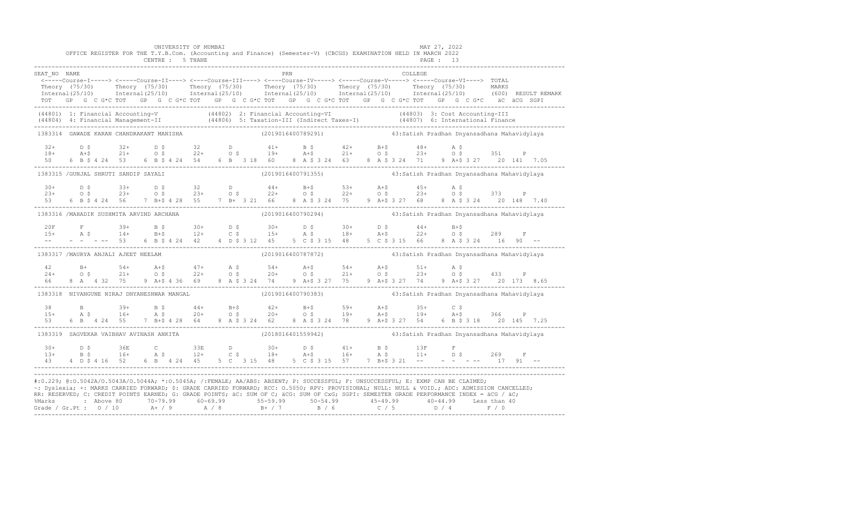|                |  |                                            |  |  | UNIVERSITY OF MUMBAI<br>CENTRE : 5 THANE |  |  |     | OFFICE REGISTER FOR THE T.Y.B.Com. (Accounting and Finance) (Semester-V) (CBCGS) EXAMINATION HELD IN MARCH 2022                                                                                                                                                                                                                                                                                                                                                                                                                                                                              |  |  |         | MAY 27, 2022<br><b>PAGE : 13</b> |  |  |  |
|----------------|--|--------------------------------------------|--|--|------------------------------------------|--|--|-----|----------------------------------------------------------------------------------------------------------------------------------------------------------------------------------------------------------------------------------------------------------------------------------------------------------------------------------------------------------------------------------------------------------------------------------------------------------------------------------------------------------------------------------------------------------------------------------------------|--|--|---------|----------------------------------|--|--|--|
| SEAT NO NAME   |  |                                            |  |  |                                          |  |  | PRN | <-----Course-I-----> <-----Course-II----> <----Course-III----> <----Course-IV-----> <-----Course-V-----> <-----Course-VI----> TOTAL<br>Theory (75/30) Theory (75/30) Theory (75/30) Theory (75/30) Theory (75/30) Theory (75/30) Theory (75/30) Theory (75/30) Theory (75/30) Theory (75/30) Theory (75/30) Theory (75/30) Theory (75/30) Theory (75/30) Theory (75/3<br>TOT GP G C G *C TOT GP G C G *C TOT GP G C G *C TOT GP G C G *C TOT GP G C G *C TOT GP G C G *C äC äCG SGPI                                                                                                         |  |  | COLLEGE |                                  |  |  |  |
|                |  |                                            |  |  |                                          |  |  |     | (44801) 1: Financial Accounting-V (44802) 2: Financial Accounting-VI (44803) 3: Cost Accounting-III<br>(44804) 4: Financial Management-II (44806) 5: Taxation-III (Indirect Taxes-I) (44807) 6: International Finance<br>-----------                                                                                                                                                                                                                                                                                                                                                         |  |  |         |                                  |  |  |  |
|                |  | 1383314 GAWADE KARAN CHANDRAKANT MANISHA   |  |  |                                          |  |  |     | (2019016400789291)                 43:Satish Pradhan Dnyansadhana Mahavidylaya                                                                                                                                                                                                                                                                                                                                                                                                                                                                                                               |  |  |         |                                  |  |  |  |
|                |  |                                            |  |  |                                          |  |  |     | $18+$ $18+$ $18+$ $18+$ $18+$ $18+$ $18+$ $18+$ $18+$ $18+$ $18+$ $18+$ $18+$ $18+$ $18+$ $18+$ $18+$ $18+$ $18+$ $18+$ $18+$ $18+$ $18+$ $18+$ $18+$ $18+$ $18+$ $18+$ $18+$ $18+$ $18+$ $18+$ $18+$ $18+$ $18+$ $18+$ $18+$                                                                                                                                                                                                                                                                                                                                                                |  |  |         |                                  |  |  |  |
|                |  | 1383315 / GUNJAL SHRUTI SANDIP SAYALI      |  |  |                                          |  |  |     | (2019016400791355)                               43:Satish Pradhan Dnyansadhana Mahavidylaya                                                                                                                                                                                                                                                                                                                                                                                                                                                                                                 |  |  |         |                                  |  |  |  |
|                |  |                                            |  |  |                                          |  |  |     | $10+$ $10+$ $10+$ $10+$ $10+$ $10+$ $10+$ $10+$ $10+$ $10+$ $10+$ $10+$ $10+$ $10+$ $10+$ $10+$ $10+$ $10+$ $10+$ $10+$ $10+$ $10+$ $10+$ $10+$ $10+$ $10+$ $10+$ $10+$ $10+$ $10+$ $10+$ $10+$ $10+$ $10+$ $10+$ $10+$ $10+$                                                                                                                                                                                                                                                                                                                                                                |  |  |         |                                  |  |  |  |
|                |  | 1383316 /MAHADIK SUSHMITA ARVIND ARCHANA   |  |  |                                          |  |  |     | (2019016400790294)                               43:Satish Pradhan Dnyansadhana Mahavidylaya                                                                                                                                                                                                                                                                                                                                                                                                                                                                                                 |  |  |         |                                  |  |  |  |
|                |  |                                            |  |  |                                          |  |  |     |                                                                                                                                                                                                                                                                                                                                                                                                                                                                                                                                                                                              |  |  |         |                                  |  |  |  |
|                |  | 1383317 /MAURYA ANJALI AJEET NEELAM        |  |  |                                          |  |  |     |                                                                                                                                                                                                                                                                                                                                                                                                                                                                                                                                                                                              |  |  |         |                                  |  |  |  |
|                |  |                                            |  |  |                                          |  |  |     | --<br>66 8 A 4 32 75 9 A+\$ 4 36 69 8 A \$ 3 24 74 9 A+\$ 3 27 75 9 A+\$ 3 27 74 9 A+\$ 3 27 20 173 8.65                                                                                                                                                                                                                                                                                                                                                                                                                                                                                     |  |  |         |                                  |  |  |  |
|                |  | 1383318 NIVANGUNE NIRAJ DNYANESHWAR MANGAL |  |  |                                          |  |  |     | (2019016400790383)                               43:Satish Pradhan Dnyansadhana Mahavidylaya                                                                                                                                                                                                                                                                                                                                                                                                                                                                                                 |  |  |         |                                  |  |  |  |
|                |  |                                            |  |  |                                          |  |  |     |                                                                                                                                                                                                                                                                                                                                                                                                                                                                                                                                                                                              |  |  |         |                                  |  |  |  |
|                |  | 1383319 SAGVEKAR VAIBHAV AVINASH ANKITA    |  |  |                                          |  |  |     | (2018016401559942)                               43:Satish Pradhan Dnyansadhana Mahavidylaya                                                                                                                                                                                                                                                                                                                                                                                                                                                                                                 |  |  |         |                                  |  |  |  |
| $30+$<br>$13+$ |  |                                            |  |  |                                          |  |  |     |                                                                                                                                                                                                                                                                                                                                                                                                                                                                                                                                                                                              |  |  |         |                                  |  |  |  |
|                |  |                                            |  |  |                                          |  |  |     | #:0.229; @:0.5042A/0.5043A/0.5044A; *:0.5045A; /:FEMALE; AA/ABS: ABSENT; P: SUCCESSFUL; F: UNSUCCESSFUL; E: EXMP CAN BE CLAIMED;<br>~: Dyslexia; +: MARKS CARRIED FORWARD; \$: GRADE CARRIED FORWARD; RCC: 0.5050; RPV: PROVISIONAL; NULL: NULL: NULL: ADC: ADMISSION CANCELLED;<br>RR: RESERVED; C: CREDIT POINTS EARNED; G: GRADE POINTS; äC: SUM OF C; äCG: SUM OF CxG; SGPI: SEMESTER GRADE PERFORMANCE INDEX = äCG / äC;<br>% Marks : Above 80 70-79.99 60-69.99 55-59.99 50-54.99 45-49.99 40-44.99 Less than 40<br>Grade / Gr.Pt : 0 / 10 A / 9 A / 8 B + / 7 B / 6 C / 5 D / 4 F / 0 |  |  |         |                                  |  |  |  |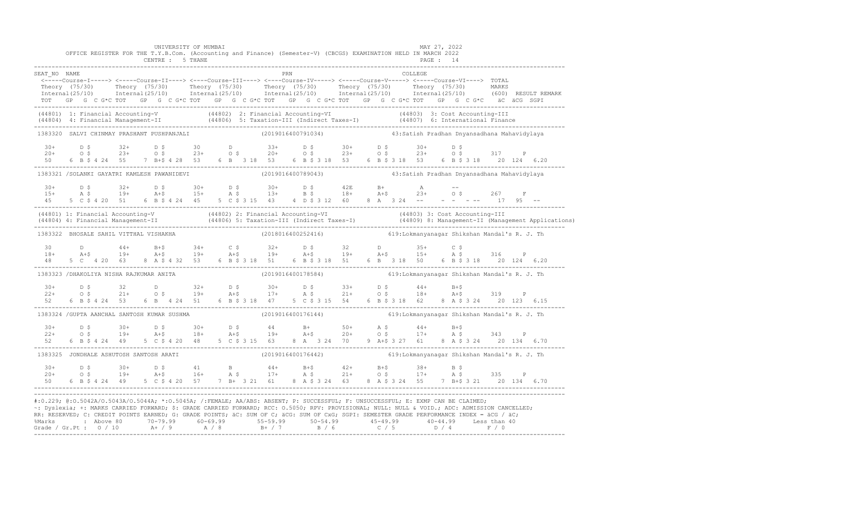|              |                                                                                                                                                                                                                                                                                                                                                                                                                                                                     | UNIVERSITY OF MUMBAI<br>CENTRE : 5 THANE |  |     | OFFICE REGISTER FOR THE T.Y.B.Com. (Accounting and Finance) (Semester-V) (CBCGS) EXAMINATION HELD IN MARCH 2022 |  | MAY 27, 2022<br>PAGE : 14 |                                             |  |  |
|--------------|---------------------------------------------------------------------------------------------------------------------------------------------------------------------------------------------------------------------------------------------------------------------------------------------------------------------------------------------------------------------------------------------------------------------------------------------------------------------|------------------------------------------|--|-----|-----------------------------------------------------------------------------------------------------------------|--|---------------------------|---------------------------------------------|--|--|
| SEAT NO NAME |                                                                                                                                                                                                                                                                                                                                                                                                                                                                     |                                          |  | PRN |                                                                                                                 |  | <b>COLLEGE</b>            |                                             |  |  |
|              | <-----Course-I-----> <-----Course-II----> <----Course-III----> <----Course-IV-----> <----Course-V-----> <----Course-VI----> TOTAL<br>Theory (75/30) Theory (75/30) Theory (75/30) Theory (75/30) Theory (75/30) Theory (75/30) MARKS<br>Internal(25/10) Internal(25/10) Internal(25/10) Internal(25/10) Internal(25/10) Internal(25/10) (600) RESULTREMARK<br>TOT GP G C G*C TOT GP G C G*C TOT GP G C G*C TOT GP G C G*C TOT GP G C G*C TOT GP G C G*C äC äCG SGPI |                                          |  |     |                                                                                                                 |  |                           |                                             |  |  |
|              | (44801) 1: Financial Accounting-V (44802) 2: Financial Accounting-VI (44802) 2: Financial Accounting-VI (44803) 3: Cost Accounting-III (44804) 4: Financial Management-II (44806) 5: Taxation-III (Indirect Taxes-I) (44807) 6                                                                                                                                                                                                                                      |                                          |  |     |                                                                                                                 |  |                           |                                             |  |  |
|              | 1383320 SALVI CHINMAY PRASHANT PUSHPANJALI (2019016400791034)                                                                                                                                                                                                                                                                                                                                                                                                       |                                          |  |     |                                                                                                                 |  |                           | 43:Satish Pradhan Dnyansadhana Mahavidylaya |  |  |
| 50           | $20+$ $0.5$ $32+$ $0.5$ $30+$ $0.5$ $0.5$ $30+$ $0.5$ $0.5$ $30+$ $0.5$ $30+$ $0.5$ $30+$ $0.5$ $30+$ $0.5$ $30+$ $0.5$ $317+$ $0.5$                                                                                                                                                                                                                                                                                                                                |                                          |  |     | 6 B \$ 4 24 55 7 B + \$ 4 28 53 6 B 3 18 53 6 B \$ 3 18 53 6 B \$ 3 18 53 6 B \$ 3 18 20 124 6.20               |  |                           |                                             |  |  |
|              | 1383321 /SOLANKI GAYATRI KAMLESH PAWANIDEVI (2019016400789043) 43:Satish Pradhan Dnyansadhana Mahavidylaya                                                                                                                                                                                                                                                                                                                                                          |                                          |  |     |                                                                                                                 |  |                           |                                             |  |  |
| 45           | $15+$ $15+$ $15+$ $15+$ $15+$ $15+$ $15+$ $15+$ $15+$ $15+$ $15+$ $15+$ $15+$ $15+$ $15+$ $15+$ $15+$ $15+$ $15+$ $15+$ $15+$ $15+$ $15+$ $15+$ $15+$ $15+$ $15+$ $15+$ $15+$ $15+$ $15+$ $15+$ $15+$ $15+$ $15+$ $15+$ $15+$                                                                                                                                                                                                                                       |                                          |  |     | 5 C \$ 4 20 51 6 B \$ 4 24 45 5 C \$ 3 15 43 4 D \$ 3 12 60 8 A 3 24 -- - - - - - 17 95 --                      |  |                           | $O \S$ 267 F                                |  |  |
|              | (44801) 1: Financial Accounting-V (44802) 2: Financial Accounting-VI (44803) 3: Cost Accounting-III<br>(44804) 4: Financial Management-II (44806) 5: Taxation-III (Indirect Taxes-I) (44809) 8: Management-II (Management Applica                                                                                                                                                                                                                                   |                                          |  |     |                                                                                                                 |  |                           |                                             |  |  |
|              | 1383322 BHOSALE SAHIL VITTHAL VISHAKHA                                                                                                                                                                                                                                                                                                                                                                                                                              |                                          |  |     | (2018016400252416)    619:Lokmanyanagar Shikshan Mandal's R. J. Th                                              |  |                           |                                             |  |  |
|              | 30 D 44+ B+\$ 34+ C \$ 32+ D \$ 32 D 35+ C \$<br>18+ A+\$ 19+ A+\$ 19+ A+\$ 19+ A+\$ 19+ A+\$ 19+ A+\$ 15+ A \$ 316 P<br>48 5 C 4 20 63 8 A \$ 4 32 53 6 B \$ 3 18 51 6 B \$ 3 18 51 6 B 3 18 50 6 B \$ 3 18 20 124 6.20<br>-------------------------                                                                                                                                                                                                               |                                          |  |     |                                                                                                                 |  |                           |                                             |  |  |
|              | 1383323 /DHAKOLIYA NISHA RAJKUMAR ANITA                                                                                                                                                                                                                                                                                                                                                                                                                             |                                          |  |     | (2019016400178584) 619: Lokmanyanagar Shikshan Mandal's R. J. Th                                                |  |                           |                                             |  |  |
|              | $22+$ 0.5 32 D 32 D 32 D 32 D 30+ D \$ 33+ D \$ 44+ B+\$<br>$22+$ 0.5 21+ 0.5 19+ A+\$ 17+ A \$ 21+ 0.5 18+ A+\$ 319 P                                                                                                                                                                                                                                                                                                                                              |                                          |  |     |                                                                                                                 |  |                           |                                             |  |  |
|              | 1383324 / GUPTA AANCHAL SANTOSH KUMAR SUSHMA                                                                                                                                                                                                                                                                                                                                                                                                                        |                                          |  |     |                                                                                                                 |  |                           |                                             |  |  |
|              | $10+$ $10+$ $10+$ $10+$ $10+$ $10+$ $10+$ $10+$ $10+$ $10+$ $10+$ $10+$ $10+$ $10+$ $10+$ $10+$ $10+$ $10+$ $10+$ $10+$ $10+$ $10+$ $10+$ $10+$ $10+$ $10+$ $10+$ $10+$ $10+$ $10+$ $10+$ $10+$ $10+$ $10+$ $10+$ $10+$ $10+$                                                                                                                                                                                                                                       |                                          |  |     |                                                                                                                 |  |                           |                                             |  |  |
|              | 1383325 JONDHALE ASHUTOSH SANTOSH ARATI                                                                                                                                                                                                                                                                                                                                                                                                                             |                                          |  |     | (2019016400176442) 619:Lokmanyanagar Shikshan Mandal's R. J. Th                                                 |  |                           |                                             |  |  |
|              | $20+$ $D \,$ $5$ $30+$ $D \,$ $5$ $41$ $B$ $44+$ $B+$ $42+$ $B+$ $5$ $38+$ $B \,$ $5$ $35$ $P$<br>$20+$ $O \,$ $5$ $19+$ $A+$ $5$ $16+$ $A \,$ $5$ $17+$ $A \,$ $5$ $17+$ $A \,$ $5$ $335$ $P$                                                                                                                                                                                                                                                                      |                                          |  |     |                                                                                                                 |  |                           |                                             |  |  |
|              | #:0.229; @:0.5042A/0.5043A/0.5044A; *:0.5045A; /:FEMALE; AA/ABS: ABSENT; P: SUCCESSFUL; F: UNSUCCESSFUL; E: EXMP CAN BE CLAIMED;<br>~: Dyslexia; +: MARKS CARRIED FORWARD; \$: GRADE CARRIED FORWARD; RCC: 0.5050; RPV: PROVISIONAL; NULL: NULL & VOID.; ADC: ADMISSION CANCELLED;<br>RR: RESERVED; C: CREDIT POINTS EARNED; G: GRADE POINTS; äC: SUM OF C; äCG: SUM OF CxG; SGPI: SEMESTER GRADE PERFORMANCE INDEX = äCG / äC;                                     |                                          |  |     |                                                                                                                 |  |                           |                                             |  |  |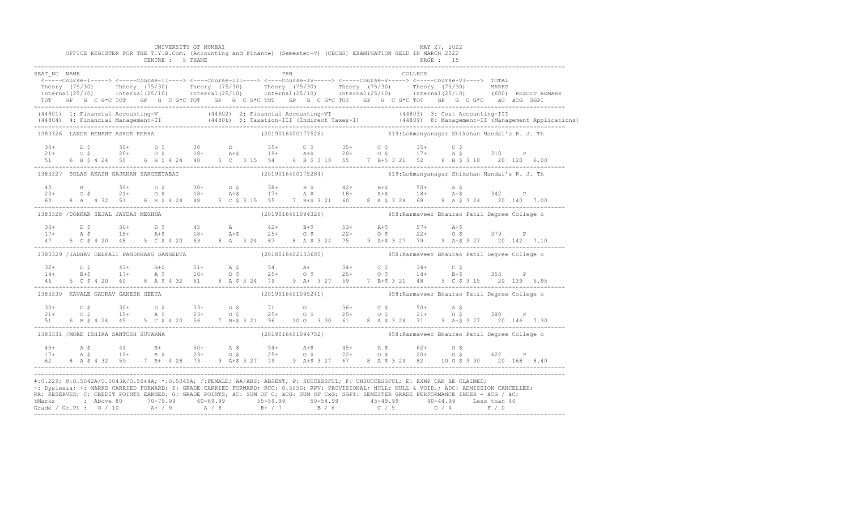|                                         |  |  |  | UNIVERSITY OF MUMBAI<br>CENTRE : 5 THANE |  |  | OFFICE REGISTER FOR THE T.Y.B.Com. (Accounting and Finance) (Semester-V) (CBCGS) EXAMINATION HELD IN MARCH 2022                                                                                                                                                                                                                                                                                                                                                                                                                                                                             |  |  | MAY 27, 2022<br>PAGE : 15 |  |  |                                                                                                                                                                                                                                   |
|-----------------------------------------|--|--|--|------------------------------------------|--|--|---------------------------------------------------------------------------------------------------------------------------------------------------------------------------------------------------------------------------------------------------------------------------------------------------------------------------------------------------------------------------------------------------------------------------------------------------------------------------------------------------------------------------------------------------------------------------------------------|--|--|---------------------------|--|--|-----------------------------------------------------------------------------------------------------------------------------------------------------------------------------------------------------------------------------------|
| SEAT NO NAME                            |  |  |  |                                          |  |  | ERN COLLEGE (2011)<br>-----Course-I-----> <-----Course-II----> <-----Course-III----> <-----Course-IV-----> <-----Course-VI----> TOTAL<br>TOT GP G C G*C TOT GP G C G*C TOT GP G C G*C TOT GP G C G*C TOT GP G C G*C TOT GP G C G*C äC äCG SGPI                                                                                                                                                                                                                                                                                                                                              |  |  |                           |  |  | Theory (75/30) Theory (75/30) Theory (75/30) Theory (75/30) Theory (75/30) Theory (75/30) Theory (75/30) Theory (75/30) Theory (75/30) Theory (75/30) Theory (75/30) Theory (75/30) Theory (75/30) Theory (75/30) Theory (75/3    |
|                                         |  |  |  |                                          |  |  |                                                                                                                                                                                                                                                                                                                                                                                                                                                                                                                                                                                             |  |  |                           |  |  | (44801) 1: Financial Accounting-V (44802) 2: Financial Accounting-VI (44803) 3: Cost Accounting-III<br>(44804) 4: Financial Management-II (44806) 5: Taxation-III (Indirect Taxes-I) (44809) 8: Management-II (Management Applica |
| 1383326 LANDE HEMANT ASHOK REKHA        |  |  |  |                                          |  |  | (2019016400177526) 619:Lokmanyanagar Shikshan Mandal's R. J. Th                                                                                                                                                                                                                                                                                                                                                                                                                                                                                                                             |  |  |                           |  |  |                                                                                                                                                                                                                                   |
|                                         |  |  |  |                                          |  |  |                                                                                                                                                                                                                                                                                                                                                                                                                                                                                                                                                                                             |  |  |                           |  |  | $10+$ $10+$ $10+$ $10+$ $10+$ $10+$ $10+$ $10+$ $10+$ $10+$ $10+$ $10+$ $10+$ $10+$ $10+$ $10+$ $10+$ $10+$ $10+$ $10+$ $10+$ $10+$ $10+$ $10+$ $10+$ $10+$ $10+$ $10+$ $10+$ $10+$ $10+$ $10+$ $10+$ $10+$ $10+$ $10+$ $10+$     |
| 1383327 SOLAS AKASH GAJANAN SANGEETABAI |  |  |  |                                          |  |  |                                                                                                                                                                                                                                                                                                                                                                                                                                                                                                                                                                                             |  |  |                           |  |  |                                                                                                                                                                                                                                   |
|                                         |  |  |  |                                          |  |  |                                                                                                                                                                                                                                                                                                                                                                                                                                                                                                                                                                                             |  |  |                           |  |  |                                                                                                                                                                                                                                   |
| 1383328 /DORKAR SEJAL JAYDAS MEGHNA     |  |  |  |                                          |  |  |                                                                                                                                                                                                                                                                                                                                                                                                                                                                                                                                                                                             |  |  |                           |  |  |                                                                                                                                                                                                                                   |
|                                         |  |  |  |                                          |  |  | $17+$ $25+$ $30+$ $25+$ $25+$ $25+$ $25+$ $25+$ $25+$ $25+$ $25+$ $25+$ $25+$ $25+$ $25+$ $25+$ $25+$ $25+$ $25+$ $25+$ $25+$ $25+$ $25+$ $25+$ $25+$ $25+$ $25+$ $25+$ $25+$ $25+$ $25+$ $25+$ $25+$ $25+$ $25+$ $25+$ $25+$<br>5 C \$ 4 20 48 5 C \$ 4 20 63 8 A 3 24 67 8 A \$ 3 24 75 9 A+\$ 3 27 79 9 A+\$ 3 27 20 142 7.10                                                                                                                                                                                                                                                            |  |  |                           |  |  |                                                                                                                                                                                                                                   |
|                                         |  |  |  |                                          |  |  | 1383329 /JADHAV DEEPALI PANDURANG SANGEETA (2018016402133685) 958: Karmaveer Bhaurao Patil Degree College o                                                                                                                                                                                                                                                                                                                                                                                                                                                                                 |  |  |                           |  |  |                                                                                                                                                                                                                                   |
|                                         |  |  |  |                                          |  |  | $\begin{array}{ccccccccccccccccccccccccccccccccc} 32+ & & & & & & & & & 54 & & & & 54 & & & & 54 & & & & 54 & & & & 54 & & & & 54 & & & & 54 & & & & 54 & & & & 54 & & & & 54 & & & & 54 & & & & 54 & & & & 54 & & & & 54 & & & & 54 & & & & 54 & & & & 54 & & & 54 & & & 55 & & 55 & & 55 & & 56 & & 57 & & 58 & & 57 & & 58 & & 59 & & 59 & & 59 & & 59 & & 59 & & 59$                                                                                                                                                                                                                    |  |  |                           |  |  |                                                                                                                                                                                                                                   |
| 1383330 KAVALE GAURAV GANESH GEETA      |  |  |  |                                          |  |  |                                                                                                                                                                                                                                                                                                                                                                                                                                                                                                                                                                                             |  |  |                           |  |  |                                                                                                                                                                                                                                   |
|                                         |  |  |  |                                          |  |  |                                                                                                                                                                                                                                                                                                                                                                                                                                                                                                                                                                                             |  |  |                           |  |  |                                                                                                                                                                                                                                   |
| 1383331 / MORE ISHIKA SANTOSH SUVARNA   |  |  |  |                                          |  |  |                                                                                                                                                                                                                                                                                                                                                                                                                                                                                                                                                                                             |  |  |                           |  |  |                                                                                                                                                                                                                                   |
|                                         |  |  |  |                                          |  |  | $\begin{array}{cccccccccccccccc} 45+ & & {\rm A}\ \, {\rm S} & & & 44 & & {\rm B}+ & & 50+ & & {\rm A}\ \, {\rm S} & & & & 23+ & & 0\ \, {\rm S} & & & & 23+ & & 0\ \, {\rm S} & & & & 25+ & & 0\ \, {\rm S} & & & & 25+ & & 0\ \, {\rm S} & & & & 25+ & & 0\ \, {\rm S} & & & & 22+ & & 0\ \, {\rm S} & & & & 24+ & & 0\ \, {\rm S} & & & & 25+ & & 0\ \, {\rm S} & & & & 25+ & & $                                                                                                                                                                                                        |  |  |                           |  |  |                                                                                                                                                                                                                                   |
|                                         |  |  |  |                                          |  |  | #:0.229; @:0.5042A/0.5043A/0.5044A; *:0.5045A; /:FEMALE; AA/ABS: ABSENT; P: SUCCESSFUL; F: UNSUCCESSFUL; E: EXMP CAN BE CLAIMED;<br>~: Dyslexia; +: MARKS CARRIED FORWARD; \$: GRADE CARRIED FORWARD; RCC: 0.5050; RPV: PROVISIONAL; NULL: NULL: AULL: ADC: ADMISSION CANCELLED;<br>RR: RESERVED; C: CREDIT POINTS EARNED; G: GRADE POINTS; äC: SUM OF C; äCG: SUM OF CxG; SGPI: SEMESTER GRADE PERFORMANCE INDEX = äCG / äC;<br>%Marks : Above 80 70-79.99 60-69.99 55-59.99 50-54.99 45-49.99 40-44.99 Less than 40<br>Grade / Gr.Pt : 0 / 10 A+ / 9 A / 8 B+ / 7 B / 6 C / 5 D / 4 F / 0 |  |  |                           |  |  |                                                                                                                                                                                                                                   |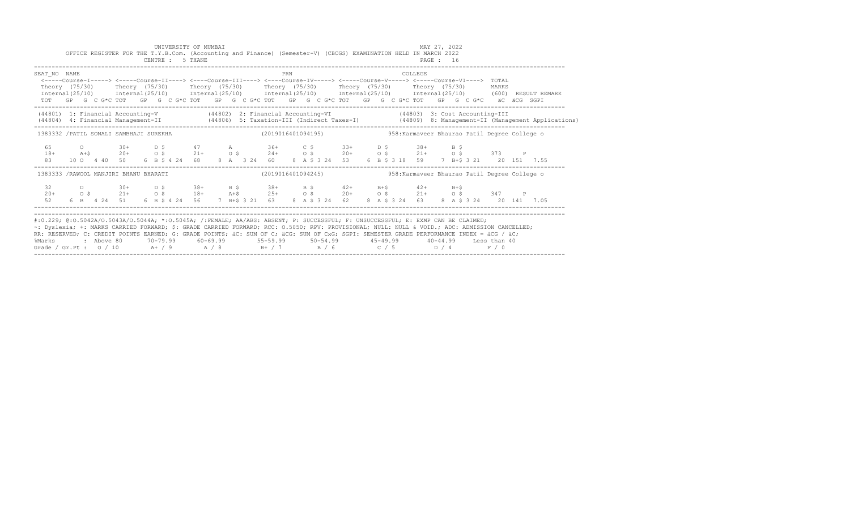|                                                                                                                                                                                                                                                                                                                                                                                                                                                                                                                   |  |  |  |  | UNIVERSITY OF MUMBAI<br>CENTRE : 5 THANE |  |  | OFFICE REGISTER FOR THE T.Y.B.Com. (Accounting and Finance) (Semester-V) (CBCGS) EXAMINATION HELD IN MARCH 2022<br><b>PAGE : 16</b>                                                                                                                                                                                                         |     |  |  |  |  | MAY 27, 2022 |  |  |  |                                                                                                                                  |  |
|-------------------------------------------------------------------------------------------------------------------------------------------------------------------------------------------------------------------------------------------------------------------------------------------------------------------------------------------------------------------------------------------------------------------------------------------------------------------------------------------------------------------|--|--|--|--|------------------------------------------|--|--|---------------------------------------------------------------------------------------------------------------------------------------------------------------------------------------------------------------------------------------------------------------------------------------------------------------------------------------------|-----|--|--|--|--|--------------|--|--|--|----------------------------------------------------------------------------------------------------------------------------------|--|
| SEAT NO NAME                                                                                                                                                                                                                                                                                                                                                                                                                                                                                                      |  |  |  |  |                                          |  |  | <-----Course-I-----> <----Course-II----> <----Course-III----> <----Course-IV----> <----Course-V-----> <----Course-VI----> TOTAL<br>Theory (75/30) Theory (75/30) Theory (75/30) Theory (75/30) Theory (75/30) Theory (75/30) MARKS<br>TOT GP G C G*C TOT GP G C G*C TOT GP G C G*C TOT GP G C G*C TOT GP G C G*C TOT GP G C G*C äC äCG SGPI | PRN |  |  |  |  | COLLEGE      |  |  |  | Internal (25/10) Internal (25/10) Internal (25/10) Internal (25/10) Internal (25/10) Internal (25/10) (600) RESULT REMARK        |  |
|                                                                                                                                                                                                                                                                                                                                                                                                                                                                                                                   |  |  |  |  |                                          |  |  | (44801) 1: Financial Accounting-V (44802) 2: Financial Accounting-VI (44803) 3: Cost Accounting-III                                                                                                                                                                                                                                         |     |  |  |  |  |              |  |  |  | (44804) 4: Financial Management-II (44806) 5: Taxation-III (Indirect Taxes-I) (44809) 8: Management-II (Management Applications) |  |
| 1383332 /PATIL SONALI SAMBHAJI SUREKHA (2019016401094195) 358: Karmaveer Bhaurao Patil Degree College o                                                                                                                                                                                                                                                                                                                                                                                                           |  |  |  |  |                                          |  |  |                                                                                                                                                                                                                                                                                                                                             |     |  |  |  |  |              |  |  |  |                                                                                                                                  |  |
| 83                                                                                                                                                                                                                                                                                                                                                                                                                                                                                                                |  |  |  |  |                                          |  |  | 45 0 30+ D \$ 47 A 36+ C \$ 33+ D \$ 38+ B \$<br>18+ A+\$ 20+ 0 \$ 21+ 0 \$ 24+ 0 \$ 20+ 0 \$ 21+ 0 \$ 373 P<br>10 0 4 40 50 6 B $\frac{1}{2}$ 4 24 68 8 A 3 24 60 8 A \$ 3 24 53 6 B \$ 3 18 59 7 B + \$ 3 21 20 151 7.55                                                                                                                  |     |  |  |  |  |              |  |  |  |                                                                                                                                  |  |
| 1383333 /RAWOOL MANJIRI BHANU BHARATI                                                                                                                                                                                                                                                                                                                                                                                                                                                                             |  |  |  |  |                                          |  |  | $(2019016401094245)$ 958: Karmaveer Bhaurao Patil Degree College o                                                                                                                                                                                                                                                                          |     |  |  |  |  |              |  |  |  |                                                                                                                                  |  |
|                                                                                                                                                                                                                                                                                                                                                                                                                                                                                                                   |  |  |  |  |                                          |  |  |                                                                                                                                                                                                                                                                                                                                             |     |  |  |  |  |              |  |  |  |                                                                                                                                  |  |
| #:0.229; @:0.5042A/0.5043A/0.5044A; *:0.5045A; /:FEMALE; AA/ABS: ABSENT; P: SUCCESSFUL; F: UNSUCCESSFUL; E: EXMP CAN BE CLAIMED;<br>~: Dyslexia; +: MARKS CARRIED FORWARD; \$: GRADE CARRIED FORWARD; RCC: 0.5050; RPV: PROVISIONAL; NULL: NULL & VOID.; ADC: ADMISSION CANCELLED;<br>RR: RESERVED; C: CREDIT POINTS EARNED; G: GRADE POINTS; äC: SUM OF C; äCG: SUM OF CxG; SGPI: SEMESTER GRADE PERFORMANCE INDEX = äCG / äC;<br>%Marks<br>Grade / Gr.Pt : $0/10$ A + / 9 A / 8 B + / 7 B / 6 C / 5 D / 4 F / 0 |  |  |  |  |                                          |  |  | 2 Above 80         70-79.99         60-69.99           55-59.99          50-54.99          45-49.99        40-44.99     Less than 40                                                                                                                                                                                                        |     |  |  |  |  |              |  |  |  |                                                                                                                                  |  |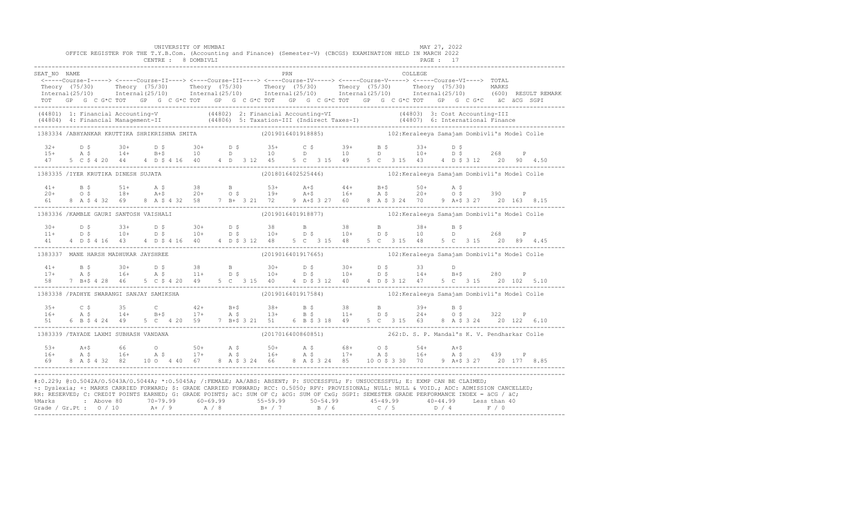|                                                                                                                                                                                                                                                                                                |  |                                       |  |  | UNIVERSITY OF MUMBAI<br>CENTRE : 8 DOMBIVLI |  |  |                     |  | OFFICE REGISTER FOR THE T.Y.B.Com. (Accounting and Finance) (Semester-V) (CBCGS) EXAMINATION HELD IN MARCH 2022                                                                                                                                                                                                                                                         |  |                                 |         | MAY 27, 2022<br><b>PAGE : 17</b> |  |  |                                                                                                                                                                                                                                      |
|------------------------------------------------------------------------------------------------------------------------------------------------------------------------------------------------------------------------------------------------------------------------------------------------|--|---------------------------------------|--|--|---------------------------------------------|--|--|---------------------|--|-------------------------------------------------------------------------------------------------------------------------------------------------------------------------------------------------------------------------------------------------------------------------------------------------------------------------------------------------------------------------|--|---------------------------------|---------|----------------------------------|--|--|--------------------------------------------------------------------------------------------------------------------------------------------------------------------------------------------------------------------------------------|
| SEAT NO NAME                                                                                                                                                                                                                                                                                   |  |                                       |  |  |                                             |  |  | <b>EXAMPLE 1989</b> |  | <-----Course-I-----> <-----Course-II----> <----Course-III----> <----Course-IV-----> <-----Course-V-----> TOTAL<br>TOT GP G C G*C TOT GP G C G*C TOT GP G C G*C TOT GP G C G*C TOT GP G C G*C TOT GP G C G*C äC äCG SGPI                                                                                                                                                 |  |                                 | COLLEGE |                                  |  |  | Theory (75/30) Theory (75/30) Theory (75/30) Theory (75/30) Theory (75/30) Theory (75/30) Theory (75/30) Theory (75/30) Theory (75/30) Theory (75/30) Theory (75/30) Theory (75/30) Theory (75/30) Theory (75/30) Theory (75/3       |
|                                                                                                                                                                                                                                                                                                |  |                                       |  |  |                                             |  |  |                     |  |                                                                                                                                                                                                                                                                                                                                                                         |  |                                 |         |                                  |  |  | (44801) 1: Financial Accounting-V (44802) 2: Financial Accounting-VI (44803) 3: Cost Accounting-III<br>(44804) 4: Financial Management-II (44806) 5: Taxation-III (Indirect Taxes-I) (44807) 6: International Finance<br>----------- |
|                                                                                                                                                                                                                                                                                                |  |                                       |  |  |                                             |  |  |                     |  | 1383334 /ABHYANKAR KRUTTIKA SHRIKRISHNA SMITA (2019016401918885) 102:Keraleeya Samajam Dombivli's Model Colle                                                                                                                                                                                                                                                           |  |                                 |         |                                  |  |  |                                                                                                                                                                                                                                      |
|                                                                                                                                                                                                                                                                                                |  |                                       |  |  |                                             |  |  |                     |  | $\begin{array}{ccccccccccccccccccccccccccccccccccccc} 32+& &D & \xi & & 30+& &D & \xi & & 30+& &D & \xi & & 35+& &C & \xi & & 39+& &B & \xi & & 33+& &D & \xi \\ 15+& &A & \xi & & 14+& &B+\xi & & 10 & &D & & 10 & &D & & 10 & &D & & 10+& &D & \xi & & 268 & &P \\ 47& &5 & C & \xi & 4 & 20 & &44 & &4 &D & \xi & 4 & 16 & &40 & &4 &D & 3 &12 & &45 & & 5 &C & 3 &$ |  |                                 |         |                                  |  |  |                                                                                                                                                                                                                                      |
|                                                                                                                                                                                                                                                                                                |  | 1383335 /IYER KRUTIKA DINESH SUJATA   |  |  |                                             |  |  |                     |  |                                                                                                                                                                                                                                                                                                                                                                         |  |                                 |         |                                  |  |  |                                                                                                                                                                                                                                      |
|                                                                                                                                                                                                                                                                                                |  |                                       |  |  |                                             |  |  |                     |  | $20+$ $0.5$ $18+$ $0.45$ $0.38$ $0.53+$ $0.45$ $0.45$ $0.53+$ $0.45$ $0.45$ $0.50+$ $0.50+$ $0.50+$ $0.50+$ $0.50+$ $0.50+$ $0.50+$ $0.50+$ $0.50+$ $0.50+$ $0.50+$ $0.50+$ $0.50+$ $0.50+$ $0.50+$ $0.50+$ $0.50+$ $0.50+$                                                                                                                                             |  |                                 |         |                                  |  |  |                                                                                                                                                                                                                                      |
|                                                                                                                                                                                                                                                                                                |  |                                       |  |  |                                             |  |  |                     |  | 1383336 /KAMBLE GAURI SANTOSH VAISHALI (2019016401918877) 102: Keraleeya Samajam Dombivli's Model Colle                                                                                                                                                                                                                                                                 |  |                                 |         |                                  |  |  |                                                                                                                                                                                                                                      |
|                                                                                                                                                                                                                                                                                                |  |                                       |  |  |                                             |  |  |                     |  |                                                                                                                                                                                                                                                                                                                                                                         |  | 5 C 3 15 48 5 C 3 15 20 89 4.45 |         |                                  |  |  |                                                                                                                                                                                                                                      |
|                                                                                                                                                                                                                                                                                                |  |                                       |  |  |                                             |  |  |                     |  | 1383337 MANE HARSH MADHUKAR JAYSHREE (2019016401917665) 102:Keraleeya Samajam Dombivli's Model Colle                                                                                                                                                                                                                                                                    |  |                                 |         |                                  |  |  |                                                                                                                                                                                                                                      |
|                                                                                                                                                                                                                                                                                                |  |                                       |  |  |                                             |  |  |                     |  | $11+$ B \$ 30+ D \$ 38 B 30+ D \$ 30+ D \$ 33 D<br>17+ A \$ 16+ A \$ 11+ D \$ 10+ D \$ 10+ D \$ 14+ B+\$ 280 P                                                                                                                                                                                                                                                          |  |                                 |         |                                  |  |  |                                                                                                                                                                                                                                      |
|                                                                                                                                                                                                                                                                                                |  |                                       |  |  |                                             |  |  |                     |  | 1383338 / PADHYE SWARANGI SANJAY SAMIKSHA (2019016401917584) 102: Keraleeya Samajam Dombivli's Model Colle                                                                                                                                                                                                                                                              |  |                                 |         |                                  |  |  |                                                                                                                                                                                                                                      |
|                                                                                                                                                                                                                                                                                                |  |                                       |  |  |                                             |  |  |                     |  |                                                                                                                                                                                                                                                                                                                                                                         |  |                                 |         |                                  |  |  |                                                                                                                                                                                                                                      |
|                                                                                                                                                                                                                                                                                                |  | 1383339 /TAYADE LAXMI SUBHASH VANDANA |  |  |                                             |  |  |                     |  | (2017016400860851) 262:D. S. P. Mandal's K. V. Pendharkar Colle                                                                                                                                                                                                                                                                                                         |  |                                 |         |                                  |  |  |                                                                                                                                                                                                                                      |
| $5.3+$<br>$16+$                                                                                                                                                                                                                                                                                |  |                                       |  |  |                                             |  |  |                     |  |                                                                                                                                                                                                                                                                                                                                                                         |  |                                 |         |                                  |  |  |                                                                                                                                                                                                                                      |
| #:0.229; @:0.5042A/0.5043A/0.5044A; *:0.5045A; /:FEMALE; AA/ABS: ABSENT; P: SUCCESSFUL; F: UNSUCCESSFUL; E: EXMP CAN BE CLAIMED;<br>%Marks : Above 80 70-79.99 60-69.99 55-59.99 50-54.99 45-49.99 40-44.99 Less than 40<br>Grade / Gr.Pt : 0 / 10 A+ / 9 A / 8 B+ / 7 B / 6 C / 5 D / 4 F / 0 |  |                                       |  |  |                                             |  |  |                     |  | ~: Dyslexia; +: MARKS CARRIED FORWARD; \$: GRADE CARRIED FORWARD; RCC: 0.5050; RPV: PROVISIONAL; NULL: NULL: NULL: ADC: ADMISSION CANCELLED;<br>RR: RESERVED; C: CREDIT POINTS EARNED; G: GRADE POINTS; äC: SUM OF C; äCG: SUM OF CxG; SGPI: SEMESTER GRADE PERFORMANCE INDEX = äCG / äC;                                                                               |  |                                 |         |                                  |  |  |                                                                                                                                                                                                                                      |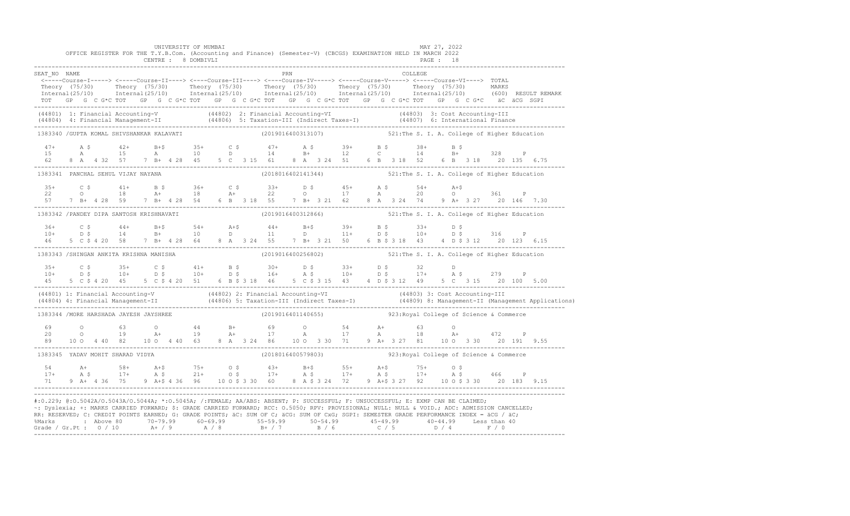|                                                                                                                                                                                                                                                                                                                                                                                                                                 |  |  | CENTRE : 8 DOMBIVLI |  | UNIVERSITY OF MUMBAI |  | OFFICE REGISTER FOR THE T.Y.B.Com. (Accounting and Finance) (Semester-V) (CBCGS) EXAMINATION HELD IN MARCH 2022                                                                                                                                                                                                                                                                      |  |  |  | <b>PAGE : 18</b> | MAY 27, 2022 |  |  |  |                                                                                                                                                                                                                                   |
|---------------------------------------------------------------------------------------------------------------------------------------------------------------------------------------------------------------------------------------------------------------------------------------------------------------------------------------------------------------------------------------------------------------------------------|--|--|---------------------|--|----------------------|--|--------------------------------------------------------------------------------------------------------------------------------------------------------------------------------------------------------------------------------------------------------------------------------------------------------------------------------------------------------------------------------------|--|--|--|------------------|--------------|--|--|--|-----------------------------------------------------------------------------------------------------------------------------------------------------------------------------------------------------------------------------------|
| SEAT NO NAME                                                                                                                                                                                                                                                                                                                                                                                                                    |  |  |                     |  |                      |  | PRN                                                                                                                                                                                                                                                                                                                                                                                  |  |  |  |                  | COLLEGE      |  |  |  |                                                                                                                                                                                                                                   |
|                                                                                                                                                                                                                                                                                                                                                                                                                                 |  |  |                     |  |                      |  | <-----Course-I-----> <-----Course-II----> <----Course-III----> <----Course-IV-----> <-----Course-V-----> <-----Course-VI----> TOTAL                                                                                                                                                                                                                                                  |  |  |  |                  |              |  |  |  | Theory (75/30) Theory (75/30) Theory (75/30) Theory (75/30) Theory (75/30) Theory (75/30) MARKS<br>Internal(25/10) Internal(25/10) Internal(25/10) Internal(25/10) Internal(25/10) Internal(25/10) (600) RESULTREMARK             |
| (44801) 1: Financial Accounting-V (44802) 2: Financial Accounting-VI (44803) 3: Cost Accounting-III<br>(44804) 4: Financial Management-II (44806) 5: Taxation-III (Indirect Taxes-I) (44807) 6: International Finance<br>-----------                                                                                                                                                                                            |  |  |                     |  |                      |  |                                                                                                                                                                                                                                                                                                                                                                                      |  |  |  |                  |              |  |  |  |                                                                                                                                                                                                                                   |
| 1383340 / GUPTA KOMAL SHIVSHANKAR KALAVATI                                                                                                                                                                                                                                                                                                                                                                                      |  |  |                     |  |                      |  | (2019016400313107) 521: The S. I. A. College of Higher Education                                                                                                                                                                                                                                                                                                                     |  |  |  |                  |              |  |  |  |                                                                                                                                                                                                                                   |
|                                                                                                                                                                                                                                                                                                                                                                                                                                 |  |  |                     |  |                      |  | $\begin{array}{cccccccccccccccc} 47+ & & {\rm A}\ \ \hat{S} & & 42+ & & {\rm B}+ \hat{S} & & 35+ & & {\rm C}\ \ \hat{S} & & {\rm A} & & 10 & & {\rm D} & & 14 & & {\rm B}+ & & 12 & & {\rm C} & & 14 & & {\rm B}+ & 328 & & {\rm P}\\ 62 & & 8 & {\rm A} & & 4 & 32 & 57 & & 7 & {\rm B}+ & 4 & 28 & 45 & & 5 & {\rm C} & 3 & 15 & 61 & 8 & {\rm A} & 3 & 24 & 51 & 6 & {\rm B} & 3$ |  |  |  |                  |              |  |  |  |                                                                                                                                                                                                                                   |
| 1383341 PANCHAL SEHUL VIJAY NAYANA                                                                                                                                                                                                                                                                                                                                                                                              |  |  |                     |  |                      |  | (2018016402141344) 521: The S. I. A. College of Higher Education                                                                                                                                                                                                                                                                                                                     |  |  |  |                  |              |  |  |  |                                                                                                                                                                                                                                   |
|                                                                                                                                                                                                                                                                                                                                                                                                                                 |  |  |                     |  |                      |  |                                                                                                                                                                                                                                                                                                                                                                                      |  |  |  |                  |              |  |  |  |                                                                                                                                                                                                                                   |
| 1383342 / PANDEY DIPA SANTOSH KRISHNAVATI                                                                                                                                                                                                                                                                                                                                                                                       |  |  |                     |  |                      |  | (2019016400312866) 521: The S. I. A. College of Higher Education                                                                                                                                                                                                                                                                                                                     |  |  |  |                  |              |  |  |  |                                                                                                                                                                                                                                   |
|                                                                                                                                                                                                                                                                                                                                                                                                                                 |  |  |                     |  |                      |  |                                                                                                                                                                                                                                                                                                                                                                                      |  |  |  |                  |              |  |  |  |                                                                                                                                                                                                                                   |
| 1383343 /SHINGAN ANKITA KRISHNA MANISHA                                                                                                                                                                                                                                                                                                                                                                                         |  |  |                     |  |                      |  | (2019016400256802) 521: The S. I. A. College of Higher Education                                                                                                                                                                                                                                                                                                                     |  |  |  |                  |              |  |  |  |                                                                                                                                                                                                                                   |
|                                                                                                                                                                                                                                                                                                                                                                                                                                 |  |  |                     |  |                      |  |                                                                                                                                                                                                                                                                                                                                                                                      |  |  |  |                  |              |  |  |  |                                                                                                                                                                                                                                   |
|                                                                                                                                                                                                                                                                                                                                                                                                                                 |  |  |                     |  |                      |  |                                                                                                                                                                                                                                                                                                                                                                                      |  |  |  |                  |              |  |  |  | (44801) 1: Financial Accounting-V (44802) 2: Financial Accounting-VI (44803) 3: Cost Accounting-III<br>(44804) 4: Financial Management-II (44806) 5: Taxation-III (Indirect Taxes-I) (44809) 8: Management-II (Management Applica |
| 1383344 / MORE HARSHADA JAYESH JAYSHREE                                                                                                                                                                                                                                                                                                                                                                                         |  |  |                     |  |                      |  | (2019016401140655) 923: Royal College of Science & Commerce                                                                                                                                                                                                                                                                                                                          |  |  |  |                  |              |  |  |  |                                                                                                                                                                                                                                   |
| $\begin{array}{cccccccccccccccc} 69 & & O & & 63 & & O & & 44 & & B+ & & 69 & & O & & 54 & & A+ & & 63 & & O \\ 20 & & 0 & & & 19 & & A+ & & 19 & & A+ & & 17 & & A & & 17 & & A & & 18 & & A+ & & 472 & & P \\ 89 & & 10 & 0 & 4 & 40 & 82 & & 10 & 0 & 4 & 40 & 63 & & 8 & A & 3 & 24 & 86 & & 10 & O & 3 & 30 & & 71 & & 9 & A+ & 3 & 27 & 81 & & 10$                                                                        |  |  |                     |  |                      |  |                                                                                                                                                                                                                                                                                                                                                                                      |  |  |  |                  |              |  |  |  |                                                                                                                                                                                                                                   |
| 1383345 YADAV MOHIT SHARAD VIDYA                                                                                                                                                                                                                                                                                                                                                                                                |  |  |                     |  |                      |  | $(2018016400579803)$ 923:Royal College of Science & Commerce                                                                                                                                                                                                                                                                                                                         |  |  |  |                  |              |  |  |  |                                                                                                                                                                                                                                   |
| $17+$ A $58+$ A $45$ $75+$ $05$ $43+$ B $55+$ A $45$ $75+$ $05$<br>$17+$ A $5$ $17+$ A $5$ $21+$ $05$ $17+$ A $5$ $17+$ A $5$ $17+$ A $5$ $17+$ A $5$ $466$ P<br>$71$ 9 A $4$ 4 36 $75$ 9 A $45$ 4 36 96 10 0 $5$ 3 30 60 8 A $5$                                                                                                                                                                                               |  |  |                     |  |                      |  |                                                                                                                                                                                                                                                                                                                                                                                      |  |  |  |                  |              |  |  |  |                                                                                                                                                                                                                                   |
| #:0.229; @:0.5042A/0.5043A/0.5044A; *:0.5045A; /:FEMALE; AA/ABS: ABSENT; P: SUCCESSFUL; F: UNSUCCESSFUL; E: EXMP CAN BE CLAIMED;<br>~: Dyslexia; +: MARKS CARRIED FORWARD; \$: GRADE CARRIED FORWARD; RCC: 0.5050; RPV: PROVISIONAL; NULL: NULL & VOID.; ADC: ADMISSION CANCELLED;<br>RR: RESERVED; C: CREDIT POINTS EARNED; G: GRADE POINTS; äC: SUM OF C; äCG: SUM OF CxG; SGPI: SEMESTER GRADE PERFORMANCE INDEX = äCG / äC; |  |  |                     |  |                      |  |                                                                                                                                                                                                                                                                                                                                                                                      |  |  |  |                  |              |  |  |  |                                                                                                                                                                                                                                   |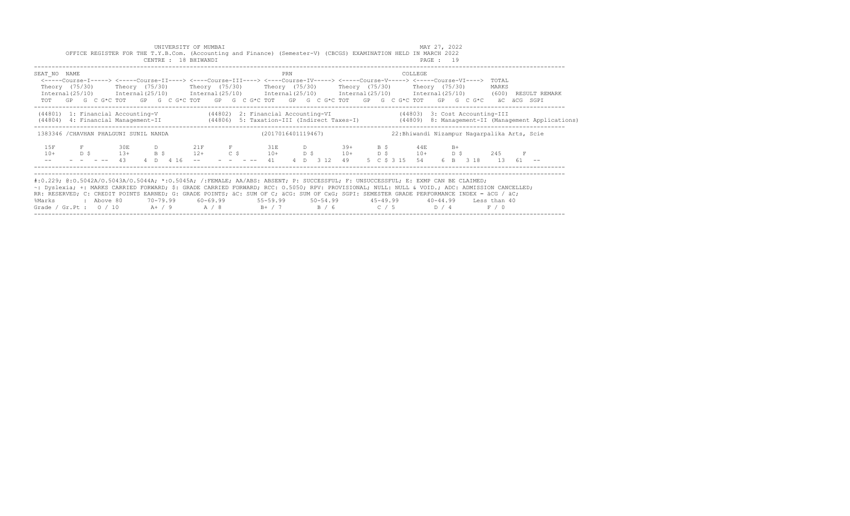|                                                                        | OFFICE REGISTER FOR THE T.Y.B.Com. (Accounting and Finance) (Semester-V) (CBCGS) EXAMINATION HELD IN MARCH 2022                                                                                                                                                                                                                                                                                                                                                                                                  |                    | UNIVERSITY OF MUMBAI<br>CENTRE : 18 BHIWANDI |  |           |  |                                                                    |     |  |                      |     |                                                     | MAY 27, 2022<br>PAGE : 19 |              |  |                          |   |  |
|------------------------------------------------------------------------|------------------------------------------------------------------------------------------------------------------------------------------------------------------------------------------------------------------------------------------------------------------------------------------------------------------------------------------------------------------------------------------------------------------------------------------------------------------------------------------------------------------|--------------------|----------------------------------------------|--|-----------|--|--------------------------------------------------------------------|-----|--|----------------------|-----|-----------------------------------------------------|---------------------------|--------------|--|--------------------------|---|--|
| SEAT NO NAME                                                           | <-----Course-I-----> <----Course-II----> <----Course-III----> <----Course-IV-----> <----Course-V----> <----Course-VI----><br>Theory (75/30)   Theory (75/30)   Theory (75/30)   Theory (75/30)   Theory (75/30)   Theory (75/30)<br>$Internal(25/10)$ $Internal(25/10)$ $Internal(25/10)$ $Internal(25/10)$ $Internal(25/10)$ $Internal(25/10)$ $Internal(25/10)$ $Internal(25/10)$ (600) RESULT REMARK<br>TOT GP G C G*C TOT GP G C G*C TOT GP G C G*C TOT GP G C G*C TOT GP G C G*C TOT GP G C G*C aC aCG SGPI |                    |                                              |  |           |  |                                                                    | PRN |  |                      |     | COLLEGE                                             |                           |              |  | TOTAL<br>MARKS           |   |  |
|                                                                        | (44801) 1: Financial Accounting-V (44802) 2: Financial Accounting-VI (44803) 3: Cost Accounting-III<br>(44806) 4: Financial Management-II (44806) 5: Taxation-III (Indirect Taxes-I) (44809) 8: Management-II (Management Applications)                                                                                                                                                                                                                                                                          |                    |                                              |  |           |  |                                                                    |     |  |                      |     |                                                     |                           |              |  |                          |   |  |
|                                                                        | 1383346 / CHAVHAN PHALGUNI SUNIL NANDA                                                                                                                                                                                                                                                                                                                                                                                                                                                                           |                    |                                              |  |           |  | (2017016401119467)                                                 |     |  |                      |     | 22: Bhiwandi Nizampur Nagarpalika Arts, Scie        |                           |              |  |                          |   |  |
| 1.5F<br>$10+$                                                          | $D$ $S$                                                                                                                                                                                                                                                                                                                                                                                                                                                                                                          | 30E<br>$13+$<br>43 | B S<br>$4$ D $4$ 16 --                       |  | $12+$ C S |  | D 21F F 31E<br>41                                                  |     |  | D 39+<br>4 D 3 12 49 | B S | 44E<br>$10+$ D \$ $10+$ D \$ $10+$<br>5 C S 3 15 54 |                           | $B+$<br>D \$ |  | 245<br>6 B 3 18 13 61 -- | F |  |
| %Marks<br>Grade / Gr.Pt : $0/10$ A+ / 9 A / 8 B+ / 7 B / 6 C / 5 D / 4 | #:0.229; @:0.5042A/0.5043A/0.5044A; *:0.5045A; /:FEMALE; AA/ABS: ABSENT; P: SUCCESSFUL; F: UNSUCCESSFUL; E: EXMP CAN BE CLAIMED;<br>~: Dyslexia; +: MARKS CARRIED FORWARD; \$: GRADE CARRIED FORWARD; RCC: 0.5050; RPV: PROVISIONAL; NULL: NULL & VOID.; ADC: ADMISSION CANCELLED;<br>RR: RESERVED; C: CREDIT POINTS EARNED; G: GRADE POINTS; äC: SUM OF C; äCG: SUM OF CxG; SGPI: SEMESTER GRADE PERFORMANCE INDEX = äCG / äC;<br>: Above 80                                                                    |                    |                                              |  |           |  | 70-79.99 60-69.99 55-59.99 50-54.99 45-49.99 40-44.99 Less than 40 |     |  |                      |     |                                                     |                           |              |  | F / 0                    |   |  |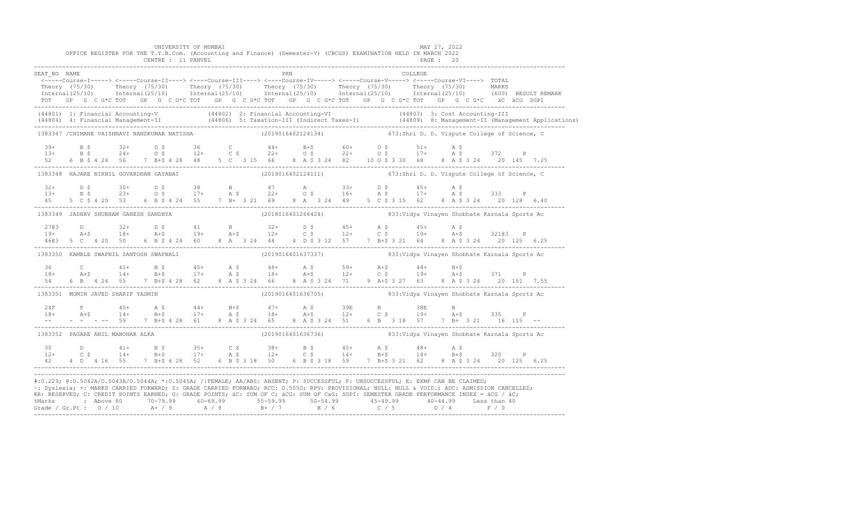|              |  |  | UNIVERSITY OF MUMBAI<br>CENTRE : 11 PANVEL |  |  |     | OFFICE REGISTER FOR THE T.Y.B.Com. (Accounting and Finance) (Semester-V) (CBCGS) EXAMINATION HELD IN MARCH 2022                                                                                                                                                                                                                                                                                                               |  |  |         | MAY 27, 2022<br>PAGE : 20 |  |  |                                                                                                                                                                                                                                   |
|--------------|--|--|--------------------------------------------|--|--|-----|-------------------------------------------------------------------------------------------------------------------------------------------------------------------------------------------------------------------------------------------------------------------------------------------------------------------------------------------------------------------------------------------------------------------------------|--|--|---------|---------------------------|--|--|-----------------------------------------------------------------------------------------------------------------------------------------------------------------------------------------------------------------------------------|
| SEAT NO NAME |  |  |                                            |  |  | PRN | <-----Course-I-----> <-----Course-II----> <----Course-III----> <----Course-IV-----> <-----Course-V-----> TOTAL<br>TOT GP G C G*C TOT GP G C G*C TOT GP G C G*C TOT GP G C G*C TOT GP G C G*C TOT GP G C G*C äC äCG SGPI                                                                                                                                                                                                       |  |  | COLLEGE |                           |  |  | Theory (75/30) Theory (75/30) Theory (75/30) Theory (75/30) Theory (75/30) Theory (75/30) Theory (75/30) Theory (75/30) Theory (75/30) Theory (75/30) Theory (75/30) Theory (75/30) Theory (75/30) Theory (75/30) Theory (75/3    |
|              |  |  |                                            |  |  |     |                                                                                                                                                                                                                                                                                                                                                                                                                               |  |  |         |                           |  |  | (44801) 1: Financial Accounting-V (44802) 2: Financial Accounting-VI (44803) 3: Cost Accounting-III<br>(44804) 4: Financial Management-II (44806) 5: Taxation-III (Indirect Taxes-I) (44809) 8: Management-II (Management Applica |
|              |  |  |                                            |  |  |     | 1383347 / CHIMANE VAISHNAVI NANDKUMAR NATISHA (2019016402124134) 673:Shri D. D. Vispute College of Science, C                                                                                                                                                                                                                                                                                                                 |  |  |         |                           |  |  |                                                                                                                                                                                                                                   |
|              |  |  |                                            |  |  |     |                                                                                                                                                                                                                                                                                                                                                                                                                               |  |  |         |                           |  |  |                                                                                                                                                                                                                                   |
|              |  |  |                                            |  |  |     | 1383348 HAJARE NIKHIL GOVARDHAN GAYABAI (2019016402124111) 673:Shri D. D. Vispute College of Science, C                                                                                                                                                                                                                                                                                                                       |  |  |         |                           |  |  |                                                                                                                                                                                                                                   |
| 4.5          |  |  |                                            |  |  |     | $13+$ $13+$ $15+$ $15+$ $17+$ $18+$ $19+$ $19+$ $19+$ $19+$ $19+$ $19+$ $19+$ $19+$ $19+$ $19+$ $19+$ $19+$ $19+$ $19+$ $19+$ $19+$ $19+$ $19+$ $19+$ $19+$ $19+$ $19+$ $19+$ $19+$ $19+$ $19+$ $19+$ $19+$ $19+$ $19+$ $19+$<br>5 C \$ 4 20 53 6 B \$ 4 24 55 7 B + 3 21 69 8 A 3 24 49 5 C \$ 3 15 62 8 A \$ 3 24 20 128 6.40                                                                                               |  |  |         |                           |  |  |                                                                                                                                                                                                                                   |
|              |  |  | 1383349 JADHAV SHUBHAM GANESH SANDHYA      |  |  |     |                                                                                                                                                                                                                                                                                                                                                                                                                               |  |  |         |                           |  |  |                                                                                                                                                                                                                                   |
|              |  |  |                                            |  |  |     |                                                                                                                                                                                                                                                                                                                                                                                                                               |  |  |         |                           |  |  |                                                                                                                                                                                                                                   |
|              |  |  | 1383350 KAMBLE SWAPNIL SANTOSH SWAPNALI    |  |  |     |                                                                                                                                                                                                                                                                                                                                                                                                                               |  |  |         |                           |  |  |                                                                                                                                                                                                                                   |
|              |  |  |                                            |  |  |     |                                                                                                                                                                                                                                                                                                                                                                                                                               |  |  |         |                           |  |  |                                                                                                                                                                                                                                   |
|              |  |  | 1383351 MOMIN JAVED SHARIF YASMIN          |  |  |     |                                                                                                                                                                                                                                                                                                                                                                                                                               |  |  |         |                           |  |  |                                                                                                                                                                                                                                   |
|              |  |  |                                            |  |  |     |                                                                                                                                                                                                                                                                                                                                                                                                                               |  |  |         |                           |  |  |                                                                                                                                                                                                                                   |
|              |  |  | 1383352 PAGARE ANIL MANOHAR ALKA           |  |  |     |                                                                                                                                                                                                                                                                                                                                                                                                                               |  |  |         |                           |  |  |                                                                                                                                                                                                                                   |
|              |  |  |                                            |  |  |     |                                                                                                                                                                                                                                                                                                                                                                                                                               |  |  |         |                           |  |  |                                                                                                                                                                                                                                   |
|              |  |  |                                            |  |  |     | #:0.229; @:0.5042A/0.5043A/0.5044A; *:0.5045A; /:FEMALE; AA/ABS: ABSENT; P: SUCCESSFUL; F: UNSUCCESSFUL; E: EXMP CAN BE CLAIMED;<br>~: Dyslexia; +: MARKS CARRIED FORWARD; \$: GRADE CARRIED FORWARD; RCC: 0.5050; RPV: PROVISIONAL; NULL: NULL: AULL: ADC: ADMISSION CANCELLED;<br>RR: RESERVED; C: CREDIT POINTS EARNED; G: GRADE POINTS; äC: SUM OF C; äCG: SUM OF CxG; SGPI: SEMESTER GRADE PERFORMANCE INDEX = äCG / äC; |  |  |         |                           |  |  |                                                                                                                                                                                                                                   |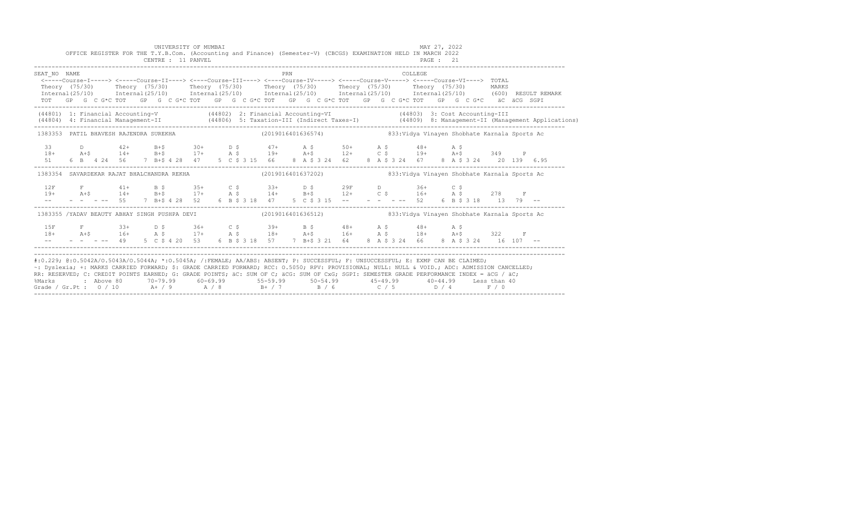|                                                                                                                                                                                                                           | OFFICE REGISTER FOR THE T.Y.B.Com. (Accounting and Finance) (Semester-V) (CBCGS) EXAMINATION HELD IN MARCH 2022                                                                                                                                                                                                                                                                             |  |  | UNIVERSITY OF MUMBAI<br>CENTRE : 11 PANVEL |  |  |     |  |  |  |         | MAY 27, 2022<br>PAGE : 21 |  |  |                                                                                                                                                                                                                                   |
|---------------------------------------------------------------------------------------------------------------------------------------------------------------------------------------------------------------------------|---------------------------------------------------------------------------------------------------------------------------------------------------------------------------------------------------------------------------------------------------------------------------------------------------------------------------------------------------------------------------------------------|--|--|--------------------------------------------|--|--|-----|--|--|--|---------|---------------------------|--|--|-----------------------------------------------------------------------------------------------------------------------------------------------------------------------------------------------------------------------------------|
| SEAT NO NAME                                                                                                                                                                                                              | <-----Course-I-----> <-----Course-II----> <----Course-III----> <----Course-IV----> <----Course-V----> <----Course-VI----> TOTAL<br>TOT GP G C G*C TOT GP G C G*C TOT GP G C G*C TOT GP G C G*C TOT GP G C G*C TOT GP G C G*C äC äCG SGPI                                                                                                                                                    |  |  |                                            |  |  | PRN |  |  |  | COLLEGE |                           |  |  | Theory (75/30) Theory (75/30) Theory (75/30) Theory (75/30) Theory (75/30) Theory (75/30) MARKS<br>Internal(25/10) Internal(25/10) Internal(25/10) Internal(25/10) Internal(25/10) Internal(25/10) (600)RESULTREMARK              |
|                                                                                                                                                                                                                           |                                                                                                                                                                                                                                                                                                                                                                                             |  |  |                                            |  |  |     |  |  |  |         |                           |  |  | (44801) 1: Financial Accounting-V (44802) 2: Financial Accounting-VI (44803) 3: Cost Accounting-III<br>(44804) 4: Financial Management-II (44806) 5: Taxation-III (Indirect Taxes-I) (44809) 8: Management-II (Management Applica |
|                                                                                                                                                                                                                           | 1383353 PATIL BHAVESH RAJENDRA SUREKHA                                                                                                                                                                                                                                                                                                                                                      |  |  |                                            |  |  |     |  |  |  |         |                           |  |  |                                                                                                                                                                                                                                   |
| 33<br>$18+$                                                                                                                                                                                                               |                                                                                                                                                                                                                                                                                                                                                                                             |  |  |                                            |  |  |     |  |  |  |         |                           |  |  |                                                                                                                                                                                                                                   |
|                                                                                                                                                                                                                           | 1383354 SAVARDEKAR RAJAT BHALCHANDRA REKHA (2019016401637202) 833:Vidya Vinayen Shobhate Karnala Sports Ac                                                                                                                                                                                                                                                                                  |  |  |                                            |  |  |     |  |  |  |         |                           |  |  |                                                                                                                                                                                                                                   |
|                                                                                                                                                                                                                           | $\begin{array}{lllllllllll} 12F & F & 41+ & B & \xi & 35+ & C & \xi & 33+ & D & \xi & 29F & D & 36+ & C & \xi \\ 19+ & A+\xi & 14+ & B+\xi & 17+ & A & \xi & 14+ & B+\xi & 12+ & C & \xi & 16+ & A & \xi & 278 & F \\ -- & - & - & - & - & - & 55 & 7 & B+\xi & 4 & 28 & 52 & 6 & B & \xi & 3 & 18 & 47 & 5 & C & \xi & 3 & 15 & -- & - & - & - & - & - & - & 52 & 6$                       |  |  |                                            |  |  |     |  |  |  |         |                           |  |  |                                                                                                                                                                                                                                   |
|                                                                                                                                                                                                                           | 1383355 /YADAV BEAUTY ABHAY SINGH PUSHPA DEVI (2019016401636512) 833:Vidya Vinayen Shobhate Karnala Sports Ac                                                                                                                                                                                                                                                                               |  |  |                                            |  |  |     |  |  |  |         |                           |  |  |                                                                                                                                                                                                                                   |
| 1.5F                                                                                                                                                                                                                      | $\texttt{F}$ 33+ D \$ 36+ C \$ 39+ B \$ 48+ A \$ 48+ A \$<br>$18+$ $2+5$ $16+$ $322$ $F$<br>$-    -$ 49 5 C \$ 4 20 53 6 B \$ 3 18 57 7 B + \$ 3 21 64 8 A \$ 3 24 66 8 A \$ 3 24 16 107 -                                                                                                                                                                                                  |  |  |                                            |  |  |     |  |  |  |         |                           |  |  |                                                                                                                                                                                                                                   |
| RR: RESERVED; C: CREDIT POINTS EARNED; G: GRADE POINTS; äC: SUM OF C; äCG: SUM OF CxG; SGPI: SEMESTER GRADE PERFORMANCE INDEX = äCG / äC;<br>%Marks<br>Grade / Gr.Pt : $0/10$ A+ / 9 A / 8 B+ / 7 B / 6 C / 5 D / 4 F / 0 | #:0.229; @:0.5042A/0.5043A/0.5044A; *:0.5045A; /:FEMALE; AA/ABS: ABSENT; P: SUCCESSFUL; F: UNSUCCESSFUL; E: EXMP CAN BE CLAIMED;<br>~: Dyslexia; +: MARKS CARRIED FORWARD; \$: GRADE CARRIED FORWARD; RCC: 0.5050; RPV: PROVISIONAL; NULL: NULL & VOID.; ADC: ADMISSION CANCELLED;<br>2 Above 80    70-79.99    60-69.99     55-59.99     50-54.99     45-49.99     40-44.99   Less than 40 |  |  |                                            |  |  |     |  |  |  |         |                           |  |  |                                                                                                                                                                                                                                   |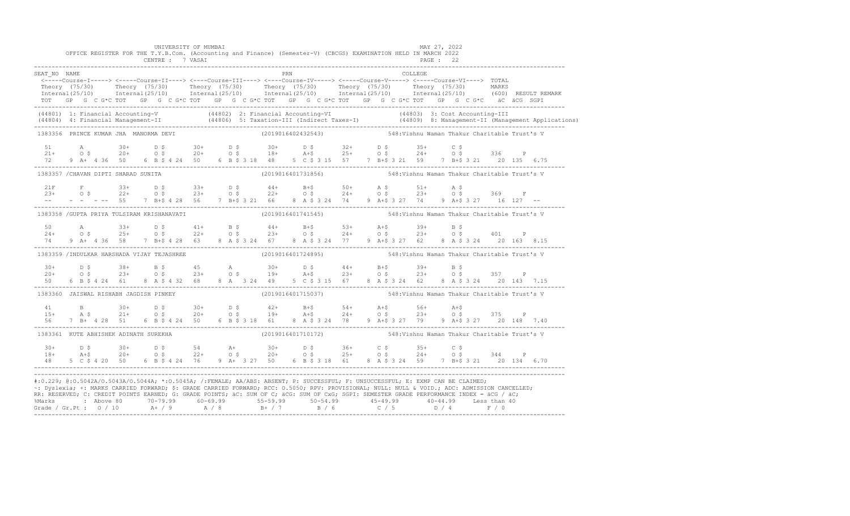|              |                | UNIVERSITY OF MUMBAI<br>OFFICE REGISTER FOR THE T.Y.B.Com. (Accounting and Finance) (Semester-V) (CBCGS) EXAMINATION HELD IN MARCH 2022                                                                                                           |  |  |     |                    |  |                                                                  | MAY 27, 2022 |           |                         |  |  |
|--------------|----------------|---------------------------------------------------------------------------------------------------------------------------------------------------------------------------------------------------------------------------------------------------|--|--|-----|--------------------|--|------------------------------------------------------------------|--------------|-----------|-------------------------|--|--|
|              |                | CENTRE : 7 VASAI                                                                                                                                                                                                                                  |  |  |     |                    |  |                                                                  |              | PAGE : 22 |                         |  |  |
| SEAT NO NAME |                |                                                                                                                                                                                                                                                   |  |  | PRN |                    |  |                                                                  | COLLEGE      |           |                         |  |  |
|              |                | <-----Course-I-----> <-----Course-II----> <----Course-III----> <----Course-IV-----> <----Course-V-----> <----Course-VI----> TOTAL                                                                                                                 |  |  |     |                    |  |                                                                  |              |           |                         |  |  |
|              |                | Theory (75/30) Theory (75/30) Theory (75/30) Theory (75/30) Theory (75/30) Theory (75/30) MARKS<br>Internal(25/10) Internal(25/10) Internal(25/10) Internal(25/10) Internal(25/10) Internal(25/10) (600)RESULTREMARK                              |  |  |     |                    |  |                                                                  |              |           |                         |  |  |
|              |                | TOT GP G C G*C TOT GP G C G*C TOT GP G C G*C TOT GP G C G*C TOT GP G C G*C TOT GP G C G*C äC äCG SGPI                                                                                                                                             |  |  |     |                    |  |                                                                  |              |           |                         |  |  |
|              |                | (44801) 1: Financial Accounting-V (44802) 2: Financial Accounting-VI (44803) 3: Cost Accounting-III<br>(44804) 4: Financial Management-II (44806) 5: Taxation-III (Indirect Taxes-I) (44809) 8: Management-II (Management Applica                 |  |  |     |                    |  |                                                                  |              |           |                         |  |  |
|              |                | 1383356 PRINCE KUMAR JHA MANORMA DEVI                                                                                                                                                                                                             |  |  |     | (2019016402432543) |  | 548:Vishnu Waman Thakur Charitable Trust's V                     |              |           |                         |  |  |
|              |                | $21 + 0.5$ $20 + 0.5$ $20 + 0.5$ $20 + 0.5$ $21 + 0.5$ $21 + 0.5$ $20 + 0.5$ $20 + 0.5$ $20 + 0.5$ $20 + 0.5$ $20 + 0.5$ $20 + 0.5$ $20 + 0.5$ $20 + 0.5$ $20 + 0.5$ $20 + 0.5$ $20 + 0.5$                                                        |  |  |     |                    |  |                                                                  |              |           |                         |  |  |
|              |                |                                                                                                                                                                                                                                                   |  |  |     |                    |  |                                                                  |              |           |                         |  |  |
|              |                | 72 9 A+ 4 36 50 6 B \$ 4 24 50 6 B \$ 3 18 48 5 C \$ 3 15 57 7 B+\$ 3 21 59 7 B+\$ 3 21 20 135 6.75                                                                                                                                               |  |  |     |                    |  |                                                                  |              |           |                         |  |  |
|              |                | 1383357 / CHAVAN DIPTI SHARAD SUNITA                                                                                                                                                                                                              |  |  |     | (2019016401731856) |  | 548:Vishnu Waman Thakur Charitable Trust's V                     |              |           |                         |  |  |
|              |                |                                                                                                                                                                                                                                                   |  |  |     |                    |  |                                                                  |              |           |                         |  |  |
|              |                | $21F$ F $33+$ D $5$ $33+$ D $5$ $44+$ B + $50+$ A $5$ $51+$ A $5$<br>$23+$ O $5$ $22+$ O $5$ $23+$ O $5$ $24+$ O $5$ $23+$ O $5$ $23+$ O $5$ $369$ F                                                                                              |  |  |     |                    |  |                                                                  |              |           |                         |  |  |
|              |                | -- - - - -- 55 7 B+\$ 4 28 56 7 B+\$ 3 21 66 8 A \$ 3 24 74 9 A+\$ 3 27 74 9 A+\$ 3 27 16 127 --                                                                                                                                                  |  |  |     |                    |  |                                                                  |              |           |                         |  |  |
|              |                | 1383358 /GUPTA PRIYA TULSIRAM KRISHANAVATI (2019016401741545) 548:Vishnu Waman Thakur Charitable Trust's V                                                                                                                                        |  |  |     |                    |  |                                                                  |              |           |                         |  |  |
|              |                |                                                                                                                                                                                                                                                   |  |  |     |                    |  |                                                                  |              |           |                         |  |  |
|              |                | $24+$ 0 \$ $25+$ 0 \$ $22+$ 0 \$ $23+$ 0 \$ $23+$ 0 \$ $24+$ 0 \$ $24+$ 0 \$ $24+$ 0 \$ $23+$ 0 \$ $23+$ 0 \$ $23+$ 0 \$ $23+$ 0 \$ $23+$ 0 \$ $23+$ 0 \$ $23+$ 0 \$ $23+$ 0 \$ $23+$ 0 \$ $23+$ 0 \$ $23+$ 0 \$ $23+$ 0 \$ $23+$ 0 \$ $23+$ 0 \$ |  |  |     |                    |  |                                                                  |              |           |                         |  |  |
| 74 —         |                | 9 A+ 4 36 58 7 B+\$ 4 28 63 8 A \$ 3 24 67 8 A \$ 3 24 77 9 A+\$ 3 27 62 8 A \$ 3 24 20 163 8.15                                                                                                                                                  |  |  |     |                    |  |                                                                  |              |           |                         |  |  |
|              |                | 1383359 /INDULKAR HARSHADA VIJAY TEJASHREE (2019016401724895)                                                                                                                                                                                     |  |  |     |                    |  | 548: Vishnu Waman Thakur Charitable Trust's V                    |              |           |                         |  |  |
|              |                |                                                                                                                                                                                                                                                   |  |  |     |                    |  |                                                                  |              |           |                         |  |  |
|              |                | $20+$ $0.5$ $23+$ $0.5$ $23+$ $0.5$ $23+$ $0.5$ $23+$ $0.5$ $23+$ $0.5$ $23+$ $0.5$ $23+$ $0.5$ $23+$ $0.5$ $23+$ $0.5$ $23+$ $0.5$ $23+$ $0.5$ $23+$ $0.5$ $23+$ $0.5$ $23+$ $0.5$ $23+$ $0.5$ $23+$ $0.5$ $23+$ $0.5$ $23+$                     |  |  |     |                    |  |                                                                  |              |           |                         |  |  |
| 50           | 6 B \$ 4 24 61 | 8 A \$ 4 32 68 8 A 3 24 49 5 C \$ 3 15 67 8 A \$ 3 24 62                                                                                                                                                                                          |  |  |     |                    |  |                                                                  |              |           | 8 A \$ 3 24 20 143 7.15 |  |  |
|              |                | 1383360 JAISWAL RISHABH JAGDISH PINKEY                                                                                                                                                                                                            |  |  |     |                    |  |                                                                  |              |           |                         |  |  |
|              |                |                                                                                                                                                                                                                                                   |  |  |     |                    |  |                                                                  |              |           |                         |  |  |
|              |                | $15+$ B $30+$ D \$ $30+$ D \$ $42+$ B + \$ $54+$ A + \$ $56+$ A + \$ $56+$ A + \$ $56+$ A + \$ $56+$ A + \$ $56+$ A + \$ $56+$ A + \$ $56+$ A + \$ $56+$ A + \$ $56+$ A + \$ $56+$ A + \$ $56+$ A + \$ $56+$ A + \$ $56+$ A + \$ $56+$ A + \$     |  |  |     |                    |  |                                                                  |              |           |                         |  |  |
|              |                | 56 7 B + 4 28 51 6 B \$ 4 24 50 6 B \$ 3 18 61 8 A \$ 3 24 78 9 A + \$ 3 27 79 9 A + \$ 3 27 20 148 7.40                                                                                                                                          |  |  |     |                    |  |                                                                  |              |           |                         |  |  |
|              |                | 1383361 KUTE ABHISHEK ADINATH SUREKHA                                                                                                                                                                                                             |  |  |     |                    |  | (2019016401710172) 548: Vishnu Waman Thakur Charitable Trust's V |              |           |                         |  |  |
|              |                |                                                                                                                                                                                                                                                   |  |  |     |                    |  |                                                                  |              |           |                         |  |  |
|              |                | $18 +$ $18 +$ $20 +$ $20 +$ $0.5$ $0.54$ $0.54$ $0.54$ $0.54$ $0.54$ $0.54$ $0.54$ $0.54$ $0.54$ $0.54$ $0.54$ $0.54$ $0.54$ $0.54$ $0.54$ $0.54$ $0.54$ $0.54$ $0.54$ $0.54$ $0.54$ $0.54$ $0.54$ $0.54$ $0.54$ $0.54$ $0.54$ $0$                |  |  |     |                    |  |                                                                  |              |           |                         |  |  |
| 48           | 5 C \$ 4 20 50 | 6 B \$ 4 24 76 9 A + 3 27 50 6 B \$ 3 18 61 8 A \$ 3 24 59 7 B + \$ 3 21 20 134 6.70                                                                                                                                                              |  |  |     |                    |  |                                                                  |              |           |                         |  |  |
|              |                | #:0.229; @:0.5042A/0.5043A/0.5044A; *:0.5045A; /:FEMALE; AA/ABS; ABSENT; P: SUCCESSFUL; F: UNSUCCESSFUL; E: EXMP CAN BE CLAIMED;                                                                                                                  |  |  |     |                    |  |                                                                  |              |           |                         |  |  |
|              |                | ~: Dyslexia; +: MARKS CARRIED FORWARD; \$: GRADE CARRIED FORWARD; RCC: 0.5050; RPV: PROVISIONAL; NULL: NULL & VOID.; ADC: ADMISSION CANCELLED;                                                                                                    |  |  |     |                    |  |                                                                  |              |           |                         |  |  |
|              |                | RR: RESERVED; C: CREDIT POINTS EARNED; G: GRADE POINTS; äC: SUM OF C; äCG: SUM OF CxG; SGPI: SEMESTER GRADE PERFORMANCE INDEX = äCG / äC;                                                                                                         |  |  |     |                    |  |                                                                  |              |           |                         |  |  |
|              |                | %Marks : Above 80 70-79.99 60-69.99 55-59.99 50-54.99 45-49.99 40-44.99 Less than 40<br>Grade / Gr.Pt : 0 / 10 A+ / 9 A / 8 B+ / 7 B / 6 C / 5 D / 4 F / 0                                                                                        |  |  |     |                    |  |                                                                  |              |           |                         |  |  |
|              |                |                                                                                                                                                                                                                                                   |  |  |     |                    |  |                                                                  |              |           |                         |  |  |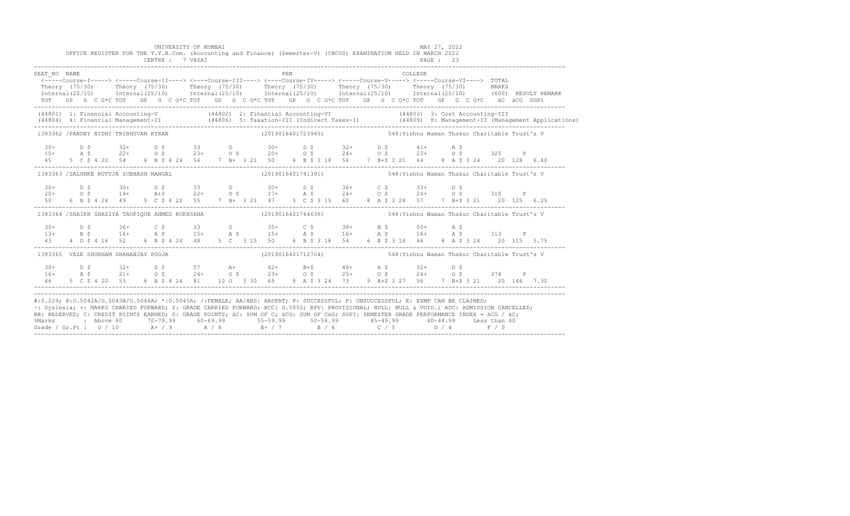|                                                                                                                                                                                                                                                                                                                                                                                                                                                                                                                                                                                               |  |  | UNIVERSITY OF MUMBAI<br>CENTRE : 7 VASAI |  |  | OFFICE REGISTER FOR THE T.Y.B.Com. (Accounting and Finance) (Semester-V) (CBCGS) EXAMINATION HELD IN MARCH 2022                                                                                                                                                                                                                                                                                   |     |  |  |  | PAGE : 23 | MAY 27, 2022 |  |                                                       |                                                                                                                                  |
|-----------------------------------------------------------------------------------------------------------------------------------------------------------------------------------------------------------------------------------------------------------------------------------------------------------------------------------------------------------------------------------------------------------------------------------------------------------------------------------------------------------------------------------------------------------------------------------------------|--|--|------------------------------------------|--|--|---------------------------------------------------------------------------------------------------------------------------------------------------------------------------------------------------------------------------------------------------------------------------------------------------------------------------------------------------------------------------------------------------|-----|--|--|--|-----------|--------------|--|-------------------------------------------------------|----------------------------------------------------------------------------------------------------------------------------------|
| SEAT NO NAME                                                                                                                                                                                                                                                                                                                                                                                                                                                                                                                                                                                  |  |  |                                          |  |  | <-----Course-I-----> <-----Course-II----> <----Course-III----> <----Course-IV-----> <----Course-V-----> <----Course-VI----> TOTAL<br>Theory (75/30) Theory (75/30) Theory (75/30) Theory (75/30) Theory (75/30) Theory (75/30) MARKS<br>TOT GP G C G*C TOT GP G C G*C TOT GP G C G*C TOT GP G C G*C TOT GP G C G*C TOT GP G C G*C äC äCG SGPI                                                     | PRN |  |  |  | COLLEGE   |              |  |                                                       | Internal (25/10) Internal (25/10) Internal (25/10) Internal (25/10) Internal (25/10) Internal (25/10) (600) RESULT REMARK        |
| (44801) 1: Financial Accounting-V (44802) 2: Financial Accounting-VI (44803) 3: Cost Accounting-III                                                                                                                                                                                                                                                                                                                                                                                                                                                                                           |  |  |                                          |  |  |                                                                                                                                                                                                                                                                                                                                                                                                   |     |  |  |  |           |              |  |                                                       | (44804) 4: Financial Management-II (44806) 5: Taxation-III (Indirect Taxes-I) (44809) 8: Management-II (Management Applications) |
| 1383362 /PANDEY NIDHI TRIBHUVAN KIRAN (2019016401723965) 548:Vishnu Waman Thakur Charitable Trust's V                                                                                                                                                                                                                                                                                                                                                                                                                                                                                         |  |  |                                          |  |  |                                                                                                                                                                                                                                                                                                                                                                                                   |     |  |  |  |           |              |  |                                                       |                                                                                                                                  |
|                                                                                                                                                                                                                                                                                                                                                                                                                                                                                                                                                                                               |  |  |                                          |  |  | $15+$ $15+$ $15+$ $15+$ $15+$ $15+$ $15+$ $15+$ $15+$ $15+$ $15+$ $15+$ $15+$ $15+$ $15+$ $15+$ $15+$ $15+$ $15+$ $15+$ $15+$ $15+$ $15+$ $15+$ $15+$ $15+$ $15+$ $15+$ $15+$ $15+$ $15+$ $15+$ $15+$ $15+$ $15+$ $15+$ $15+$                                                                                                                                                                     |     |  |  |  |           |              |  |                                                       |                                                                                                                                  |
| 1383363 /SALUNKE RUTUJA SUBHASH MANGAL (2019016401741391) 43837016401741391 548:Vishnu Waman Thakur Charitable Trust's V                                                                                                                                                                                                                                                                                                                                                                                                                                                                      |  |  |                                          |  |  |                                                                                                                                                                                                                                                                                                                                                                                                   |     |  |  |  |           |              |  |                                                       |                                                                                                                                  |
|                                                                                                                                                                                                                                                                                                                                                                                                                                                                                                                                                                                               |  |  |                                          |  |  | $20+$ $0.5$ $0.30+$ $0.5$ $0.50+$ $0.50+$ $0.50+$ $0.50+$ $0.50+$ $0.50+$ $0.50+$ $0.50+$ $0.50+$ $0.50+$ $0.50+$ $0.50+$ $0.50+$ $0.50+$ $0.50+$ $0.50+$ $0.50+$ $0.50+$ $0.50+$ $0.50+$ $0.50+$ $0.50+$ $0.50+$ $0.50+$ $0.$<br>50   6   B   \$   4   24   49   5   C   \$   4   20   55   7   B+   3   21   47   5   C   \$  315   60   8   A   \$  324   57   7   B+\$  321   20   125   6.25 |     |  |  |  |           |              |  |                                                       |                                                                                                                                  |
| 1383364 /SHAIKH SHAZIYA TAUFIQUE AHMED RUKHSANA (2019016401744636) 548:Vishnu Waman Thakur Charitable Trust's V                                                                                                                                                                                                                                                                                                                                                                                                                                                                               |  |  |                                          |  |  |                                                                                                                                                                                                                                                                                                                                                                                                   |     |  |  |  |           |              |  |                                                       |                                                                                                                                  |
|                                                                                                                                                                                                                                                                                                                                                                                                                                                                                                                                                                                               |  |  |                                          |  |  | $130+$ $15+$ $16+$ $16+$ $16+$ $16+$ $16+$ $16+$ $16+$ $16+$ $16+$ $16+$ $16+$ $16+$ $16+$ $16+$ $16+$ $16+$ $16+$ $16+$ $16+$ $16+$ $16+$ $16+$ $16+$ $16+$ $16+$ $16+$ $16+$ $16+$ $16+$ $16+$ $16+$ $16+$ $16+$ $16+$ $16+$<br>43 4 D \$ 4 16 52 6 B \$ 4 24 48 5 C 3 15 50                                                                                                                    |     |  |  |  |           |              |  | 6 B \$ 3 18 54 6 B \$ 3 18 66 8 A \$ 3 24 20 115 5.75 |                                                                                                                                  |
| 1383365 VAZE SHUBHAM DHANANJAY POOJA                                                                                                                                                                                                                                                                                                                                                                                                                                                                                                                                                          |  |  |                                          |  |  | (2019016401712704) 548: Vishnu Waman Thakur Charitable Trust's V                                                                                                                                                                                                                                                                                                                                  |     |  |  |  |           |              |  |                                                       |                                                                                                                                  |
|                                                                                                                                                                                                                                                                                                                                                                                                                                                                                                                                                                                               |  |  |                                          |  |  | $16+$ $16+$ $16+$ $16+$ $16+$ $16+$ $16+$ $16+$ $16+$ $16+$ $16+$ $16+$ $16+$ $16+$ $16+$ $16+$ $16+$ $16+$ $16+$ $16+$ $16+$ $16+$ $16+$ $16+$ $16+$ $16+$ $16+$ $16+$ $16+$ $16+$ $16+$ $16+$ $16+$ $16+$ $16+$ $16+$ $16+$<br>46 5 C \$ 4 20 53 6 B \$ 4 24 81 10 0 3 30 65 8 A \$ 3 24 73 9 A+\$ 3 27 56 7 B+\$ 3 21 20 146 7.30                                                              |     |  |  |  |           |              |  |                                                       |                                                                                                                                  |
| #:0.229; @:0.5042A/0.5043A/0.5044A; *:0.5045A; /:FEMALE; AA/ABS: ABSENT; P: SUCCESSFUL; F: UNSUCCESSFUL; E: EXMP CAN BE CLAIMED;<br>~: Dyslexia; +: MARKS CARRIED FORWARD; \$: GRADE CARRIED FORWARD; RCC: 0.5050; RPV: PROVISIONAL; NULL: NULL & VOID.; ADC: ADMISSION CANCELLED;<br>RR: RESERVED, C: CREDIT POINTS EARNED, G: GRADE POINTS, AC: SUM OF C; ACG: SUM OF CxG; SGPI: SEMESTER GRADE PERFORMANCE INDEX = ACG / AC;<br>%Marks : Above 80 70-79.99 60-69.99 55-59.99 50-54.99 45-49.99 40-44.99 Less than 40<br>Grade / Gr.Pt : 0 / 10 A+ / 9 A / 8 B+ / 7 B / 6 C / 5 D / 4 F / 0 |  |  |                                          |  |  |                                                                                                                                                                                                                                                                                                                                                                                                   |     |  |  |  |           |              |  |                                                       |                                                                                                                                  |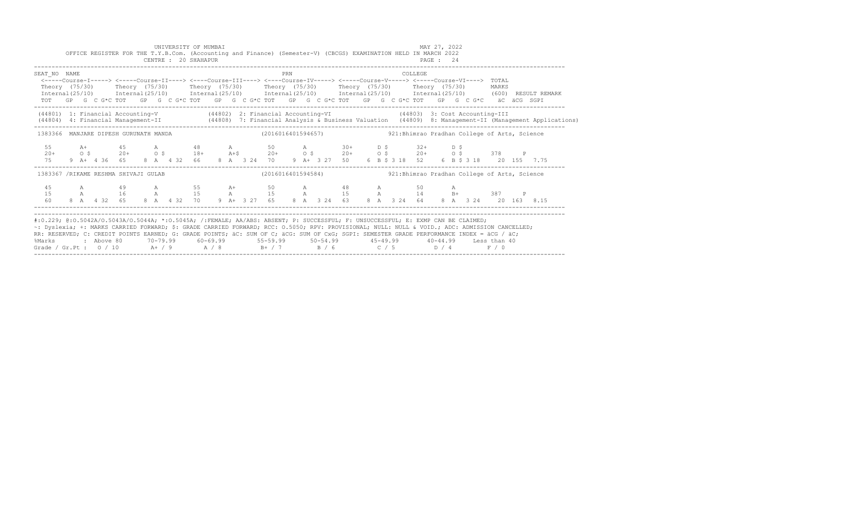|                                                                                                                                                                                                                                                                                                                                                                                                                                                                                                                   |  |  |  |  |  | UNIVERSITY OF MUMBAI |  | OFFICE REGISTER FOR THE T.Y.B.Com. (Accounting and Finance) (Semester-V) (CBCGS) EXAMINATION HELD IN MARCH 2022<br>CENTRE : 20 SHAHAPUR                    |     |  |  |  | MAY 27, 2022 |  |  |  |  |                                                                                                                                          |  |
|-------------------------------------------------------------------------------------------------------------------------------------------------------------------------------------------------------------------------------------------------------------------------------------------------------------------------------------------------------------------------------------------------------------------------------------------------------------------------------------------------------------------|--|--|--|--|--|----------------------|--|------------------------------------------------------------------------------------------------------------------------------------------------------------|-----|--|--|--|--------------|--|--|--|--|------------------------------------------------------------------------------------------------------------------------------------------|--|
| SEAT NO NAME<br><----Course-I-----> <----Course-II----> <----Course-III----> <----Course-IV-----> <----Course-V-----> <----Course-VI----> TOTAL<br>Theory (75/30) Theory (75/30) Theory (75/30) Theory (75/30) Theory (75/30) Theory (75/30) MARKS<br>TOT GP G C G*C TOT GP G C G*C TOT GP G C G*C TOT GP G C G*C TOT GP G C G*C TOT GP G C G*C äC äCG SGPI                                                                                                                                                       |  |  |  |  |  |                      |  |                                                                                                                                                            | PRN |  |  |  | COLLEGE.     |  |  |  |  | Internal (25/10) Internal (25/10) Internal (25/10) Internal (25/10) Internal (25/10) Internal (25/10) (600) RESULT REMARK                |  |
| (44801) 1: Financial Accounting-V (44802) 2: Financial Accounting-VI (44803) 3: Cost Accounting-III                                                                                                                                                                                                                                                                                                                                                                                                               |  |  |  |  |  |                      |  |                                                                                                                                                            |     |  |  |  |              |  |  |  |  | (44804) 4: Financial Management-II (44808) 7: Financial Analysis & Business Valuation (44809) 8: Management-II (Management Applications) |  |
| 1383366 MANJARE DIPESH GURUNATH MANDA (2016016401594657) (2016016401594657) 921:Bhimrao Pradhan College of Arts, Science                                                                                                                                                                                                                                                                                                                                                                                          |  |  |  |  |  |                      |  |                                                                                                                                                            |     |  |  |  |              |  |  |  |  |                                                                                                                                          |  |
| 75                                                                                                                                                                                                                                                                                                                                                                                                                                                                                                                |  |  |  |  |  |                      |  | 9 A+ 4 36 65 8 A 4 32 66 8 A 3 24 70 9 A+ 3 27 50 6 B \$ 3 18 52 6 B \$ 3 18 20 155 7.75                                                                   |     |  |  |  |              |  |  |  |  |                                                                                                                                          |  |
| 1383367 /RIKAME RESHMA SHIVAJI GULAB                                                                                                                                                                                                                                                                                                                                                                                                                                                                              |  |  |  |  |  |                      |  | (2016016401594584)           921:Bhimrao Pradhan College of Arts, Science                                                                                  |     |  |  |  |              |  |  |  |  |                                                                                                                                          |  |
| 4.5<br>15<br>60 - 10                                                                                                                                                                                                                                                                                                                                                                                                                                                                                              |  |  |  |  |  |                      |  | A 49 A 55 A+ 50 A 48 A 50 A<br>A 16 A 15 A 15 A 15 A 15 A 14 B+ 387 P<br>8 A 4 32 65 8 A 4 32 70 9 A+ 3 27 65 8 A 3 24 63 8 A 3 24 64 8 A 3 24 20 163 8.15 |     |  |  |  |              |  |  |  |  |                                                                                                                                          |  |
| #:0.229; @:0.5042A/0.5043A/0.5044A; *:0.5045A; /:FEMALE; AA/ABS: ABSENT; P: SUCCESSFUL; F: UNSUCCESSFUL; E: EXMP CAN BE CLAIMED;<br>~: Dyslexia; +: MARKS CARRIED FORWARD; \$: GRADE CARRIED FORWARD; RCC: 0.5050; RPV: PROVISIONAL; NULL: NULL & VOID.; ADC: ADMISSION CANCELLED;<br>RR: RESERVED; C: CREDIT POINTS EARNED; G: GRADE POINTS; äC: SUM OF C; äCG: SUM OF CxG; SGPI: SEMESTER GRADE PERFORMANCE INDEX = äCG / äC;<br>%Marks<br>Grade / Gr.Pt : $0/10$ A + / 9 A / 8 B + / 7 B / 6 C / 5 D / 4 F / 0 |  |  |  |  |  |                      |  | : Above 80    70-79.99    60-69.99     55-59.99     50-54.99      45-49.99     40-44.99   Less than 40                                                     |     |  |  |  |              |  |  |  |  |                                                                                                                                          |  |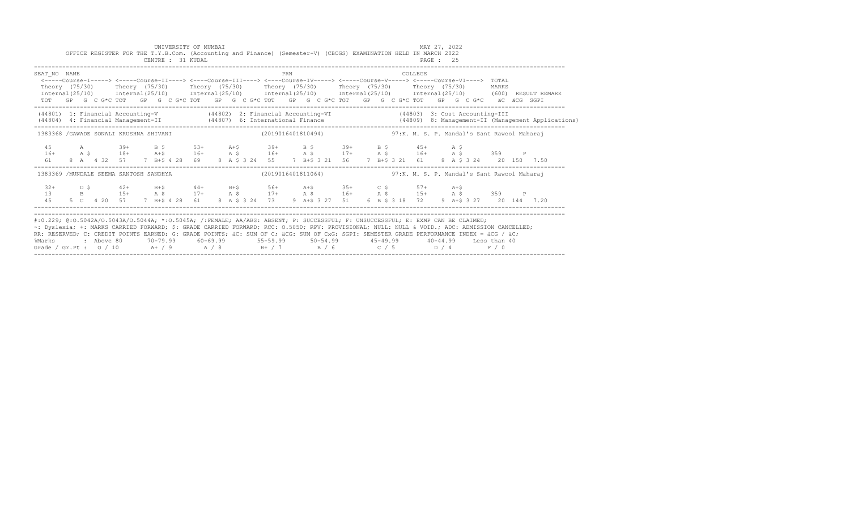|                                                                                                                                                                                                                                                                                    |  |  |            | UNIVERSITY OF MUMBAI<br>OFFICE REGISTER FOR THE T.Y.B.Com. (Accounting and Finance) (Semester-V) (CBCGS) EXAMINATION HELD IN MARCH 2022<br>CENTRE : 31 KUDAL                                                                                                                                                                               |  |  |  |     |  |                                     |  |  |                | MAY 27, 2022<br>PAGE : 25 |  |       |                                                                                                                           |
|------------------------------------------------------------------------------------------------------------------------------------------------------------------------------------------------------------------------------------------------------------------------------------|--|--|------------|--------------------------------------------------------------------------------------------------------------------------------------------------------------------------------------------------------------------------------------------------------------------------------------------------------------------------------------------|--|--|--|-----|--|-------------------------------------|--|--|----------------|---------------------------|--|-------|---------------------------------------------------------------------------------------------------------------------------|
| SEAT NO NAME                                                                                                                                                                                                                                                                       |  |  |            | <-----Course-I-----> <----Course-II----> <----Course-III----> <----Course-IV----> <----Course-V-----> <----Course-VI----> TOTAL<br>Theory (75/30)  Theory (75/30)  Theory (75/30)  Theory (75/30)  Theory (75/30)  Theory (75/30)<br>TOT GP G C G*C TOT GP G C G*C TOT GP G C G*C TOT GP G C G*C TOT GP G C G*C TOT GP G C G*C aC aCG SGPI |  |  |  | PRN |  |                                     |  |  | COLLEGE.       |                           |  | MARKS | Internal (25/10) Internal (25/10) Internal (25/10) Internal (25/10) Internal (25/10) Internal (25/10) (600) RESULT REMARK |
|                                                                                                                                                                                                                                                                                    |  |  |            | (44801) 1: Financial Accounting-V (44802) 2: Financial Accounting-VI (44803) 3: Cost Accounting-III                                                                                                                                                                                                                                        |  |  |  |     |  |                                     |  |  |                |                           |  |       | (44804) 4: Financial Management-II (44807) 6: International Finance (44809) 8: Management-II (Management Applications)    |
| 1383368 / GAWADE SONALI KRUSHNA SHIVANI (2019016401810494) 497:K.M.S.P. Mandal's Sant Rawool Maharaj                                                                                                                                                                               |  |  |            |                                                                                                                                                                                                                                                                                                                                            |  |  |  |     |  |                                     |  |  |                |                           |  |       |                                                                                                                           |
| 4.5<br>$16+$<br>61                                                                                                                                                                                                                                                                 |  |  | A 39+ B \$ | A \$ 18+ A+\$ 16+ A \$ 16+ A \$ 17+ A \$ 16+ A \$ 359 P<br>8 A 4 32 57 7 B+\$ 4 28 69 8 A \$ 3 24 55 7 B+\$ 3 21 56 7 B+\$ 3 21 61 8 A \$ 3 24 20 150 7.50                                                                                                                                                                                 |  |  |  |     |  | 53+ A+\$ 39+ B \$ 39+ B \$ 45+ A \$ |  |  |                |                           |  |       |                                                                                                                           |
| 1383369 /MUNDALE SEEMA SANTOSH SANDHYA (2019016401811064) 497:K.M.S.P.Mandal's Sant Rawool Maharaj                                                                                                                                                                                 |  |  |            |                                                                                                                                                                                                                                                                                                                                            |  |  |  |     |  |                                     |  |  |                |                           |  |       |                                                                                                                           |
| $32+$<br>13<br>4.5                                                                                                                                                                                                                                                                 |  |  |            | D \$ 42+ B+\$ 44+ B+\$ 56+ A+\$ 35+ C \$ 57+ A+\$<br>B 15+ A \$ 17+ A \$ 17+ A \$ 16+ A \$ 15+ A \$ 359 P<br>5 C 4 20 57 7 B+\$ 4 28 61 8 A \$ 3 24 73                                                                                                                                                                                     |  |  |  |     |  | 9 A+\$ 3 27 51                      |  |  | 6 B \$ 3 18 72 |                           |  |       | 9 A+\$ 3 27 20 144 7.20                                                                                                   |
| #:0.229; @:0.5042A/0.5043A/0.5044A; *:0.5045A; /:FEMALE; AA/ABS: ABSENT; P: SUCCESSFUL; F: UNSUCCESSFUL; E: EXMP CAN BE CLAIMED;<br>~: Dyslexia; +: MARKS CARRIED FORWARD; \$: GRADE CARRIED FORWARD; RCC: 0.5050; RPV: PROVISIONAL; NULL: NULL & VOID.; ADC: ADMISSION CANCELLED; |  |  |            | alistic a different control of the control of the second control of the second complete different control of the                                                                                                                                                                                                                           |  |  |  |     |  |                                     |  |  |                |                           |  |       |                                                                                                                           |

RR: RESERVED; C: CREDIT POINTS EARNED; G: GRADE POINTS; äC: SUM OF C; äCG: SUM OF CxG; SGPI: SEMESTER GRADE PERFORMANCE INDEX = äCG / äC; %Marks : Above 80 70-79.99 60-69.99 55-59.99 50-54.99 45-49.99 40-44.99 Less than 40 Grade / Gr.Pt : O / 10 A+ / 9 A / 8 B+ / 7 B / 6 C / 5 D / 4 F / 0 ------------------------------------------------------------------------------------------------------------------------------------------------------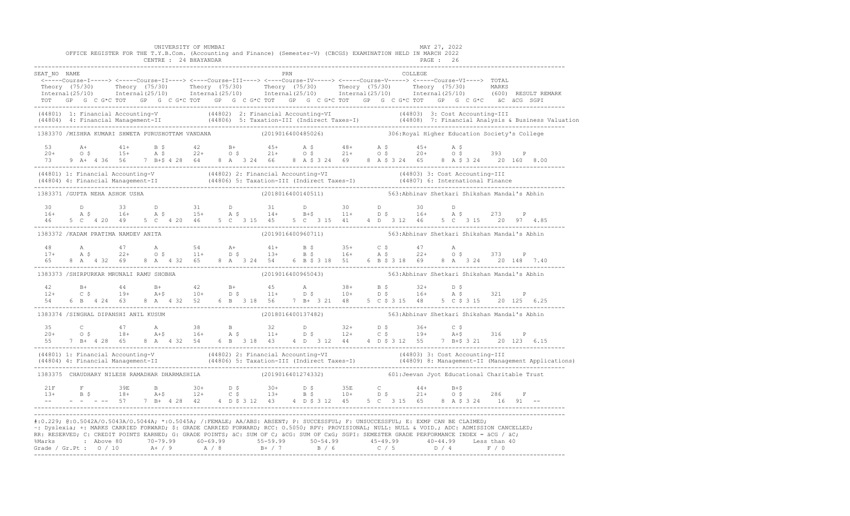|              |  |                                      | UNIVERSITY OF MUMBAI<br>CENTRE : 24 BHAYANDAR     |  |  |     | OFFICE REGISTER FOR THE T.Y.B.Com. (Accounting and Finance) (Semester-V) (CBCGS) EXAMINATION HELD IN MARCH 2022                                                                                                                                                                                                                                                                                                                                                                                                                                                                                |  |         | MAY 27, 2022<br>PAGE : 26 |                                               |              |                                                                                                                                                                                                                                                                                                                                                                                                                                                 |  |
|--------------|--|--------------------------------------|---------------------------------------------------|--|--|-----|------------------------------------------------------------------------------------------------------------------------------------------------------------------------------------------------------------------------------------------------------------------------------------------------------------------------------------------------------------------------------------------------------------------------------------------------------------------------------------------------------------------------------------------------------------------------------------------------|--|---------|---------------------------|-----------------------------------------------|--------------|-------------------------------------------------------------------------------------------------------------------------------------------------------------------------------------------------------------------------------------------------------------------------------------------------------------------------------------------------------------------------------------------------------------------------------------------------|--|
| SEAT NO NAME |  |                                      |                                                   |  |  | PRN |                                                                                                                                                                                                                                                                                                                                                                                                                                                                                                                                                                                                |  | COLLEGE |                           |                                               |              |                                                                                                                                                                                                                                                                                                                                                                                                                                                 |  |
|              |  |                                      |                                                   |  |  |     | $\begin{minipage}{.4cm} \begin{minipage}{.4cm} \begin{minipage}{.4cm} \end{minipage} \end{minipage} \end{minipage} \begin{minipage}{.4cm} \begin{minipage}{.4cm} \begin{minipage}{.4cm} \end{minipage} \end{minipage} \end{minipage} \end{minipage} \begin{minipage}{.4cm} \begin{minipage}{.4cm} \begin{minipage}{.4cm} \end{minipage} \end{minipage} \end{minipage} \end{minipage} \begin{minipage}{.4cm} \begin{minipage}{.4cm} \begin{minipage}{.4cm} \end{minipage} \end{min$<br>TOT GP G C G*C TOT GP G C G*C TOT GP G C G*C TOT GP G C G*C TOT GP G C G*C TOT GP G C G*C äC äCG SGPI    |  |         |                           |                                               |              | Theory (75/30) Theory (75/30) Theory (75/30) Theory (75/30) Theory (75/30) Theory (75/30) MARKS<br>Internal(25/10) Internal(25/10) Internal(25/10) Internal(25/10) Internal(25/10) Internal(25/10) (600) RESULTREMARK                                                                                                                                                                                                                           |  |
|              |  |                                      |                                                   |  |  |     |                                                                                                                                                                                                                                                                                                                                                                                                                                                                                                                                                                                                |  |         |                           |                                               |              | (44801) 1: Financial Accounting-V (44802) 2: Financial Accounting-VI (44803) 3: Cost Accounting-III<br>(44804) 4: Financial Management-II (44806) 5: Taxation-III (Indirect Taxes-I) (44808) 7: Financial Analysis & Business Val                                                                                                                                                                                                               |  |
|              |  |                                      | 1383370 /MISHRA KUMARI SHWETA PURUSHOTTAM VANDANA |  |  |     | (2019016400485026)                                                                                                                                                                                                                                                                                                                                                                                                                                                                                                                                                                             |  |         |                           | 306: Royal Higher Education Society's College |              |                                                                                                                                                                                                                                                                                                                                                                                                                                                 |  |
|              |  |                                      |                                                   |  |  |     | $20+$ $20+$ $20+$ $20+$ $20+$ $20+$ $20+$ $20+$ $20+$ $20+$ $20+$ $20+$ $20+$ $20+$ $20+$ $20+$ $20+$ $20+$ $20+$ $20+$ $20+$ $20+$ $20+$ $20+$ $20+$                                                                                                                                                                                                                                                                                                                                                                                                                                          |  |         |                           |                                               | $\mathbb{P}$ |                                                                                                                                                                                                                                                                                                                                                                                                                                                 |  |
|              |  |                                      |                                                   |  |  |     |                                                                                                                                                                                                                                                                                                                                                                                                                                                                                                                                                                                                |  |         |                           |                                               |              | (44801) 1: Financial Accounting-V (44802) 2: Financial Accounting-VI (44803) 3: Cost Accounting-III<br>(44804) 4: Financial Management-II (44806) 5: Taxation-III (Indirect Taxes-I) (44807) 6: International Finance<br>-----------                                                                                                                                                                                                            |  |
|              |  | 1383371 / GUPTA NEHA ASHOK USHA      |                                                   |  |  |     | (2018016400140511) 563: Abhinav Shetkari Shikshan Mandal's Abhin                                                                                                                                                                                                                                                                                                                                                                                                                                                                                                                               |  |         |                           |                                               |              |                                                                                                                                                                                                                                                                                                                                                                                                                                                 |  |
|              |  |                                      |                                                   |  |  |     | $\begin{array}{ccccccccccccccccccccccccccccccccccccccccc} 30 & & D & & 33 & & D & & 31 & & D & & 31 & & D & & 30 & & D & & 30 & & D \\ 16+ & & A & \xi & & 16+ & & A & \xi & & 15+ & & A & \xi & & 14+ & & B+\xi & & 11+ & & D & \xi & & 16+ & & A & \xi & & 273 & & P \\ 46 & & 5 & C & 4 & 20 & 49 & & 5 & C & 4 & 20 & 46 & & 5 & C & 3 & 15 & 45 & & 5 & C & 3 & 15 & 41 & & 4 & D$                                                                                                                                                                                                        |  |         |                           |                                               |              |                                                                                                                                                                                                                                                                                                                                                                                                                                                 |  |
|              |  | 1383372 / KADAM PRATIMA NAMDEV ANITA |                                                   |  |  |     | (2019016400960711)                                                                                                                                                                                                                                                                                                                                                                                                                                                                                                                                                                             |  |         |                           | 563:Abhinav Shetkari Shikshan Mandal's Abhin  |              |                                                                                                                                                                                                                                                                                                                                                                                                                                                 |  |
|              |  |                                      |                                                   |  |  |     |                                                                                                                                                                                                                                                                                                                                                                                                                                                                                                                                                                                                |  |         |                           |                                               |              | $\begin{array}{cccccccccccccccc} 48 & & {\rm A} & & 47 & & {\rm A} & & 54 & & {\rm A}+ & 41+ & {\rm B}\;\hat{\textsf{s}} & & 35+ & {\rm C}\;\hat{\textsf{s}} & & 47 & {\rm A} & & 373 & {\rm P} \\ 17+ & {\rm A}\;\hat{\textsf{s}} & & 22+ & {\rm O}\;\hat{\textsf{s}} & & 11+ & {\rm D}\;\hat{\textsf{s}} & & 13+ & {\rm B}\;\hat{\textsf{s}} & & 16+ & {\rm A}\;\hat{\textsf{s}} & & 22+ & {\rm O}\;\hat{\textsf{s}} & & 373 & {\rm P} \\ 65$ |  |
|              |  |                                      | 1383373 /SHIRPURKAR MRUNALI RAMU SHOBHA           |  |  |     | (2019016400965043)                                                                                                                                                                                                                                                                                                                                                                                                                                                                                                                                                                             |  |         |                           | 563: Abhinav Shetkari Shikshan Mandal's Abhin |              |                                                                                                                                                                                                                                                                                                                                                                                                                                                 |  |
|              |  |                                      |                                                   |  |  |     | 6 B  4 24  63  8 A  4 32  52  6 B  3 18  56  7 B  321  48  5  C  3  15  48  5  C  \$ 3  15  20  125  6.25                                                                                                                                                                                                                                                                                                                                                                                                                                                                                      |  |         |                           |                                               |              |                                                                                                                                                                                                                                                                                                                                                                                                                                                 |  |
|              |  |                                      | 1383374 /SINGHAL DIPANSHI ANIL KUSUM              |  |  |     | (2018016400137482) 563: Abhinav Shetkari Shikshan Mandal's Abhin                                                                                                                                                                                                                                                                                                                                                                                                                                                                                                                               |  |         |                           |                                               |              |                                                                                                                                                                                                                                                                                                                                                                                                                                                 |  |
|              |  |                                      |                                                   |  |  |     |                                                                                                                                                                                                                                                                                                                                                                                                                                                                                                                                                                                                |  |         |                           |                                               |              |                                                                                                                                                                                                                                                                                                                                                                                                                                                 |  |
|              |  |                                      |                                                   |  |  |     |                                                                                                                                                                                                                                                                                                                                                                                                                                                                                                                                                                                                |  |         |                           |                                               |              | (44801) 1: Financial Accounting-V (44802) 2: Financial Accounting-VI (44803) 3: Cost Accounting-III<br>(44804) 4: Financial Management-II (44806) 5: Taxation-III (Indirect Taxes-I) (44809) 8: Management-II (Management Applica                                                                                                                                                                                                               |  |
|              |  |                                      | 1383375 CHAUDHARY NILESH RAMADHAR DHARMASHILA     |  |  |     | (2019016401274332)                                                                                                                                                                                                                                                                                                                                                                                                                                                                                                                                                                             |  |         |                           | 601: Jeevan Jyot Educational Charitable Trust |              |                                                                                                                                                                                                                                                                                                                                                                                                                                                 |  |
|              |  |                                      |                                                   |  |  |     | $-$ - -- 57 7 B+ 4 28 42 4 D \$ 3 12 43 4 D \$ 3 12 45 5 C 3 15 65 8 A \$ 3 24 16 91 --                                                                                                                                                                                                                                                                                                                                                                                                                                                                                                        |  |         |                           |                                               |              |                                                                                                                                                                                                                                                                                                                                                                                                                                                 |  |
|              |  |                                      |                                                   |  |  |     | #:0.229; @:0.5042A/0.5043A/0.5044A; *:0.5045A; /:FEMALE; AA/ABS: ABSENT; P: SUCCESSFUL; F: UNSUCCESSFUL; E: EXMP CAN BE CLAIMED;<br>~: Dyslexia; +: MARKS CARRIED FORWARD; \$: GRADE CARRIED FORWARD; RCC: 0.5050; RPV: PROVISIONAL; NULL: NULL: & VOID.; ADC: ADMISSION CANCELLED;<br>RR: RESERVED; C: CREDIT POINTS EARNED; G: GRADE POINTS; äC: SUM OF C; äCG: SUM OF CxG; SGPI: SEMESTER GRADE PERFORMANCE INDEX = äCG / äC;<br>%Marks : Above 80 70-79.99 60-69.99 55-59.99 50-54.99 45-49.99 40-44.99 Less than 40<br>Grade / Gr.Pt : 0 / 10 A+ / 9 A / 8 B+ / 7 B / 6 C / 5 D / 4 F / 0 |  |         |                           |                                               |              |                                                                                                                                                                                                                                                                                                                                                                                                                                                 |  |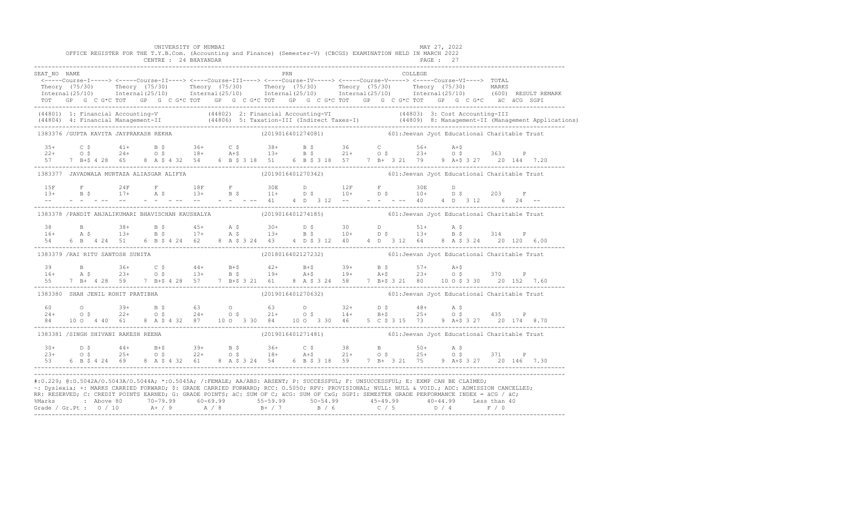|              |                                  | UNIVERSITY OF MUMBAI<br>OFFICE REGISTER FOR THE T.Y.B.Com. (Accounting and Finance) (Semester-V) (CBCGS) EXAMINATION HELD IN MARCH 2022<br>CENTRE : 24 BHAYANDAR |                     |  |  |         | MAY 27, 2022<br>PAGE: 27                                                                                                                                                                                                                                                                                                                                                                                                                                                                                                                                                                    |  |  |
|--------------|----------------------------------|------------------------------------------------------------------------------------------------------------------------------------------------------------------|---------------------|--|--|---------|---------------------------------------------------------------------------------------------------------------------------------------------------------------------------------------------------------------------------------------------------------------------------------------------------------------------------------------------------------------------------------------------------------------------------------------------------------------------------------------------------------------------------------------------------------------------------------------------|--|--|
| SEAT NO NAME |                                  |                                                                                                                                                                  | <b>EXAMPLE 1989</b> |  |  | COLLEGE | ---_--- ------<br><-----Course-I-----> <-----Course-II----> <----Course-III----> <----Course-IV-----> <----Course-V-----> <-----Course-VI----> TOTAL<br>Theory (75/30) Theory (75/30) Theory (75/30) Theory (75/30) Theory (75/30) Theory (75/30) Theory (75/30) Theory (75/30) Theory (75/30) Theory (75/30) Theory (75/30) Theory (75/30) Theory (75/30) Theory (75/30) MARKS<br>TOT GP G C G*C TOT GP G C G*C TOT GP G C G*C TOT GP G C G*C TOT GP G C G*C TOT GP G C G*C äC äCG SGPI                                                                                                    |  |  |
|              |                                  |                                                                                                                                                                  |                     |  |  |         | (44801) 1: Financial Accounting-V (44802) 2: Financial Accounting-VI (44803) 3: Cost Accounting-III<br>(44804) 4: Financial Management-II (44806) 5: Taxation-III (Indirect Taxes-I) (44809) 8: Management-II (Management Applica                                                                                                                                                                                                                                                                                                                                                           |  |  |
|              |                                  | 1383376 / GUPTA KAVITA JAYPRAKASH REKHA                                                                                                                          |                     |  |  |         | $(2019016401274081)$ 601: Jeevan Jyot Educational Charitable Trust                                                                                                                                                                                                                                                                                                                                                                                                                                                                                                                          |  |  |
|              |                                  |                                                                                                                                                                  |                     |  |  |         | $\begin{array}{cccccccccccccccc} 35+ & & C & \xi & & 41+ & & B & \xi & & 36+ & & C & \xi & & 38+ & & B & \xi & & 36 & & C & & 56+ & A+ \xi \\ 22+ & & O & \xi & & 24+ & & O & \xi & & 18+ & A+ \xi & & 13+ & B & \xi & & 21+ & O & \xi & & 23+ & O & \xi & & 363 & P \\ 57 & & 7 & B+ \xi & 4 & 28 & 65 & 8 & A & \xi & 4 & 32 & 54 & 6 & B & \xi & 3 & 18 & 51 & 6 & B & \xi$                                                                                                                                                                                                              |  |  |
|              |                                  |                                                                                                                                                                  |                     |  |  |         | 1383377 JAVADWALA MURTAZA ALIASGAR ALIFYA (2019016401270342) 601: Jeevan Jyot Educational Charitable Trust                                                                                                                                                                                                                                                                                                                                                                                                                                                                                  |  |  |
|              |                                  |                                                                                                                                                                  |                     |  |  |         |                                                                                                                                                                                                                                                                                                                                                                                                                                                                                                                                                                                             |  |  |
|              |                                  |                                                                                                                                                                  |                     |  |  |         | 1383378 /PANDIT ANJALIKUMARI BHAVISCHAN KAUSHALYA (2019016401274185) 601:Jeevan Jyot Educational Charitable Trust                                                                                                                                                                                                                                                                                                                                                                                                                                                                           |  |  |
|              |                                  |                                                                                                                                                                  |                     |  |  |         |                                                                                                                                                                                                                                                                                                                                                                                                                                                                                                                                                                                             |  |  |
|              | 1383379 /RAI RITU SANTOSH SUNITA |                                                                                                                                                                  |                     |  |  |         | (2018016402127232) 601: Jeevan Jyot Educational Charitable Trust                                                                                                                                                                                                                                                                                                                                                                                                                                                                                                                            |  |  |
|              |                                  |                                                                                                                                                                  |                     |  |  |         | $\begin{array}{cccccccccccccccc} 39 & & B & & 36+ & C & \xi & & 44+ & B+ \xi & & 42+ & B+ \xi & & 39+ & B & \xi & & 57+ & A+ \xi \\ 16+ & & A & \xi & & 23+ & O & \xi & & 13+ & B & \xi & & 19+ & A+ \xi & & 19+ & A+ \xi & & 23+ & O & \xi & & 370 & P \\ 55 & & 7 & B+ & 4 & 28 & 59 & & 7 & B+ \xi & 4 & 28 & 57 & & 7 & B+ \xi & 3 & 21 & 61 & 8 & A & \xi & 3 & $                                                                                                                                                                                                                      |  |  |
|              |                                  | 1383380 SHAH JENIL ROHIT PRATIBHA                                                                                                                                |                     |  |  |         | (2019016401270632) 601: Jeevan Jyot Educational Charitable Trust                                                                                                                                                                                                                                                                                                                                                                                                                                                                                                                            |  |  |
|              |                                  |                                                                                                                                                                  |                     |  |  |         | $24+$ 0 $39+$ $B \, \xi$ 63 0 63 0 32+ D \$ 48+ A \$<br>$24+$ 0 \$ 22+ 0 \$ 24+ 0 \$ 21+ 0 \$ 14+ B+\$ 25+ 0 \$ 435 P<br>84 10 0 4 40 61 8 A \$ 4 32 87 10 0 3 30 84 10 0 3 30 46 5 C \$ 3 15 73 9 A + \$ 3 27 20 174 8.70                                                                                                                                                                                                                                                                                                                                                                  |  |  |
|              |                                  | 1383381 /SINGH SHIVANI RAKESH REENA                                                                                                                              |                     |  |  |         | (2019016401271481) 601: Jeevan Jyot Educational Charitable Trust                                                                                                                                                                                                                                                                                                                                                                                                                                                                                                                            |  |  |
|              |                                  |                                                                                                                                                                  |                     |  |  |         | $10+$ $10+$ $10+$ $10+$ $10+$ $10+$ $10+$ $10+$ $10+$ $10+$ $10+$ $10+$ $10+$ $10+$ $10+$ $10+$ $10+$ $10+$ $10+$ $10+$ $10+$ $10+$ $10+$ $10+$ $10+$ $10+$ $10+$ $10+$ $10+$ $10+$ $10+$ $10+$ $10+$ $10+$ $10+$ $10+$ $10+$                                                                                                                                                                                                                                                                                                                                                               |  |  |
|              |                                  |                                                                                                                                                                  |                     |  |  |         | #:0.229; @:0.5042A/0.5043A/0.5044A; *:0.5045A; /:FEMALE; AA/ABS: ABSENT; P: SUCCESSFUL; F: UNSUCCESSFUL; E: EXMP CAN BE CLAIMED;<br>~: Dyslexia; +: MARKS CARRIED FORWARD; \$: GRADE CARRIED FORWARD; RCC: 0.5050; RPV: PROVISIONAL; NULL: NULL: AULL: ADC: ADMISSION CANCELLED;<br>RR: RESERVED; C: CREDIT POINTS EARNED; G: GRADE POINTS; äC: SUM OF C; äCG: SUM OF CxG; SGPI: SEMESTER GRADE PERFORMANCE INDEX = äCG / äC;<br>%Marks : Above 80 70-79.99 60-69.99 55-59.99 50-54.99 45-49.99 40-44.99 Less than 40<br>Grade / Gr.Pt : 0 / 10 A+ / 9 A / 8 B+ / 7 B / 6 C / 5 D / 4 F / 0 |  |  |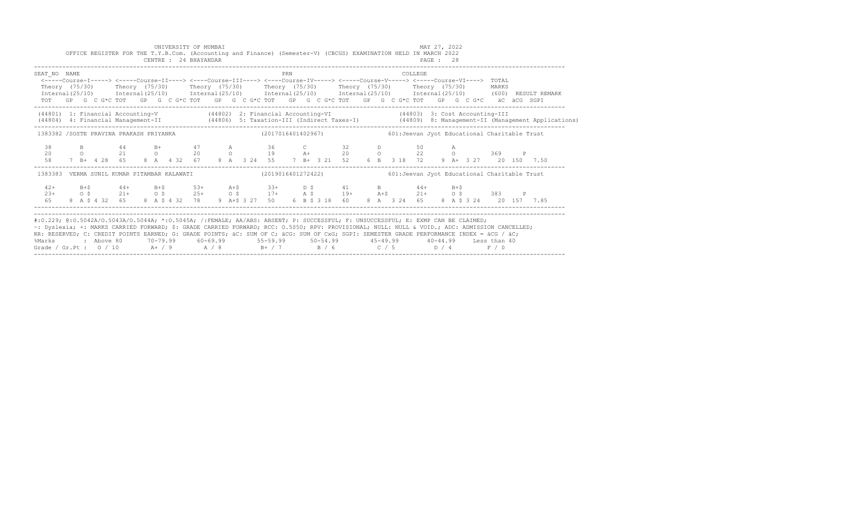|                                                                                                                                                                                                                                                                                                                                                                                                                                                                                                                 |  | OFFICE REGISTER FOR THE T.Y.B.Com. (Accounting and Finance) (Semester-V) (CBCGS) EXAMINATION HELD IN MARCH 2022                                                                                                                                                                                                                                                    |  |  | CENTRE : 24 BHAYANDAR | UNIVERSITY OF MUMBAI |  |     |  | PAGE : 28 |  | MAY 27, 2022 |  |  |  |                                                                                                                                  |  |
|-----------------------------------------------------------------------------------------------------------------------------------------------------------------------------------------------------------------------------------------------------------------------------------------------------------------------------------------------------------------------------------------------------------------------------------------------------------------------------------------------------------------|--|--------------------------------------------------------------------------------------------------------------------------------------------------------------------------------------------------------------------------------------------------------------------------------------------------------------------------------------------------------------------|--|--|-----------------------|----------------------|--|-----|--|-----------|--|--------------|--|--|--|----------------------------------------------------------------------------------------------------------------------------------|--|
| SEAT NO NAME<br>Theory (75/30) Theory (75/30) Theory (75/30) Theory (75/30) Theory (75/30) Theory (75/30) MARKS                                                                                                                                                                                                                                                                                                                                                                                                 |  | <-----Course-I-----> <-----Course-II----> <----Course-III----> <----Course-IV-----> <----Course-V-----> <----Course-VI----> TOTAL<br>TOT GP G C G*C TOT GP G C G*C TOT GP G C G*C TOT GP G C G*C TOT GP G C G*C TOT GP G C G*C aC aCG SGPI                                                                                                                         |  |  |                       |                      |  | PRN |  |           |  | COLLEGE      |  |  |  | Internal (25/10) Internal (25/10) Internal (25/10) Internal (25/10) Internal (25/10) Internal (25/10) (600) RESULT REMARK        |  |
| (44801) 1: Financial Accounting-V (44802) 2: Financial Accounting-VI (44803) 3: Cost Accounting-III                                                                                                                                                                                                                                                                                                                                                                                                             |  |                                                                                                                                                                                                                                                                                                                                                                    |  |  |                       |                      |  |     |  |           |  |              |  |  |  | (44804) 4: Financial Management-II (44806) 5: Taxation-III (Indirect Taxes-I) (44809) 8: Management-II (Management Applications) |  |
| 1383382 /SOSTE PRAVINA PRAKASH PRIYANKA (2017016401402967) 601: Jeevan Jyot Educational Charitable Trust                                                                                                                                                                                                                                                                                                                                                                                                        |  |                                                                                                                                                                                                                                                                                                                                                                    |  |  |                       |                      |  |     |  |           |  |              |  |  |  |                                                                                                                                  |  |
| 38<br>20<br>58                                                                                                                                                                                                                                                                                                                                                                                                                                                                                                  |  | B 44 B+ 47 A 36 C 32 D 50 A<br>0 21 0 20 0 19 A+ 20 0 22 0 369 P<br>7 B+ 4 28 65 8 A 4 32 67 8 A 3 24 55 7 B+ 3 21 52 6 B 3 18 72 9 A+ 3 27 20 150 7.50                                                                                                                                                                                                            |  |  |                       |                      |  |     |  |           |  |              |  |  |  |                                                                                                                                  |  |
| 1383383 VERMA SUNIL KUMAR PITAMBAR KALAWATI (2019016401272422) 601:Jeevan Jyot Educational Charitable Trust                                                                                                                                                                                                                                                                                                                                                                                                     |  |                                                                                                                                                                                                                                                                                                                                                                    |  |  |                       |                      |  |     |  |           |  |              |  |  |  |                                                                                                                                  |  |
|                                                                                                                                                                                                                                                                                                                                                                                                                                                                                                                 |  | $\begin{array}{cccccccccccccccc} 42+ & & & B+\$ & & & & 44+ & & & B+\$ & & & 53+ & & & A+\$ & & & 33+ & & D$\,\$ & & & 41 & & B & & 44+ & & B+\$ \\ 23+ & & & & 0$\,\$ & & 21+ & & 0$\,\$ & & 25+ & & 0$\,\$ & & 17+ & & A$\,\$ & & 19+ & & A+\$ & & 21+ & & 0$\,\$ & & 383 & & P \\ 65 & & 8& A$\,\$ & 4&32 & & 65 & & 8 & A$\,\$ & 4&32 & & 78 & & 9 & A+\$ & 3$ |  |  |                       |                      |  |     |  |           |  |              |  |  |  |                                                                                                                                  |  |
| #:0.229; @:0.5042A/0.5043A/0.5044A; *:0.5045A; /:FEMALE; AA/ABS: ABSENT; P: SUCCESSFUL; F: UNSUCCESSFUL; E: EXMP CAN BE CLAIMED;<br>~: Dyslexia; +: MARKS CARRIED FORWARD; \$: GRADE CARRIED FORWARD; RCC: 0.5050; RPV: PROVISIONAL; NULL: NULL & VOID.; ADC: ADMISSION CANCELLED;<br>RR: RESERVED; C: CREDIT POINTS EARNED; G: GRADE POINTS; äC: SUM OF C; äCG: SUM OF CxG; SGPI: SEMESTER GRADE PERFORMANCE INDEX = äCG / äC;<br>%Marks<br>Grade / Gr.Pt : $0/10$ A / 9 A / 8 B + / 7 B / 6 C / 5 D / 4 F / 0 |  | : Above 80    70-79.99    60-69.99     55-59.99     50-54.99      45-49.99     40-44.99   Less than 40                                                                                                                                                                                                                                                             |  |  |                       |                      |  |     |  |           |  |              |  |  |  |                                                                                                                                  |  |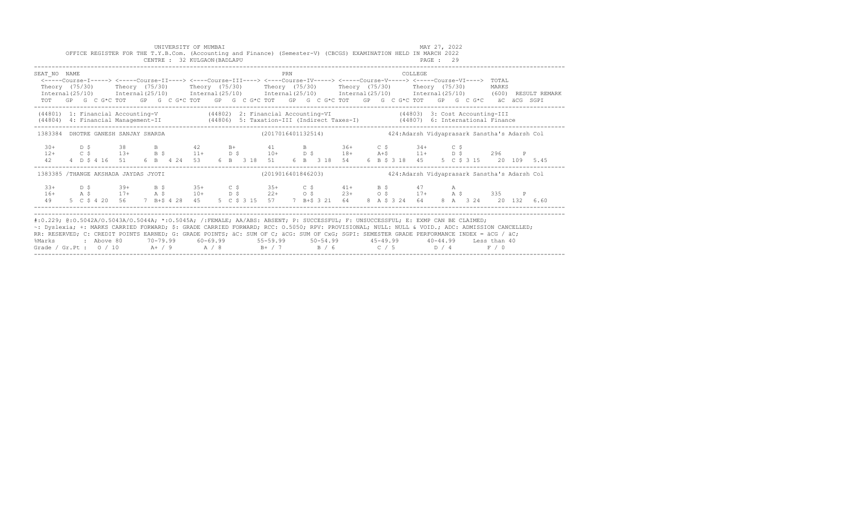|                                                                                                                                                                                                                                                                                                                                                                                                                     |     |  |                                            |  | UNIVERSITY OF MUMBAI<br>CENTRE : 32 KULGAON (BADLAPU |  |  |     |  |  | OFFICE REGISTER FOR THE T.Y.B.Com. (Accounting and Finance) (Semester-V) (CBCGS) EXAMINATION HELD IN MARCH 2022                                                                                                                                                                                                                              |  |  |                | MAY 27, 2022<br>PAGE: 29 |   |  |                                              |              |                                                                                                                           |
|---------------------------------------------------------------------------------------------------------------------------------------------------------------------------------------------------------------------------------------------------------------------------------------------------------------------------------------------------------------------------------------------------------------------|-----|--|--------------------------------------------|--|------------------------------------------------------|--|--|-----|--|--|----------------------------------------------------------------------------------------------------------------------------------------------------------------------------------------------------------------------------------------------------------------------------------------------------------------------------------------------|--|--|----------------|--------------------------|---|--|----------------------------------------------|--------------|---------------------------------------------------------------------------------------------------------------------------|
| SEAT NO NAME                                                                                                                                                                                                                                                                                                                                                                                                        |     |  |                                            |  |                                                      |  |  | PRN |  |  | <-----Course-I-----> <-----Course-II----> <----Course-III----> <----Course-IV-----> <----Course-V-----> <----Course-VI----> TOTAL<br>Theory (75/30)  Theory (75/30)  Theory (75/30)  Theory (75/30)  Theory (75/30)  Theory (75/30)<br>TOT GP G C G*C TOT GP G C G*C TOT GP G C G*C TOT GP G C G*C TOT GP G C G*C TOT GP G C G*C äC äCG SGPI |  |  | COLLEGE        |                          |   |  | MARKS                                        |              | Internal (25/10) Internal (25/10) Internal (25/10) Internal (25/10) Internal (25/10) Internal (25/10) (600) RESULT REMARK |
| (44801) 1: Financial Accounting-V (44802) 2: Financial Accounting-VI (44803) 3: Cost Accounting-III<br>(44804) 4: Financial Management-II (44806) 5: Taxation-III (Indirect Taxes-I) (44807) 6: International Finance                                                                                                                                                                                               |     |  |                                            |  |                                                      |  |  |     |  |  |                                                                                                                                                                                                                                                                                                                                              |  |  |                |                          |   |  |                                              |              |                                                                                                                           |
| 1383384 DHOTRE GANESH SANJAY SHARDA                                                                                                                                                                                                                                                                                                                                                                                 |     |  |                                            |  |                                                      |  |  |     |  |  | (2017016401132514) 424:Adarsh Vidyaprasark Sanstha's Adarsh Col                                                                                                                                                                                                                                                                              |  |  |                |                          |   |  |                                              |              |                                                                                                                           |
| $30+$<br>42                                                                                                                                                                                                                                                                                                                                                                                                         | D S |  | 38 B 42 B+ 41<br>4 D \$ 4 16 51            |  | 6 B 4 24 53                                          |  |  |     |  |  | B 36+ C \$ 34+ C \$<br>$12+$ $C$ $\zeta$ $13+$ $B$ $\zeta$ $11+$ $D$ $\zeta$ $10+$ $D$ $\zeta$ $18+$ $A+$ $\zeta$ $11+$ $D$ $\zeta$ $296$<br>6 B 3 18 51 6 B 3 18 54                                                                                                                                                                         |  |  | 6 B \$ 3 18 45 |                          |   |  | 5 C \$ 3 15 20 109 5.45                      | $\mathbb{P}$ |                                                                                                                           |
| 1383385 /THANGE AKSHADA JAYDAS JYOTI                                                                                                                                                                                                                                                                                                                                                                                |     |  |                                            |  |                                                      |  |  |     |  |  | (2019016401846203)                                                                                                                                                                                                                                                                                                                           |  |  |                |                          |   |  | 424:Adarsh Vidyaprasark Sanstha's Adarsh Col |              |                                                                                                                           |
| $3.3+$<br>49                                                                                                                                                                                                                                                                                                                                                                                                        | D S |  | $39+$ B S<br>5 C \$ 4 20 56 7 B+\$ 4 28 45 |  | $35+$ C \$                                           |  |  |     |  |  | $35+$ C \$ 41+ B \$<br>$16+$ $26+$ $26+$ $26+$ $26+$ $28+$ $28+$ $28+$ $28+$ $28+$ $28+$ $28+$ $28+$ $28+$ $28+$ $28+$ $28+$ $28+$ $28+$ $28+$ $28+$ $28+$ $28+$ $28+$ $28+$ $28+$ $28+$ $28+$ $28+$ $28+$ $28+$ $28+$ $28+$ $28+$ $28+$ $28+$ $28+$<br>5 C \$ 3 15 57 7 B+\$ 3 21 64 8 A \$ 3 24 64                                         |  |  | 47 — 200       |                          | A |  | 8 A 3 24 20 132 6.60                         |              |                                                                                                                           |
| #:0.229; @:0.5042A/0.5043A/0.5044A; *:0.5045A; /:FEMALE; AA/ABS: ABSENT; P: SUCCESSFUL; F: UNSUCCESSFUL; E: EXMP CAN BE CLAIMED;<br>~: Dyslexia; +: MARKS CARRIED FORWARD; \$: GRADE CARRIED FORWARD; RCC: 0.5050; RPV: PROVISIONAL; NULL: NULL: AULL: ADC: ADMISSION CANCELLED;<br>RR RESERVED C CREDIT POINTS EARNED C CRADE POINTS SC SUM OF C SCC SUM OF CYC SCPI SEMESTER GRADE PERFORMANCE INDEX = SCC / SC · |     |  |                                            |  |                                                      |  |  |     |  |  |                                                                                                                                                                                                                                                                                                                                              |  |  |                |                          |   |  |                                              |              |                                                                                                                           |

| #:0.229; @:0.5042A/O.5043A/O.5044A; *:0.5045A; /:FEMALE; AA/ABS: ABSENT; P: SUCCESSFUL; F: UNSUCCESSFUL; E: EXMP CAN BE CLAIMED; |            |           |          |          |          |       |          |          |                                                                                                                                                |  |
|----------------------------------------------------------------------------------------------------------------------------------|------------|-----------|----------|----------|----------|-------|----------|----------|------------------------------------------------------------------------------------------------------------------------------------------------|--|
|                                                                                                                                  |            |           |          |          |          |       |          |          | ~: Dyslexia; +: MARKS CARRIED FORWARD; \$: GRADE CARRIED FORWARD; RCC: 0.5050; RPV: PROVISIONAL; NULL: NULL & VOID.; ADC: ADMISSION CANCELLED; |  |
|                                                                                                                                  |            |           |          |          |          |       |          |          | RR: RESERVED; C: CREDIT POINTS EARNED; G: GRADE POINTS; äC: SUM OF C; äCG: SUM OF CxG; SGPI: SEMESTER GRADE PERFORMANCE INDEX = äCG / äC;      |  |
| %Marks                                                                                                                           | : Above 80 | 70-79.99  | 60-69.99 | 55-59.99 | 50-54.99 |       | 45-49.99 | 40-44.99 | Less than 40                                                                                                                                   |  |
| Grade / Gr. Pt : $0/10$                                                                                                          |            | $A + / 9$ | A / R    | R+ / 7   |          | R / 6 | C/5      | D / 4    | F / 0                                                                                                                                          |  |
|                                                                                                                                  |            |           |          |          |          |       |          |          |                                                                                                                                                |  |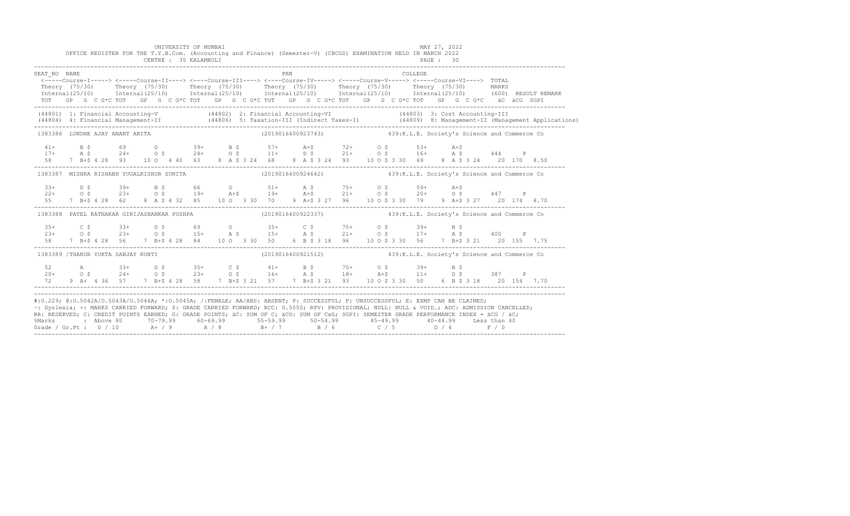|              |                                    | UNIVERSITY OF MUMBAI<br>OFFICE REGISTER FOR THE T.Y.B.Com. (Accounting and Finance) (Semester-V) (CBCGS) EXAMINATION HELD IN MARCH 2022<br>CENTRE : 35 KALAMBOLI |  |     |  | PAGE : 30 |         | MAY 27, 2022                                                                                                                                                                                                                                                                                                                                                                                                                                                                                                                                                                                   |  |  |
|--------------|------------------------------------|------------------------------------------------------------------------------------------------------------------------------------------------------------------|--|-----|--|-----------|---------|------------------------------------------------------------------------------------------------------------------------------------------------------------------------------------------------------------------------------------------------------------------------------------------------------------------------------------------------------------------------------------------------------------------------------------------------------------------------------------------------------------------------------------------------------------------------------------------------|--|--|
| SEAT NO NAME |                                    |                                                                                                                                                                  |  | PRN |  |           | COLLEGE | <----Course-I-----> <----Course-II----> <----Course-III----> <----Course-IV-----> <----Course-V-----> <----Course-VI----> TOTAL<br>Theory (75/30) Theory (75/30) Theory (75/30) Theory (75/30) Theory (75/30) Theory (75/30) MARKS<br>Internal (25/10) Internal (25/10) Internal (25/10) Internal (25/10) Internal (25/10) Internal (25/10) (600) RESULT REMARK<br>TOT GP G C G*C TOT GP G C G*C TOT GP G C G*C TOT GP G C G*C TOT GP G C G*C TOT GP G C G*C äC äCG SGPI                                                                                                                       |  |  |
|              |                                    |                                                                                                                                                                  |  |     |  |           |         | (44801) 1: Financial Accounting-V (44802) 2: Financial Accounting-VI (44803) 3: Cost Accounting-III<br>(44804) 4: Financial Management-II (44806) 5: Taxation-III (Indirect Taxes-I) (44809) 8: Management-II (Management Applications)                                                                                                                                                                                                                                                                                                                                                        |  |  |
|              | 1383386 LONDHE AJAY ANANT ANITA    |                                                                                                                                                                  |  |     |  |           |         | (2019016400923743) 439:K.L.E. Society's Science and Commerce Co                                                                                                                                                                                                                                                                                                                                                                                                                                                                                                                                |  |  |
|              |                                    |                                                                                                                                                                  |  |     |  |           |         | $\begin{array}{cccccccccccccccc} 41+ & & & B & \xi & & & 69 & & O & & 39+ & & B & \xi & & 57+ & & A+\xi & & 72+ & & O & \xi & & 53+ & A+\xi \\ 17+ & & & A & \xi & & & 24+ & & O & \xi & & 24+ & O & \xi & & 11+ & D & \xi & & 21+ & O & \xi & & 16+ & A & \xi & & 444 & P \\ 58 & & 7 & B+\xi & 4 & 28 & 93 & & 10 & O & 4 & 40 & 63 & 8 & A & \xi & 3 & 24 & 68 & 8 & A & \xi$                                                                                                                                                                                                               |  |  |
|              |                                    |                                                                                                                                                                  |  |     |  |           |         | 1383387 MISHRA RISHABH YUGALKISHOR SUNITA (2019016400924642) 439:K.L.E. Society's Science and Commerce Co                                                                                                                                                                                                                                                                                                                                                                                                                                                                                      |  |  |
| 55           |                                    |                                                                                                                                                                  |  |     |  |           |         | $22+$ 0.5 $39+$ B.\$ 66 0 51+ A.\$ 75+ 0.\$ 59+ A+\$<br>$22+$ 0.\$ 23+ 0.\$ 19+ A+\$ 19+ A+\$ 21+ 0.\$ 20+ 0.\$ 447 P<br>7 B+\$ 4 28 62 8 A \$ 4 32 85 10 0 3 30 70 9 A+\$ 3 27 96 10 0 \$ 3 30 79 9 A+\$ 3 27 20 174 8.70                                                                                                                                                                                                                                                                                                                                                                     |  |  |
|              |                                    |                                                                                                                                                                  |  |     |  |           |         | 1383388 PATEL RATNAKAR GIRIJASHANKAR PUSHPA (2019016400922337) 439:K.L.E. Society's Science and Commerce Co                                                                                                                                                                                                                                                                                                                                                                                                                                                                                    |  |  |
|              |                                    |                                                                                                                                                                  |  |     |  |           |         | $23+$ C \$ $23+$ D \$ 69 0 $35+$ C \$ 75+ 0 \$ 39+ B \$<br>$23+$ O \$ 23+ 0 \$ 15+ A \$ 21+ 0 \$ 17+ A \$ 400 P<br>58 7 B+\$ 4 28 56 7 B+\$ 4 28 84 10 0 3 30 50 6 B \$ 3 18 96 10 0 \$ 3 30 56 7 B+\$ 3 21 20 155 7.75                                                                                                                                                                                                                                                                                                                                                                        |  |  |
|              | 1383389 /THAKUR YUKTA SANJAY KUNTI |                                                                                                                                                                  |  |     |  |           |         | (2019016400921512) 439:K.L.E. Society's Science and Commerce Co                                                                                                                                                                                                                                                                                                                                                                                                                                                                                                                                |  |  |
|              |                                    |                                                                                                                                                                  |  |     |  |           |         | $52$ A $33+$ D \$ $35+$ C \$ $41+$ B \$ $75+$ O \$ $39+$ B \$<br>20+ O \$ $24+$ O \$ $23+$ O \$ $16+$ A \$ $18+$ A +\$ $11+$ D \$ 387 P<br>72 9 A+ 4 36 57 7 B+\$ 4 28 58 7 B+\$ 3 21 57 7 B+\$ 3 21 93 10 0 \$ 3 30 50 6 B \$ 3 18 20 154 7.70                                                                                                                                                                                                                                                                                                                                                |  |  |
|              |                                    |                                                                                                                                                                  |  |     |  |           |         | #:0.229; @:0.5042A/0.5043A/0.5044A; *:0.5045A; /:FEMALE; AA/ABS: ABSENT; P: SUCCESSFUL; F: UNSUCCESSFUL; E: EXMP CAN BE CLAIMED;<br>~: Dyslexia; +: MARKS CARRIED FORWARD; \$: GRADE CARRIED FORWARD; RCC: 0.5050; RPV: PROVISIONAL; NULL: NULL & VOID.; ADC: ADMISSION CANCELLED;<br>RR: RESERVED; C: CREDIT POINTS EARNED; G: GRADE POINTS; äC: SUM OF C; äCG: SUM OF CxG; SGPI: SEMESTER GRADE PERFORMANCE INDEX = äCG / äC;<br>% Marks : Above 80 70-79.99 60-69.99 55-59.99 50-54.99 45-49.99 40-44.99 Less than 40<br>Grade / Gr.Pt : 0 / 10 A+ / 9 A / 8 B+ / 7 B / 6 C / 5 D / 4 F / 0 |  |  |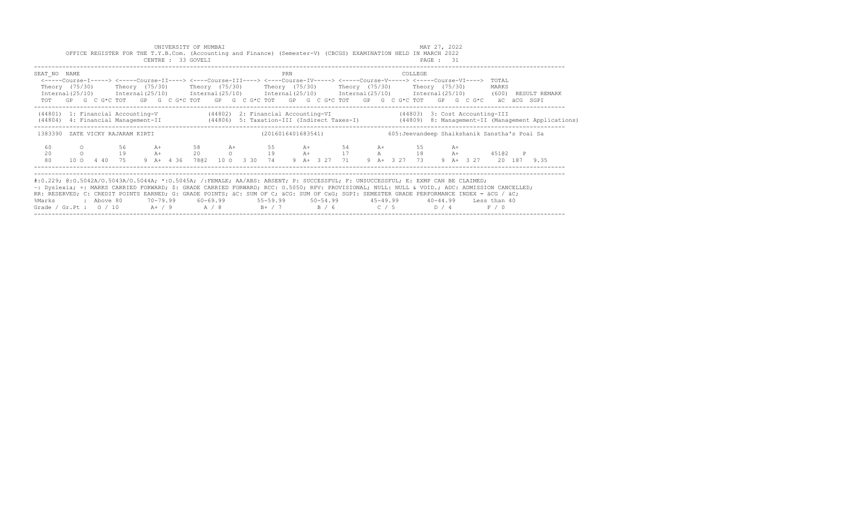|                                                                                                                                                     |         |            |    |      |  | UNIVERSITY OF MUMBAI                                                                                                                                                                                                                                    |  |  |     |  |             |  |              | MAY 27, 2022 |      |                                                                  |                                                                                                                                  |  |
|-----------------------------------------------------------------------------------------------------------------------------------------------------|---------|------------|----|------|--|---------------------------------------------------------------------------------------------------------------------------------------------------------------------------------------------------------------------------------------------------------|--|--|-----|--|-------------|--|--------------|--------------|------|------------------------------------------------------------------|----------------------------------------------------------------------------------------------------------------------------------|--|
|                                                                                                                                                     |         |            |    |      |  | OFFICE REGISTER FOR THE T.Y.B.Com. (Accounting and Finance) (Semester-V) (CBCGS) EXAMINATION HELD IN MARCH 2022<br>CENTRE : 33 GOVELI                                                                                                                   |  |  |     |  |             |  |              | PAGE : 31    |      |                                                                  |                                                                                                                                  |  |
|                                                                                                                                                     |         |            |    |      |  |                                                                                                                                                                                                                                                         |  |  |     |  |             |  |              |              |      |                                                                  |                                                                                                                                  |  |
| SEAT NO NAME                                                                                                                                        |         |            |    |      |  |                                                                                                                                                                                                                                                         |  |  | PRN |  |             |  | COLLEGE      |              |      |                                                                  |                                                                                                                                  |  |
|                                                                                                                                                     |         |            |    |      |  | <-----Course-I-----> <-----Course-II----> <----Course-III----> <----Course-IV-----> <-----Course-V-----> <-----Course-VI---->                                                                                                                           |  |  |     |  |             |  |              |              |      | TOTAL                                                            |                                                                                                                                  |  |
|                                                                                                                                                     |         |            |    |      |  | Theory (75/30)  Theory (75/30)  Theory (75/30)  Theory (75/30)  Theory (75/30)  Theory (75/30)<br>$International (25/10)$ $International (25/10)$ $International (25/10)$ $International (25/10)$ $International (25/10)$ $International (25/10)$ (600) |  |  |     |  |             |  |              |              |      | MARKS                                                            | RESULT REMARK                                                                                                                    |  |
|                                                                                                                                                     |         |            |    |      |  | TOT GP G C G*C TOT GP G C G*C TOT GP G C G*C TOT GP G C G*C TOT GP G C G*C TOT GP G C G*C aC aCG SGPI                                                                                                                                                   |  |  |     |  |             |  |              |              |      |                                                                  |                                                                                                                                  |  |
|                                                                                                                                                     |         |            |    |      |  | (44801) 1: Financial Accounting-V (44802) 2: Financial Accounting-VI (44803) 3: Cost Accounting-III                                                                                                                                                     |  |  |     |  |             |  |              |              |      |                                                                  |                                                                                                                                  |  |
|                                                                                                                                                     |         |            |    |      |  |                                                                                                                                                                                                                                                         |  |  |     |  |             |  |              |              |      |                                                                  | (44804) 4: Financial Management-II (44806) 5: Taxation-III (Indirect Taxes-I) (44809) 8: Management-II (Management Applications) |  |
|                                                                                                                                                     |         |            |    |      |  |                                                                                                                                                                                                                                                         |  |  |     |  |             |  |              |              |      |                                                                  |                                                                                                                                  |  |
| 1383390 ZATE VICKY RAJARAM KIRTI                                                                                                                    |         |            |    |      |  |                                                                                                                                                                                                                                                         |  |  |     |  |             |  |              |              |      | (2016016401683541) 605: Jeevandeep Shaikshanik Sanstha's Poai Sa |                                                                                                                                  |  |
| 60                                                                                                                                                  | $\circ$ |            | 56 | $A+$ |  | 58 A+                                                                                                                                                                                                                                                   |  |  |     |  | 55 A+ 54 A+ |  |              |              | $A+$ |                                                                  |                                                                                                                                  |  |
| 20                                                                                                                                                  |         | $\circ$ 19 |    |      |  | A+ 20 0 19 A+ 17 A 18 A+ 45102 P                                                                                                                                                                                                                        |  |  |     |  |             |  |              |              |      |                                                                  |                                                                                                                                  |  |
| 80                                                                                                                                                  |         |            |    |      |  | 10 0 4 40 75 9 A+ 4 36 7802 10 0 3 30 74 9 A+ 3 27 71                                                                                                                                                                                                   |  |  |     |  |             |  | 9 A+ 3 27 73 |              |      | 9 A+ 3 27 20 187 9.35                                            |                                                                                                                                  |  |
|                                                                                                                                                     |         |            |    |      |  |                                                                                                                                                                                                                                                         |  |  |     |  |             |  |              |              |      |                                                                  |                                                                                                                                  |  |
| #:0.229; @:0.5042A/0.5043A/0.5044A; *:0.5045A; /:FEMALE; AA/ABS: ABSENT; P: SUCCESSFUL; F: UNSUCCESSFUL; E: EXMP CAN BE CLAIMED;                    |         |            |    |      |  |                                                                                                                                                                                                                                                         |  |  |     |  |             |  |              |              |      |                                                                  |                                                                                                                                  |  |
| ~: Dyslexia; +: MARKS CARRIED FORWARD; \$: GRADE CARRIED FORWARD; RCC: 0.5050; RPV: PROVISIONAL; NULL: NULL & VOID.; ADC: ADMISSION CANCELLED;      |         |            |    |      |  |                                                                                                                                                                                                                                                         |  |  |     |  |             |  |              |              |      |                                                                  |                                                                                                                                  |  |
| RR: RESERVED; C: CREDIT POINTS EARNED; G: GRADE POINTS; äC: SUM OF C; äCG: SUM OF CxG; SGPI: SEMESTER GRADE PERFORMANCE INDEX = äCG / äC;<br>%Marks |         | : Above 80 |    |      |  | 70–79.99   60–69.99    55–59.99    50–54.99     45–49.99     40–44.99   Less than 40                                                                                                                                                                    |  |  |     |  |             |  |              |              |      |                                                                  |                                                                                                                                  |  |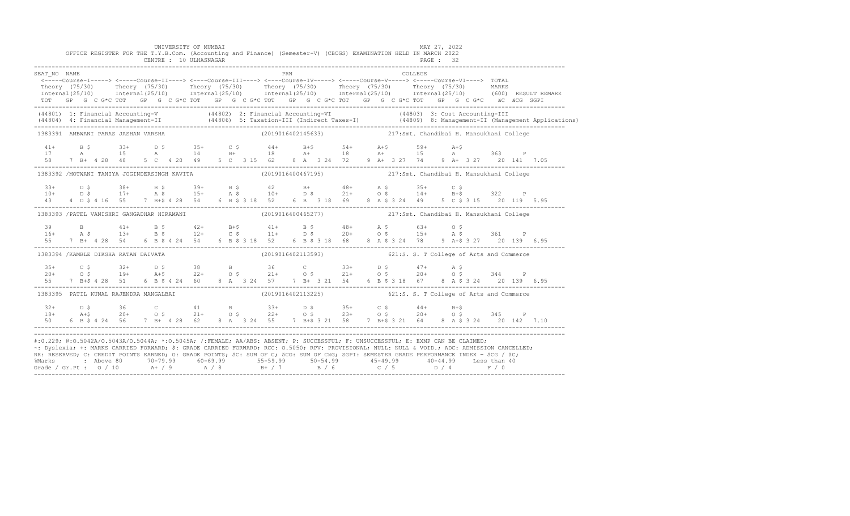|                        |                                        | UNIVERSITY OF MUMBAI<br>OFFICE REGISTER FOR THE T.Y.B.Com. (Accounting and Finance) (Semester-V) (CBCGS) EXAMINATION HELD IN MARCH 2022<br>CENTRE : 10 ULHASNAGAR                                                                                                                                                              |  |                                                             |  |  |  | MAY 27, 2022 | PAGE: 32 |  |  |  |
|------------------------|----------------------------------------|--------------------------------------------------------------------------------------------------------------------------------------------------------------------------------------------------------------------------------------------------------------------------------------------------------------------------------|--|-------------------------------------------------------------|--|--|--|--------------|----------|--|--|--|
| SEAT NO NAME           |                                        | <-----Course-I-----> <-----Course-II----> <----Course-III----> <----Course-IV-----> <-----Course-V-----> <-----Course-VI----> TOTAL                                                                                                                                                                                            |  | PRN                                                         |  |  |  | COLLEGE      |          |  |  |  |
|                        |                                        | Theory (75/30) Theory (75/30) Theory (75/30) Theory (75/30) Theory (75/30) Theory (75/30) MARKS<br>Internal(25/10) Internal(25/10) Internal(25/10) Internal(25/10) Internal(25/10) Internal(25/10) (600) RESULTREMARK<br>TOT GP G C G*C TOT GP G C G*C TOT GP G C G*C TOT GP G C G*C TOT GP G C G*C TOT GP G C G*C äC äCG SGPI |  |                                                             |  |  |  |              |          |  |  |  |
|                        |                                        | (44801) 1: Financial Accounting-V (44802) 2: Financial Accounting-VI (44803) 3: Cost Accounting-III<br>(44804) 4: Financial Management-II (44806) 5: Taxation-III (Indirect Taxes-I) (44809) 8: Management-II (Management Applica                                                                                              |  |                                                             |  |  |  |              |          |  |  |  |
|                        | 1383391 AMBWANI PARAS JASHAN VARSHA    |                                                                                                                                                                                                                                                                                                                                |  | (2019016402145633) 217:Smt. Chandibai H. Mansukhani College |  |  |  |              |          |  |  |  |
| $41+$<br>17            |                                        | B \$ 33+ D \$ 35+ C \$ 44+ B +\$ 54+ A +\$ 59+ A +\$<br>A 15 A 14 B + 18 A + 18 A + 15 A 363 P<br>58 7 B+ 4 28 48 5 C 4 20 49 5 C 3 15 62 8 A 3 24 72 9 A+ 3 27 74 9 A+ 3 27 20 141 7.05                                                                                                                                       |  |                                                             |  |  |  |              |          |  |  |  |
|                        |                                        | 1383392 /MOTWANI TANIYA JOGINDERSINGH KAVITA (2019016400467195) (2019016400467195) 217:Smt. Chandibai H. Mansukhani College                                                                                                                                                                                                    |  |                                                             |  |  |  |              |          |  |  |  |
|                        |                                        |                                                                                                                                                                                                                                                                                                                                |  |                                                             |  |  |  |              |          |  |  |  |
|                        |                                        | 1383393 /PATEL VANISHRI GANGADHAR HIRAMANI                                                                                                                                                                                                                                                                                     |  | (2019016400465277) 217:Smt. Chandibai H. Mansukhani College |  |  |  |              |          |  |  |  |
| 39<br>$16+$            |                                        | B 41+ B \$ 42+ B+\$ 41+ B \$ 48+ A \$ 63+ O \$<br>A \$ 13+ B \$ 12+ C \$ 11+ D \$ 20+ O \$ 15+ A \$ 361 P<br>55 7 B + 4 28 54 6 B \$ 4 24 54 6 B \$ 3 18 52 6 B \$ 3 18 68 8 A \$ 3 24 78 9 A + \$ 3 27 20 139 6.95                                                                                                            |  |                                                             |  |  |  |              |          |  |  |  |
|                        | 1383394 /KAMBLE DIKSHA RATAN DAIVATA   |                                                                                                                                                                                                                                                                                                                                |  | (2019016402113593) 621:S. S. T College of Arts and Commerce |  |  |  |              |          |  |  |  |
| $35+$<br>$20+$         |                                        | C \$ 32+ D \$ 38 B 36 C 33+ D \$ 47+ A \$<br>O \$ 19+ A+\$ 22+ O \$ 21+ O \$ 21+ O \$ 20+ O \$ 344 P<br>55 7 B+\$ 4 28 51 6 B \$ 4 24 60 8 A 3 24 57 7 B+ 3 21 54 6 B \$ 3 18 67 8 A \$ 3 24 20 139 6.95                                                                                                                       |  |                                                             |  |  |  |              |          |  |  |  |
|                        | 1383395 PATIL KUNAL RAJENDRA MANGALBAI |                                                                                                                                                                                                                                                                                                                                |  | (2019016402113225) 621:S. S. T College of Arts and Commerce |  |  |  |              |          |  |  |  |
| $32+$<br>$18+$<br>50 - |                                        | D \$36 C 41 B 33+ D \$35+ C \$44+ B+\$<br>A+\$20+ O \$21+ O \$22+ O \$23+ O \$20+ O \$345 P<br>6 B \$ 4 24 56 7 B + 4 28 62 8 A 3 24 55 7 B + \$ 3 21 58 7 B + \$ 3 21 64 8 A \$ 3 24 20 142 7.10                                                                                                                              |  |                                                             |  |  |  |              |          |  |  |  |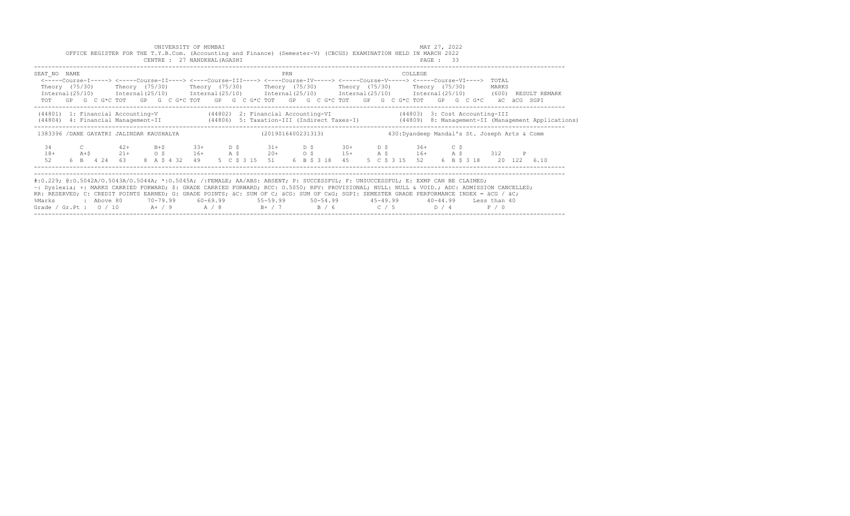|                   | OFFICE REGISTER FOR THE T.Y.B.Com. (Accounting and Finance) (Semester-V) (CBCGS) EXAMINATION HELD IN MARCH 2022                                                                                                                                                                                                                                                                                                                                                           |                |                 |         | UNIVERSITY OF MUMBAI<br>CENTRE : 27 NANDKHAL (AGASHI |        |        |                                  |                 |     |       |                                  |                                                                      |                                              | MAY 27, 2022<br>PAGE: 33 |             |                       |       |                         |               |  |
|-------------------|---------------------------------------------------------------------------------------------------------------------------------------------------------------------------------------------------------------------------------------------------------------------------------------------------------------------------------------------------------------------------------------------------------------------------------------------------------------------------|----------------|-----------------|---------|------------------------------------------------------|--------|--------|----------------------------------|-----------------|-----|-------|----------------------------------|----------------------------------------------------------------------|----------------------------------------------|--------------------------|-------------|-----------------------|-------|-------------------------|---------------|--|
| SEAT NO NAME      | <-----Course-I-----> <----Course-II----> <----Course-III----> <----Course-IV-----> <----Course-V----> <----Course-VI----><br>Theory $(75/30)$<br>$Internal(25/10)$ $Internal(25/10)$ $Internal(25/10)$ $Internal(25/10)$ $Internal(25/10)$ $Internal(25/10)$ $Internal(25/10)$<br>TOT GP G C G*C TOT GP G C G*C TOT GP G C G*C TOT GP G C G*C TOT GP G C G*C TOT GP G C G*C aC aCG SGPI                                                                                   |                |                 |         |                                                      |        |        |                                  | PRN             |     |       |                                  | Theory (75/30)    Theory (75/30)    Theory (75/30)    Theory (75/30) | COLLEGE<br>Theory (75/30)                    |                          |             |                       |       | TOTAL<br>MARKS<br>(600) | RESULT REMARK |  |
|                   | (44801) 1: Financial Accounting-V (44802) 2: Financial Accounting-VI (44803) 3: Cost Accounting-III<br>(44804) 4: Financial Management-II (44806) 5: Taxation-III (Indirect Taxes-I) (44809) 8: Management-II (Management Applications)                                                                                                                                                                                                                                   |                |                 |         |                                                      |        |        |                                  |                 |     |       |                                  |                                                                      |                                              |                          |             |                       |       |                         |               |  |
|                   | 1383396 /DANE GAYATRI JALINDAR KAUSHALYA                                                                                                                                                                                                                                                                                                                                                                                                                                  |                |                 |         |                                                      |        |        |                                  |                 |     |       | (2019016400231313)               |                                                                      | 430:Dyandeep Mandal's St. Joseph Arts & Comm |                          |             |                       |       |                         |               |  |
| 34<br>$18+$<br>52 | $A + S$<br>6 B 4 24 63                                                                                                                                                                                                                                                                                                                                                                                                                                                    | $42+$<br>$21+$ | $\circ$ $\circ$ | $B + S$ | $33+$<br>$16+$<br>8 A \$ 4 32 49                     | $A \S$ | $D$ \$ | $31+$<br>$20+$<br>5 C \$ 3 15 51 | $\circ$ $\circ$ | D S |       | $30+$<br>$15+$<br>6 B \$ 3 18 45 | $D$ $S$<br>A \$ 16+<br>5 C \$ 3 15 52                                | 36+                                          |                          | C \$<br>A\$ | 6 B \$ 3 18           | 312   |                         | 20 122 6.10   |  |
| %Marks            | #:0.229; @:0.5042A/0.5043A/0.5044A; *:0.5045A; /:FEMALE; AA/ABS: ABSENT; P: SUCCESSFUL; F: UNSUCCESSFUL; E: EXMP CAN BE CLAIMED;<br>~: Dyslexia; +: MARKS CARRIED FORWARD; \$: GRADE CARRIED FORWARD; RCC: 0.5050; RPV: PROVISIONAL; NULL: NULL & VOID.; ADC: ADMISSION CANCELLED;<br>RR: RESERVED; C: CREDIT POINTS EARNED; G: GRADE POINTS; äC: SUM OF C; äCG: SUM OF CxG; SGPI: SEMESTER GRADE PERFORMANCE INDEX = äCG / äC;<br>: Aboye 80<br>Grade / Gr.Pt : $0 / 10$ |                |                 |         | 70-79.99 60-69.99<br>$A+ / 9$ $A / 8$                |        |        | $55 - 59.99$<br>$B+$ / 7         |                 |     | B / 6 |                                  | $50 - 54.99$ $45 - 49.99$<br>C / 5                                   |                                              | D / 4                    |             | 40-44.99 Less than 40 | F / 0 |                         |               |  |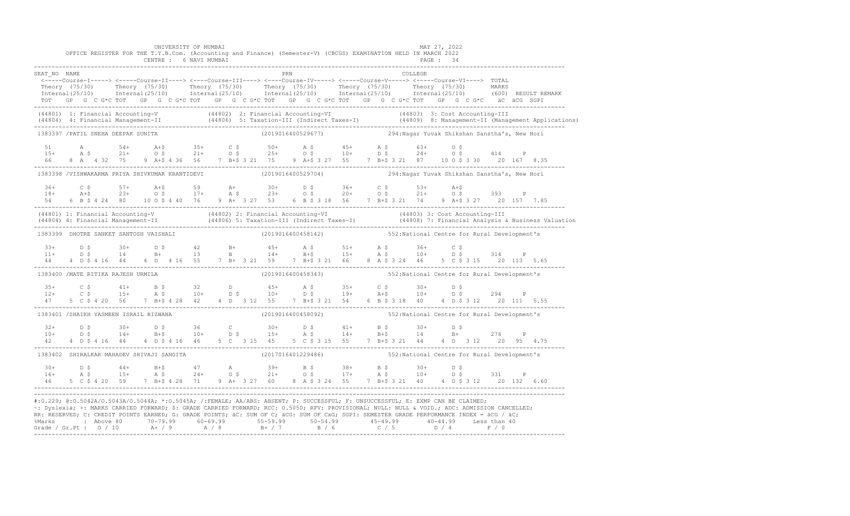|              | OFFICE REGISTER FOR THE T.Y.B.Com. (Accounting and Finance) (Semester-V) (CBCGS) EXAMINATION HELD IN MARCH 2022 | UNIVERSITY OF MUMBAI<br>CENTRE : 6 NAVI MUMBAI |  |                    |            |  |  |         | MAY 27, 2022<br>PAGE : 34                                                                                                                                                                                                                                                                                                                                                                                                                                           |  |  |
|--------------|-----------------------------------------------------------------------------------------------------------------|------------------------------------------------|--|--------------------|------------|--|--|---------|---------------------------------------------------------------------------------------------------------------------------------------------------------------------------------------------------------------------------------------------------------------------------------------------------------------------------------------------------------------------------------------------------------------------------------------------------------------------|--|--|
| SEAT NO NAME |                                                                                                                 |                                                |  |                    | <b>PRN</b> |  |  | COLLEGE |                                                                                                                                                                                                                                                                                                                                                                                                                                                                     |  |  |
|              |                                                                                                                 |                                                |  |                    |            |  |  |         | <-----Course-I-----> <-----Course-II----> <----Course-III----> <----Course-IV-----> <----Course-V-----> <----Course-VI----> TOTAL<br>Theory (75/30) Theory (75/30) Theory (75/30) Theory (75/30) Theory (75/30) Theory (75/30) MARKS<br>Internal(25/10) Internal(25/10) Internal(25/10) Internal(25/10) Internal(25/10) Internal(25/10) (600) RESULTREMARK<br>TOT GP G C G*C TOT GP G C G*C TOT GP G C G*C TOT GP G C G*C TOT GP G C G*C TOT GP G C G*C äC äCG SGPI |  |  |
|              |                                                                                                                 |                                                |  |                    |            |  |  |         | (44801) 1: Financial Accounting-V (44802) 2: Financial Accounting-VI (44803) 3: Cost Accounting-III<br>(44804) 4: Financial Management-II (44806) 5: Taxation-III (Indirect Taxes-I) (44809) 8: Management-II (Management Applica                                                                                                                                                                                                                                   |  |  |
|              | 1383397 / PATIL SNEHA DEEPAK SUNITA                                                                             |                                                |  | (2019016400529677) |            |  |  |         | 294:Nagar Yuvak Shikshan Sanstha's, New Hori                                                                                                                                                                                                                                                                                                                                                                                                                        |  |  |
|              |                                                                                                                 |                                                |  |                    |            |  |  |         |                                                                                                                                                                                                                                                                                                                                                                                                                                                                     |  |  |
|              | 1383398 /VISHWAKARMA PRIYA SHIVKUMAR KRANTIDEVI                                                                 |                                                |  |                    |            |  |  |         |                                                                                                                                                                                                                                                                                                                                                                                                                                                                     |  |  |
|              |                                                                                                                 |                                                |  |                    |            |  |  |         |                                                                                                                                                                                                                                                                                                                                                                                                                                                                     |  |  |
|              |                                                                                                                 |                                                |  |                    |            |  |  |         | (44801) 1: Financial Accounting-V (44802) 2: Financial Accounting-VI (44803) 3: Cost Accounting-III<br>(44804) 4: Financial Management-II (44806) 5: Taxation-III (Indirect Taxes-I) (44808) 7: Financial Analysis & Business Val                                                                                                                                                                                                                                   |  |  |
|              | 1383399 DHOTRE SANKET SANTOSH VAISHALI                                                                          |                                                |  |                    |            |  |  |         | (2019016400458142) 552: National Centre for Rural Development's                                                                                                                                                                                                                                                                                                                                                                                                     |  |  |
|              |                                                                                                                 |                                                |  |                    |            |  |  |         | 44  4  D    \$  4  16  44  4  D    4  16  55  7  B    +   3  21  59  7  B    +   3  21  66  8    A    \$  3  24  46  5    C    \$  3  15  20  113  5.65                                                                                                                                                                                                                                                                                                             |  |  |
|              | 1383400 / MATE RITIKA RAJESH URMILA                                                                             |                                                |  | (2019016400458343) |            |  |  |         | 552: National Centre for Rural Development's                                                                                                                                                                                                                                                                                                                                                                                                                        |  |  |
|              |                                                                                                                 |                                                |  |                    |            |  |  |         | $12+$ $15+$ $15+$ $15+$ $16+$ $10+$ $15+$ $10+$ $15+$ $10+$ $15+$ $10+$ $15+$ $10+$ $15+$ $10+$ $15+$ $10+$ $15+$ $10+$ $15+$ $10+$ $15+$ $10+$ $15+$ $10+$ $15+$ $10+$ $15+$ $10+$ $15+$ $10+$ $15+$ $10+$ $15+$ $10+$ $15+$<br>47 5 C \$ 4 20 56 7 B+\$ 4 28 42 4 D 3 12 55 7 B+\$ 3 21 54 6 B \$ 3 18 40 4 D \$ 3 12 20 111 5.55                                                                                                                                 |  |  |
|              | 1383401 /SHAIKH YASMEEN ISRAIL RIZWANA                                                                          |                                                |  | (2019016400458092) |            |  |  |         | 552: National Centre for Rural Development's                                                                                                                                                                                                                                                                                                                                                                                                                        |  |  |
|              |                                                                                                                 |                                                |  |                    |            |  |  |         | $10+$ $10+$ $10+$ $10+$ $10+$ $10+$ $10+$ $10+$ $10+$ $10+$ $10+$ $10+$ $10+$ $10+$ $10+$ $10+$ $10+$ $10+$ $10+$ $10+$ $10+$ $10+$ $10+$ $10+$ $10+$ $10+$ $10+$ $10+$ $10+$ $10+$ $10+$ $10+$ $10+$ $10+$ $10+$ $10+$ $10+$<br>42 4 D \$ 4 16 44 4 D \$ 4 16 46 5 C 3 15 45 5 C \$ 3 15 55 7 B + \$ 3 21 44 4 D 3 12 20 95 4.75                                                                                                                                   |  |  |
|              | 1383402 SHIRALKAR MAHADEV SHIVAJI SANGITA (2017016401229486)                                                    |                                                |  |                    |            |  |  |         | 552: National Centre for Rural Development's                                                                                                                                                                                                                                                                                                                                                                                                                        |  |  |
|              |                                                                                                                 |                                                |  |                    |            |  |  |         | $16+$ $16+$ $15+$ $15+$ $15+$ $15+$ $15+$ $15+$ $15+$ $15+$ $15+$ $15+$ $15+$ $15+$ $15+$ $15+$ $15+$ $15+$ $15+$ $15+$ $15+$ $15+$ $15+$ $15+$ $15+$ $15+$ $15+$ $15+$ $15+$ $15+$ $15+$ $15+$ $15+$ $15+$ $15+$ $15+$ $15+$<br>46 5 C \$ 4 20 59 7 B+\$ 4 28 71 9 A+ 3 27 60 8 A \$ 3 24 55 7 B+\$ 3 21 40 4 D \$ 3 12 20 132 6.60                                                                                                                                |  |  |
|              |                                                                                                                 |                                                |  |                    |            |  |  |         | #:0.229; @:0.5042A/0.5043A/0.5044A; *:0.5045A; /:FEMALE; AA/ABS: ABSENT; P: SUCCESSFUL; F: UNSUCCESSFUL; E: EXMP CAN BE CLAIMED;<br>~: Dyslexia; +: MARKS CARRIED FORWARD; \$: GRADE CARRIED FORWARD; RCC: 0.5050; RPV: PROVISIONAL; NULL: NULL: WOID.; ADC: ADMISSION CANCELLED;<br>RR: RESERVED; C: CREDIT POINTS EARNED; G: GRADE POINTS; äC: SUM OF C; äCG: SUM OF CxG; SGPI: SEMESTER GRADE PERFORMANCE INDEX = äCG / äC;                                      |  |  |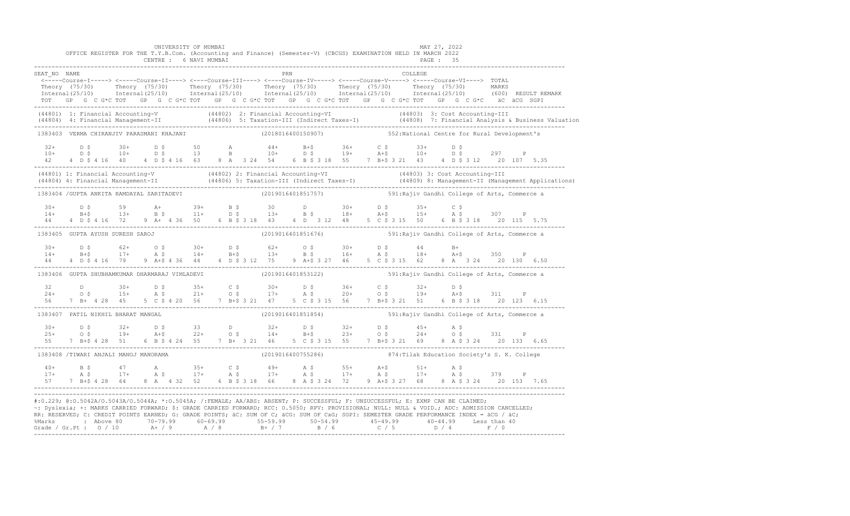|              |                                                | CENTRE : 6 NAVI MUMBAI | UNIVERSITY OF MUMBAI | OFFICE REGISTER FOR THE T.Y.B.Com. (Accounting and Finance) (Semester-V) (CBCGS) EXAMINATION HELD IN MARCH 2022 |                    |     |  |  |         | MAY 27, 2022<br>PAGE : 35                                                                                                                                                                                                                                                                                                                                                                                                                                             |  |  |
|--------------|------------------------------------------------|------------------------|----------------------|-----------------------------------------------------------------------------------------------------------------|--------------------|-----|--|--|---------|-----------------------------------------------------------------------------------------------------------------------------------------------------------------------------------------------------------------------------------------------------------------------------------------------------------------------------------------------------------------------------------------------------------------------------------------------------------------------|--|--|
| SEAT NO NAME |                                                |                        |                      |                                                                                                                 |                    | PRN |  |  | COLLEGE |                                                                                                                                                                                                                                                                                                                                                                                                                                                                       |  |  |
|              |                                                |                        |                      |                                                                                                                 |                    |     |  |  |         | <-----Course-I-----> <-----Course-II----> <----Course-III----> <----Course-IV-----> <-----Course-V-----> <-----Course-VI----> TOTAL<br>Theory (75/30) Theory (75/30) Theory (75/30) Theory (75/30) Theory (75/30) Theory (75/30) MARKS<br>Internal(25/10) Internal(25/10) Internal(25/10) Internal(25/10) Internal(25/10) Internal(25/10) (600) RESULTREMARK<br>TOT GP G C G*C TOT GP G C G*C TOT GP G C G*C TOT GP G C G*C TOT GP G C G*C TOT GP G C G*C aC aCG SGPI |  |  |
|              |                                                |                        |                      |                                                                                                                 |                    |     |  |  |         | (44801) 1: Financial Accounting-V (44802) 2: Financial Accounting-VI (44803) 3: Cost Accounting-III<br>(44804) 4: Financial Management-II (44806) 5: Taxation-III (Indirect Taxes-I) (44808) 7: Financial Analysis & Business Val                                                                                                                                                                                                                                     |  |  |
|              | 1383403 VERMA CHIRANJIV PARASMANI KHAJANI      |                        |                      |                                                                                                                 | (2018016400150907) |     |  |  |         | 552: National Centre for Rural Development's                                                                                                                                                                                                                                                                                                                                                                                                                          |  |  |
|              |                                                |                        |                      |                                                                                                                 |                    |     |  |  |         |                                                                                                                                                                                                                                                                                                                                                                                                                                                                       |  |  |
|              |                                                |                        |                      |                                                                                                                 |                    |     |  |  |         | (44801) 1: Financial Accounting-V (44802) 2: Financial Accounting-VI (44803) 3: Cost Accounting-III<br>(44804) 4: Financial Management-II (44806) 5: Taxation-III (Indirect Taxes-I) (44809) 8: Management-II (Management Applica                                                                                                                                                                                                                                     |  |  |
|              | 1383404 / GUPTA ANKITA RAMDAYAL SARITADEVI     |                        |                      |                                                                                                                 | (2019016401851757) |     |  |  |         | 591: Rajiv Gandhi College of Arts, Commerce a                                                                                                                                                                                                                                                                                                                                                                                                                         |  |  |
|              |                                                |                        |                      |                                                                                                                 |                    |     |  |  |         | $\begin{array}{cccccccccccccccc} 30+ & D & S & S & S & S & A+ & 39+ & B & S & 30 & D & 30+ & D & S & 35+ & C & S & 307 & P & 301+ & B & S & 13+ & B & S & 14+ & B & S & 15+ & A & S & 307 & P & 31+ & B & S & 16+ & S & 15+ & S & 307 & P & 31+ & S & 307 & S & 31+ & S & 32 & 48 & S & 32 & 48 & S & 32 & 48 & S & 318 & 30 & 6 & 6 & 6 & 6 & 6 & 6 &$                                                                                                               |  |  |
|              | 1383405 GUPTA AYUSH SURESH SAROJ               |                        |                      |                                                                                                                 | (2019016401851676) |     |  |  |         | 591: Rajiv Gandhi College of Arts, Commerce a                                                                                                                                                                                                                                                                                                                                                                                                                         |  |  |
|              |                                                |                        |                      |                                                                                                                 |                    |     |  |  |         |                                                                                                                                                                                                                                                                                                                                                                                                                                                                       |  |  |
|              | 1383406 GUPTA SHUBHAMKUMAR DHARMARAJ VIMLADEVI |                        |                      |                                                                                                                 | (2019016401853122) |     |  |  |         | 591: Rajiv Gandhi College of Arts, Commerce a                                                                                                                                                                                                                                                                                                                                                                                                                         |  |  |
|              |                                                |                        |                      |                                                                                                                 |                    |     |  |  |         | $\begin{array}{cccccccccccccccc} 32 & D & 30+ & D & \xi & 35+ & C & \xi & 30+ & D & \xi & 36+ & C & \xi & 32+ & D & \xi \\ 24+ & O & \xi & 15+ & A & \xi & 21+ & O & \xi & 17+ & A & \xi & 20+ & O & \xi & 19+ & A+\xi & 311 & P \\ 56 & 7 & B+ & 4 & 28 & 45 & 5 & C & \xi & 4 & 20 & 56 & 7 & B+\xi & 3 & 21 & 47 & 5 & C & \xi & 3 & 15 & 56 & 7 & B+\xi & 3 & $                                                                                                   |  |  |
|              | 1383407 PATIL NIKHIL BHARAT MANGAL             |                        |                      |                                                                                                                 | (2019016401851854) |     |  |  |         | 591: Rajiv Gandhi College of Arts, Commerce a                                                                                                                                                                                                                                                                                                                                                                                                                         |  |  |
|              |                                                |                        |                      |                                                                                                                 |                    |     |  |  |         | $\begin{array}{cccccccccccccccc} 30+ & & D & \xi & & 32+ & D & \xi & & 33 & & D & & 32+ & D & \xi & & 32+ & D & \xi & & 45+ & A & \xi \\ 25+ & & O & \xi & & 19+ & & A+\xi & & 22+ & O & \xi & & 14+ & B+\xi & & 23+ & O & \xi & & 24+ & O & \xi & & 331 & P \\ 55 & & 7 & B+\xi & 4 & 28 & & 51 & & 6 & B & \xi & 4 & 24 & 55 & 7 & B+ & 3 & 21 & 46 & 5 & C & \xi & 3 & 1$                                                                                          |  |  |
|              | 1383408 /TIWARI ANJALI MANOJ MANORAMA          |                        |                      |                                                                                                                 | (2019016400755286) |     |  |  |         | 874: Tilak Education Society's S. K. College                                                                                                                                                                                                                                                                                                                                                                                                                          |  |  |
|              |                                                |                        |                      |                                                                                                                 |                    |     |  |  |         | $\frac{1}{2}$<br>57 7 B+\$ 4 28 64 8 A 4 32 52 6 B \$ 3 18 66 8 A \$ 3 24 72 9 A+\$ 3 27 68 8 A \$ 3 24 20 153 7.65                                                                                                                                                                                                                                                                                                                                                   |  |  |
|              |                                                |                        |                      |                                                                                                                 |                    |     |  |  |         | #:0.229; @:0.5042A/0.5043A/0.5044A; *:0.5045A; /:FEMALE; AA/ABS: ABSENT; P: SUCCESSFUL; F: UNSUCCESSFUL; E: EXMP CAN BE CLAIMED;<br>-: Dyslexia; +: MARKS CARRIED FORWARD; \$: GRADE CARRIED FORWARD; RCC: 0.5050; RPV: PROVISIONAL; NULL: NULL: WOID.; ADC: ADMISSION CANCELLED;<br>RR: RESERVED; C: CREDIT POINTS EARNED; G: GRADE POINTS; äC: SUM OF C; äCG: SUM OF CxG; SGPI: SEMESTER GRADE PERFORMANCE INDEX = äCG / äC;                                        |  |  |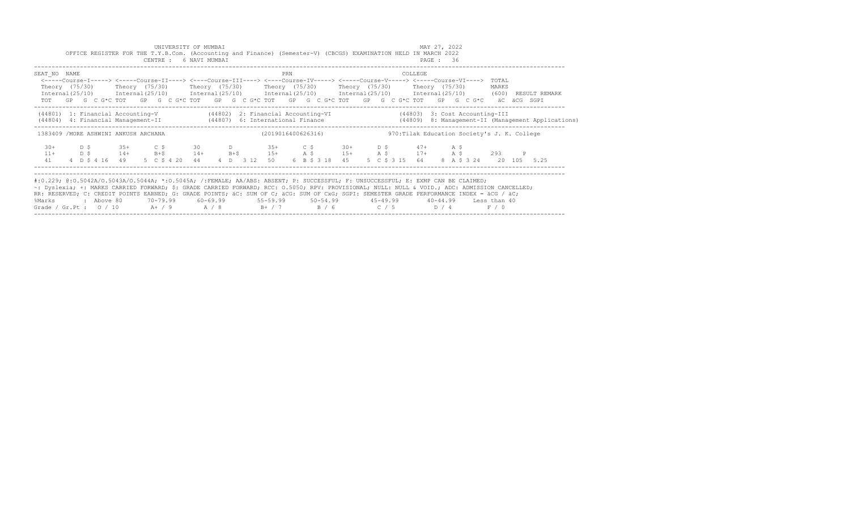|                                                                                                                                                                                                                                                                                                                                                                                                                                                                                                           |                                                            |             |            |  |                                                           |  |  |  | UNIVERSITY OF MUMBAI<br>CENTRE : 6 NAVI MUMBAI |            |  |  | OFFICE REGISTER FOR THE T.Y.B.Com. (Accounting and Finance) (Semester-V) (CBCGS) EXAMINATION HELD IN MARCH 2022                                                                                                                                                                                                                                                                                                                                                |     |  |                                              |  |  |  |                |         | MAY 27, 2022<br>PAGE: 36 |  |  |  |                                |  |              |                                                    |
|-----------------------------------------------------------------------------------------------------------------------------------------------------------------------------------------------------------------------------------------------------------------------------------------------------------------------------------------------------------------------------------------------------------------------------------------------------------------------------------------------------------|------------------------------------------------------------|-------------|------------|--|-----------------------------------------------------------|--|--|--|------------------------------------------------|------------|--|--|----------------------------------------------------------------------------------------------------------------------------------------------------------------------------------------------------------------------------------------------------------------------------------------------------------------------------------------------------------------------------------------------------------------------------------------------------------------|-----|--|----------------------------------------------|--|--|--|----------------|---------|--------------------------|--|--|--|--------------------------------|--|--------------|----------------------------------------------------|
| SEAT NO NAME                                                                                                                                                                                                                                                                                                                                                                                                                                                                                              |                                                            |             |            |  |                                                           |  |  |  |                                                |            |  |  | <-----Course-I-----> <-----Course-II----> <----Course-III----> <----Course-IV-----> <-----Course-V-----> <-----Course-VI----><br>Theory (75/30)   Theory (75/30)   Theory (75/30)   Theory (75/30)   Theory (75/30)   Theory (75/30)<br>Internal (25/10) Internal (25/10) Internal (25/10) Internal (25/10) Internal (25/10) Internal (25/10) (600) RESULT REMARK<br>TOT GP G C G*C TOT GP G C G*C TOT GP G C G*C TOT GP G C G*C TOT GP G C G*C TOT GP G C G*C | PRN |  |                                              |  |  |  |                | COLLEGE |                          |  |  |  | TOTAL<br>MARKS                 |  | äC äCG SGPI  |                                                    |
|                                                                                                                                                                                                                                                                                                                                                                                                                                                                                                           |                                                            |             |            |  |                                                           |  |  |  |                                                |            |  |  | (44801) 1: Financial Accounting-V (44802) 2: Financial Accounting-VI (44803) 3: Cost Accounting-III<br>(44804) 4: Financial Management-II (44807) 6: International Finance                                                                                                                                                                                                                                                                                     |     |  |                                              |  |  |  |                |         |                          |  |  |  |                                |  |              | (44809) 8: Management-II (Management Applications) |
|                                                                                                                                                                                                                                                                                                                                                                                                                                                                                                           | (2019016400626316)<br>1383409 /MORE ASHWINI ANKUSH ARCHANA |             |            |  |                                                           |  |  |  |                                                |            |  |  |                                                                                                                                                                                                                                                                                                                                                                                                                                                                |     |  | 970: Tilak Education Society's J. K. College |  |  |  |                |         |                          |  |  |  |                                |  |              |                                                    |
| $30+$<br>$11+$<br>41                                                                                                                                                                                                                                                                                                                                                                                                                                                                                      |                                                            | D \$<br>D S |            |  | $35+$ C \$<br>$14+$ B+\$<br>4 D \$ 4 16 49 5 C \$ 4 20 44 |  |  |  | 30                                             | $14+$ B+\$ |  |  | D 35+ C \$ 30+ D \$ 47+ A \$<br>$15+$ $A \tS$ $15+$ $A \tS$ $17+$ $A \tS$<br>4 D 3 12 50                                                                                                                                                                                                                                                                                                                                                                       |     |  | 6 B \$ 3 18 45                               |  |  |  | 5 C \$ 3 15 64 |         |                          |  |  |  | 293<br>8 A \$ 3 24 20 105 5.25 |  | $\mathbb{P}$ |                                                    |
| #:0.229; @:0.5042A/0.5043A/0.5044A; *:0.5045A; /:FEMALE; AA/ABS: ABSENT; P: SUCCESSFUL; F: UNSUCCESSFUL; E: EXMP CAN BE CLAIMED;<br>~: Dyslexia; +: MARKS CARRIED FORWARD; \$: GRADE CARRIED FORWARD; RCC: 0.5050; RPV: PROVISIONAL; NULL: NULL & VOID.; ADC: ADMISSION CANCELLED;<br>RR: RESERVED; C: CREDIT POINTS EARNED; G: GRADE POINTS; äC: SUM OF C; äCG: SUM OF CxG; SGPI: SEMESTER GRADE PERFORMANCE INDEX = äCG / äC;<br>%Marks<br>Grade / Gr.Pt : $0/10$ A+ / 9 A / 8 B+ / 7 B / 6 C / 5 D / 4 |                                                            |             | : Above 80 |  |                                                           |  |  |  |                                                |            |  |  | 70-79.99 60-69.99 55-59.99 50-54.99 45-49.99 40-44.99 Less than 40                                                                                                                                                                                                                                                                                                                                                                                             |     |  |                                              |  |  |  |                |         |                          |  |  |  | F / 0                          |  |              |                                                    |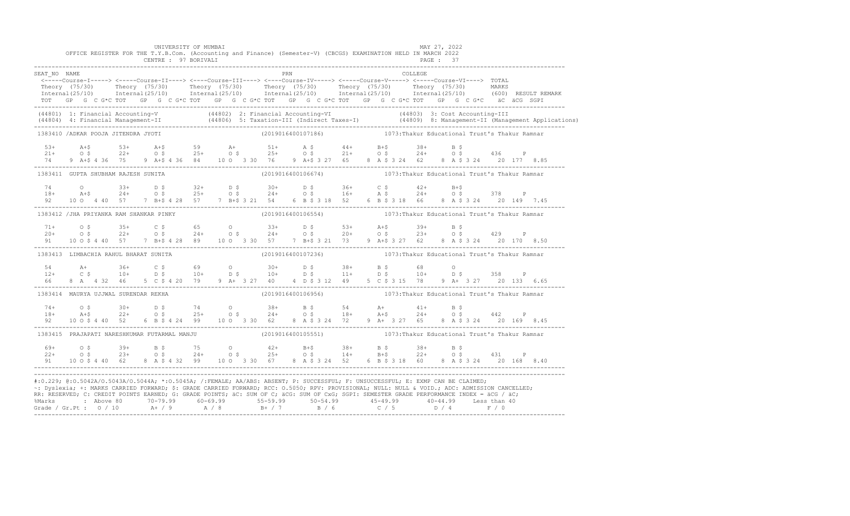|              |                                      | UNIVERSITY OF MUMBAI<br>CENTRE : 97 BORIVALI | OFFICE REGISTER FOR THE T.Y.B.Com. (Accounting and Finance) (Semester-V) (CBCGS) EXAMINATION HELD IN MARCH 2022                                                                                                                                                                                                                                                                                                               |                                                                            |  |         | MAY 27, 2022<br><b>PAGE : 37</b> |  |  |
|--------------|--------------------------------------|----------------------------------------------|-------------------------------------------------------------------------------------------------------------------------------------------------------------------------------------------------------------------------------------------------------------------------------------------------------------------------------------------------------------------------------------------------------------------------------|----------------------------------------------------------------------------|--|---------|----------------------------------|--|--|
| SEAT NO NAME |                                      |                                              | <b>EXAMPLE 1988</b><br>Theory (75/30) Theory (75/30) Theory (75/30) Theory (75/30) Theory (75/30) Theory (75/30) Theory (75/30) Theory (75/30) Theory (75/30) Theory (75/30) Theory (75/30) Theory (75/30) Theory (75/30) Theory (75/30) MARKS<br>TOT GP G C G*C TOT GP G C G*C TOT GP G C G*C TOT GP G C G*C TOT GP G C G*C TOT GP G C G*C äC äCG SGPI                                                                       |                                                                            |  | COLLEGE |                                  |  |  |
|              |                                      |                                              | (44801) 1: Financial Accounting-V (44802) 2: Financial Accounting-VI (44803) 3: Cost Accounting-III<br>(44804) 4: Financial Management-II (44806) 5: Taxation-III (Indirect Taxes-I) (44809) 8: Management-II (Management Applica                                                                                                                                                                                             |                                                                            |  |         |                                  |  |  |
|              | 1383410 /ADKAR POOJA JITENDRA JYOTI  |                                              |                                                                                                                                                                                                                                                                                                                                                                                                                               | (2019016400107186) (2013: Thakur Educational Trust's Thakur Ramnar         |  |         |                                  |  |  |
|              |                                      |                                              | $21+$ $21+$ $22+$ $22+$ $25+$ $25+$ $25+$ $25+$ $25+$ $25+$ $25+$ $25+$ $25+$ $25+$ $25+$ $25+$ $25+$ $25+$ $25+$ $25+$ $25+$ $25+$ $25+$ $25+$ $25+$ $25+$ $25+$ $25+$ $25+$ $25+$ $25+$ $25+$ $25+$ $25+$ $25+$ $25+$ $25+$<br>74 9 A+\$ 4 36 75 9 A+\$ 4 36 84 10 0 3 30 76 9 A+\$ 3 27 65 8 A \$ 3 24 62 8 A \$ 3 24 20 177 8.85                                                                                          |                                                                            |  |         |                                  |  |  |
|              |                                      | 1383411 GUPTA SHUBHAM RAJESH SUNITA          |                                                                                                                                                                                                                                                                                                                                                                                                                               | (2019016400106674)           1073:Thakur Educational Trust's Thakur Ramnar |  |         |                                  |  |  |
|              |                                      |                                              | $\begin{array}{cccccccccccccccc} 74 & 0 & 33+ & D & \xi & 32+ & D & \xi & 30+ & D & \xi & 36+ & C & \xi & 42+ & B+ \xi \\ 18+ & A+ \xi & 24+ & 0 & \xi & 25+ & 0 & \xi & 24+ & 0 & \xi & 16+ & A & \xi & 24+ & 0 & \xi & 378 & P \\ 92 & 10 & 0 & 4 & 40 & 57 & 7 & B+ \xi & 4 & 28 & 57 & 7 & B+ \xi & 3 & 21 & 54 & 6 & B & \xi & 3 & 18 & 52 & 6 &$                                                                        |                                                                            |  |         |                                  |  |  |
|              |                                      | 1383412 / JHA PRIYANKA RAM SHANKAR PINKY     |                                                                                                                                                                                                                                                                                                                                                                                                                               | (2019016400106554) 1073: Thakur Educational Trust's Thakur Ramnar          |  |         |                                  |  |  |
|              |                                      |                                              | $71+$ 0 \$ $35+$ 0 $5$ 0 $33+$ D \$ $53+$ A+\$ $39+$ B \$<br>20+ 0 \$ 22+ 0 \$ 24+ 0 \$ 24+ 0 \$ 20+ 0 \$ 23+ 0 \$ 429 P<br>91 10 0 \$ 4 40 57 7 B+\$ 4 28 89 10 0 3 30 57 7 B+\$ 3 21 73 9 A+\$ 3 27 62 8 A \$ 3 24 20 170 8.50                                                                                                                                                                                              |                                                                            |  |         |                                  |  |  |
|              |                                      | 1383413 LIMBACHIA RAHUL BHARAT SUNITA        |                                                                                                                                                                                                                                                                                                                                                                                                                               | (2019016400107236)           1073:Thakur Educational Trust's Thakur Ramnar |  |         |                                  |  |  |
|              |                                      |                                              |                                                                                                                                                                                                                                                                                                                                                                                                                               |                                                                            |  |         |                                  |  |  |
|              | 1383414 MAURYA UJJWAL SURENDAR REKHA |                                              |                                                                                                                                                                                                                                                                                                                                                                                                                               |                                                                            |  |         |                                  |  |  |
|              |                                      |                                              | 92 10 0 \$ 4 40 52 6 B \$ 4 24 99 10 0 3 30 62 8 A \$ 3 24 72 9 A + 3 27 65 8 A \$ 3 24 20 169 8.45                                                                                                                                                                                                                                                                                                                           |                                                                            |  |         |                                  |  |  |
|              |                                      |                                              | 1383415 PRAJAPATI NARESHKUMAR FUTARMAL MANJU (2019016400105551) 1073: Thakur Educational Trust's Thakur Ramnar                                                                                                                                                                                                                                                                                                                |                                                                            |  |         |                                  |  |  |
|              |                                      |                                              | $\begin{array}{cccccccccccccccc} 69+ & & & 0 & 5 & & & 39+ & & B & 5 & & 75 & & O & & 42+ & & B+5 & & 38+ & & B & 5 & & 38+ & & B & 5\\ 22+ & & & 0 & 5 & & & 23+ & & 0 & 5 & & 24+ & & 0 & 5 & & 25+ & & O & 5 & & 14+ & & B+5 & & 22+ & & O & 5 & & 431 & & P\\ 91 & & 10 & 0 & 5 & 4 & 40 & 62 & & 8 & A & 54 & 32 & 99 & & 10 & 0 & 3 & 3$                                                                                |                                                                            |  |         |                                  |  |  |
|              |                                      |                                              | #:0.229; @:0.5042A/0.5043A/0.5044A; *:0.5045A; /:FEMALE; AA/ABS: ABSENT; P: SUCCESSFUL; F: UNSUCCESSFUL; E: EXMP CAN BE CLAIMED;<br>~: Dyslexia; +: MARKS CARRIED FORWARD; \$: GRADE CARRIED FORWARD; RCC: 0.5050; RPV: PROVISIONAL; NULL: NULL: AULL: ADC: ADMISSION CANCELLED;<br>RR: RESERVED; C: CREDIT POINTS EARNED; G: GRADE POINTS; äC: SUM OF C; äCG: SUM OF CxG; SGPI: SEMESTER GRADE PERFORMANCE INDEX = äCG / äC; |                                                                            |  |         |                                  |  |  |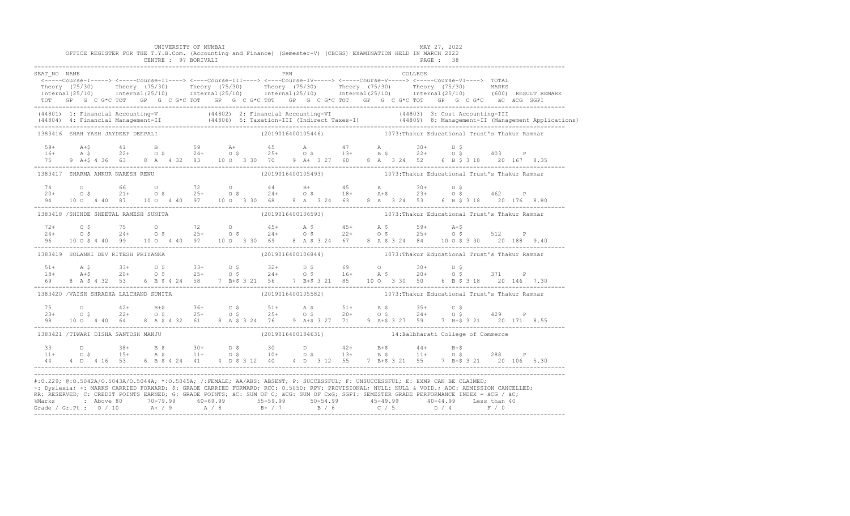|              |                                       | UNIVERSITY OF MUMBAI<br>OFFICE REGISTER FOR THE T.Y.B.Com. (Accounting and Finance) (Semester-V) (CBCGS) EXAMINATION HELD IN MARCH 2022<br>CENTRE : 97 BORIVALI                                                                                                                                                                                                                                                               |  |                                                                          |  |  |  |         | PAGE: 38 | MAY 27, 2022 |  |  |
|--------------|---------------------------------------|-------------------------------------------------------------------------------------------------------------------------------------------------------------------------------------------------------------------------------------------------------------------------------------------------------------------------------------------------------------------------------------------------------------------------------|--|--------------------------------------------------------------------------|--|--|--|---------|----------|--------------|--|--|
| SEAT NO NAME |                                       | Theory (75/30) Theory (75/30) Theory (75/30) Theory (75/30) Theory (75/30) Theory (75/30) Theory (75/30) Theory (75/30) Theory (75/30) Theory (75/30) Theory (75/30) Theory (75/30) Theory (75/30) Theory (75/30) MARKS<br>TOT GP G C G*C TOT GP G C G*C TOT GP G C G*C TOT GP G C G*C TOT GP G C G*C TOT GP G C G*C äC äCG SGPI                                                                                              |  | <b>EXAMPLE 1988</b>                                                      |  |  |  | COLLEGE |          |              |  |  |
|              |                                       | (44801) 1: Financial Accounting-V (44802) 2: Financial Accounting-VI (44803) 3: Cost Accounting-III<br>(44804) 4: Financial Management-II (44806) 5: Taxation-III (Indirect Taxes-I) (44809) 8: Management-II (Management Applica                                                                                                                                                                                             |  |                                                                          |  |  |  |         |          |              |  |  |
|              | 1383416 SHAH YASH JAYDEEP DEEPALI     |                                                                                                                                                                                                                                                                                                                                                                                                                               |  | (2019016400105446) (2019) 1073: Thakur Educational Trust's Thakur Ramnar |  |  |  |         |          |              |  |  |
|              |                                       |                                                                                                                                                                                                                                                                                                                                                                                                                               |  |                                                                          |  |  |  |         |          |              |  |  |
|              |                                       | 1383417 SHARMA ANKUR NARESH RENU                                                                                                                                                                                                                                                                                                                                                                                              |  | (2019016400105493) 1073: Thakur Educational Trust's Thakur Ramnar        |  |  |  |         |          |              |  |  |
|              |                                       | 94 10 0 4 40 87 10 0 4 40 97 10 0 3 30 68 8 A 3 24 63 8 A 3 24 53 6 B \$ 3 18 20 176 8.80                                                                                                                                                                                                                                                                                                                                     |  |                                                                          |  |  |  |         |          |              |  |  |
|              | 1383418 /SHINDE SHEETAL RAMESH SUNITA |                                                                                                                                                                                                                                                                                                                                                                                                                               |  |                                                                          |  |  |  |         |          |              |  |  |
|              |                                       | 96 10 0 \$ 4 40 99 10 0 4 40 97 10 0 3 30 69 8 A \$ 3 24 67 8 A \$ 3 24 84 10 0 \$ 3 30 20 188 9.40                                                                                                                                                                                                                                                                                                                           |  |                                                                          |  |  |  |         |          |              |  |  |
|              | 1383419 SOLANKI DEV RITESH PRIYANKA   |                                                                                                                                                                                                                                                                                                                                                                                                                               |  | (2019016400106844) 1073: Thakur Educational Trust's Thakur Ramnar        |  |  |  |         |          |              |  |  |
|              |                                       |                                                                                                                                                                                                                                                                                                                                                                                                                               |  |                                                                          |  |  |  |         |          |              |  |  |
|              |                                       | 1383420 /VAISH SHRADHA LALCHAND SUNITA                                                                                                                                                                                                                                                                                                                                                                                        |  |                                                                          |  |  |  |         |          |              |  |  |
|              |                                       |                                                                                                                                                                                                                                                                                                                                                                                                                               |  |                                                                          |  |  |  |         |          |              |  |  |
|              |                                       | 1383421 /TIWARI DISHA SANTOSH MANJU                                                                                                                                                                                                                                                                                                                                                                                           |  | (2019016400184631) 14: Balbharati College of Commerce                    |  |  |  |         |          |              |  |  |
|              |                                       |                                                                                                                                                                                                                                                                                                                                                                                                                               |  |                                                                          |  |  |  |         |          |              |  |  |
|              |                                       | #:0.229; @:0.5042A/0.5043A/0.5044A; *:0.5045A; /:FEMALE; AA/ABS: ABSENT; P: SUCCESSFUL; F: UNSUCCESSFUL; E: EXMP CAN BE CLAIMED;<br>~: Dyslexia; +: MARKS CARRIED FORWARD; \$: GRADE CARRIED FORWARD; RCC: 0.5050; RPV: PROVISIONAL; NULL: NULL: AULL: ADC: ADMISSION CANCELLED;<br>RR: RESERVED; C: CREDIT POINTS EARNED; G: GRADE POINTS; äC: SUM OF C; äCG: SUM OF CxG; SGPI: SEMESTER GRADE PERFORMANCE INDEX = äCG / äC; |  |                                                                          |  |  |  |         |          |              |  |  |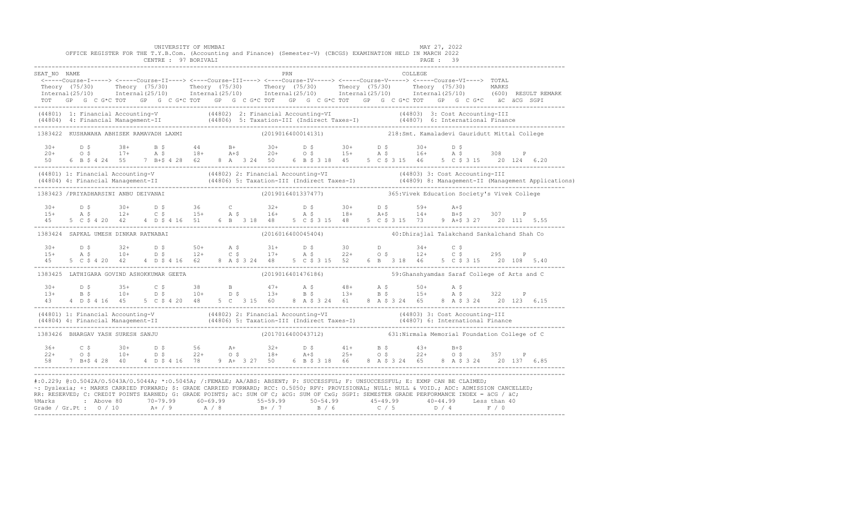|              |                                       | UNIVERSITY OF MUMBAI<br>OFFICE REGISTER FOR THE T.Y.B.Com. (Accounting and Finance) (Semester-V) (CBCGS) EXAMINATION HELD IN MARCH 2022 |  |     |  |  |         | MAY 27, 2022                                                                                                                                                                                                                                                                                                                                                                                                                                                                                                                                                                                  |  |
|--------------|---------------------------------------|-----------------------------------------------------------------------------------------------------------------------------------------|--|-----|--|--|---------|-----------------------------------------------------------------------------------------------------------------------------------------------------------------------------------------------------------------------------------------------------------------------------------------------------------------------------------------------------------------------------------------------------------------------------------------------------------------------------------------------------------------------------------------------------------------------------------------------|--|
|              |                                       | CENTRE : 97 BORIVALI                                                                                                                    |  |     |  |  |         | PAGE : 39                                                                                                                                                                                                                                                                                                                                                                                                                                                                                                                                                                                     |  |
| SEAT NO NAME |                                       |                                                                                                                                         |  | PRN |  |  | COLLEGE |                                                                                                                                                                                                                                                                                                                                                                                                                                                                                                                                                                                               |  |
|              |                                       |                                                                                                                                         |  |     |  |  |         | <-----Course-I-----> <----Course-II----> <----Course-III----> <----Course-IV-----> <----Course-V----> TOTAL                                                                                                                                                                                                                                                                                                                                                                                                                                                                                   |  |
|              |                                       |                                                                                                                                         |  |     |  |  |         | Theory (75/30) Theory (75/30) Theory (75/30) Theory (75/30) Theory (75/30) Theory (75/30) Theory (75/30) Theory (75/30) Theory (75/30) Theory (75/30) Theory (75/30) Theory (75/30) Theory (75/30) Theory (75/30) Theory (75/3                                                                                                                                                                                                                                                                                                                                                                |  |
|              |                                       |                                                                                                                                         |  |     |  |  |         |                                                                                                                                                                                                                                                                                                                                                                                                                                                                                                                                                                                               |  |
|              |                                       |                                                                                                                                         |  |     |  |  |         | (44801) 1: Financial Accounting-V (44802) 2: Financial Accounting-VI (44803) 3: Cost Accounting-III<br>(44804) 4: Financial Management-II (44806) 5: Taxation-III (Indirect Taxes-I) (44807) 6: International Finance<br>-----------                                                                                                                                                                                                                                                                                                                                                          |  |
|              |                                       |                                                                                                                                         |  |     |  |  |         | 1383422 KUSHAWAHA ABHISEK RAMAVADH LAXMI (2019016400014131) 218:Smt. Kamaladevi Gauridutt Mittal College                                                                                                                                                                                                                                                                                                                                                                                                                                                                                      |  |
|              |                                       |                                                                                                                                         |  |     |  |  |         |                                                                                                                                                                                                                                                                                                                                                                                                                                                                                                                                                                                               |  |
|              |                                       |                                                                                                                                         |  |     |  |  |         |                                                                                                                                                                                                                                                                                                                                                                                                                                                                                                                                                                                               |  |
|              |                                       |                                                                                                                                         |  |     |  |  |         | $20+$ $D$ \$ $38+$ $B$ \$ $44$ $B+$ $30+$ $D$ \$ $30+$ $D$ \$ $30+$ $D$ \$ $16+$ $A$ \$ $108$ $P$<br>$20+$ $O$ \$ $17+$ $A$ \$ $18+$ $A+$ \$ $20+$ $O$ \$ $15+$ $A$ \$ $16+$ $A$ \$ $308$ $P$<br>$50$ $6$ $B$ \$ $4$ $24$ $55$ $7$ $B+$ \$ $4$ $28$                                                                                                                                                                                                                                                                                                                                           |  |
|              |                                       |                                                                                                                                         |  |     |  |  |         | (44801) 1: Financial Accounting-V (44802) 2: Financial Accounting-VI (44803) 3: Cost Accounting-III<br>(44804) 4: Financial Management-II (44806) 5: Taxation-III (Indirect Taxes-I) (44809) 8: Management-II (Management Applica                                                                                                                                                                                                                                                                                                                                                             |  |
|              | 1383423 / PRIYADHARSINI ANBU DEIVANAI |                                                                                                                                         |  |     |  |  |         | (2019016401337477) 365: Vivek Education Society's Vivek College                                                                                                                                                                                                                                                                                                                                                                                                                                                                                                                               |  |
|              |                                       |                                                                                                                                         |  |     |  |  |         |                                                                                                                                                                                                                                                                                                                                                                                                                                                                                                                                                                                               |  |
|              |                                       |                                                                                                                                         |  |     |  |  |         |                                                                                                                                                                                                                                                                                                                                                                                                                                                                                                                                                                                               |  |
|              |                                       |                                                                                                                                         |  |     |  |  |         | $15+$ $15+$ $15+$ $12+$ $15+$ $15+$ $15+$ $15+$ $15+$ $15+$ $15+$ $15+$ $15+$ $15+$ $15+$ $15+$ $15+$ $15+$ $15+$ $15+$ $15+$ $15+$ $15+$ $15+$ $15+$ $15+$ $15+$ $15+$ $15+$ $15+$ $15+$ $15+$ $15+$ $15+$ $15+$ $15+$ $15+$                                                                                                                                                                                                                                                                                                                                                                 |  |
|              | 1383424 SAPKAL UMESH DINKAR RATNABAI  |                                                                                                                                         |  |     |  |  |         |                                                                                                                                                                                                                                                                                                                                                                                                                                                                                                                                                                                               |  |
|              |                                       |                                                                                                                                         |  |     |  |  |         |                                                                                                                                                                                                                                                                                                                                                                                                                                                                                                                                                                                               |  |
|              |                                       |                                                                                                                                         |  |     |  |  |         |                                                                                                                                                                                                                                                                                                                                                                                                                                                                                                                                                                                               |  |
|              |                                       |                                                                                                                                         |  |     |  |  |         |                                                                                                                                                                                                                                                                                                                                                                                                                                                                                                                                                                                               |  |
|              |                                       |                                                                                                                                         |  |     |  |  |         | 1383425 LATHIGARA GOVIND ASHOKKUMAR GEETA (2019016401476186) 59:Ghanshyamdas Saraf College of Arts and C                                                                                                                                                                                                                                                                                                                                                                                                                                                                                      |  |
|              |                                       |                                                                                                                                         |  |     |  |  |         |                                                                                                                                                                                                                                                                                                                                                                                                                                                                                                                                                                                               |  |
|              |                                       |                                                                                                                                         |  |     |  |  |         |                                                                                                                                                                                                                                                                                                                                                                                                                                                                                                                                                                                               |  |
|              |                                       |                                                                                                                                         |  |     |  |  |         | $\begin{array}{cccccccccccccccc} 30+ & & D & S & & 35+ & C & S & 38 & & B & & 47+ & A & S & 48+ & A & S & 50+ & A & S & & 322 & P \\ 13+ & & B & S & & 10+ & & D & S & & 10+ & D & S & 13+ & B & S & 13+ & B & S & 15+ & A & S & 322 & P \\ 43 & & 4 & D & S & 4 & 16 & 45 & S & C & S & 4 & 20 & 48 & S & C & 3 & 15 & 60 & 8 & A & S & 3 & 24 & 61 & 8 & A & S & 3$                                                                                                                                                                                                                         |  |
|              |                                       |                                                                                                                                         |  |     |  |  |         | (44801) 1: Financial Accounting-V (44802) 2: Financial Accounting-VI (44803) 3: Cost Accounting-III<br>(44804) 4: Financial Management-II (44806) 5: Taxation-III (Indirect Taxes-I) (44807) 6: International Finance<br>-----------                                                                                                                                                                                                                                                                                                                                                          |  |
|              | 1383426 BHARGAV YASH SURESH SANJU     |                                                                                                                                         |  |     |  |  |         | (2017016400043712) 631: Nirmala Memorial Foundation College of C                                                                                                                                                                                                                                                                                                                                                                                                                                                                                                                              |  |
|              |                                       |                                                                                                                                         |  |     |  |  |         |                                                                                                                                                                                                                                                                                                                                                                                                                                                                                                                                                                                               |  |
|              |                                       |                                                                                                                                         |  |     |  |  |         |                                                                                                                                                                                                                                                                                                                                                                                                                                                                                                                                                                                               |  |
|              |                                       |                                                                                                                                         |  |     |  |  |         | $26 + C$ $5$ $30 + D$ $5$ $56$ $A + 32 + D$ $5$ $41 + B$ $5$ $43 + B$ +<br>$22 + O$ $5$ $10 + D$ $5$ $22 + O$ $5$ $18 + A + 5$ $25 + O$ $5$ $22 + O$ $5$ $357$ P<br>$58$ $7$ B+\$ 4 28 40 4 D \$ 4 16 78 9 A + 3 27 50 6 B \$ 3 18 66 8 A \$ 3 24 65 8 A \$ 3 2                                                                                                                                                                                                                                                                                                                               |  |
|              |                                       |                                                                                                                                         |  |     |  |  |         | #:0.229; @:0.5042A/0.5043A/0.5044A; *:0.5045A; /:FEMALE; AA/ABS: ABSENT; P: SUCCESSFUL; F: UNSUCCESSFUL; E: EXMP CAN BE CLAIMED;<br>~: Dyslexia; +: MARKS CARRIED FORWARD; \$: GRADE CARRIED FORWARD; RCC: 0.5050; RPV: PROVISIONAL; NULL: NULL: WOID.; ADC: ADMISSION CANCELLED;<br>RR: RESERVED; C: CREDIT POINTS EARNED; G: GRADE POINTS; äC: SUM OF C; äCG: SUM OF CxG; SGPI: SEMESTER GRADE PERFORMANCE INDEX = äCG / äC;<br>% Marks : Above 80 70-79.99 60-69.99 55-59.99 50-54.99 45-49.99 40-44.99 Less than 40<br>Grade / Gr.Pt : 0 / 10 A+ / 9 A / 8 B+ / 7 B / 6 C / 5 D / 4 F / 0 |  |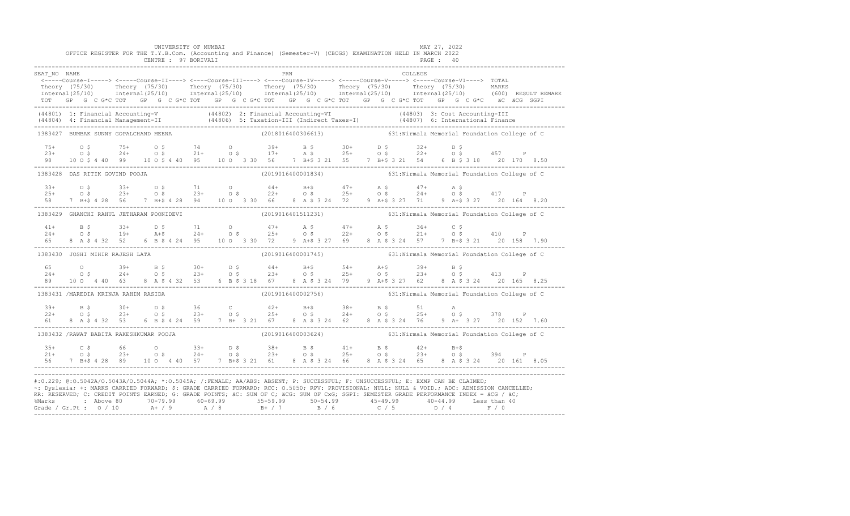|              |                                                                                                                                                                                                                                                                                                                                                                                                                                                                                | UNIVERSITY OF MUMBAI<br>OFFICE REGISTER FOR THE T.Y.B.Com. (Accounting and Finance) (Semester-V) (CBCGS) EXAMINATION HELD IN MARCH 2022<br>CENTRE : 97 BORIVALI |  |  |            |                                                                    |  |         | MAY 27, 2022<br>PAGE: 40 |  |  |  |
|--------------|--------------------------------------------------------------------------------------------------------------------------------------------------------------------------------------------------------------------------------------------------------------------------------------------------------------------------------------------------------------------------------------------------------------------------------------------------------------------------------|-----------------------------------------------------------------------------------------------------------------------------------------------------------------|--|--|------------|--------------------------------------------------------------------|--|---------|--------------------------|--|--|--|
| SEAT NO NAME | <-----Course-I-----> <-----Course-II----> <----Course-III----> <----Course-IV-----> <-----Course-V-----> <-----Course-VI----> TOTAL<br>Theory (75/30) Theory (75/30) Theory (75/30) Theory (75/30) Theory (75/30) Theory (75/30) Theory (75/30) Theory (75/30) Theory (75/30) Theory (75/30) Theory (75/30) Theory (75/30) Theory (75/30) Theory (75/30) Theory (75/3<br>TOT GP G C G*C TOT GP G C G*C TOT GP G C G*C TOT GP G C G*C TOT GP G C G*C TOT GP G C G*C äC äCG SGPI |                                                                                                                                                                 |  |  | <b>PRN</b> |                                                                    |  | COLLEGE |                          |  |  |  |
|              | (44801) 1: Financial Accounting-V (44802) 2: Financial Accounting-VI (44803) 3: Cost Accounting-III<br>(44804) 4: Financial Management-II (44806) 5: Taxation-III (Indirect Taxes-I) (44807) 6: International Finance<br>-----------                                                                                                                                                                                                                                           |                                                                                                                                                                 |  |  |            |                                                                    |  |         |                          |  |  |  |
|              | 1383427 BUMBAK SUNNY GOPALCHAND MEENA                                                                                                                                                                                                                                                                                                                                                                                                                                          |                                                                                                                                                                 |  |  |            | (2018016400306613) 631: Nirmala Memorial Foundation College of C   |  |         |                          |  |  |  |
|              |                                                                                                                                                                                                                                                                                                                                                                                                                                                                                |                                                                                                                                                                 |  |  |            |                                                                    |  |         |                          |  |  |  |
|              | 1383428 DAS RITIK GOVIND POOJA                                                                                                                                                                                                                                                                                                                                                                                                                                                 |                                                                                                                                                                 |  |  |            | (2019016400001834) 631: Nirmala Memorial Foundation College of C   |  |         |                          |  |  |  |
|              | $\begin{array}{cccccccccccccccc} 33+ & & D & \xi & & 33+ & & D & \xi & & 71 & & O & & 44+ & & B+ \xi & & 47+ & & A & \xi & & 47+ & & A & \xi \\ 25+ & & O & \xi & & 23+ & & O & \xi & & 23+ & & O & \xi & & 22+ & & O & \xi & & 25+ & & O & \xi & & 24+ & & O & \xi & & 417 & & P \\ 58 & & 7 & B+ \xi & 4 & 28 & & 56 & & 7 & B+ \xi & 4 & 28 & & 94 & & 10 & O & 3 & 30 & & 6$                                                                                               |                                                                                                                                                                 |  |  |            |                                                                    |  |         |                          |  |  |  |
|              | 1383429 GHANCHI RAHUL JETHARAM POONIDEVI (2019016401511231) 631:Nirmala Memorial Foundation College of C                                                                                                                                                                                                                                                                                                                                                                       |                                                                                                                                                                 |  |  |            |                                                                    |  |         |                          |  |  |  |
|              | $24+$ B \$ $33+$ D \$ 71 0 $47+$ A \$ $47+$ A \$ $36+$ C \$<br>$24+$ O \$ 19+ A+\$ 24+ O \$ 25+ O \$ 22+ O \$ 21+ O \$ 410 P<br>65 8 A \$ 4 32 52 6 B \$ 4 24 95 10 0 3 30 72 9 A + \$ 3 27 69 8 A \$ 3 24 57 7 B + \$ 3 21 20 158 7.90                                                                                                                                                                                                                                        |                                                                                                                                                                 |  |  |            |                                                                    |  |         |                          |  |  |  |
|              | 1383430 JOSHI MIHIR RAJESH LATA                                                                                                                                                                                                                                                                                                                                                                                                                                                |                                                                                                                                                                 |  |  |            | (2019016400001745) 631: Nirmala Memorial Foundation College of C   |  |         |                          |  |  |  |
|              |                                                                                                                                                                                                                                                                                                                                                                                                                                                                                |                                                                                                                                                                 |  |  |            |                                                                    |  |         |                          |  |  |  |
|              | 1383431 /MAREDIA KRINJA RAHIM RASIDA                                                                                                                                                                                                                                                                                                                                                                                                                                           |                                                                                                                                                                 |  |  |            | $(2019016400002756)$ 631: Nirmala Memorial Foundation College of C |  |         |                          |  |  |  |
|              | $\begin{array}{cccccccccccccccc} 39+ & & B & \xi & & 30+ & D & \xi & & 36 & C & 42+ & B+ \xi & & 38+ & B & \xi & & 51 & A \\ 22+ & & O & \xi & & 23+ & O & \xi & & 23+ & O & \xi & & 25+ & O & \xi & & 24+ & O & \xi & & 25+ & O & \xi & & 378 & P \\ 61 & & 8 & A & \xi & 4 & 32 & 53 & 6 & B & \xi & 4 & 24 & 59 & 7 & B+ & 3 & 21 & 67 & 8 & A & \xi & 3 & 24 & 62 &$                                                                                                       |                                                                                                                                                                 |  |  |            |                                                                    |  |         |                          |  |  |  |
|              | 1383432 /RAWAT BABITA RAKESHKUMAR POOJA                                                                                                                                                                                                                                                                                                                                                                                                                                        |                                                                                                                                                                 |  |  |            | (2019016400003624) 631: Nirmala Memorial Foundation College of C   |  |         |                          |  |  |  |
|              | $\begin{array}{cccccccccccccccc} 35+ & & C & \xi & & 66 & & O & 33+ & D & \xi & & 38+ & B & \xi & & 41+ & B & \xi & & 42+ & B+5 \\ 21+ & & O & \xi & & 23+ & & O & \xi & & 24+ & O & \xi & & 23+ & O & \xi & & 25+ & O & \xi & & 23+ & O & \xi & & 394 & P \\ 56 & & 7 & B+5 & 4 & 28 & 89 & & 10 & O & 4 & 40 & 57 & 7 & B+5 & 3 & 21 & 61 & 8 & A & \xi & 3 & 24 &$                                                                                                          |                                                                                                                                                                 |  |  |            |                                                                    |  |         |                          |  |  |  |
|              | #:0.229; @:0.5042A/0.5043A/0.5044A; *:0.5045A; /:FEMALE; AA/ABS: ABSENT; P: SUCCESSFUL; F: UNSUCCESSFUL; E: EXMP CAN BE CLAIMED;<br>~: Dyslexia; +: MARKS CARRIED FORWARD; \$: GRADE CARRIED FORWARD; RCC: 0.5050; RPV: PROVISIONAL; NULL: NULL & VOID.; ADC: ADMISSION CANCELLED;<br>RR: RESERVED; C: CREDIT POINTS EARNED; G: GRADE POINTS; äC: SUM OF C; äCG: SUM OF CxG; SGPI: SEMESTER GRADE PERFORMANCE INDEX = äCG / äC;                                                |                                                                                                                                                                 |  |  |            |                                                                    |  |         |                          |  |  |  |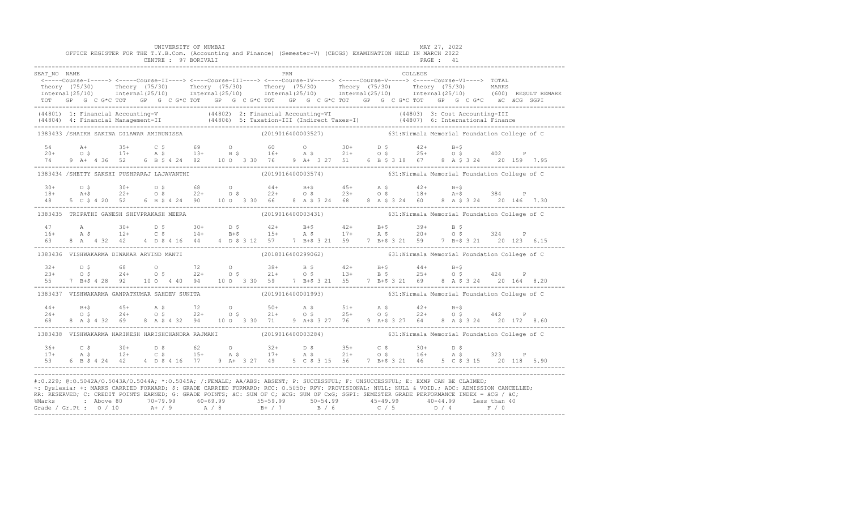|                                           |  |  |  |  | UNIVERSITY OF MUMBAI |  |  |     | OFFICE REGISTER FOR THE T.Y.B.Com. (Accounting and Finance) (Semester-V) (CBCGS) EXAMINATION HELD IN MARCH 2022                                                                                                                                                                                                                                                                                                                                                                                                                                                                                |  | MAY 27, 2022 |           |  |  |                                                                                                                                                                                                                       |
|-------------------------------------------|--|--|--|--|----------------------|--|--|-----|------------------------------------------------------------------------------------------------------------------------------------------------------------------------------------------------------------------------------------------------------------------------------------------------------------------------------------------------------------------------------------------------------------------------------------------------------------------------------------------------------------------------------------------------------------------------------------------------|--|--------------|-----------|--|--|-----------------------------------------------------------------------------------------------------------------------------------------------------------------------------------------------------------------------|
|                                           |  |  |  |  | CENTRE : 97 BORIVALI |  |  |     |                                                                                                                                                                                                                                                                                                                                                                                                                                                                                                                                                                                                |  |              | PAGE : 41 |  |  |                                                                                                                                                                                                                       |
| SEAT NO NAME                              |  |  |  |  |                      |  |  | PRN |                                                                                                                                                                                                                                                                                                                                                                                                                                                                                                                                                                                                |  | COLLEGE      |           |  |  |                                                                                                                                                                                                                       |
|                                           |  |  |  |  |                      |  |  |     | <-----Course-I-----> <----Course-II----> <----Course-III----> <----Course-IV-----> <----Course-V----> TOTAL                                                                                                                                                                                                                                                                                                                                                                                                                                                                                    |  |              |           |  |  | Theory (75/30) Theory (75/30) Theory (75/30) Theory (75/30) Theory (75/30) Theory (75/30) MARKS<br>Internal(25/10) Internal(25/10) Internal(25/10) Internal(25/10) Internal(25/10) Internal(25/10) (600) RESULTREMARK |
|                                           |  |  |  |  |                      |  |  |     |                                                                                                                                                                                                                                                                                                                                                                                                                                                                                                                                                                                                |  |              |           |  |  |                                                                                                                                                                                                                       |
|                                           |  |  |  |  |                      |  |  |     | (44801) 1: Financial Accounting-V (44802) 2: Financial Accounting-VI (44803) 3: Cost Accounting-III<br>(44804) 4: Financial Management-II (44806) 5: Taxation-III (Indirect Taxes-I) (44807) 6: International Finance<br>-----------                                                                                                                                                                                                                                                                                                                                                           |  |              |           |  |  |                                                                                                                                                                                                                       |
|                                           |  |  |  |  |                      |  |  |     | 1383433 /SHAIKH SAKINA DILAWAR AMIRUNISSA (2019016400003527) 631:Nirmala Memorial Foundation College of C                                                                                                                                                                                                                                                                                                                                                                                                                                                                                      |  |              |           |  |  |                                                                                                                                                                                                                       |
|                                           |  |  |  |  |                      |  |  |     |                                                                                                                                                                                                                                                                                                                                                                                                                                                                                                                                                                                                |  |              |           |  |  |                                                                                                                                                                                                                       |
|                                           |  |  |  |  |                      |  |  |     |                                                                                                                                                                                                                                                                                                                                                                                                                                                                                                                                                                                                |  |              |           |  |  |                                                                                                                                                                                                                       |
|                                           |  |  |  |  |                      |  |  |     |                                                                                                                                                                                                                                                                                                                                                                                                                                                                                                                                                                                                |  |              |           |  |  |                                                                                                                                                                                                                       |
|                                           |  |  |  |  |                      |  |  |     | 1383434 /SHETTY SAKSHI PUSHPARAJ LAJAVANTHI (2019016400003574) (2019016400003574)                                                                                                                                                                                                                                                                                                                                                                                                                                                                                                              |  |              |           |  |  |                                                                                                                                                                                                                       |
|                                           |  |  |  |  |                      |  |  |     | $18+$ $18+$ $22+$ $05$ $22+$ $05$ $22+$ $05$ $22+$ $05$ $23+$ $05$ $28+$ $05$ $29+$ $05$ $20+$ $05$ $21+$ $05$ $22+$ $05$ $22+$ $05$ $23+$ $05$ $18+$ $18+$ $15$ $384$ $P$<br>$5 \quad C \quad 5 \quad 4 \quad 20 \quad 146$ $7 \quad 30$<br>$-2 \quad 6 \quad B \quad 5 \$                                                                                                                                                                                                                                                                                                                    |  |              |           |  |  |                                                                                                                                                                                                                       |
|                                           |  |  |  |  |                      |  |  |     |                                                                                                                                                                                                                                                                                                                                                                                                                                                                                                                                                                                                |  |              |           |  |  |                                                                                                                                                                                                                       |
| 1383435 TRIPATHI GANESH SHIVPRAKASH MEERA |  |  |  |  |                      |  |  |     | (2019016400003431) 631:Nirmala Memorial Foundation College of C                                                                                                                                                                                                                                                                                                                                                                                                                                                                                                                                |  |              |           |  |  |                                                                                                                                                                                                                       |
|                                           |  |  |  |  |                      |  |  |     |                                                                                                                                                                                                                                                                                                                                                                                                                                                                                                                                                                                                |  |              |           |  |  |                                                                                                                                                                                                                       |
|                                           |  |  |  |  |                      |  |  |     |                                                                                                                                                                                                                                                                                                                                                                                                                                                                                                                                                                                                |  |              |           |  |  |                                                                                                                                                                                                                       |
|                                           |  |  |  |  |                      |  |  |     | $\begin{array}{cccccccccccccccc} 47 & & & {\rm A} & & & 30+ & & {\rm D}~\hat{\textbf{S}} & & 30+ & & {\rm D}~\hat{\textbf{S}} & & 42+ & {\rm B}+ \hat{\textbf{S}} & & 42+ & {\rm B}+ \hat{\textbf{S}} & & 39+ & {\rm B}~\hat{\textbf{S}} \\ 16+ & & {\rm A}~\hat{\textbf{S}} & & 12+ & {\rm C}~\hat{\textbf{S}} & & 14+ & {\rm B}+ \hat{\textbf{S}} & & 15+ & {\rm A}~\hat{\textbf{S}} & & 17+ & {\rm A}~\hat{\textbf$                                                                                                                                                                         |  |              |           |  |  |                                                                                                                                                                                                                       |
|                                           |  |  |  |  |                      |  |  |     | 1383436 VISHWAKARMA DIWAKAR ARVIND MANTI (2018016400299062) 631:Nirmala Memorial Foundation College of C                                                                                                                                                                                                                                                                                                                                                                                                                                                                                       |  |              |           |  |  |                                                                                                                                                                                                                       |
|                                           |  |  |  |  |                      |  |  |     |                                                                                                                                                                                                                                                                                                                                                                                                                                                                                                                                                                                                |  |              |           |  |  |                                                                                                                                                                                                                       |
|                                           |  |  |  |  |                      |  |  |     |                                                                                                                                                                                                                                                                                                                                                                                                                                                                                                                                                                                                |  |              |           |  |  |                                                                                                                                                                                                                       |
|                                           |  |  |  |  |                      |  |  |     |                                                                                                                                                                                                                                                                                                                                                                                                                                                                                                                                                                                                |  |              |           |  |  |                                                                                                                                                                                                                       |
|                                           |  |  |  |  |                      |  |  |     | 1383437 VISHWAKARMA GANPATKUMAR SAHDEV SUNITA (2019016400001993) 631:Nirmala Memorial Foundation College of C                                                                                                                                                                                                                                                                                                                                                                                                                                                                                  |  |              |           |  |  |                                                                                                                                                                                                                       |
|                                           |  |  |  |  |                      |  |  |     |                                                                                                                                                                                                                                                                                                                                                                                                                                                                                                                                                                                                |  |              |           |  |  |                                                                                                                                                                                                                       |
|                                           |  |  |  |  |                      |  |  |     |                                                                                                                                                                                                                                                                                                                                                                                                                                                                                                                                                                                                |  |              |           |  |  |                                                                                                                                                                                                                       |
|                                           |  |  |  |  |                      |  |  |     | $\begin{array}{cccccccccccccccc} 44+ & & & & & & & & & 45+ & & & & 45+ & & & & 45+ & & & & 45+ & & & 45+ & & & & 45+ & & & 45+ & & & 45+ & & & 45+ & & & 45+ & & & 45+ & & & 45+ & & & 45+ & & & 45+ & & & 45+ & & & 45+ & & & 45+ & & & 45+ & & & 45+ & & & 45+ & & & 45+ & & & 45+ & & & 45+ & & & 45+ & & & 45+ & & & 45+ & & & 45+ & & & 45+$<br>1383438 VISHWAKARMA HARIKESH HARISHCHANDRA RAJMANI (2019016400003284) 631:Nirmala Memorial Foundation College of C                                                                                                                        |  |              |           |  |  |                                                                                                                                                                                                                       |
|                                           |  |  |  |  |                      |  |  |     |                                                                                                                                                                                                                                                                                                                                                                                                                                                                                                                                                                                                |  |              |           |  |  |                                                                                                                                                                                                                       |
|                                           |  |  |  |  |                      |  |  |     |                                                                                                                                                                                                                                                                                                                                                                                                                                                                                                                                                                                                |  |              |           |  |  |                                                                                                                                                                                                                       |
|                                           |  |  |  |  |                      |  |  |     |                                                                                                                                                                                                                                                                                                                                                                                                                                                                                                                                                                                                |  |              |           |  |  |                                                                                                                                                                                                                       |
|                                           |  |  |  |  |                      |  |  |     | #:0.229; @:0.5042A/0.5043A/0.5044A; *:0.5045A; /:FEMALE; AA/ABS: ABSENT; P: SUCCESSFUL; F: UNSUCCESSFUL; E: EXMP CAN BE CLAIMED;<br>~: Dyslexia; +: MARKS CARRIED FORWARD; \$: GRADE CARRIED FORWARD; RCC: 0.5050; RPV: PROVISIONAL; NULL: NULL & VOID.; ADC: ADMISSION CANCELLED;<br>RR: RESERVED; C: CREDIT POINTS EARNED; G: GRADE POINTS; äC: SUM OF C; äCG: SUM OF CxG; SGPI: SEMESTER GRADE PERFORMANCE INDEX = äCG / äC;<br>%Marks : Above 80 70-79.99 60-69.99 55-59.99 50-54.99 45-49.99 45-49.99 Eless than 40<br>Grade / Gr.Pt : 0 / 10 A+ / 9 A / 8 B+ / 7 B / 6 C / 5 D / 4 F / 0 |  |              |           |  |  |                                                                                                                                                                                                                       |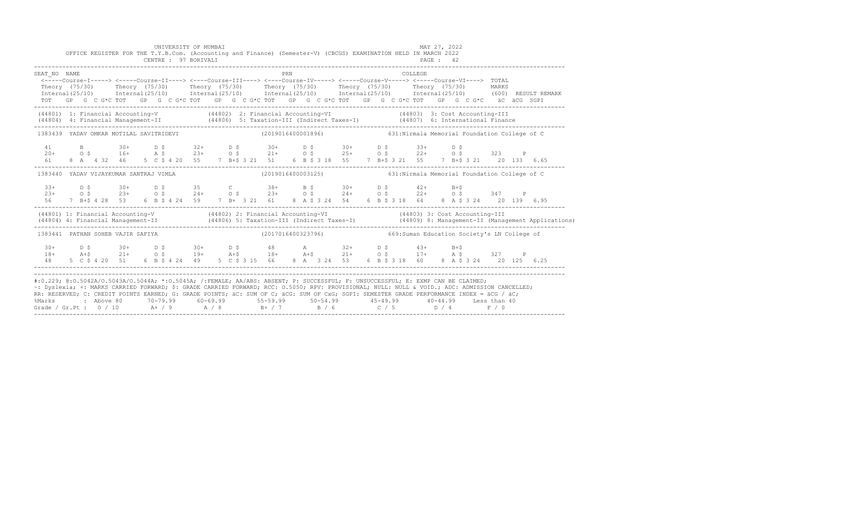|                                                                                                                                                                                                                                                                                                                                                                                                                                                                                                                 | OFFICE REGISTER FOR THE T.Y.B.Com. (Accounting and Finance) (Semester-V) (CBCGS) EXAMINATION HELD IN MARCH 2022                                                                                                                                                                                                                                                                                                                                                                                                                                                                                                                                                                                                                                                                    |  | UNIVERSITY OF MUMBAI<br>CENTRE : 97 BORIVALI |  |  |                                                                  |            |  |  |  |         | MAY 27, 2022<br>PAGE : 42 |      |  |                                                                                                                                                                                                                                      |
|-----------------------------------------------------------------------------------------------------------------------------------------------------------------------------------------------------------------------------------------------------------------------------------------------------------------------------------------------------------------------------------------------------------------------------------------------------------------------------------------------------------------|------------------------------------------------------------------------------------------------------------------------------------------------------------------------------------------------------------------------------------------------------------------------------------------------------------------------------------------------------------------------------------------------------------------------------------------------------------------------------------------------------------------------------------------------------------------------------------------------------------------------------------------------------------------------------------------------------------------------------------------------------------------------------------|--|----------------------------------------------|--|--|------------------------------------------------------------------|------------|--|--|--|---------|---------------------------|------|--|--------------------------------------------------------------------------------------------------------------------------------------------------------------------------------------------------------------------------------------|
| SEAT NO NAME                                                                                                                                                                                                                                                                                                                                                                                                                                                                                                    | $\leftarrow--- \text{Course-I--->}~\leftarrow- \text{Course-I1--->}~\leftarrow- \text{Course-I11--->}~\leftarrow- \text{Course-IV---}~\leftarrow- \text{course-IV---}~\leftarrow- \text{Course-V---}~\leftarrow- \text{Course-V---}~\leftarrow- \text{Course-V1--->}~\leftarrow- \text{course-V1---}~\leftarrow- \text{course-V1---}~\leftarrow- \text{course-V1---}~\leftarrow- \text{course-V1---}~\leftarrow- \text{course-V1---}~\leftarrow- \text{course-V1---}~\leftarrow- \text{course-V1---}~\leftarrow- \text{course-V1---}~\leftarrow- \text{course-V1---}~$<br>Theory (75/30) Theory (75/30) Theory (75/30) Theory (75/30) Theory (75/30) Theory (75/30) MARKS<br>TOT GP G C G*C TOT GP G C G*C TOT GP G C G*C TOT GP G C G*C TOT GP G C G*C TOT GP G C G*C äC äCG SGPI |  |                                              |  |  |                                                                  | <b>PRN</b> |  |  |  | COLLEGE |                           |      |  | Internal (25/10) Internal (25/10) Internal (25/10) Internal (25/10) Internal (25/10) Internal (25/10) (600) RESULT REMARK                                                                                                            |
|                                                                                                                                                                                                                                                                                                                                                                                                                                                                                                                 |                                                                                                                                                                                                                                                                                                                                                                                                                                                                                                                                                                                                                                                                                                                                                                                    |  |                                              |  |  |                                                                  |            |  |  |  |         |                           |      |  | (44801) 1: Financial Accounting-V (44802) 2: Financial Accounting-VI (44803) 3: Cost Accounting-III<br>(44804) 4: Financial Management-II (44806) 5: Taxation-III (Indirect Taxes-I) (44807) 6: International Finance<br>----------- |
|                                                                                                                                                                                                                                                                                                                                                                                                                                                                                                                 | 1383439 YADAV OMKAR MOTILAL SAVITRIDEVI (2019016400001896) 631:Nirmala Memorial Foundation College of C                                                                                                                                                                                                                                                                                                                                                                                                                                                                                                                                                                                                                                                                            |  |                                              |  |  |                                                                  |            |  |  |  |         |                           |      |  |                                                                                                                                                                                                                                      |
| 41                                                                                                                                                                                                                                                                                                                                                                                                                                                                                                              | B 30+ D \$ 32+ D \$ 30+ D \$ 30+ D \$ 33+                                                                                                                                                                                                                                                                                                                                                                                                                                                                                                                                                                                                                                                                                                                                          |  |                                              |  |  |                                                                  |            |  |  |  |         |                           | D \$ |  |                                                                                                                                                                                                                                      |
|                                                                                                                                                                                                                                                                                                                                                                                                                                                                                                                 | 1383440 YADAV VIJAYKUMAR SANTRAJ VIMLA                                                                                                                                                                                                                                                                                                                                                                                                                                                                                                                                                                                                                                                                                                                                             |  |                                              |  |  | (2019016400003125) 631: Nirmala Memorial Foundation College of C |            |  |  |  |         |                           |      |  |                                                                                                                                                                                                                                      |
| $33+$<br>$2.3+$<br>56                                                                                                                                                                                                                                                                                                                                                                                                                                                                                           | D \$ 30+ D \$ 35 C 38+ B \$ 30+ D \$ 42+ B+\$                                                                                                                                                                                                                                                                                                                                                                                                                                                                                                                                                                                                                                                                                                                                      |  |                                              |  |  |                                                                  |            |  |  |  |         |                           |      |  |                                                                                                                                                                                                                                      |
|                                                                                                                                                                                                                                                                                                                                                                                                                                                                                                                 |                                                                                                                                                                                                                                                                                                                                                                                                                                                                                                                                                                                                                                                                                                                                                                                    |  |                                              |  |  |                                                                  |            |  |  |  |         |                           |      |  | (44801) 1: Financial Accounting-V (44802) 2: Financial Accounting-VI (44803) 3: Cost Accounting-III<br>(44804) 4: Financial Management-II (44806) 5: Taxation-III (Indirect Taxes-I) (44809) 8: Management-II (Management Applica    |
|                                                                                                                                                                                                                                                                                                                                                                                                                                                                                                                 | 1383441 PATHAN SOHEB VAJIR SAFIYA (2017016400323796) 669:Suman Education Society's LN College of                                                                                                                                                                                                                                                                                                                                                                                                                                                                                                                                                                                                                                                                                   |  |                                              |  |  |                                                                  |            |  |  |  |         |                           |      |  |                                                                                                                                                                                                                                      |
| $30+$                                                                                                                                                                                                                                                                                                                                                                                                                                                                                                           | D \$ 30+ D \$ 30+ D \$ 48 A 32+ D \$ 43+ B+\$                                                                                                                                                                                                                                                                                                                                                                                                                                                                                                                                                                                                                                                                                                                                      |  |                                              |  |  |                                                                  |            |  |  |  |         |                           |      |  |                                                                                                                                                                                                                                      |
| #:0.229; @:0.5042A/0.5043A/0.5044A; *:0.5045A; /:FEMALE; AA/ABS: ABSENT; P: SUCCESSFUL; F: UNSUCCESSFUL; E: EXMP CAN BE CLAIMED;<br>~: Dyslexia; +: MARKS CARRIED FORWARD; \$: GRADE CARRIED FORWARD; RCC: 0.5050; RPV: PROVISIONAL; NULL: NULL & VOID.; ADC: ADMISSION CANCELLED;<br>RR: RESERVED; C: CREDIT POINTS EARNED; G: GRADE POINTS; äC: SUM OF C; äCG: SUM OF CxG; SGPI: SEMESTER GRADE PERFORMANCE INDEX = äCG / äC;<br>%Marks<br>Grade / Gr.Pt : $0/10$ A+ / 9 A / 8 B+ / 7 B / 6 C / 5 D / 4 F / 0 | 2 Above 80           70-79.99           60-69.99              55-59.99            50-54.99              45-49.99              40-44.99          Less than 40                                                                                                                                                                                                                                                                                                                                                                                                                                                                                                                                                                                                                       |  |                                              |  |  |                                                                  |            |  |  |  |         |                           |      |  |                                                                                                                                                                                                                                      |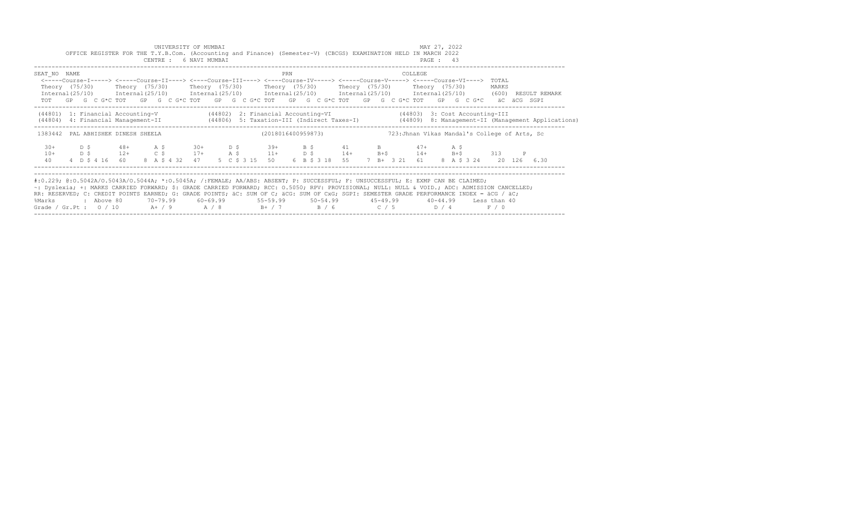|                                                                                                                                                                                                                                                                                                                                                                                                                                                                                                                 |             |            |                          |  | UNIVERSITY OF MUMBAI<br>CENTRE : 6 NAVI MUMBAI |            |  |  | OFFICE REGISTER FOR THE T.Y.B.Com. (Accounting and Finance) (Semester-V) (CBCGS) EXAMINATION HELD IN MARCH 2022                                                                                                                                                                                                                                                                                                                                                     |     |  |                              |  |  |         | MAY 27, 2022<br>PAGE: 43 |                 |     |                         |              |             |                                                                                                                                  |
|-----------------------------------------------------------------------------------------------------------------------------------------------------------------------------------------------------------------------------------------------------------------------------------------------------------------------------------------------------------------------------------------------------------------------------------------------------------------------------------------------------------------|-------------|------------|--------------------------|--|------------------------------------------------|------------|--|--|---------------------------------------------------------------------------------------------------------------------------------------------------------------------------------------------------------------------------------------------------------------------------------------------------------------------------------------------------------------------------------------------------------------------------------------------------------------------|-----|--|------------------------------|--|--|---------|--------------------------|-----------------|-----|-------------------------|--------------|-------------|----------------------------------------------------------------------------------------------------------------------------------|
| SEAT NO NAME                                                                                                                                                                                                                                                                                                                                                                                                                                                                                                    |             |            |                          |  |                                                |            |  |  | <-----Course-I-----> <-----Course-II----> <----Course-III----> <----Course-IV-----> <-----Course-V-----> <-----Course-VI----><br>Theory (75/30)    Theory (75/30)    Theory (75/30)    Theory (75/30)    Theory (75/30)    Theory (75/30)<br>Internal (25/10) Internal (25/10) Internal (25/10) Internal (25/10) Internal (25/10) Internal (25/10) (600) RESULT REMARK<br>TOT GP G C G*C TOT GP G C G*C TOT GP G C G*C TOT GP G C G*C TOT GP G C G*C TOT GP G C G*C | PRN |  |                              |  |  | COLLEGE |                          |                 |     | TOTAL<br>MARKS          |              | äC äCG SGPI |                                                                                                                                  |
|                                                                                                                                                                                                                                                                                                                                                                                                                                                                                                                 |             |            |                          |  |                                                |            |  |  | (44801) 1: Financial Accounting-V (44802) 2: Financial Accounting-VI (44803) 3: Cost Accounting-III                                                                                                                                                                                                                                                                                                                                                                 |     |  |                              |  |  |         |                          |                 |     |                         |              |             | (44804) 4: Financial Management-II (44806) 5: Taxation-III (Indirect Taxes-I) (44809) 8: Management-II (Management Applications) |
| 1383442 PAL ABHISHEK DINESH SHEELA                                                                                                                                                                                                                                                                                                                                                                                                                                                                              |             |            |                          |  |                                                |            |  |  | (2018016400959873) 723: Jhnan Vikas Mandal's College of Arts, Sc                                                                                                                                                                                                                                                                                                                                                                                                    |     |  |                              |  |  |         |                          |                 |     |                         |              |             |                                                                                                                                  |
| $30+$<br>$10+$<br>40                                                                                                                                                                                                                                                                                                                                                                                                                                                                                            | D \$<br>D S |            | $48+$ A \$<br>$12+$ C \$ |  |                                                | $30+$ D \$ |  |  | $39+$ B \$ 41 B 47+<br>$17+$ A \$ $11+$ D \$ $14+$ B + \$ $14+$<br>4 D \$ 4 16 60 8 A \$ 4 32 47 5 C \$ 3 15 50                                                                                                                                                                                                                                                                                                                                                     |     |  | 6 B \$ 3 18 55 7 B + 3 21 61 |  |  |         |                          | A \$<br>$B + $$ | 313 | 8 A \$ 3 24 20 126 6.30 | $\mathbb{P}$ |             |                                                                                                                                  |
| #:0.229; @:0.5042A/0.5043A/0.5044A; *:0.5045A; /:FEMALE; AA/ABS: ABSENT; P: SUCCESSFUL; F: UNSUCCESSFUL; E: EXMP CAN BE CLAIMED;<br>~: Dyslexia; +: MARKS CARRIED FORWARD; \$: GRADE CARRIED FORWARD; RCC: 0.5050; RPV: PROVISIONAL; NULL: NULL & VOID.; ADC: ADMISSION CANCELLED;<br>RR: RESERVED; C: CREDIT POINTS EARNED; G: GRADE POINTS; äC: SUM OF C; äCG: SUM OF CxG; SGPI: SEMESTER GRADE PERFORMANCE INDEX = äCG / äC;<br>%Marks<br>Grade / Gr.Pt : $0/10$ A+ / 9 A / 8 B+ / 7 B / 6 C / 5 D / 4 F / 0 |             | : Above 80 |                          |  |                                                |            |  |  | 70-79.99 60-69.99 55-59.99 50-54.99 45-49.99 40-44.99 Less than 40                                                                                                                                                                                                                                                                                                                                                                                                  |     |  |                              |  |  |         |                          |                 |     |                         |              |             |                                                                                                                                  |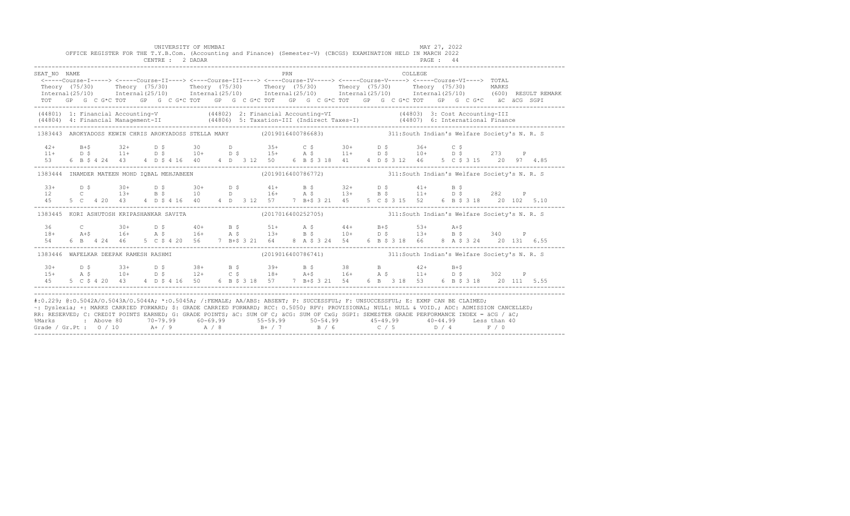|                   | OFFICE REGISTER FOR THE T.Y.B.Com. (Accounting and Finance) (Semester-V) (CBCGS) EXAMINATION HELD IN MARCH 2022                                                                                                                                                                                                                                                                                                                                                                                                                                                                               | UNIVERSITY OF MUMBAI<br>CENTRE : 2 DADAR |  |  |     |                                                                 |  |         | MAY 27, 2022<br><b>PAGE : 44</b> |  |  |
|-------------------|-----------------------------------------------------------------------------------------------------------------------------------------------------------------------------------------------------------------------------------------------------------------------------------------------------------------------------------------------------------------------------------------------------------------------------------------------------------------------------------------------------------------------------------------------------------------------------------------------|------------------------------------------|--|--|-----|-----------------------------------------------------------------|--|---------|----------------------------------|--|--|
| SEAT NO NAME      | $\hbox{----}---Course\----->\mbox{----Course-II--->}\mbox{---} - course\mbox{--III--->}\mbox{---} - course\mbox{--IV----}>\mbox{----Course-V--->}\mbox{---} - course\mbox{--V---} - course\mbox{--V---} - gives\mbox{--V---} -\\$<br>Theory (75/30) Theory (75/30) Theory (75/30) Theory (75/30) Theory (75/30) Theory (75/30) MARKS<br>Internal (25/10) Internal (25/10) Internal (25/10) Internal (25/10) Internal (25/10) Internal (25/10) (600) RESULT REMARK<br>TOT GP G C G*C TOT GP G C G*C TOT GP G C G*C TOT GP G C G*C TOT GP G C G*C TOT GP G C G*C äC äCG SGPI                    |                                          |  |  | PRN |                                                                 |  | COLLEGE |                                  |  |  |
|                   | (44801) 1: Financial Accounting-V (44802) 2: Financial Accounting-VI (44803) 3: Cost Accounting-III<br>(44804) 4: Financial Management-II (44806) 5: Taxation-III (Indirect Taxes-I) (44807) 6: International Finance<br>-----------                                                                                                                                                                                                                                                                                                                                                          |                                          |  |  |     |                                                                 |  |         |                                  |  |  |
|                   | 1383443 AROKYADOSS KEWIN CHRIS AROKYADOSS STELLA MARY (2019016400786683) 311:South Indian's Welfare Society's N. R. S                                                                                                                                                                                                                                                                                                                                                                                                                                                                         |                                          |  |  |     |                                                                 |  |         |                                  |  |  |
|                   |                                                                                                                                                                                                                                                                                                                                                                                                                                                                                                                                                                                               |                                          |  |  |     |                                                                 |  |         |                                  |  |  |
|                   | 1383444 INAMDER MATEEN MOHD IQBAL MEHJABEEN (2019016400786772) 311:South Indian's Welfare Society's N. R. S                                                                                                                                                                                                                                                                                                                                                                                                                                                                                   |                                          |  |  |     |                                                                 |  |         |                                  |  |  |
| $33+$<br>12<br>45 |                                                                                                                                                                                                                                                                                                                                                                                                                                                                                                                                                                                               |                                          |  |  |     |                                                                 |  |         |                                  |  |  |
|                   | 1383445 KORI ASHUTOSH KRIPASHANKAR SAVITA (2017016400252705) 311:South Indian's Welfare Society's N.R. S                                                                                                                                                                                                                                                                                                                                                                                                                                                                                      |                                          |  |  |     |                                                                 |  |         |                                  |  |  |
| 54                | $18+$ $24+$ $30+$ $16+$ $25+$ $30+$ $25+$ $16+$ $25+$ $25+$ $25+$ $25+$ $25+$ $25+$ $25+$ $25+$ $25+$ $25+$ $25+$ $25+$ $25+$ $25+$ $25+$ $25+$ $25+$ $25+$ $25+$ $25+$ $25+$ $25+$ $25+$ $25+$ $25+$ $25+$ $25+$ $25+$ $25+$<br>6 B 4 24 46 5 C \$ 4 20 56 7 B+\$ 3 21 64 8 A \$ 3 24 54 6 B \$ 3 18 66 8 A \$ 3 24 20 131 6.55                                                                                                                                                                                                                                                              |                                          |  |  |     |                                                                 |  |         |                                  |  |  |
|                   | 1383446 WAFELKAR DEEPAK RAMESH RASHMI                                                                                                                                                                                                                                                                                                                                                                                                                                                                                                                                                         |                                          |  |  |     | (2019016400786741) 311:South Indian's Welfare Society's N. R. S |  |         |                                  |  |  |
|                   | $15+$ $15+$ $10+$ $10+$ $15+$ $15+$ $15+$ $15+$ $15+$ $15+$ $15+$ $15+$ $15+$ $15+$ $15+$ $15+$ $15+$ $15+$ $15+$ $15+$ $15+$ $15+$ $15+$ $15+$ $15+$ $15+$ $15+$ $15+$ $15+$ $15+$ $15+$ $15+$ $15+$ $15+$ $15+$ $15+$ $15+$                                                                                                                                                                                                                                                                                                                                                                 |                                          |  |  |     |                                                                 |  |         |                                  |  |  |
|                   | #:0.229; @:0.5042A/0.5043A/0.5044A; *:0.5045A; /:FEMALE; AA/ABS: ABSENT; P: SUCCESSFUL; F: UNSUCCESSFUL; E: EXMP CAN BE CLAIMED;<br>~: Dyslexia; +: MARKS CARRIED FORWARD; \$: GRADE CARRIED FORWARD; RCC: 0.5050; RPV: PROVISIONAL; NULL: NULL & VOID.; ADC: ADMISSION CANCELLED;<br>RR: RESERVED, C: CREDIT POINTS EARNED, G: GRADE POINTS, AC: SUM OF C; ACG: SUM OF CxG; SGPI: SEMESTER GRADE PERFORMANCE INDEX = ACG / AC;<br>%Marks : Above 80 70-79.99 60-69.99 55-59.99 50-54.99 45-49.99 40-44.99 Less than 40<br>Grade / Gr.Pt : 0 / 10 A+ / 9 A / 8 B+ / 7 B / 6 C / 5 D / 4 F / 0 |                                          |  |  |     |                                                                 |  |         |                                  |  |  |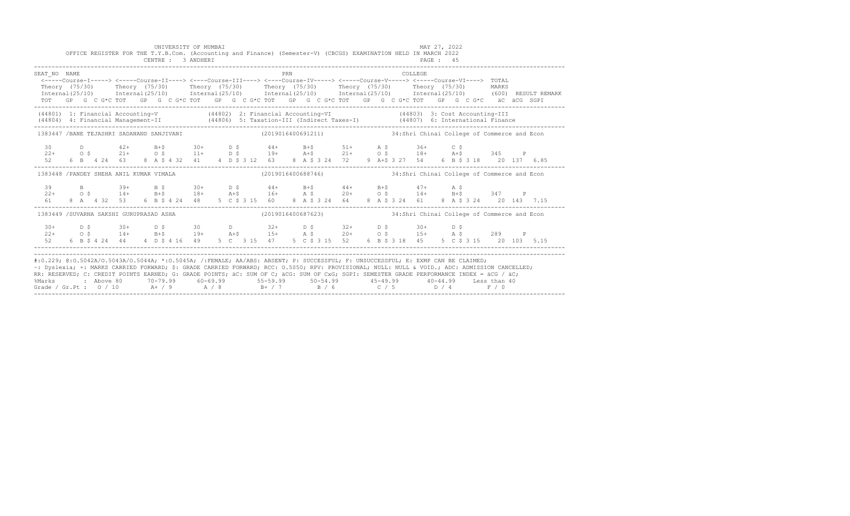|                                                                                                                                                                                                                                                                                                                                                                                                                                                                                                                 |  |  |  |  | UNIVERSITY OF MUMBAI<br>CENTRE : 3 ANDHERI |  |  | OFFICE REGISTER FOR THE T.Y.B.Com. (Accounting and Finance) (Semester-V) (CBCGS) EXAMINATION HELD IN MARCH 2022                                                                                                                                         |  |  |  |  |         | MAY 27, 2022<br>PAGE : 45 |  |  |  |  |                                                                                                                                                                                                                      |
|-----------------------------------------------------------------------------------------------------------------------------------------------------------------------------------------------------------------------------------------------------------------------------------------------------------------------------------------------------------------------------------------------------------------------------------------------------------------------------------------------------------------|--|--|--|--|--------------------------------------------|--|--|---------------------------------------------------------------------------------------------------------------------------------------------------------------------------------------------------------------------------------------------------------|--|--|--|--|---------|---------------------------|--|--|--|--|----------------------------------------------------------------------------------------------------------------------------------------------------------------------------------------------------------------------|
| SEAT NO NAME                                                                                                                                                                                                                                                                                                                                                                                                                                                                                                    |  |  |  |  |                                            |  |  | <b>PRN</b><br><-----Course-I-----> <-----Course-II----> <----Course-III----> <----Course-IV----> <----Course-V-----> <----Course-VI----> TOTAL<br>TOT GP G C G*C TOT GP G C G*C TOT GP G C G*C TOT GP G C G*C TOT GP G C G*C TOT GP G C G*C äC äCG SGPI |  |  |  |  | COLLEGE |                           |  |  |  |  | Theory (75/30) Theory (75/30) Theory (75/30) Theory (75/30) Theory (75/30) Theory (75/30) MARKS<br>Internal(25/10) Internal(25/10) Internal(25/10) Internal(25/10) Internal(25/10) Internal(25/10) (600)RESULTREMARK |
| (44801) 1: Financial Accounting-V (44802) 2: Financial Accounting-VI (44803) 3: Cost Accounting-III<br>(44804) 4: Financial Management-II (44806) 5: Taxation-III (Indirect Taxes-I) (44807) 6: International Finance<br>-----------                                                                                                                                                                                                                                                                            |  |  |  |  |                                            |  |  |                                                                                                                                                                                                                                                         |  |  |  |  |         |                           |  |  |  |  |                                                                                                                                                                                                                      |
| 1383447 /BANE TEJASHRI SADANAND SANJIVANI                                                                                                                                                                                                                                                                                                                                                                                                                                                                       |  |  |  |  |                                            |  |  | (2019016400691211) 34:Shri Chinai College of Commerce and Econ                                                                                                                                                                                          |  |  |  |  |         |                           |  |  |  |  |                                                                                                                                                                                                                      |
|                                                                                                                                                                                                                                                                                                                                                                                                                                                                                                                 |  |  |  |  |                                            |  |  |                                                                                                                                                                                                                                                         |  |  |  |  |         |                           |  |  |  |  |                                                                                                                                                                                                                      |
| 1383448 / PANDEY SNEHA ANIL KUMAR VIMALA                                                                                                                                                                                                                                                                                                                                                                                                                                                                        |  |  |  |  |                                            |  |  | (2019016400688746) 34:Shri Chinai College of Commerce and Econ                                                                                                                                                                                          |  |  |  |  |         |                           |  |  |  |  |                                                                                                                                                                                                                      |
|                                                                                                                                                                                                                                                                                                                                                                                                                                                                                                                 |  |  |  |  |                                            |  |  |                                                                                                                                                                                                                                                         |  |  |  |  |         |                           |  |  |  |  |                                                                                                                                                                                                                      |
| 1383449 /SUVARNA SAKSHI GURUPRASAD ASHA                                                                                                                                                                                                                                                                                                                                                                                                                                                                         |  |  |  |  |                                            |  |  | (2019016400687623) 34:Shri Chinai College of Commerce and Econ                                                                                                                                                                                          |  |  |  |  |         |                           |  |  |  |  |                                                                                                                                                                                                                      |
|                                                                                                                                                                                                                                                                                                                                                                                                                                                                                                                 |  |  |  |  |                                            |  |  | $30+$ $D$ \$ $30+$ $D$ \$ $30+$ $D$ $D$ $32+$ $D$ \$ $32+$ $D$ \$ $30+$ $D$ \$                                                                                                                                                                          |  |  |  |  |         |                           |  |  |  |  |                                                                                                                                                                                                                      |
| #:0.229; @:0.5042A/0.5043A/0.5044A; *:0.5045A; /:FEMALE; AA/ABS: ABSENT; P: SUCCESSFUL; F: UNSUCCESSFUL; E: EXMP CAN BE CLAIMED;<br>~: Dyslexia; +: MARKS CARRIED FORWARD; \$: GRADE CARRIED FORWARD; RCC: 0.5050; RPV: PROVISIONAL; NULL: NULL & VOID.; ADC: ADMISSION CANCELLED;<br>RR: RESERVED; C: CREDIT POINTS EARNED; G: GRADE POINTS; äC: SUM OF C; äCG: SUM OF CxG; SGPI: SEMESTER GRADE PERFORMANCE INDEX = äCG / äC;<br>%Marks<br>Grade / Gr.Pt : $0/10$ A+ / 9 A / 8 B+ / 7 B / 6 C / 5 D / 4 F / 0 |  |  |  |  |                                            |  |  | : Above 80    70-79.99    60-69.99     55-59.99     50-54.99     45-49.99     40-44.99   Less than 40                                                                                                                                                   |  |  |  |  |         |                           |  |  |  |  |                                                                                                                                                                                                                      |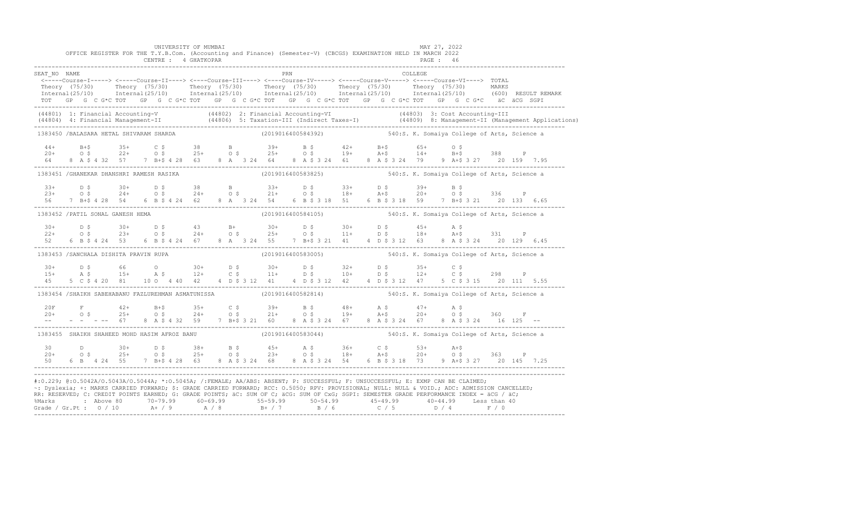|                                         |  |  | UNIVERSITY OF MUMBAI |  |  |  |     |                    |  | OFFICE REGISTER FOR THE T.Y.B.Com. (Accounting and Finance) (Semester-V) (CBCGS) EXAMINATION HELD IN MARCH 2022                                                                                                                                                                  |         | MAY 27, 2022 |  |                                                                                                                                                                                                                                                                              |
|-----------------------------------------|--|--|----------------------|--|--|--|-----|--------------------|--|----------------------------------------------------------------------------------------------------------------------------------------------------------------------------------------------------------------------------------------------------------------------------------|---------|--------------|--|------------------------------------------------------------------------------------------------------------------------------------------------------------------------------------------------------------------------------------------------------------------------------|
|                                         |  |  | CENTRE : 4 GHATKOPAR |  |  |  |     |                    |  |                                                                                                                                                                                                                                                                                  |         | PAGE : 46    |  |                                                                                                                                                                                                                                                                              |
| SEAT NO NAME                            |  |  |                      |  |  |  | PRN |                    |  |                                                                                                                                                                                                                                                                                  | COLLEGE |              |  |                                                                                                                                                                                                                                                                              |
|                                         |  |  |                      |  |  |  |     |                    |  | <-----Course-I-----> <-----Course-II----> <----Course-III----> <----Course-IV-----> <----Course-V-----> <----Course-VI----> TOTAL                                                                                                                                                |         |              |  |                                                                                                                                                                                                                                                                              |
|                                         |  |  |                      |  |  |  |     |                    |  |                                                                                                                                                                                                                                                                                  |         |              |  | Theory (75/30) Theory (75/30) Theory (75/30) Theory (75/30) Theory (75/30) Theory (75/30) Theory (75/30) MARKS<br>Thternal(25/10) Thternal(25/10) Thternal(25/10) Thternal(25/10) Thternal(25/10) Thternal(25/10) (600) RESULT R                                             |
|                                         |  |  |                      |  |  |  |     |                    |  | TOT GP G C G*C TOT GP G C G*C TOT GP G C G*C TOT GP G C G*C TOT GP G C G*C TOT GP G C G*C äC äCG SGPI                                                                                                                                                                            |         |              |  |                                                                                                                                                                                                                                                                              |
|                                         |  |  |                      |  |  |  |     |                    |  |                                                                                                                                                                                                                                                                                  |         |              |  | (44801) 1: Financial Accounting-V (44802) 2: Financial Accounting-VI (44803) 3: Cost Accounting-III<br>(44804) 4: Financial Management-II (44806) 5: Taxation-III (Indirect Taxes-I) (44809) 8: Management-II (Management Applica                                            |
| 1383450 /BALASARA HETAL SHIVARAM SHARDA |  |  |                      |  |  |  |     | (2019016400584392) |  | 540:S. K. Somaiya College of Arts, Science a                                                                                                                                                                                                                                     |         |              |  |                                                                                                                                                                                                                                                                              |
|                                         |  |  |                      |  |  |  |     |                    |  |                                                                                                                                                                                                                                                                                  |         |              |  |                                                                                                                                                                                                                                                                              |
|                                         |  |  |                      |  |  |  |     |                    |  |                                                                                                                                                                                                                                                                                  |         |              |  |                                                                                                                                                                                                                                                                              |
|                                         |  |  |                      |  |  |  |     |                    |  |                                                                                                                                                                                                                                                                                  |         |              |  |                                                                                                                                                                                                                                                                              |
|                                         |  |  |                      |  |  |  |     |                    |  | 1383451 /GHANEKAR DHANSHRI RAMESH RASIKA (2019016400583825) 540:S. K. Somaiya College of Arts, Science a                                                                                                                                                                         |         |              |  |                                                                                                                                                                                                                                                                              |
|                                         |  |  |                      |  |  |  |     |                    |  |                                                                                                                                                                                                                                                                                  |         |              |  |                                                                                                                                                                                                                                                                              |
|                                         |  |  |                      |  |  |  |     |                    |  |                                                                                                                                                                                                                                                                                  |         |              |  |                                                                                                                                                                                                                                                                              |
|                                         |  |  |                      |  |  |  |     |                    |  |                                                                                                                                                                                                                                                                                  |         |              |  | $133+$ $15$ $15$ $16$ $18+$ $17+$<br>$18+$ $19+$ $19+$ $18+$ $19+$<br>$18+$ $19+$ $19+$ $18+$<br>$19+$ $19+$ $19+$ $19+$<br>$19+$ $19+$ $19+$<br>$19+$ $19+$ $19+$<br>$19+$ $19+$<br>$19+$ $19+$<br>$19+$<br>$19+$<br>$19+$<br>$19+$<br>$19+$<br>$19+$<br>$19+$<br>$19+$<br> |
| 1383452 / PATIL SONAL GANESH HEMA       |  |  |                      |  |  |  |     |                    |  | (2019016400584105) 540:S. K. Somaiya College of Arts, Science a                                                                                                                                                                                                                  |         |              |  |                                                                                                                                                                                                                                                                              |
| $30+$                                   |  |  |                      |  |  |  |     |                    |  |                                                                                                                                                                                                                                                                                  |         |              |  |                                                                                                                                                                                                                                                                              |
| $22+$                                   |  |  |                      |  |  |  |     |                    |  |                                                                                                                                                                                                                                                                                  |         |              |  |                                                                                                                                                                                                                                                                              |
|                                         |  |  |                      |  |  |  |     |                    |  |                                                                                                                                                                                                                                                                                  |         |              |  |                                                                                                                                                                                                                                                                              |
| 1383453 /SANCHALA DISHITA PRAVIN RUPA   |  |  |                      |  |  |  |     |                    |  | (2019016400583005) 540:S. K. Somaiya College of Arts, Science a                                                                                                                                                                                                                  |         |              |  |                                                                                                                                                                                                                                                                              |
| $30+$                                   |  |  |                      |  |  |  |     |                    |  |                                                                                                                                                                                                                                                                                  |         |              |  |                                                                                                                                                                                                                                                                              |
| $15+$                                   |  |  |                      |  |  |  |     |                    |  |                                                                                                                                                                                                                                                                                  |         |              |  |                                                                                                                                                                                                                                                                              |
|                                         |  |  |                      |  |  |  |     |                    |  |                                                                                                                                                                                                                                                                                  |         |              |  |                                                                                                                                                                                                                                                                              |
|                                         |  |  |                      |  |  |  |     |                    |  | 1383454 /SHAIKH SABEHABANU FAZLUREHMAN ASMATUNISSA (2019016400582814) 540:S. K. Somaiya College of Arts, Science a                                                                                                                                                               |         |              |  |                                                                                                                                                                                                                                                                              |
|                                         |  |  |                      |  |  |  |     |                    |  |                                                                                                                                                                                                                                                                                  |         |              |  |                                                                                                                                                                                                                                                                              |
|                                         |  |  |                      |  |  |  |     |                    |  |                                                                                                                                                                                                                                                                                  |         |              |  |                                                                                                                                                                                                                                                                              |
|                                         |  |  |                      |  |  |  |     |                    |  |                                                                                                                                                                                                                                                                                  |         |              |  |                                                                                                                                                                                                                                                                              |
|                                         |  |  |                      |  |  |  |     |                    |  | 1383455 SHAIKH SHAHEED MOHD HASIM AFROZ BANU (2019016400583044) 540:S. K. Somaiya College of Arts, Science a                                                                                                                                                                     |         |              |  |                                                                                                                                                                                                                                                                              |
|                                         |  |  |                      |  |  |  |     |                    |  |                                                                                                                                                                                                                                                                                  |         |              |  |                                                                                                                                                                                                                                                                              |
|                                         |  |  |                      |  |  |  |     |                    |  |                                                                                                                                                                                                                                                                                  |         |              |  |                                                                                                                                                                                                                                                                              |
|                                         |  |  |                      |  |  |  |     |                    |  |                                                                                                                                                                                                                                                                                  |         |              |  |                                                                                                                                                                                                                                                                              |
|                                         |  |  |                      |  |  |  |     |                    |  | #:0.229; @:0.5042A/0.5043A/0.5044A; *:0.5045A; /:FEMALE; AA/ABS: ABSENT; P: SUCCESSFUL; F: UNSUCCESSFUL; E: EXMP CAN BE CLAIMED;<br>~: Dyslexia; +: MARKS CARRIED FORWARD; \$: GRADE CARRIED FORWARD; RCC: 0.5050; RPV: PROVISIONAL; NULL: NULL: AULL: ADC: ADMISSION CANCELLED; |         |              |  |                                                                                                                                                                                                                                                                              |
|                                         |  |  |                      |  |  |  |     |                    |  | RR: RESERVED; C: CREDIT POINTS EARNED; G: GRADE POINTS; äC: SUM OF C; äCG: SUM OF CxG; SGPI: SEMESTER GRADE PERFORMANCE INDEX = äCG / äC;                                                                                                                                        |         |              |  |                                                                                                                                                                                                                                                                              |
|                                         |  |  |                      |  |  |  |     |                    |  | %Marks : Above 80 70-79.99 60-69.99 55-59.99 50-54.99 45-49.99 40-44.99 Less than 40<br>Grade / Gr.Pt : 0 / 10 A+ / 9 A / 8 B+ / 7 B / 6 C / 5 D / 4 F / 0                                                                                                                       |         |              |  |                                                                                                                                                                                                                                                                              |
|                                         |  |  |                      |  |  |  |     |                    |  |                                                                                                                                                                                                                                                                                  |         |              |  |                                                                                                                                                                                                                                                                              |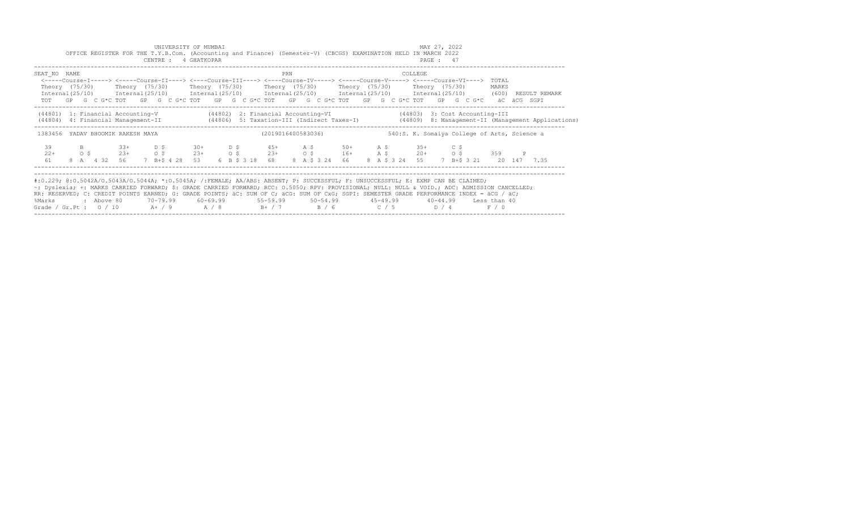|                                                                                                                                                                                                                                                                                                                                                                                                                                                                                                            |                                         |            |                      |       |                       | UNIVERSITY OF MUMBAI<br>CENTRE : 4 GHATKOPAR |                          |  | OFFICE REGISTER FOR THE T.Y.B.Com. (Accounting and Finance) (Semester-V) (CBCGS) EXAMINATION HELD IN MARCH 2022                                                                                                                                                                                                                       |     |  |                |  |                                              | MAY 27, 2022<br>PAGE: 47 |        |                |              |                                                                                                                                  |  |
|------------------------------------------------------------------------------------------------------------------------------------------------------------------------------------------------------------------------------------------------------------------------------------------------------------------------------------------------------------------------------------------------------------------------------------------------------------------------------------------------------------|-----------------------------------------|------------|----------------------|-------|-----------------------|----------------------------------------------|--------------------------|--|---------------------------------------------------------------------------------------------------------------------------------------------------------------------------------------------------------------------------------------------------------------------------------------------------------------------------------------|-----|--|----------------|--|----------------------------------------------|--------------------------|--------|----------------|--------------|----------------------------------------------------------------------------------------------------------------------------------|--|
| SEAT NO NAME                                                                                                                                                                                                                                                                                                                                                                                                                                                                                               |                                         |            |                      |       |                       |                                              |                          |  | <-----Course-I-----> <-----Course-II----> <----Course-III----> <----Course-IV-----> <----Course-V----> <----Course-VI----><br>Theory (75/30)  Theory (75/30)  Theory (75/30)  Theory (75/30)  Theory (75/30)  Theory (75/30)<br>TOT GP G C G*C TOT GP G C G*C TOT GP G C G*C TOT GP G C G*C TOT GP G C G*C TOT GP G C G*C aC aCG SGPI | PRN |  |                |  | COLLEGE                                      |                          |        | TOTAL<br>MARKS |              | Internal (25/10) Internal (25/10) Internal (25/10) Internal (25/10) Internal (25/10) Internal (25/10) (600) RESULT REMARK        |  |
| (44801) 1: Financial Accounting-V (44802) 2: Financial Accounting-VI (44803) 3: Cost Accounting-III                                                                                                                                                                                                                                                                                                                                                                                                        |                                         |            |                      |       |                       |                                              |                          |  |                                                                                                                                                                                                                                                                                                                                       |     |  |                |  |                                              |                          |        |                |              | (44806) 4: Financial Management-II (44806) 5: Taxation-III (Indirect Taxes-I) (44809) 8: Management-II (Management Applications) |  |
| 1383456 YADAV BHOOMIK RAKESH MAYA                                                                                                                                                                                                                                                                                                                                                                                                                                                                          |                                         |            |                      |       |                       |                                              |                          |  | (2019016400583036)                                                                                                                                                                                                                                                                                                                    |     |  |                |  | 540:S. K. Somaiya College of Arts, Science a |                          |        |                |              |                                                                                                                                  |  |
| 39<br>$22+$<br>61                                                                                                                                                                                                                                                                                                                                                                                                                                                                                          | $\mathbf{B}$<br>$\circ$ $\circ$ $\circ$ |            | $23+$<br>8 A 4 32 56 | $33+$ | D S<br>O <sup>5</sup> | 7 B+\$ 4 28 53                               | $30+$ D \$<br>$23+$ 0 \$ |  | $45+$ A \$ 50+ A \$ 35+<br>$23+$ 0 \$ 16+ A \$ 20+ 0 \$ 359<br>6 B \$ 3 18 68                                                                                                                                                                                                                                                         |     |  | 8 A \$ 3 24 66 |  | 8 A \$ 3 24 55                               |                          | $C$ \$ |                | $\mathbb{P}$ | 7 B+\$ 3 21 20 147 7.35                                                                                                          |  |
| #:0.229; @:0.5042A/0.5043A/0.5044A; *:0.5045A; /:FEMALE; AA/ABS: ABSENT; P: SUCCESSFUL; F: UNSUCCESSFUL; E: EXMP CAN BE CLAIMED;<br>~: Dyslexia; +: MARKS CARRIED FORWARD; \$: GRADE CARRIED FORWARD; RCC: 0.5050; RPV: PROVISIONAL; NULL: NULL: & VOID.; ADC: ADMISSION CANCELLED;<br>RR: RESERVED; C: CREDIT POINTS EARNED; G: GRADE POINTS; äC: SUM OF C; äCG: SUM OF CxG; SGPI: SEMESTER GRADE PERFORMANCE INDEX = äCG / äC;<br>%Marks<br>Grade / Gr.Pt : $0/10$ A+ / 9 A / 8 B+ / 7 B / 6 C / 5 D / 4 |                                         | : Above 80 |                      |       |                       |                                              |                          |  |                                                                                                                                                                                                                                                                                                                                       |     |  |                |  |                                              |                          |        | F / 0          |              |                                                                                                                                  |  |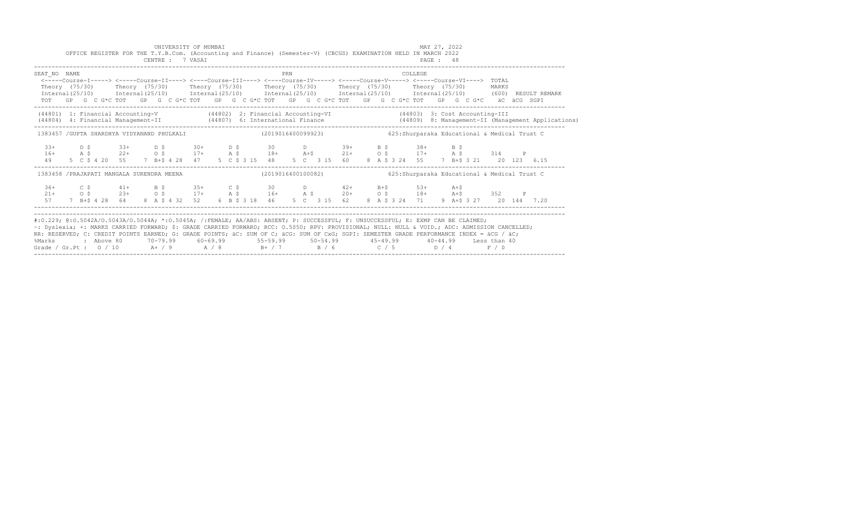|                                                                                                                                                                                                                                                                                                                                                                                                                                                                                                                   |  |  |  |  | UNIVERSITY OF MUMBAI<br>CENTRE : 7 VASAI |  |  | OFFICE REGISTER FOR THE T.Y.B.Com. (Accounting and Finance) (Semester-V) (CBCGS) EXAMINATION HELD IN MARCH 2022<br>PAGE : 48                                                                                                                                                                                                        |     |  |                                                    |  |  | MAY 27, 2022 |  |  |  |  |                                                                                                                           |  |
|-------------------------------------------------------------------------------------------------------------------------------------------------------------------------------------------------------------------------------------------------------------------------------------------------------------------------------------------------------------------------------------------------------------------------------------------------------------------------------------------------------------------|--|--|--|--|------------------------------------------|--|--|-------------------------------------------------------------------------------------------------------------------------------------------------------------------------------------------------------------------------------------------------------------------------------------------------------------------------------------|-----|--|----------------------------------------------------|--|--|--------------|--|--|--|--|---------------------------------------------------------------------------------------------------------------------------|--|
| SEAT NO NAME<br>Theory (75/30) Theory (75/30) Theory (75/30) Theory (75/30) Theory (75/30) Theory (75/30) MARKS                                                                                                                                                                                                                                                                                                                                                                                                   |  |  |  |  |                                          |  |  | <-----Course-I-----> <----Course-II----> <----Course-III----> <----Course-IV-----> <-----Course-V-----> <-----Course-VI----> TOTAL<br>TOT GP G C G*C TOT GP G C G*C TOT GP G C G*C TOT GP G C G*C TOT GP G C G*C TOT GP G C G*C äC äCG SGPI                                                                                         | PRN |  |                                                    |  |  | COLLEGE      |  |  |  |  | Internal (25/10) Internal (25/10) Internal (25/10) Internal (25/10) Internal (25/10) Internal (25/10) (600) RESULT REMARK |  |
| (44801) 1: Financial Accounting-V (44802) 2: Financial Accounting-VI (44803) 3: Cost Accounting-III<br>(44804) 4: Financial Management-II (44807) 6: International Finance (44809) 8: Management-II (Management Applications)                                                                                                                                                                                                                                                                                     |  |  |  |  |                                          |  |  |                                                                                                                                                                                                                                                                                                                                     |     |  |                                                    |  |  |              |  |  |  |  |                                                                                                                           |  |
| 1383457 /GUPTA SHARDHYA VIDYANAND PHULKALI (2019016400099923) 625:Shurparaka Educational & Medical Trust C                                                                                                                                                                                                                                                                                                                                                                                                        |  |  |  |  |                                          |  |  |                                                                                                                                                                                                                                                                                                                                     |     |  |                                                    |  |  |              |  |  |  |  |                                                                                                                           |  |
|                                                                                                                                                                                                                                                                                                                                                                                                                                                                                                                   |  |  |  |  |                                          |  |  | $16+$ $24+$ $33+$ $53+$ $17+$ $28+$ $18+$ $21+$ $21+$ $25+$ $17+$ $21+$ $23+$ $22+$ $22+$ $23+$ $24+$ $25+$ $21+$ $21+$ $25+$ $21+$ $25+$ $21+$ $25+$ $21+$ $25+$ $21+$ $25+$ $21+$ $25+$ $21+$ $25+$ $21+$ $25+$ $21+$ $25+$<br>49 5 C \$ 4 20 55 7 B+\$ 4 28 47 5 C \$ 3 15 48 5 C 3 15 60 8 A \$ 3 24 55 7 B+\$ 3 21 20 123 6.15 |     |  |                                                    |  |  |              |  |  |  |  |                                                                                                                           |  |
| 1383458 / PRAJAPATI MANGALA SURENDRA MEENA                                                                                                                                                                                                                                                                                                                                                                                                                                                                        |  |  |  |  |                                          |  |  | (2019016400100082) 625: Shurparaka Educational & Medical Trust C                                                                                                                                                                                                                                                                    |     |  |                                                    |  |  |              |  |  |  |  |                                                                                                                           |  |
|                                                                                                                                                                                                                                                                                                                                                                                                                                                                                                                   |  |  |  |  |                                          |  |  | $21+$ $0.5$ $23+$ $0.5$ $17+$ $0.5$ $17+$ $0.5$ $17+$ $0.5$ $17+$ $0.5$ $17+$ $0.5$ $18+$ $0.5$ $18+$ $0.5$ $18+$ $0.5$ $18+$ $0.5$ $18+$ $0.5$ $18+$ $0.5$ $0.5$<br>57 7 B+\$ 4 28 64 8 A \$ 4 32 52 6 B \$ 3 18 46                                                                                                                |     |  | 5 C 3 15 62 8 A \$ 3 24 71 9 A+\$ 3 27 20 144 7.20 |  |  |              |  |  |  |  |                                                                                                                           |  |
| #:0.229; @:0.5042A/0.5043A/0.5044A; *:0.5045A; /:FEMALE; AA/ABS: ABSENT; P: SUCCESSFUL; F: UNSUCCESSFUL; E: EXMP CAN BE CLAIMED;<br>~: Dyslexia; +: MARKS CARRIED FORWARD; \$: GRADE CARRIED FORWARD; RCC: 0.5050; RPV: PROVISIONAL; NULL: NULL & VOID.; ADC: ADMISSION CANCELLED;<br>RR: RESERVED; C: CREDIT POINTS EARNED; G: GRADE POINTS; äC: SUM OF C; äCG: SUM OF CxG; SGPI: SEMESTER GRADE PERFORMANCE INDEX = äCG / äC;<br>%Marks<br>Grade / Gr.Pt : $0/10$ A + / 9 A / 8 B + / 7 B / 6 C / 5 D / 4 F / 0 |  |  |  |  |                                          |  |  | 2 Above 80    70-79.99    60-69.99     55-59.99     50-54.99      45-49.99     40-44.99   Less than:                                                                                                                                                                                                                                |     |  |                                                    |  |  |              |  |  |  |  |                                                                                                                           |  |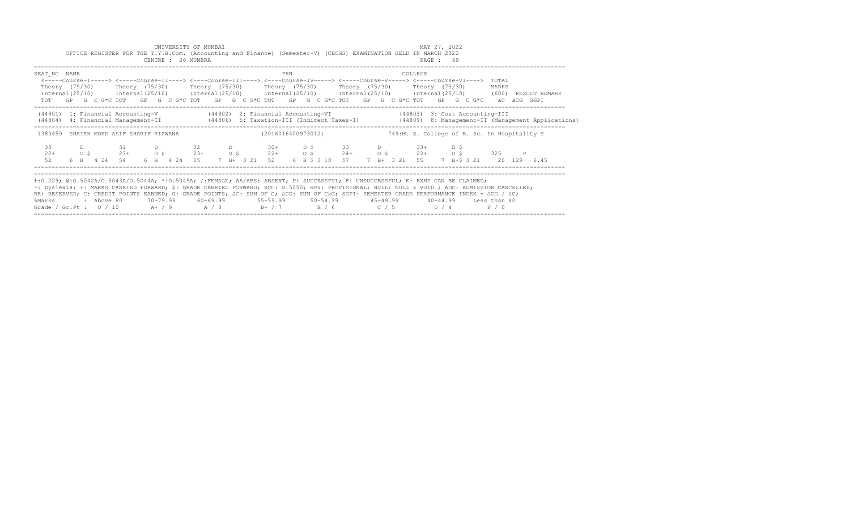|                                                                                                                                                                                                                                                                                                                                                                                                                                                                                                           |                |            |                            |                | UNIVERSITY OF MUMBAI<br>CENTRE : 26 MUMBRA |                  |            |                    |     |  |                                   |  | OFFICE REGISTER FOR THE T.Y.B.Com. (Accounting and Finance) (Semester-V) (CBCGS) EXAMINATION HELD IN MARCH 2022                                                                                                                                                                                                                                           | MAY 27, 2022<br>PAGE: 49 |      |                |              |                         |                                                                                                                                  |
|-----------------------------------------------------------------------------------------------------------------------------------------------------------------------------------------------------------------------------------------------------------------------------------------------------------------------------------------------------------------------------------------------------------------------------------------------------------------------------------------------------------|----------------|------------|----------------------------|----------------|--------------------------------------------|------------------|------------|--------------------|-----|--|-----------------------------------|--|-----------------------------------------------------------------------------------------------------------------------------------------------------------------------------------------------------------------------------------------------------------------------------------------------------------------------------------------------------------|--------------------------|------|----------------|--------------|-------------------------|----------------------------------------------------------------------------------------------------------------------------------|
| SEAT NO NAME<br>Internal (25/10) Internal (25/10) Internal (25/10) Internal (25/10) Internal (25/10) Internal (25/10) (600) RESULT REMARK                                                                                                                                                                                                                                                                                                                                                                 |                |            |                            |                |                                            |                  |            |                    | PRN |  |                                   |  | COLLEGE<br><-----Course-I-----> <----Course-II----> <----Course-III----> <----Course-IV-----> <----Course-V----> <----Course-VI----><br>Theory (75/30)    Theory (75/30)    Theory (75/30)    Theory (75/30)    Theory (75/30)    Theory (75/30)<br>TOT GP G C G*C TOT GP G C G*C TOT GP G C G*C TOT GP G C G*C TOT GP G C G*C TOT GP G C G*C aC aCG SGPI |                          |      | TOTAL<br>MARKS |              |                         |                                                                                                                                  |
| (44801) 1: Financial Accounting-V (44802) 2: Financial Accounting-VI (44803) 3: Cost Accounting-III                                                                                                                                                                                                                                                                                                                                                                                                       |                |            |                            |                |                                            |                  |            |                    |     |  |                                   |  |                                                                                                                                                                                                                                                                                                                                                           |                          |      |                |              |                         | (44806) 4: Financial Management-II (44806) 5: Taxation-III (Indirect Taxes-I) (44809) 8: Management-II (Management Applications) |
| 1383459 SHAIKH MOHD ASIF SHARIF RIZWANA                                                                                                                                                                                                                                                                                                                                                                                                                                                                   |                |            |                            |                |                                            |                  |            | (2016016400973012) |     |  |                                   |  | 749:M. S. College of B. Sc. In Hospitality S.                                                                                                                                                                                                                                                                                                             |                          |      |                |              |                         |                                                                                                                                  |
| 30<br>$22+$<br>52                                                                                                                                                                                                                                                                                                                                                                                                                                                                                         | 0 <sup>5</sup> |            | 31<br>$23+$<br>6 B 4 24 54 | O <sup>5</sup> | 6 B 4 24 55                                | 32<br>$23+$ 0 \$ | $D \sim 1$ | 7 B+ 3 21 52       |     |  | $30+$ D \$ 33 D<br>6 B \$ 3 18 57 |  | $33+$<br>$22+$ 0 \$ $24+$ 0 \$ $22+$ 0 \$<br>7 B+ 3 21 55                                                                                                                                                                                                                                                                                                 |                          | D \$ | 325            | $\mathbb{P}$ | 7 B+\$ 3 21 20 129 6.45 |                                                                                                                                  |
| #:0.229; @:0.5042A/0.5043A/0.5044A; *:0.5045A; /:FEMALE; AA/ABS: ABSENT; P: SUCCESSFUL; F: UNSUCCESSFUL; E: EXMP CAN BE CLAIMED;<br>~: Dyslexia; +: MARKS CARRIED FORWARD; \$: GRADE CARRIED FORWARD; RCC: 0.5050; RPV: PROVISIONAL; NULL: NULL & VOID.; ADC: ADMISSION CANCELLED;<br>RR: RESERVED; C: CREDIT POINTS EARNED; G: GRADE POINTS; äC: SUM OF C; äCG: SUM OF CxG; SGPI: SEMESTER GRADE PERFORMANCE INDEX = äCG / äC;<br>%Marks<br>Grade / Gr.Pt : $0/10$ A+ / 9 A / 8 B+ / 7 B / 6 C / 5 D / 4 |                | : Above 80 |                            |                |                                            |                  |            |                    |     |  |                                   |  | 70–79.99   60–69.99     55–59.99     50–54.99      45–49.99      40–44.99   Less than 40                                                                                                                                                                                                                                                                  |                          |      | F / 0          |              |                         |                                                                                                                                  |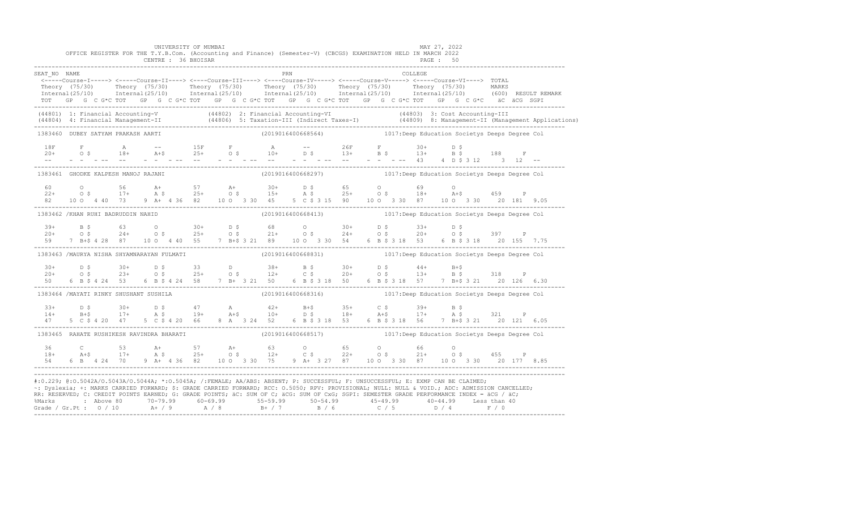|              |                                    | UNIVERSITY OF MUMBAI<br>OFFICE REGISTER FOR THE T.Y.B.Com. (Accounting and Finance) (Semester-V) (CBCGS) EXAMINATION HELD IN MARCH 2022<br>CENTRE : 36 BHOISAR |  |     |  |         | MAY 27, 2022<br>PAGE: 50                                                                                                                                                                                                                                                                                                                                                                                                                                  |  |  |
|--------------|------------------------------------|----------------------------------------------------------------------------------------------------------------------------------------------------------------|--|-----|--|---------|-----------------------------------------------------------------------------------------------------------------------------------------------------------------------------------------------------------------------------------------------------------------------------------------------------------------------------------------------------------------------------------------------------------------------------------------------------------|--|--|
| SEAT NO NAME |                                    |                                                                                                                                                                |  | PRN |  | COLLEGE | <-----Course-I-----> <-----Course-II----> <----Course-III----> <----Course-IV-----> <-----Course-V-----> TOTAL<br>Theory (75/30) Theory (75/30) Theory (75/30) Theory (75/30) Theory (75/30) Theory (75/30) Theory (75/30) Theory (75/30) Theory (75/30) Theory (75/30) Theory (75/30) Theory (75/30) Theory (75/30) Theory (75/30) Theory (75/3<br>TOT GP G C G*C TOT GP G C G*C TOT GP G C G*C TOT GP G C G*C TOT GP G C G*C TOT GP G C G*C äC äCG SGPI |  |  |
|              |                                    |                                                                                                                                                                |  |     |  |         | (44801) 1: Financial Accounting-V (44802) 2: Financial Accounting-VI (44803) 3: Cost Accounting-III<br>(44804) 4: Financial Management-II (44806) 5: Taxation-III (Indirect Taxes-I) (44809) 8: Management-II (Management Applica                                                                                                                                                                                                                         |  |  |
|              | 1383460 DUBEY SATYAM PRAKASH AARTI |                                                                                                                                                                |  |     |  |         | (2019016400668564) 1017:Deep Education Societys Deeps Degree Col                                                                                                                                                                                                                                                                                                                                                                                          |  |  |
|              |                                    |                                                                                                                                                                |  |     |  |         |                                                                                                                                                                                                                                                                                                                                                                                                                                                           |  |  |
|              |                                    | 1383461 GHODKE KALPESH MANOJ RAJANI                                                                                                                            |  |     |  |         | (2019016400668297) 1017:Deep Education Societys Deeps Degree Col                                                                                                                                                                                                                                                                                                                                                                                          |  |  |
|              |                                    |                                                                                                                                                                |  |     |  |         | $\begin{array}{cccccccccccccccc} 60 & & & 0 & & & 56 & & A+ & & 57 & & A+ & & 30+ & & D & \xi & & 65 & & O & & 69 & & O \\ 22+ & & 0 & \xi & & 17+ & & A & \xi & & 25+ & & 0 & \xi & & 15+ & & A & \xi & & 25+ & & 0 & \xi & & 18+ & & A+\xi & & 459 & & P \\ 82 & & 10 & 0 & 4 & 40 & 73 & 9 & A+ & 4 & 36 & 82 & & 10 & O & 3 & 30 & 45 & & 5 & C & \xi & 3 & 1$                                                                                        |  |  |
|              |                                    | 1383462 / KHAN RUHI BADRUDDIN NAHID                                                                                                                            |  |     |  |         |                                                                                                                                                                                                                                                                                                                                                                                                                                                           |  |  |
|              |                                    |                                                                                                                                                                |  |     |  |         | $\begin{array}{cccccccccccccccc} 39+ & & B & \xi & & 63 & & O & 30+ & D & \xi & & 68 & & O & 30+ & D & \xi & & 33+ & D & \xi \\ 20+ & & O & \xi & & 24+ & O & \xi & & 25+ & O & \xi & & 21+ & O & \xi & & 24+ & O & \xi & & 20+ & O & \xi & & 397 & P \\ 59 & & 7 & B+5 & 4 & 28 & 87 & & 10 & O & 4 & 40 & 55 & 7 & B+5 & 3 & 21 & 89 & & 10 & O & 3 & 30 & 54 & &$                                                                                      |  |  |
|              |                                    |                                                                                                                                                                |  |     |  |         | 1383463 /MAURYA NISHA SHYAMNARAYAN FULMATI (2019016400668831) 1017:Deep Education Societys Deeps Degree Col                                                                                                                                                                                                                                                                                                                                               |  |  |
| $50 -$       |                                    |                                                                                                                                                                |  |     |  |         | $20+$ $D$ $\zeta$ $30+$ $D$ $\zeta$ $33$ $D$ $38+$ $B$ $\zeta$ $30+$ $D$ $\zeta$ $44+$ $B+\zeta$<br>$20+$ $O$ $\zeta$ $23+$ $O$ $\zeta$ $25+$ $O$ $\zeta$ $12+$ $C$ $\zeta$ $20+$ $O$ $\zeta$ $13+$ $B$ $\zeta$ $318$ P<br>6 B \$ 4 24 53 6 B \$ 4 24 58 7 B + 3 21 50 6 B \$ 3 18 50 6 B \$ 3 18 57 7 B + \$ 3 21 20 126 6.30                                                                                                                            |  |  |
|              |                                    | 1383464 /MAYATI RINKY SHUSHANT SUSHILA                                                                                                                         |  |     |  |         |                                                                                                                                                                                                                                                                                                                                                                                                                                                           |  |  |
|              |                                    |                                                                                                                                                                |  |     |  |         |                                                                                                                                                                                                                                                                                                                                                                                                                                                           |  |  |
|              |                                    |                                                                                                                                                                |  |     |  |         | 1383465 RAHATE RUSHIKESH RAVINDRA BHARATI (2019016400668517) 1017:Deep Education Societys Deeps Degree Col                                                                                                                                                                                                                                                                                                                                                |  |  |
|              |                                    |                                                                                                                                                                |  |     |  |         |                                                                                                                                                                                                                                                                                                                                                                                                                                                           |  |  |
|              |                                    |                                                                                                                                                                |  |     |  |         | #:0.229; @:0.5042A/0.5043A/0.5044A; *:0.5045A; /:FEMALE; AA/ABS: ABSENT; P: SUCCESSFUL; F: UNSUCCESSFUL; E: EXMP CAN BE CLAIMED;<br>~: Dyslexia; +: MARKS CARRIED FORWARD; \$: GRADE CARRIED FORWARD; RCC: 0.5050; RPV: PROVISIONAL; NULL: NULL: AULL: ADC: ADMISSION CANCELLED;<br>RR: RESERVED; C: CREDIT POINTS EARNED; G: GRADE POINTS; äC: SUM OF C; äCG: SUM OF CxG; SGPI: SEMESTER GRADE PERFORMANCE INDEX = äCG / äC;                             |  |  |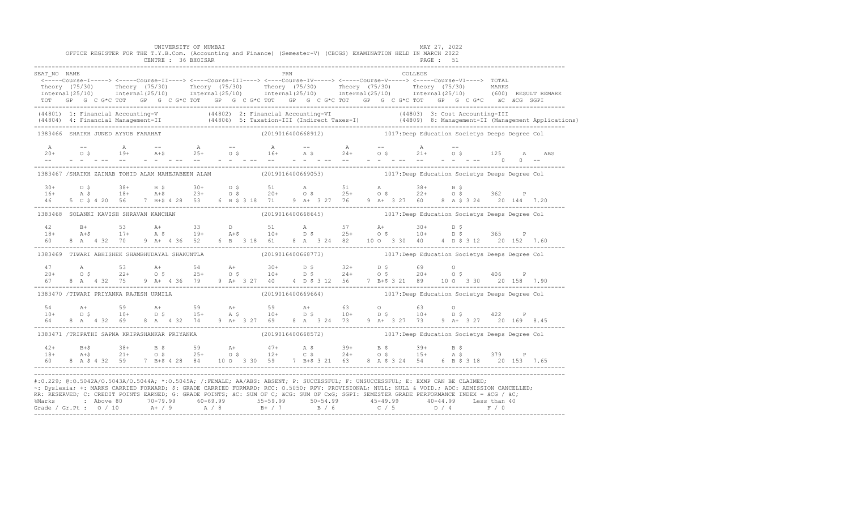|                                    |  |  |  | UNIVERSITY OF MUMBAI<br>OFFICE REGISTER FOR THE T.Y.B.Com. (Accounting and Finance) (Semester-V) (CBCGS) EXAMINATION HELD IN MARCH 2022<br>CENTRE : 36 BHOISAR                                                                                                                                                                                                                                                                        |  |  |  |  |                                                                   |  | <b>PAGE : 51</b> | MAY 27, 2022 |  |  |                                                                                                                                                                                                                                   |
|------------------------------------|--|--|--|---------------------------------------------------------------------------------------------------------------------------------------------------------------------------------------------------------------------------------------------------------------------------------------------------------------------------------------------------------------------------------------------------------------------------------------|--|--|--|--|-------------------------------------------------------------------|--|------------------|--------------|--|--|-----------------------------------------------------------------------------------------------------------------------------------------------------------------------------------------------------------------------------------|
| SEAT NO NAME                       |  |  |  | ERN COLLEGE (2011)<br>-----Course-I-----> <----Course-II----> <----Course-III----> <----Course-IV-----> <-----Course-VI----> TOTAL><br>TOT GP G C G*C TOT GP G C G*C TOT GP G C G*C TOT GP G C G*C TOT GP G C G*C TOT GP G C G*C äC äCG SGPI                                                                                                                                                                                          |  |  |  |  |                                                                   |  |                  |              |  |  | Theory (75/30) Theory (75/30) Theory (75/30) Theory (75/30) Theory (75/30) Theory (75/30) Theory (75/30) Theory (75/30) Theory (75/30) Theory (75/30) Theory (75/30) Theory (75/30) Theory (75/30) Theory (75/30) MARKS           |
|                                    |  |  |  |                                                                                                                                                                                                                                                                                                                                                                                                                                       |  |  |  |  |                                                                   |  |                  |              |  |  | (44801) 1: Financial Accounting-V (44802) 2: Financial Accounting-VI (44803) 3: Cost Accounting-III<br>(44804) 4: Financial Management-II (44806) 5: Taxation-III (Indirect Taxes-I) (44809) 8: Management-II (Management Applica |
| 1383466 SHAIKH JUNED AYYUB FARAHAT |  |  |  |                                                                                                                                                                                                                                                                                                                                                                                                                                       |  |  |  |  | (2019016400668912) 1017:Deep Education Societys Deeps Degree Col  |  |                  |              |  |  |                                                                                                                                                                                                                                   |
|                                    |  |  |  |                                                                                                                                                                                                                                                                                                                                                                                                                                       |  |  |  |  |                                                                   |  |                  |              |  |  | ABS                                                                                                                                                                                                                               |
|                                    |  |  |  | 1383467 /SHAIKH ZAINAB TOHID ALAM MAHEJABEEN ALAM (2019016400669053) 1017:Deep Education Societys Deeps Degree Col                                                                                                                                                                                                                                                                                                                    |  |  |  |  |                                                                   |  |                  |              |  |  |                                                                                                                                                                                                                                   |
|                                    |  |  |  |                                                                                                                                                                                                                                                                                                                                                                                                                                       |  |  |  |  |                                                                   |  |                  |              |  |  | $16+$ $18+$ $18+$ $18+$ $18+$ $18+$ $18+$ $18+$ $18+$ $18+$ $18+$ $18+$ $18+$ $18+$ $18+$ $18+$ $18+$ $18+$ $18+$ $18+$ $18+$ $18+$ $18+$ $18+$ $18+$ $18+$ $18+$ $18+$ $18+$ $18+$ $18+$ $18+$ $18+$ $18+$ $18+$ $18+$ $18+$     |
|                                    |  |  |  | 1383468 SOLANKI KAVISH SHRAVAN KANCHAN (2019016400668645) 1017:Deep Education Societys Deeps Degree Col                                                                                                                                                                                                                                                                                                                               |  |  |  |  |                                                                   |  |                  |              |  |  |                                                                                                                                                                                                                                   |
|                                    |  |  |  |                                                                                                                                                                                                                                                                                                                                                                                                                                       |  |  |  |  |                                                                   |  |                  |              |  |  |                                                                                                                                                                                                                                   |
|                                    |  |  |  | 1383469 TIWARI ABHISHEK SHAMBHUDAYAL SHAKUNTLA (2019016400668773) 1017:Deep Education Societys Deeps Degree Col                                                                                                                                                                                                                                                                                                                       |  |  |  |  |                                                                   |  |                  |              |  |  |                                                                                                                                                                                                                                   |
|                                    |  |  |  |                                                                                                                                                                                                                                                                                                                                                                                                                                       |  |  |  |  |                                                                   |  |                  |              |  |  |                                                                                                                                                                                                                                   |
|                                    |  |  |  | 1383470 /TIWARI PRIYANKA RAJESH URMILA                                                                                                                                                                                                                                                                                                                                                                                                |  |  |  |  |                                                                   |  |                  |              |  |  |                                                                                                                                                                                                                                   |
|                                    |  |  |  |                                                                                                                                                                                                                                                                                                                                                                                                                                       |  |  |  |  |                                                                   |  |                  |              |  |  |                                                                                                                                                                                                                                   |
|                                    |  |  |  | 1383471 /TRIPATHI SAPNA KRIPASHANKAR PRIYANKA                                                                                                                                                                                                                                                                                                                                                                                         |  |  |  |  | (2019016400668572) 1017: Deep Education Societys Deeps Degree Col |  |                  |              |  |  |                                                                                                                                                                                                                                   |
|                                    |  |  |  |                                                                                                                                                                                                                                                                                                                                                                                                                                       |  |  |  |  |                                                                   |  |                  |              |  |  |                                                                                                                                                                                                                                   |
|                                    |  |  |  | #:0.229; @:0.5042A/0.5043A/0.5044A; *:0.5045A; /:FEMALE; AA/ABS: ABSENT; P: SUCCESSFUL; F: UNSUCCESSFUL; E: EXMP CAN BE CLAIMED;<br>~: Dyslexia; +: MARKS CARRIED FORWARD; \$: GRADE CARRIED FORWARD; RCC: 0.5050; RPV: PROVISIONAL; NULL: NULL: NULL & VOID.; ADC: ADMISSION CANCELLED;<br>RR: RESERVED; C: CREDIT POINTS EARNED; G: GRADE POINTS; äC: SUM OF C; äCG: SUM OF CxG; SGPI: SEMESTER GRADE PERFORMANCE INDEX = äCG / äC; |  |  |  |  |                                                                   |  |                  |              |  |  |                                                                                                                                                                                                                                   |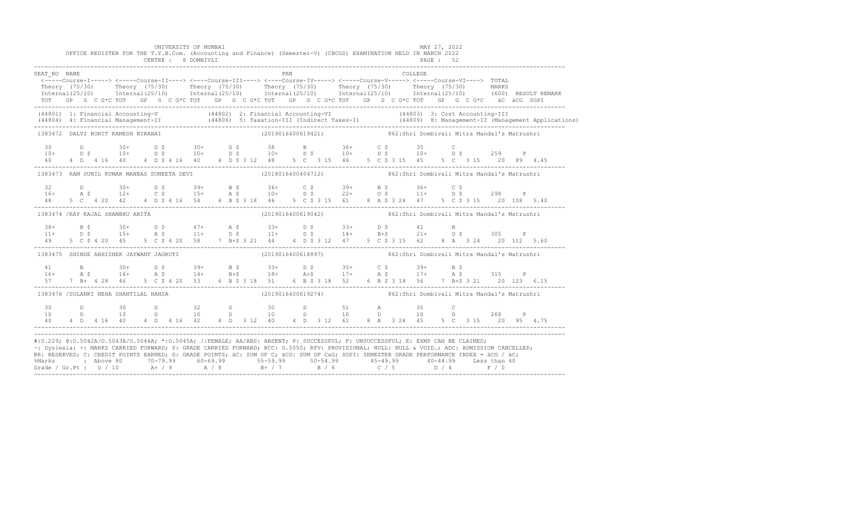|              | OFFICE REGISTER FOR THE T.Y.B.Com. (Accounting and Finance) (Semester-V) (CBCGS) EXAMINATION HELD IN MARCH 2022                                                                                                                                                                                                                                                                                                                                                                                                                                                                               |  | UNIVERSITY OF MUMBAI<br>CENTRE : 8 DOMBIVLI |  |  |     |  |                                                                |  |         | MAY 27, 2022<br>PAGE: 52 |  |  |  |
|--------------|-----------------------------------------------------------------------------------------------------------------------------------------------------------------------------------------------------------------------------------------------------------------------------------------------------------------------------------------------------------------------------------------------------------------------------------------------------------------------------------------------------------------------------------------------------------------------------------------------|--|---------------------------------------------|--|--|-----|--|----------------------------------------------------------------|--|---------|--------------------------|--|--|--|
| SEAT NO NAME | <-----Course-I-----> <-----Course-II----> <----Course-III----> <----Course-IV-----> <-----Course-VI----> TOTAL<br>Theory (75/30) Theory (75/30) Theory (75/30) Theory (75/30) Theory (75/30) Theory (75/30) MARKS<br>Internal(25/10) Internal(25/10) Internal(25/10) Internal(25/10) Internal(25/10) Internal(25/10) (600)RESULTREMARK<br>TOT GP G C G*C TOT GP G C G*C TOT GP G C G*C TOT GP G C G*C TOT GP G C G*C TOT GP G C G*C äC äCG SGPI                                                                                                                                               |  |                                             |  |  | PRN |  |                                                                |  | COLLEGE |                          |  |  |  |
|              | (44801) 1: Financial Accounting-V (44802) 2: Financial Accounting-VI (44803) 3: Cost Accounting-III<br>(44804) 4: Financial Management-II (44806) 5: Taxation-III (Indirect Taxes-I) (44809) 8: Management-II (Management Applica                                                                                                                                                                                                                                                                                                                                                             |  |                                             |  |  |     |  |                                                                |  |         |                          |  |  |  |
|              | 1383472 DALVI ROHIT RAMESH NIRABAI                                                                                                                                                                                                                                                                                                                                                                                                                                                                                                                                                            |  |                                             |  |  |     |  | (2019016400619421) 862:Shri Dombivali Mitra Mandal's Matrushri |  |         |                          |  |  |  |
|              |                                                                                                                                                                                                                                                                                                                                                                                                                                                                                                                                                                                               |  |                                             |  |  |     |  |                                                                |  |         |                          |  |  |  |
|              | 1383473 RAM SUNIL KUMAR MANBAS SUNEETA DEVI                                                                                                                                                                                                                                                                                                                                                                                                                                                                                                                                                   |  |                                             |  |  |     |  | (2018016400404712) 362:Shri Dombivali Mitra Mandal's Matrushri |  |         |                          |  |  |  |
|              |                                                                                                                                                                                                                                                                                                                                                                                                                                                                                                                                                                                               |  |                                             |  |  |     |  |                                                                |  |         |                          |  |  |  |
|              | 1383474 /RAY KAJAL SHAMBHU ANITA                                                                                                                                                                                                                                                                                                                                                                                                                                                                                                                                                              |  |                                             |  |  |     |  | (2019016400619042) 862:Shri Dombivali Mitra Mandal's Matrushri |  |         |                          |  |  |  |
|              | $\begin{array}{cccccccccccccccc} 38+ & & B$ \hat{S} & & 30+ & D$ \hat{S} & & 47+ & A$ \hat{S} & & 33+ & D$ \hat{S} & & 34+ & D$ \hat{S} & & 41 & B \\ 11+ & & D$ \hat{S} & & 15+ & A$ \hat{S} & & 11+ & D$ \hat{S} & & 11+ & D$ \hat{S} & & 14+ & B$+$ \hat{S} & & 21+ & O$ \hat{S} & & 305 & P \\ 49 & & 5& C$ \hat{S} $4$ \hat{2}0$ & 45 & 5& C$ \hat{S$                                                                                                                                                                                                                                    |  |                                             |  |  |     |  |                                                                |  |         |                          |  |  |  |
|              | 1383475 SHINDE ABHISHEK JAYWANT JAGRUTI                                                                                                                                                                                                                                                                                                                                                                                                                                                                                                                                                       |  |                                             |  |  |     |  | (2019016400618897) 862:Shri Dombivali Mitra Mandal's Matrushri |  |         |                          |  |  |  |
|              | $\begin{array}{cccccccccccccccc} 41 & B & 30+ & D & \xi & 39+ & B & \xi & 33+ & D & \xi & 35+ & C & \xi & 39+ & B & \xi \\ 16+ & A & \xi & 16+ & A & \xi & 14+ & B+ \xi & 18+ & A+ \xi & 17+ & A & \xi & 17+ & A & \xi & 315 & P \\ 57 & 7 & B+ & 4 & 28 & 46 & 5 & C & \xi & 4 & 20 & 53 & 6 & B & \xi & 318 & 51 & 6 & B & \xi & 318 & 52 & 6 & B & \xi & 318 &$                                                                                                                                                                                                                            |  |                                             |  |  |     |  |                                                                |  |         |                          |  |  |  |
|              | 1383476 /SOLANKI NEHA SHANTILAL HANSA                                                                                                                                                                                                                                                                                                                                                                                                                                                                                                                                                         |  |                                             |  |  |     |  | (2019016400619274) 862:Shri Dombivali Mitra Mandal's Matrushri |  |         |                          |  |  |  |
| 30<br>10     | D 30 D 32 D 30 D 51 A 35 C<br>D 10 D 10 D 10 D 10 D 10 D 10 D 268 P<br>40  4  D  4  16  40  4  D  4  16  42  4  D  3  12  40  4  D  3  12  61  8  A  3  24  45  5  C  3  15  20  95  4.75                                                                                                                                                                                                                                                                                                                                                                                                     |  |                                             |  |  |     |  |                                                                |  |         |                          |  |  |  |
|              | #:0.229; @:0.5042A/0.5043A/0.5044A; *:0.5045A; /:FEMALE; AA/ABS: ABSENT; P: SUCCESSFUL; F: UNSUCCESSFUL; E: EXMP CAN BE CLAIMED;<br>~: Dyslexia; +: MARKS CARRIED FORWARD; \$: GRADE CARRIED FORWARD; RCC: 0.5050; RPV: PROVISIONAL; NULL: NULL & VOID.; ADC: ADMISSION CANCELLED;<br>RR: RESERVED; C: CREDIT POINTS EARNED; G: GRADE POINTS; äC: SUM OF C; äCG: SUM OF CxG; SGPI: SEMESTER GRADE PERFORMANCE INDEX = äCG / äC;<br>%Marks : Above 80 70-79.99 60-69.99 55-59.99 50-54.99 45-49.99 40-44.99 Less than 40<br>Grade / Gr.Pt : 0 / 10 A+ / 9 A / 8 B+ / 7 B / 6 C / 5 D / 4 F / 0 |  |                                             |  |  |     |  |                                                                |  |         |                          |  |  |  |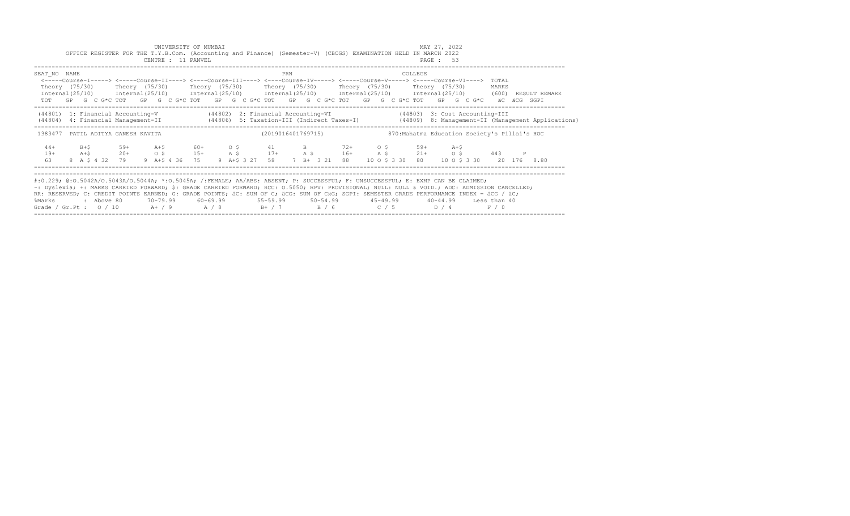|                                                                                                                                                     |         |            |     |       |  | UNIVERSITY OF MUMBAI |  |                    |     |  |  |  |         | MAY 27, 2022                                                                                                                                                                                                                                 |  |       |                                                                                                                                  |
|-----------------------------------------------------------------------------------------------------------------------------------------------------|---------|------------|-----|-------|--|----------------------|--|--------------------|-----|--|--|--|---------|----------------------------------------------------------------------------------------------------------------------------------------------------------------------------------------------------------------------------------------------|--|-------|----------------------------------------------------------------------------------------------------------------------------------|
|                                                                                                                                                     |         |            |     |       |  | CENTRE : 11 PANVEL   |  |                    |     |  |  |  |         | OFFICE REGISTER FOR THE T.Y.B.Com. (Accounting and Finance) (Semester-V) (CBCGS) EXAMINATION HELD IN MARCH 2022<br>PAGE: 53                                                                                                                  |  |       |                                                                                                                                  |
|                                                                                                                                                     |         |            |     |       |  |                      |  |                    |     |  |  |  |         |                                                                                                                                                                                                                                              |  |       |                                                                                                                                  |
| SEAT NO NAME                                                                                                                                        |         |            |     |       |  |                      |  |                    | PRN |  |  |  | COLLEGE |                                                                                                                                                                                                                                              |  |       |                                                                                                                                  |
|                                                                                                                                                     |         |            |     |       |  |                      |  |                    |     |  |  |  |         | <-----Course-I-----> <----Course-II----> <----Course-III----> <----Course-IV-----> <----Course-V----> <----Course-VI---->                                                                                                                    |  | TOTAL |                                                                                                                                  |
|                                                                                                                                                     |         |            |     |       |  |                      |  |                    |     |  |  |  |         | Theory (75/30)  Theory (75/30)  Theory (75/30)  Theory (75/30)  Theory (75/30)  Theory (75/30)<br>$Internal (25/10)$ $Internal (25/10)$ $Internal (25/10)$ $Internal (25/10)$ $Internal (25/10)$ $Internal (25/10)$ $Internal (25/10)$ (600) |  | MARKS | RESULT REMARK                                                                                                                    |
|                                                                                                                                                     |         |            |     |       |  |                      |  |                    |     |  |  |  |         | TOT GP G C G*C TOT GP G C G*C TOT GP G C G*C TOT GP G C G*C TOT GP G C G*C TOT GP G C G*C aC aCG SGPI                                                                                                                                        |  |       |                                                                                                                                  |
|                                                                                                                                                     |         |            |     |       |  |                      |  |                    |     |  |  |  |         | (44801) 1: Financial Accounting-V (44802) 2: Financial Accounting-VI (44803) 3: Cost Accounting-III                                                                                                                                          |  |       |                                                                                                                                  |
|                                                                                                                                                     |         |            |     |       |  |                      |  |                    |     |  |  |  |         |                                                                                                                                                                                                                                              |  |       | (44804) 4: Financial Management-II (44806) 5: Taxation-III (Indirect Taxes-I) (44809) 8: Management-II (Management Applications) |
|                                                                                                                                                     |         |            |     |       |  |                      |  | (2019016401769715) |     |  |  |  |         | 870: Mahatma Education Society's Pillai's HOC                                                                                                                                                                                                |  |       |                                                                                                                                  |
| 1383477 PATIL ADITYA GANESH KAVITA                                                                                                                  |         |            |     |       |  |                      |  |                    |     |  |  |  |         |                                                                                                                                                                                                                                              |  |       |                                                                                                                                  |
| $44+$                                                                                                                                               | $B + S$ |            | 59+ | $A+S$ |  | $60+$ 0 \$           |  | 41 B 72+ 0 \$ 59+  |     |  |  |  |         | $A + S$                                                                                                                                                                                                                                      |  |       |                                                                                                                                  |
| $19+$                                                                                                                                               | $A+S$   |            |     |       |  |                      |  |                    |     |  |  |  |         | $20+$ 0 \$ 15+ A \$ 17+ A \$ 16+ A \$ 21+ 0 \$ 443 P                                                                                                                                                                                         |  |       |                                                                                                                                  |
| 63                                                                                                                                                  |         |            |     |       |  |                      |  |                    |     |  |  |  |         | 8 A \$ 4 32 79 9 A + \$ 4 36 75 9 A + \$ 3 27 58 7 B + 3 21 88 10 O \$ 3 30 80 10 O \$ 3 30 20 176 8 80                                                                                                                                      |  |       |                                                                                                                                  |
|                                                                                                                                                     |         |            |     |       |  |                      |  |                    |     |  |  |  |         |                                                                                                                                                                                                                                              |  |       |                                                                                                                                  |
| #:0.229; @:0.5042A/0.5043A/0.5044A; *:0.5045A; /:FEMALE; AA/ABS: ABSENT; P: SUCCESSFUL; F: UNSUCCESSFUL; E: EXMP CAN BE CLAIMED;                    |         |            |     |       |  |                      |  |                    |     |  |  |  |         |                                                                                                                                                                                                                                              |  |       |                                                                                                                                  |
| ~: Dyslexia; +: MARKS CARRIED FORWARD; \$: GRADE CARRIED FORWARD; RCC: 0.5050; RPV: PROVISIONAL; NULL: NULL & VOID.; ADC: ADMISSION CANCELLED;      |         |            |     |       |  |                      |  |                    |     |  |  |  |         |                                                                                                                                                                                                                                              |  |       |                                                                                                                                  |
| RR: RESERVED; C: CREDIT POINTS EARNED; G: GRADE POINTS; äC: SUM OF C; äCG: SUM OF CxG; SGPI: SEMESTER GRADE PERFORMANCE INDEX = äCG / äC;<br>%Marks |         | : Above 80 |     |       |  |                      |  |                    |     |  |  |  |         | 70-79.99 60-69.99 55-59.99 50-54.99 45-49.99 40-44.99 Less than 40                                                                                                                                                                           |  |       |                                                                                                                                  |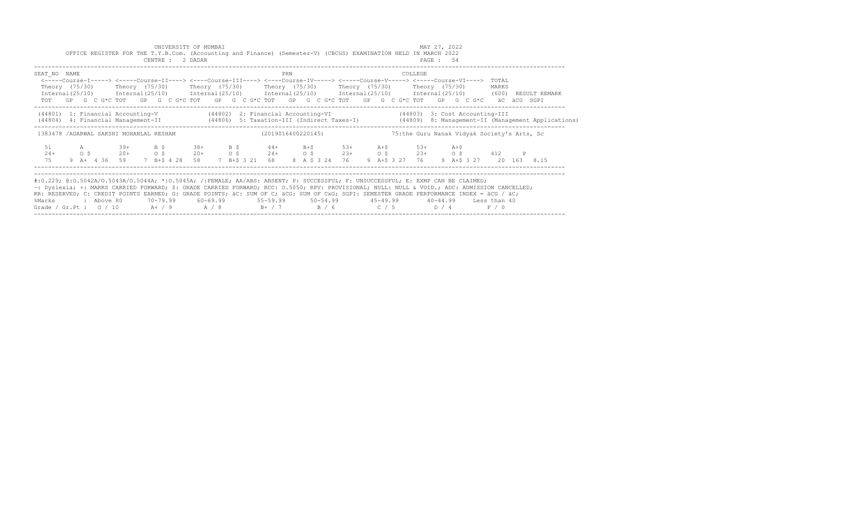|                                                                                                                                                                                                                                                                                                                                                                                                                                                                                                           |                         |            |                                   |                        | UNIVERSITY OF MUMBAI<br>OFFICE REGISTER FOR THE T.Y.B.Com. (Accounting and Finance) (Semester-V) (CBCGS) EXAMINATION HELD IN MARCH 2022<br>CENTRE : 2 DADAR                                                                                                                                                                                    |                         |  |                                 |     |  |                                               |  |                               | MAY 27, 2022<br>PAGE: 54 |                   |                                             |   |                                                                                                                                  |  |
|-----------------------------------------------------------------------------------------------------------------------------------------------------------------------------------------------------------------------------------------------------------------------------------------------------------------------------------------------------------------------------------------------------------------------------------------------------------------------------------------------------------|-------------------------|------------|-----------------------------------|------------------------|------------------------------------------------------------------------------------------------------------------------------------------------------------------------------------------------------------------------------------------------------------------------------------------------------------------------------------------------|-------------------------|--|---------------------------------|-----|--|-----------------------------------------------|--|-------------------------------|--------------------------|-------------------|---------------------------------------------|---|----------------------------------------------------------------------------------------------------------------------------------|--|
| SEAT NO NAME                                                                                                                                                                                                                                                                                                                                                                                                                                                                                              |                         |            |                                   |                        | <-----Course-I-----> <----Course-II----> <----Course-III----> <----Course-IV-----> <----Course-V----> <----Course-VI----><br>Theory (75/30)    Theory (75/30)    Theory (75/30)    Theory (75/30)    Theory (75/30)    Theory (75/30)<br>TOT GP G C G*C TOT GP G C G*C TOT GP G C G*C TOT GP G C G*C TOT GP G C G*C TOT GP G C G*C aC aCG SGPI |                         |  |                                 | PRN |  |                                               |  | COLLEGE                       |                          |                   | TOTAL<br>MARKS                              |   | Internal (25/10) Internal (25/10) Internal (25/10) Internal (25/10) Internal (25/10) Internal (25/10) (600) RESULT REMARK        |  |
| (44801) 1: Financial Accounting-V (44802) 2: Financial Accounting-VI (44803) 3: Cost Accounting-III                                                                                                                                                                                                                                                                                                                                                                                                       |                         |            |                                   |                        |                                                                                                                                                                                                                                                                                                                                                |                         |  |                                 |     |  |                                               |  |                               |                          |                   |                                             |   | (44804) 4: Financial Management-II (44806) 5: Taxation-III (Indirect Taxes-I) (44809) 8: Management-II (Management Applications) |  |
| 1383478 / AGARWAL SAKSHI MOHANLAL RESHAM                                                                                                                                                                                                                                                                                                                                                                                                                                                                  |                         |            |                                   |                        |                                                                                                                                                                                                                                                                                                                                                |                         |  |                                 |     |  | (2019016400220145)                            |  |                               |                          |                   | 75:the Guru Nanak Vidyak Society's Arts, Sc |   |                                                                                                                                  |  |
| 51<br>$24+$<br>75                                                                                                                                                                                                                                                                                                                                                                                                                                                                                         | $\circ$ $\circ$ $\circ$ | A          | $39+$<br>$20+$<br>$9$ A + 4 36 59 | B \$<br>O <sup>5</sup> | 7 B+\$ 4 28 58                                                                                                                                                                                                                                                                                                                                 | $38+$ B S<br>$20+$ 0 \$ |  | $44+$ B+S 53+<br>7 B+\$ 3 21 68 |     |  | $24+$ 0 \$ $23+$ 0 \$ $23+$<br>8 A \$ 3 24 76 |  | $A + S$ 53+<br>9 A+\$ 3 27 76 |                          | $A + S$<br>$0$ \$ | 412                                         | P | 9 A+\$ 3 27 20 163 8.15                                                                                                          |  |
| #:0.229; @:0.5042A/0.5043A/0.5044A; *:0.5045A; /:FEMALE; AA/ABS: ABSENT; P: SUCCESSFUL; F: UNSUCCESSFUL; E: EXMP CAN BE CLAIMED;<br>~: Dyslexia; +: MARKS CARRIED FORWARD; \$: GRADE CARRIED FORWARD; RCC: 0.5050; RPV: PROVISIONAL; NULL: NULL & VOID.; ADC: ADMISSION CANCELLED;<br>RR: RESERVED; C: CREDIT POINTS EARNED; G: GRADE POINTS; äC: SUM OF C; äCG: SUM OF CxG; SGPI: SEMESTER GRADE PERFORMANCE INDEX = äCG / äC;<br>%Marks<br>Grade / Gr.Pt : $0/10$ A+ / 9 A / 8 B+ / 7 B / 6 C / 5 D / 4 |                         | : Above 80 |                                   |                        | 70–79.99   60–69.99     55–59.99     50–54.99      45–49.99      40–44.99   Less than 40                                                                                                                                                                                                                                                       |                         |  |                                 |     |  |                                               |  |                               |                          |                   | F / 0                                       |   |                                                                                                                                  |  |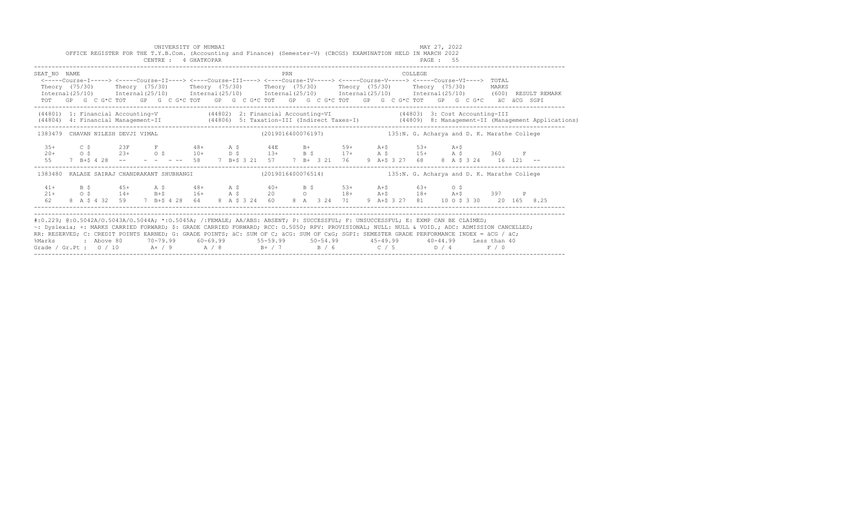|                                                                                                                                                                                                                                                                                                                                                                                                                                 |  |                               |     |                                                                             |  |  | UNIVERSITY OF MUMBAI<br>CENTRE : 4 GHATKOPAR |  |  | OFFICE REGISTER FOR THE T.Y.B.Com. (Accounting and Finance) (Semester-V) (CBCGS) EXAMINATION HELD IN MARCH 2022                                                                                                                                                                                                                       |     |  |  |             |  |  |                | MAY 27, 2022<br>PAGE: 55 |  |                       |  |                                                                                                                                  |  |
|---------------------------------------------------------------------------------------------------------------------------------------------------------------------------------------------------------------------------------------------------------------------------------------------------------------------------------------------------------------------------------------------------------------------------------|--|-------------------------------|-----|-----------------------------------------------------------------------------|--|--|----------------------------------------------|--|--|---------------------------------------------------------------------------------------------------------------------------------------------------------------------------------------------------------------------------------------------------------------------------------------------------------------------------------------|-----|--|--|-------------|--|--|----------------|--------------------------|--|-----------------------|--|----------------------------------------------------------------------------------------------------------------------------------|--|
| SEAT NO NAME                                                                                                                                                                                                                                                                                                                                                                                                                    |  |                               |     |                                                                             |  |  |                                              |  |  | <-----Course-I-----> <----Course-II----> <----Course-III----> <----Course-IV----> <----Course-V-----> <----Course-VI----> TOTAL<br>Theory (75/30) Theory (75/30) Theory (75/30) Theory (75/30) Theory (75/30) Theory (75/30)<br>TOT GP G C G*C TOT GP G C G*C TOT GP G C G*C TOT GP G C G*C TOT GP G C G*C TOT GP G C G*C äC äCG SGPI | PRN |  |  |             |  |  | COLLEGE        |                          |  | MARKS                 |  | Internal (25/10) Internal (25/10) Internal (25/10) Internal (25/10) Internal (25/10) Internal (25/10) (600) RESULT REMARK        |  |
| (44801) 1: Financial Accounting-V (44802) 2: Financial Accounting-VI (44803) 3: Cost Accounting-III                                                                                                                                                                                                                                                                                                                             |  |                               |     |                                                                             |  |  |                                              |  |  |                                                                                                                                                                                                                                                                                                                                       |     |  |  |             |  |  |                |                          |  |                       |  | (44804) 4: Financial Management-II (44806) 5: Taxation-III (Indirect Taxes-I) (44809) 8: Management-II (Management Applications) |  |
| 1383479 CHAVAN NILESH DEVJI VIMAL                                                                                                                                                                                                                                                                                                                                                                                               |  |                               |     |                                                                             |  |  |                                              |  |  | (2019016400076197) 135:N. G. Acharya and D. K. Marathe College                                                                                                                                                                                                                                                                        |     |  |  |             |  |  |                |                          |  |                       |  |                                                                                                                                  |  |
| $3.5+$<br>$20+$<br>55                                                                                                                                                                                                                                                                                                                                                                                                           |  |                               | C S | $7 B+5 4 28 --$                                                             |  |  | $23F$ F 48+ A \$                             |  |  | $44E$ B+ 59+ $A+5$ 53+ $A+5$<br>0\$23+0\$10+b\$13+B\$17+A\$15+A\$360F<br>$-$ - - - 58 7 B+\$ 3 21 57 7 B+ 3 21 76                                                                                                                                                                                                                     |     |  |  |             |  |  | 9 A+\$ 3 27 68 |                          |  | 8 A \$ 3 24 16 121 -- |  |                                                                                                                                  |  |
| 1383480 KALASE SAIRAJ CHANDRAKANT SHUBHANGI (2019016400076514) 135:N. G. Acharya and D. K. Marathe College                                                                                                                                                                                                                                                                                                                      |  |                               |     |                                                                             |  |  |                                              |  |  |                                                                                                                                                                                                                                                                                                                                       |     |  |  |             |  |  |                |                          |  |                       |  |                                                                                                                                  |  |
| $41+$<br>$21 +$<br>62.                                                                                                                                                                                                                                                                                                                                                                                                          |  | $\overline{B}$ $\overline{S}$ |     | $45+$ $A$ \$ $48+$ $A$ \$<br>$0 \t5$ $14+$<br>8 A \$ 4 32 59 7 B+\$ 4 28 64 |  |  |                                              |  |  | $A \begin{array}{ccccccccccccc} &A & S & & 40+ & & A & S & & 40+ & & B & S & & 53+ & & A+5 & & 63+ & & O & S \\ B+ & & 16+ & & A & S & & 20 & & O & & 18+ & A+5 & & 18+ & A+5 & & 397 & & P \\ \end{array}$<br>8 A \$ 3 24 60                                                                                                         |     |  |  | 8 A 3 24 71 |  |  |                |                          |  |                       |  | 9 A+\$ 3 27 81 10 0 \$ 3 30 20 165 8.25                                                                                          |  |
| #:0.229; @:0.5042A/0.5043A/0.5044A; *:0.5045A; /:FEMALE; AA/ABS: ABSENT; P: SUCCESSFUL; F: UNSUCCESSFUL; E: EXMP CAN BE CLAIMED;<br>~: Dyslexia; +: MARKS CARRIED FORWARD; \$: GRADE CARRIED FORWARD; RCC: 0.5050; RPV: PROVISIONAL; NULL: NULL & VOID.; ADC: ADMISSION CANCELLED;<br>RR: RESERVED: C: CREDIT POINTS EARNED: G: GRADE POINTS: äC: SUM OF C: äCG: SUM OF CxG: SGPI: SEMESTER GRADE PERFORMANCE INDEX = äCG / äC: |  |                               |     |                                                                             |  |  |                                              |  |  |                                                                                                                                                                                                                                                                                                                                       |     |  |  |             |  |  |                |                          |  |                       |  |                                                                                                                                  |  |

RR: RESERVED; C: CREDIT POINTS EARNED; G: GRADE POINTS; äC: SUM OF C; äCG: SUM OF CxG; SGPI: SEMESTER GRADE PERFORMANCE INDEX = äCG / äC; %Marks : Above 80 70-79.99 60-69.99 55-59.99 50-54.99 45-49.99 40-44.99 Less than 40 Grade / Gr.Pt : O / 10 A+ / 9 A / 8 B+ / 7 B / 6 C / 5 D / 4 F / 0 ------------------------------------------------------------------------------------------------------------------------------------------------------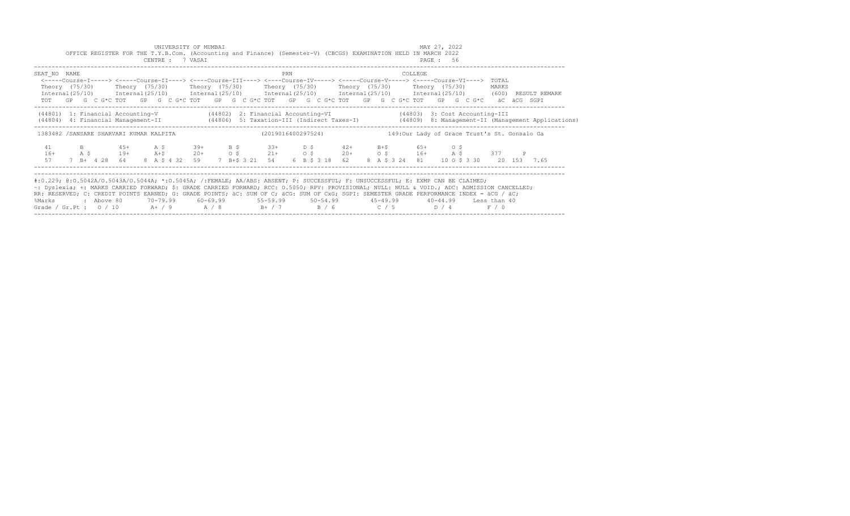|                                                                                                                                                                                                                                                                                                                                                                                                                                                                                                           |  |      |            |              |                          |  | UNIVERSITY OF MUMBAI<br>CENTRE : 7 VASAI |            |  | OFFICE REGISTER FOR THE T.Y.B.Com. (Accounting and Finance) (Semester-V) (CBCGS) EXAMINATION HELD IN MARCH 2022                                                                                                                                                                                                                                                                                                                                                             |     |  |                |  |                                              | MAY 27, 2022<br>PAGE: 56 |  |                |  |                                                                                                                                  |
|-----------------------------------------------------------------------------------------------------------------------------------------------------------------------------------------------------------------------------------------------------------------------------------------------------------------------------------------------------------------------------------------------------------------------------------------------------------------------------------------------------------|--|------|------------|--------------|--------------------------|--|------------------------------------------|------------|--|-----------------------------------------------------------------------------------------------------------------------------------------------------------------------------------------------------------------------------------------------------------------------------------------------------------------------------------------------------------------------------------------------------------------------------------------------------------------------------|-----|--|----------------|--|----------------------------------------------|--------------------------|--|----------------|--|----------------------------------------------------------------------------------------------------------------------------------|
| SEAT NO NAME                                                                                                                                                                                                                                                                                                                                                                                                                                                                                              |  |      |            |              |                          |  |                                          |            |  | <-----Course-I-----> <----Course-II----> <----Course-III----> <----Course-IV-----> <----Course-V----> <----Course-VI----><br>Theory (75/30)    Theory (75/30)    Theory (75/30)    Theory (75/30)    Theory (75/30)    Theory (75/30)<br>Internal (25/10) Internal (25/10) Internal (25/10) Internal (25/10) Internal (25/10) Internal (25/10) (600) RESULT REMARK<br>TOT GP G C G*C TOT GP G C G*C TOT GP G C G*C TOT GP G C G*C TOT GP G C G*C TOT GP G C G*C aC aCG SGPI | PRN |  |                |  | COLLEGE                                      |                          |  | TOTAL<br>MARKS |  |                                                                                                                                  |
|                                                                                                                                                                                                                                                                                                                                                                                                                                                                                                           |  |      |            |              |                          |  |                                          |            |  | (44801) 1: Financial Accounting-V (44802) 2: Financial Accounting-VI (44803) 3: Cost Accounting-III                                                                                                                                                                                                                                                                                                                                                                         |     |  |                |  |                                              |                          |  |                |  | (44804) 4: Financial Management-II (44806) 5: Taxation-III (Indirect Taxes-I) (44809) 8: Management-II (Management Applications) |
| 1383482 /SANSARE SHARVARI KUMAR KALPITA                                                                                                                                                                                                                                                                                                                                                                                                                                                                   |  |      |            |              |                          |  |                                          |            |  | (2019016400297524)                                                                                                                                                                                                                                                                                                                                                                                                                                                          |     |  |                |  | 149:Our Lady of Grace Trust's St. Gonsalo Ga |                          |  |                |  |                                                                                                                                  |
| 41<br>$16+$<br>57                                                                                                                                                                                                                                                                                                                                                                                                                                                                                         |  | A \$ | $B = 1$    | 7 B+ 4 28 64 | $45+$ A S<br>$19+$ $A+$$ |  | $39+$ B S<br>8 A \$ 4 32 59              | $20+$ 0 \$ |  | $33+$ D \$ $42+$ B + \$ 65 + 0 \$<br>$21+$ 0 \$ $20+$ 0 \$ $16+$ A \$ 377 P<br>7 B+\$ 3 21 54                                                                                                                                                                                                                                                                                                                                                                               |     |  | 6 B \$ 3 18 62 |  | 8 A \$ 3 24 81 10 O \$ 3 30 20 153 7.65      |                          |  |                |  |                                                                                                                                  |
| #:0.229; @:0.5042A/0.5043A/0.5044A; *:0.5045A; /:FEMALE; AA/ABS: ABSENT; P: SUCCESSFUL; F: UNSUCCESSFUL; E: EXMP CAN BE CLAIMED;<br>~: Dyslexia; +: MARKS CARRIED FORWARD; \$: GRADE CARRIED FORWARD; RCC: 0.5050; RPV: PROVISIONAL; NULL: NULL & VOID.; ADC: ADMISSION CANCELLED;<br>RR: RESERVED; C: CREDIT POINTS EARNED; G: GRADE POINTS; äC: SUM OF C; äCG: SUM OF CxG; SGPI: SEMESTER GRADE PERFORMANCE INDEX = äCG / äC;<br>%Marks<br>Grade / Gr.Pt : $0/10$ A+ / 9 A / 8 B+ / 7 B / 6 C / 5 D / 4 |  |      | : Above 80 |              |                          |  |                                          |            |  | 70-79.99   60-69.99    55-59.99    50-54.99     45-49.99     40-44.99   Less than 40                                                                                                                                                                                                                                                                                                                                                                                        |     |  |                |  |                                              |                          |  | F / 0          |  |                                                                                                                                  |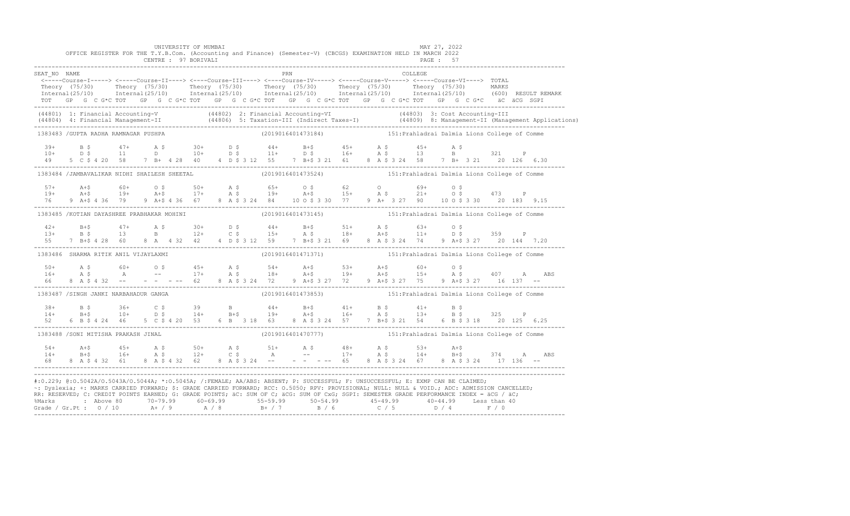|              |                                       | UNIVERSITY OF MUMBAI<br>CENTRE : 97 BORIVALI |  | OFFICE REGISTER FOR THE T.Y.B.Com. (Accounting and Finance) (Semester-V) (CBCGS) EXAMINATION HELD IN MARCH 2022                                                                                                                                                                                                                                                                                                                                                                                                                                                                                |  |          | MAY 27, 2022<br><b>PAGE : 57</b>              |  |  |
|--------------|---------------------------------------|----------------------------------------------|--|------------------------------------------------------------------------------------------------------------------------------------------------------------------------------------------------------------------------------------------------------------------------------------------------------------------------------------------------------------------------------------------------------------------------------------------------------------------------------------------------------------------------------------------------------------------------------------------------|--|----------|-----------------------------------------------|--|--|
| SEAT NO NAME |                                       |                                              |  | PRN<br><-----Course-I-----> <-----Course-II----> <----Course-III----> <----Course-IV-----> <----Course-V----> TOTAL<br>Theory (75/30) Theory (75/30) Theory (75/30) Theory (75/30) Theory (75/30) Theory (75/30) MARKS<br>Internal(25/10) Internal(25/10) Internal(25/10) Internal(25/10) Internal(25/10) Internal(25/10) (600) RESULTREMARK<br>TOT GP G C G*C TOT GP G C G*C TOT GP G C G*C TOT GP G C G*C TOT GP G C G*C TOT GP G C G*C äC äCG SGPI                                                                                                                                          |  | COLLEGE. |                                               |  |  |
|              |                                       |                                              |  | (44801) 1: Financial Accounting-V (44802) 2: Financial Accounting-VI (44803) 3: Cost Accounting-III<br>(44804) 4: Financial Management-II (44806) 5: Taxation-III (Indirect Taxes-I) (44809) 8: Management-II (Management Applica                                                                                                                                                                                                                                                                                                                                                              |  |          |                                               |  |  |
|              | 1383483 /GUPTA RADHA RAMNAGAR PUSHPA  |                                              |  | (2019016401473184) 151: Prahladrai Dalmia Lions College of Comme                                                                                                                                                                                                                                                                                                                                                                                                                                                                                                                               |  |          |                                               |  |  |
|              |                                       |                                              |  | $10+$ $15+$ $17+$ $15+$ $10+$ $10+$ $15+$ $15+$ $15+$ $15+$ $15+$ $15+$ $15+$ $15+$ $15+$ $15+$ $15+$ $15+$ $15+$ $15+$ $15+$ $15+$ $15+$ $15+$ $15+$ $15+$ $15+$ $15+$ $15+$ $15+$ $15+$ $15+$ $15+$ $15+$ $15+$ $15+$ $15+$<br>49 5 C \$ 4 20 58 7 B + 4 28 40 4 D \$ 3 12 55 7 B + \$ 3 21 61 8 A \$ 3 24 58 7 B + 3 21 20 126 6.30                                                                                                                                                                                                                                                         |  |          |                                               |  |  |
|              |                                       | 1383484 /JAMBAVALIKAR NIDHI SHAILESH SHEETAL |  | (2019016401473524) 151: Prahladrai Dalmia Lions College of Comme                                                                                                                                                                                                                                                                                                                                                                                                                                                                                                                               |  |          |                                               |  |  |
|              |                                       |                                              |  | 9 A+\$ 4 36 79 9 A+\$ 4 36 67 8 A \$ 3 24 84 10 0 \$ 3 30 77 9 A+ 3 27 90 10 0 \$ 3 30 20 183 9.15                                                                                                                                                                                                                                                                                                                                                                                                                                                                                             |  |          |                                               |  |  |
|              |                                       | 1383485 / KOTIAN DAYASHREE PRABHAKAR MOHINI  |  | (2019016401473145) 151: Prahladrai Dalmia Lions College of Comme                                                                                                                                                                                                                                                                                                                                                                                                                                                                                                                               |  |          |                                               |  |  |
| 55           |                                       |                                              |  | 7 B+\$ 4 28 60 8 A 4 32 42 4 D \$ 3 12 59 7 B+\$ 3 21 69 8 A \$ 3 24 74 9 A+\$ 3 27 20 144 7.20                                                                                                                                                                                                                                                                                                                                                                                                                                                                                                |  |          |                                               |  |  |
|              | 1383486 SHARMA RITIK ANIL VIJAYLAXMI  |                                              |  | (2019016401471371) 151: Prahladrai Dalmia Lions College of Comme                                                                                                                                                                                                                                                                                                                                                                                                                                                                                                                               |  |          |                                               |  |  |
|              |                                       |                                              |  |                                                                                                                                                                                                                                                                                                                                                                                                                                                                                                                                                                                                |  |          |                                               |  |  |
|              | 1383487 /SINGH JANKI NARBAHADUR GANGA |                                              |  | (2019016401473853) 151: Prahladrai Dalmia Lions College of Comme                                                                                                                                                                                                                                                                                                                                                                                                                                                                                                                               |  |          |                                               |  |  |
| 52           | 6 B \$ 4 24 46                        | 5 C \$ 4 20 53 6 B 3 18 63                   |  | $38+$ B $5$ $36+$ C $5$ $39$ B $44+$ B + $5$ $41+$ B $5$ $41+$ B $5$<br>$14+$ B + $5$ $10+$ D $5$ $14+$ B + $5$ $19+$ A + $5$ $16+$ A $5$ $13+$ B $5$ $325$ P<br>8 A \$ 3 24 57 7 B+\$ 3 21 54                                                                                                                                                                                                                                                                                                                                                                                                 |  |          | 6 B \$ 3 18 20 125 6.25                       |  |  |
|              | 1383488 /SONI MITISHA PRAKASH JINAL   |                                              |  | (2019016401470777)                                                                                                                                                                                                                                                                                                                                                                                                                                                                                                                                                                             |  |          | 151: Prahladrai Dalmia Lions College of Comme |  |  |
|              |                                       |                                              |  |                                                                                                                                                                                                                                                                                                                                                                                                                                                                                                                                                                                                |  |          |                                               |  |  |
|              |                                       |                                              |  | #:0.229; @:0.5042A/0.5043A/0.5044A; *:0.5045A; /:FEMALE; AA/ABS: ABSENT; P: SUCCESSFUL; F: UNSUCCESSFUL; E: EXMP CAN BE CLAIMED;<br>~: Dyslexia; +: MARKS CARRIED FORWARD; \$: GRADE CARRIED FORWARD; RCC: 0.5050; RPV: PROVISIONAL; NULL: NULL & VOID.; ADC: ADMISSION CANCELLED;<br>RR: RESERVED; C: CREDIT POINTS EARNED; G: GRADE POINTS; äC: SUM OF C; äCG: SUM OF CxG; SGPI: SEMESTER GRADE PERFORMANCE INDEX = äCG / äC;<br>% Marks : Above 80 70-79.99 60-69.99 55-59.99 50-54.99 45-49.99 40-44.99 Less than 40<br>Grade / Gr.Pt : 0 / 10 A+ / 9 A / 8 B+ / 7 B / 6 C / 5 D / 4 F / 0 |  |          |                                               |  |  |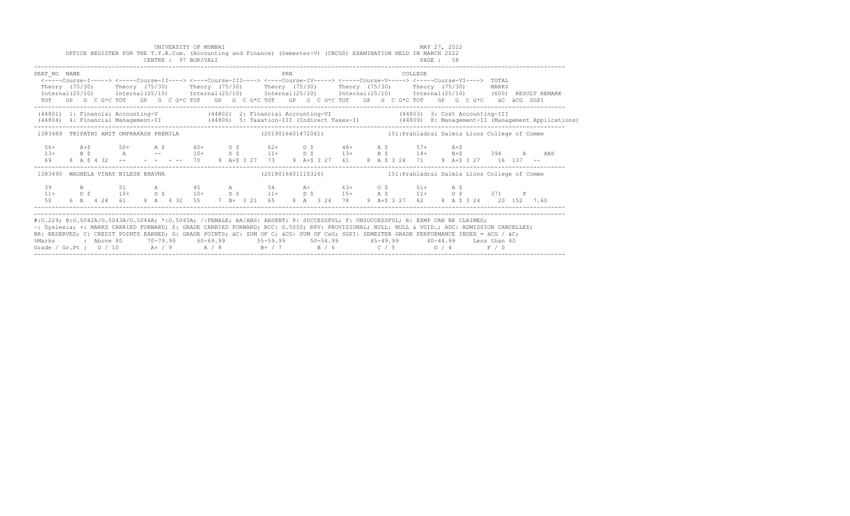|                                                                                                                                                                                                                                                                                                                                                                                                                                                                                                                   |  | OFFICE REGISTER FOR THE T.Y.B.Com. (Accounting and Finance) (Semester-V) (CBCGS) EXAMINATION HELD IN MARCH 2022 |  | UNIVERSITY OF MUMBAI |  |  |     |  |  |  | MAY 27, 2022   |  |                                                                                                                                                                                                            |  |                                                                                                                                  |
|-------------------------------------------------------------------------------------------------------------------------------------------------------------------------------------------------------------------------------------------------------------------------------------------------------------------------------------------------------------------------------------------------------------------------------------------------------------------------------------------------------------------|--|-----------------------------------------------------------------------------------------------------------------|--|----------------------|--|--|-----|--|--|--|----------------|--|------------------------------------------------------------------------------------------------------------------------------------------------------------------------------------------------------------|--|----------------------------------------------------------------------------------------------------------------------------------|
| SEAT NO NAME<br><----Course-I-----> <----Course-II----> <----Course-III----> <----Course-IV-----> <----Course-V-----> <----Course-VI----> TOTAL<br>Theory (75/30) Theory (75/30) Theory (75/30) Theory (75/30) Theory (75/30) Theory (75/30) MARKS<br>TOT GP G C G*C TOT GP G C G*C TOT GP G C G*C TOT GP G C G*C TOT GP G C G*C TOT GP G C G*C äC äCG SGPI                                                                                                                                                       |  |                                                                                                                 |  |                      |  |  | PRN |  |  |  | <b>COLLEGE</b> |  |                                                                                                                                                                                                            |  | Internal (25/10) Internal (25/10) Internal (25/10) Internal (25/10) Internal (25/10) Internal (25/10) (600) RESULT REMARK        |
| (44801) 1: Financial Accounting-V (44802) 2: Financial Accounting-VI (44803) 3: Cost Accounting-III                                                                                                                                                                                                                                                                                                                                                                                                               |  |                                                                                                                 |  |                      |  |  |     |  |  |  |                |  |                                                                                                                                                                                                            |  | (44804) 4: Financial Management-II (44806) 5: Taxation-III (Indirect Taxes-I) (44809) 8: Management-II (Management Applications) |
| 1383489 TRIPATHI AMIT OMPRAKASH PREMILA (2019016401472061) 151: Prahladrai Dalmia Lions College of Comme                                                                                                                                                                                                                                                                                                                                                                                                          |  |                                                                                                                 |  |                      |  |  |     |  |  |  |                |  |                                                                                                                                                                                                            |  |                                                                                                                                  |
| $56+$<br>69                                                                                                                                                                                                                                                                                                                                                                                                                                                                                                       |  | $A + $$ 50+ A \$ 60+ O \$ 62+ O \$ 48+ A \$ 57+ A +\$                                                           |  |                      |  |  |     |  |  |  |                |  |                                                                                                                                                                                                            |  | $13+$ B \$ $A$ -- $10+$ D \$ $11+$ D \$ $13+$ B \$ $14+$ B+\$ 394 A ABS                                                          |
| 1383490 WAGHELA VINAY NILESH BHAVNA                                                                                                                                                                                                                                                                                                                                                                                                                                                                               |  |                                                                                                                 |  |                      |  |  |     |  |  |  |                |  | (2018016401110326) 151: Prahladrai Dalmia Lions College of Comme                                                                                                                                           |  |                                                                                                                                  |
| 50                                                                                                                                                                                                                                                                                                                                                                                                                                                                                                                |  |                                                                                                                 |  |                      |  |  |     |  |  |  |                |  | 39 B 51 A 45 A 54 A 63 + 0 \$ 51 + A \$<br>11 + D \$ 10 + D \$ 10 + D \$ 11 + D \$ 15 + A \$ 11 + D \$ 371 P<br>6 B 4 24 61 8 A 4 32 55 7 B + 3 21 65 8 A 3 24 78 9 A + \$ 3 27 62 8 A \$ 3 24 20 152 7.60 |  |                                                                                                                                  |
| #:0.229; @:0.5042A/0.5043A/0.5044A; *:0.5045A; /:FEMALE; AA/ABS: ABSENT; P: SUCCESSFUL; F: UNSUCCESSFUL; E: EXMP CAN BE CLAIMED;<br>~: Dyslexia; +: MARKS CARRIED FORWARD; \$: GRADE CARRIED FORWARD; RCC: 0.5050; RPV: PROVISIONAL; NULL: NULL & VOID.; ADC: ADMISSION CANCELLED;<br>RR: RESERVED; C: CREDIT POINTS EARNED; G: GRADE POINTS; äC: SUM OF C; äCG: SUM OF CxG; SGPI: SEMESTER GRADE PERFORMANCE INDEX = äCG / äC;<br>%Marks<br>Grade / Gr.Pt : $0/10$ A + / 9 A / 8 B + / 7 B / 6 C / 5 D / 4 F / 0 |  |                                                                                                                 |  |                      |  |  |     |  |  |  |                |  | 2 Above 80    70-79.99    60-69.99     55-59.99     50-54.99     45-49.99     40-44.99   Less than:                                                                                                        |  |                                                                                                                                  |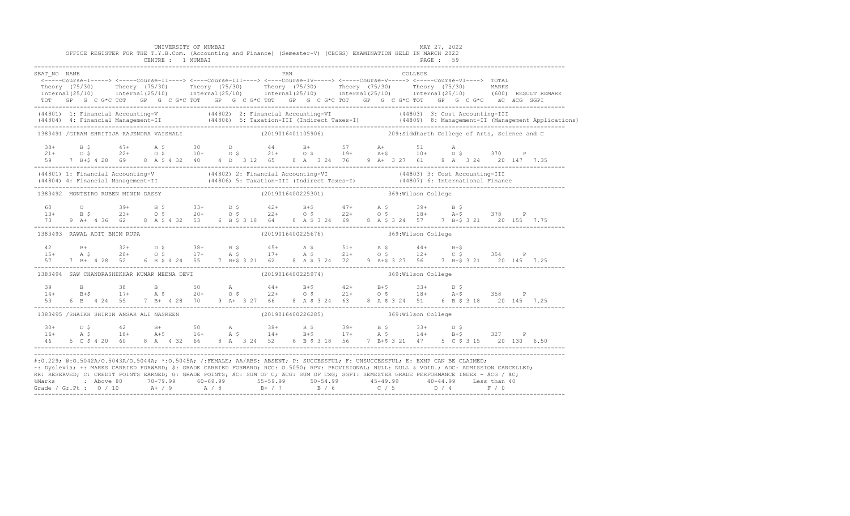|              |                                                                                   | UNIVERSITY OF MUMBAI<br>CENTRE : 1 MUMBAI |  | OFFICE REGISTER FOR THE T.Y.B.Com. (Accounting and Finance) (Semester-V) (CBCGS) EXAMINATION HELD IN MARCH 2022 |  | MAY 27, 2022<br>PAGE : 59                                                                                                                                                                                                                                                                                                                                                                                                     |  |
|--------------|-----------------------------------------------------------------------------------|-------------------------------------------|--|-----------------------------------------------------------------------------------------------------------------|--|-------------------------------------------------------------------------------------------------------------------------------------------------------------------------------------------------------------------------------------------------------------------------------------------------------------------------------------------------------------------------------------------------------------------------------|--|
| SEAT NO NAME |                                                                                   |                                           |  |                                                                                                                 |  |                                                                                                                                                                                                                                                                                                                                                                                                                               |  |
|              |                                                                                   |                                           |  |                                                                                                                 |  | Theory (75/30) Theory (75/30) Theory (75/30) Theory (75/30) Theory (75/30) Theory (75/30) MARKS<br>Internal(25/10) Internal(25/10) Internal(25/10) Internal(25/10) Internal(25/10) Internal(25/10) (600) RESULTREMARK<br>TOT GP G C G*C TOT GP G C G*C TOT GP G C G*C TOT GP G C G*C TOT GP G C G*C TOT GP G C G*C äC äCG SGPI                                                                                                |  |
|              |                                                                                   |                                           |  |                                                                                                                 |  | (44801) 1: Financial Accounting-V (44802) 2: Financial Accounting-VI (44803) 3: Cost Accounting-III<br>(44804) 4: Financial Management-II (44806) 5: Taxation-III (Indirect Taxes-I) (44809) 8: Management-II (Management Applica                                                                                                                                                                                             |  |
|              |                                                                                   |                                           |  |                                                                                                                 |  | 1383491 /GIRAM SHRITIJA RAJENDRA VAISHALI (2019016401105906) 209:Siddharth College of Arts, Science and C                                                                                                                                                                                                                                                                                                                     |  |
|              |                                                                                   |                                           |  |                                                                                                                 |  | $38+$ B \$ $47+$ A \$ $30$ D 44 B + 57 A + 51 A<br>21+ O \$ 22+ O \$ 10+ D \$ 21+ O \$ 19+ A + \$ 10+ D \$ 370 P<br>59 7 B+\$ 4 28 69 8 A \$ 4 32 40 4 D 3 12 65 8 A 3 24 76 9 A+ 3 27 61 8 A 3 24 20 147 7.35                                                                                                                                                                                                                |  |
|              |                                                                                   |                                           |  |                                                                                                                 |  | (44801) 1: Financial Accounting-V (44802) 2: Financial Accounting-VI (44803) 3: Cost Accounting-III<br>(44804) 4: Financial Management-II (44806) 5: Taxation-III (Indirect Taxes-I) (44807) 6: International Finance<br>-----------                                                                                                                                                                                          |  |
|              | 1383492 MONTEIRO RUBEN MININ DASSY                                                |                                           |  | (2019016400225301) 369: Wilson College                                                                          |  |                                                                                                                                                                                                                                                                                                                                                                                                                               |  |
|              |                                                                                   |                                           |  |                                                                                                                 |  | $13+$ B $3+$ B $5$ $33+$ D $5$ $42+$ B $47+$ A $5$ $39+$ B $5$ $13+$ B $5$ $23+$ O $5$ $20+$ O $5$ $22+$ O $5$ $22+$ O $5$ $18+$ A $45$ $378$ P<br>$73$ 9 A + 4 36 62 8 A $5$ 4 $32$ 53 6 B $5$ 3 18 64 8 A $5$ 3 24 69 8 A $5$                                                                                                                                                                                               |  |
|              | 1383493 RAWAL ADIT BHIM RUPA                                                      |                                           |  | (2019016400225676) 369: Wilson College                                                                          |  |                                                                                                                                                                                                                                                                                                                                                                                                                               |  |
|              |                                                                                   |                                           |  |                                                                                                                 |  | $\begin{array}{cccccccccccccccc} 42 & B+ & 32+ & D & \xi & 38+ & B & \xi & 45+ & A & \xi & 51+ & A & \xi & 44+ & B+\xi \\ 15+ & A & \xi & 20+ & O & \xi & 17+ & A & \xi & 17+ & A & \xi & 21+ & O & \xi & 12+ & C & \xi & 354 & P \\ 57 & 7 & B+ & 4 & 28 & 52 & 6 & B & \xi & 4 & 24 & 55 & 7 & B+\xi & 3 & 21 & 62 & 8 & A & \xi & 3 & 24 & 72 & 9 & A+\xi & 3 &$                                                           |  |
|              | 1383494 SAW CHANDRASHEKHAR KUMAR MEENA DEVI (2019016400225974) 369:Wilson College |                                           |  |                                                                                                                 |  |                                                                                                                                                                                                                                                                                                                                                                                                                               |  |
|              |                                                                                   |                                           |  |                                                                                                                 |  |                                                                                                                                                                                                                                                                                                                                                                                                                               |  |
|              | 1383495 /SHAIKH SHIRIN ANSAR ALI NASREEN                                          |                                           |  | (2019016400226285) 369: Wilson College                                                                          |  |                                                                                                                                                                                                                                                                                                                                                                                                                               |  |
|              |                                                                                   |                                           |  |                                                                                                                 |  | $\begin{array}{cccccccccccccccc} 30+ & D & S & A & B+ & 50 & A & 38+ & B & S & 39+ & B & S & 33+ & D & S & 32+ & D & S & 36+ & A & S & 18+ & A & 16+ & A & S & 14+ & B & 17+ & A & S & 14+ & B & 17+ & A & 14+ & B & 17+ & B & 32+ & B & 32+ & B & 32+ & B & 32+ & B & 32+ & B & 32+ & B & 32+ & B & 32+ & B & 32+ & B & 32+ & B & 32+ & B & 32+ & B & $                                                                      |  |
|              |                                                                                   |                                           |  |                                                                                                                 |  | #:0.229; @:0.5042A/0.5043A/0.5044A; *:0.5045A; /:FEMALE; AA/ABS: ABSENT; P: SUCCESSFUL; F: UNSUCCESSFUL; E: EXMP CAN BE CLAIMED;<br>~: Dyslexia; +: MARKS CARRIED FORWARD; \$: GRADE CARRIED FORWARD; RCC: 0.5050; RPV: PROVISIONAL; NULL: NULL: AULL: ADC: ADMISSION CANCELLED;<br>RR: RESERVED; C: CREDIT POINTS EARNED; G: GRADE POINTS; äC: SUM OF C; äCG: SUM OF CxG; SGPI: SEMESTER GRADE PERFORMANCE INDEX = äCG / äC; |  |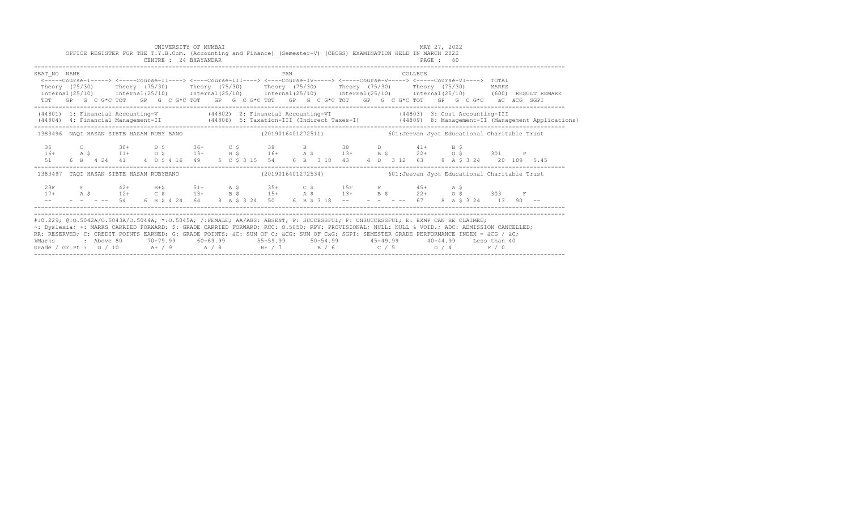|                                                                                                                                                                                                                                                                                                                                                                                                                                                                                                                        |  |                                                |           |  | CENTRE : 24 BHAYANDAR | UNIVERSITY OF MUMBAI |  | OFFICE REGISTER FOR THE T.Y.B.Com. (Accounting and Finance) (Semester-V) (CBCGS) EXAMINATION HELD IN MARCH 2022                                                                                                                                                                                                                    |     |  |  |  |         | MAY 27, 2022<br>PAGE : 60 |  |  |       |  |                                                                                                                                  |  |
|------------------------------------------------------------------------------------------------------------------------------------------------------------------------------------------------------------------------------------------------------------------------------------------------------------------------------------------------------------------------------------------------------------------------------------------------------------------------------------------------------------------------|--|------------------------------------------------|-----------|--|-----------------------|----------------------|--|------------------------------------------------------------------------------------------------------------------------------------------------------------------------------------------------------------------------------------------------------------------------------------------------------------------------------------|-----|--|--|--|---------|---------------------------|--|--|-------|--|----------------------------------------------------------------------------------------------------------------------------------|--|
| SEAT NO NAME<br>Theory (75/30)                                                                                                                                                                                                                                                                                                                                                                                                                                                                                         |  |                                                |           |  |                       |                      |  | <----Course-I-----> <----Course-II----> <----Course-III----> <----Course-IV-----> <----Course-V-----> <----Course-VI----> TOTAL<br>Theory (75/30)    Theory (75/30)    Theory (75/30)    Theory (75/30)    Theory (75/30)<br>TOT GP G C G*C TOT GP G C G*C TOT GP G C G*C TOT GP G C G*C TOT GP G C G*C TOT GP G C G*C äC äCG SGPI | PRN |  |  |  | COLLEGE |                           |  |  | MARKS |  | Internal (25/10) Internal (25/10) Internal (25/10) Internal (25/10) Internal (25/10) Internal (25/10) (600) RESULT REMARK        |  |
| (44801) 1: Financial Accounting-V (44802) 2: Financial Accounting-VI (44803) 3: Cost Accounting-III                                                                                                                                                                                                                                                                                                                                                                                                                    |  |                                                |           |  |                       |                      |  |                                                                                                                                                                                                                                                                                                                                    |     |  |  |  |         |                           |  |  |       |  | (44804) 4: Financial Management-II (44806) 5: Taxation-III (Indirect Taxes-I) (44809) 8: Management-II (Management Applications) |  |
| 1383496 NAOI HASAN SIBTE HASAN RUBY BANO (2019016401272511) 400 1:Jeevan Jyot Educational Charitable Trust                                                                                                                                                                                                                                                                                                                                                                                                             |  |                                                |           |  |                       |                      |  |                                                                                                                                                                                                                                                                                                                                    |     |  |  |  |         |                           |  |  |       |  |                                                                                                                                  |  |
| 35<br>$16+$<br>51                                                                                                                                                                                                                                                                                                                                                                                                                                                                                                      |  |                                                |           |  |                       |                      |  | C 30+ D \$ 36+ C \$ 38 B 30 D 41+ B \$<br>A \$ 11+ D \$ 13+ B \$ 16+ A \$ 13+ B \$ 22+ O \$ 301 P                                                                                                                                                                                                                                  |     |  |  |  |         |                           |  |  |       |  |                                                                                                                                  |  |
| 1383497 TAQI HASAN SIBTE HASAN RUBYBANO                                                                                                                                                                                                                                                                                                                                                                                                                                                                                |  |                                                |           |  |                       |                      |  | (2019016401272534) 601: Jeevan Jyot Educational Charitable Trust                                                                                                                                                                                                                                                                   |     |  |  |  |         |                           |  |  |       |  |                                                                                                                                  |  |
| 2.3F<br>$17+$                                                                                                                                                                                                                                                                                                                                                                                                                                                                                                          |  | $\mathbf{F}$ and $\mathbf{F}$ and $\mathbf{F}$ | $42+$ B+S |  |                       | $51+$ A \$           |  | $35+$ C \$ 15F F 45+ A \$<br>- 1920 - 1931 - 1945 - 1946 - 1946 - 1946 - 1947 - 1947 - 1947 - 1947 - 1947 - 1947 - 1947 - 1947 - 1947 - 194<br>- - - -- 54 6 B \$ 4 24 64 8 A \$ 3 24 50 6 B \$ 3 18 -- - - - - - - 67 8 A \$ 3 24 13 90 --                                                                                        |     |  |  |  |         |                           |  |  |       |  |                                                                                                                                  |  |
| #:0.229; @:0.5042A/0.5043A/0.5044A; *:0.5045A; /:FEMALE; AA/ABS: ABSENT; P: SUCCESSFUL; F: UNSUCCESSFUL; E: EXMP CAN BE CLAIMED;<br>~: Dyslexia; +: MARKS CARRIED FORWARD; \$: GRADE CARRIED FORWARD; RCC: 0.5050; RPV: PROVISIONAL; NULL: NULL: WOID.; ADC: ADMISSION CANCELLED;<br>RR: RESERVED; C: CREDIT POINTS EARNED; G: GRADE POINTS; äC: SUM OF C; äCG: SUM OF CxG; SGPI: SEMESTER GRADE PERFORMANCE INDEX = äCG / äC;<br>%Marks<br>Grade / Gr.Pt : $0/10$ A $/9$ A $/8$ B $+$ / 7 B $/6$ C $/5$ D $/4$ F $/0$ |  |                                                |           |  |                       |                      |  | : Above 80    70-79.99    60-69.99     55-59.99     50-54.99      45-49.99     40-44.99   Less than 40                                                                                                                                                                                                                             |     |  |  |  |         |                           |  |  |       |  |                                                                                                                                  |  |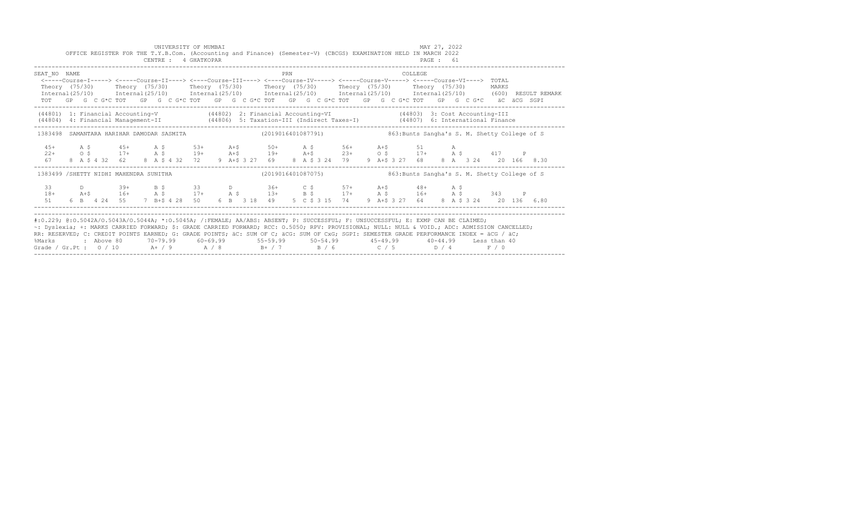|                                                                                                                                                                                                                                                                                                                                                                                                                                 |     |           |        |                                             |  |  | UNIVERSITY OF MUMBAI<br>CENTRE : 4 GHATKOPAR |  |  |             |     |  | OFFICE REGISTER FOR THE T.Y.B.Com. (Accounting and Finance) (Semester-V) (CBCGS) EXAMINATION HELD IN MARCH 2022                                                                                                                                                                                                                                                                                                                                                           |  |  |                     | MAY 27, 2022<br>PAGE : 61 |  |  |       |                                               |  |
|---------------------------------------------------------------------------------------------------------------------------------------------------------------------------------------------------------------------------------------------------------------------------------------------------------------------------------------------------------------------------------------------------------------------------------|-----|-----------|--------|---------------------------------------------|--|--|----------------------------------------------|--|--|-------------|-----|--|---------------------------------------------------------------------------------------------------------------------------------------------------------------------------------------------------------------------------------------------------------------------------------------------------------------------------------------------------------------------------------------------------------------------------------------------------------------------------|--|--|---------------------|---------------------------|--|--|-------|-----------------------------------------------|--|
| SEAT NO NAME                                                                                                                                                                                                                                                                                                                                                                                                                    |     |           |        |                                             |  |  |                                              |  |  |             | PRN |  | <-----Course-I-----> <-----Course-II----> <----Course-III----> <----Course-IV-----> <----Course-V-----> <----Course-VI----> TOTAL<br>Theory (75/30)  Theory (75/30)  Theory (75/30)  Theory (75/30)  Theory (75/30)  Theory (75/30)<br>Internal (25/10) Internal (25/10) Internal (25/10) Internal (25/10) Internal (25/10) Internal (25/10) (600) RESULT REMARK<br>TOT GP G C G*C TOT GP G C G*C TOT GP G C G*C TOT GP G C G*C TOT GP G C G*C TOT GP G C G*C aC aCG SGPI |  |  | COLLEGE             |                           |  |  | MARKS |                                               |  |
| (44801) 1: Financial Accounting-V (44802) 2: Financial Accounting-VI (44803) 3: Cost Accounting-III<br>(44804) 4: Financial Management-II (44806) 5: Taxation-III (Indirect Taxes-I) (44807) 6: International Finance                                                                                                                                                                                                           |     |           |        |                                             |  |  |                                              |  |  |             |     |  |                                                                                                                                                                                                                                                                                                                                                                                                                                                                           |  |  |                     |                           |  |  |       |                                               |  |
| 1383498 SAMANTARA HARIHAR DAMODAR SASMITA                           (2019016401087791)                                                                                                                                                                                                                                                                                                                                          |     |           |        |                                             |  |  |                                              |  |  |             |     |  |                                                                                                                                                                                                                                                                                                                                                                                                                                                                           |  |  |                     |                           |  |  |       | 863: Bunts Sangha's S. M. Shetty College of S |  |
| $45+$<br>$22+$<br>67                                                                                                                                                                                                                                                                                                                                                                                                            | A S | $\circ$ s |        | $45+$ A \$<br>8 A \$ 4 32 62 8 A \$ 4 32 72 |  |  | $53+$                                        |  |  | $A + S$ 50+ |     |  | $A \; \; S$ 56+ $A + S$<br>$17+$ A \$ $19+$ A +\$ $19+$ A +\$ $23+$ O \$ $17+$ A \$ $417$ P<br>9 A+\$ 3 27 69 8 A \$ 3 24 79                                                                                                                                                                                                                                                                                                                                              |  |  | 51<br>9 A+S 3 27 68 | $\overline{A}$            |  |  |       | 8 A 3 24 20 166 8.30                          |  |
| 1383499 /SHETTY NIDHI MAHENDRA SUNITHA                                                                                                                                                                                                                                                                                                                                                                                          |     |           |        |                                             |  |  |                                              |  |  |             |     |  | (2019016401087075)                                                                                                                                                                                                                                                                                                                                                                                                                                                        |  |  |                     |                           |  |  |       | 863: Bunts Sangha's S. M. Shetty College of S |  |
| 33<br>$18+$<br>51                                                                                                                                                                                                                                                                                                                                                                                                               |     |           | $\Box$ | 6 B 4 24 55 7 B+\$ 4 28 50                  |  |  |                                              |  |  |             |     |  | 39+ B \$ 33 D 36+ C \$ 57+ A+\$ 48+ A \$<br>A+\$ 16+ A \$ 17+ A \$ 13+ B \$ 17+ A \$ 16+ A \$ 343 P<br>6 B 3 18 49 5 C \$ 3 15 74 9 A+\$ 3 27 64 8 A \$ 3 24 20 136 6.80                                                                                                                                                                                                                                                                                                  |  |  |                     |                           |  |  |       |                                               |  |
| #:0.229; @:0.5042A/0.5043A/0.5044A; *:0.5045A; /:FEMALE; AA/ABS: ABSENT; P: SUCCESSFUL; F: UNSUCCESSFUL; E: EXMP CAN BE CLAIMED;<br>~: Dyslexia; +: MARKS CARRIED FORWARD; \$: GRADE CARRIED FORWARD; RCC: 0.5050; RPV: PROVISIONAL; NULL: NULL & VOID.; ADC: ADMISSION CANCELLED;<br>RR: RESERVED; C: CREDIT POINTS EARNED; G: GRADE POINTS; äC: SUM OF C; äCG: SUM OF CxG; SGPI: SEMESTER GRADE PERFORMANCE INDEX = äCG / äC; |     |           |        |                                             |  |  |                                              |  |  |             |     |  |                                                                                                                                                                                                                                                                                                                                                                                                                                                                           |  |  |                     |                           |  |  |       |                                               |  |

%Marks : Above 80 70-79.99 60-69.99 55-59.99 50-54.99 45-49.99 40-44.99 Less than 40 Grade / Gr.Pt : O / 10 A+ / 9 A / 8 B+ / 7 B / 6 C / 5 D / 4 F / 0 ------------------------------------------------------------------------------------------------------------------------------------------------------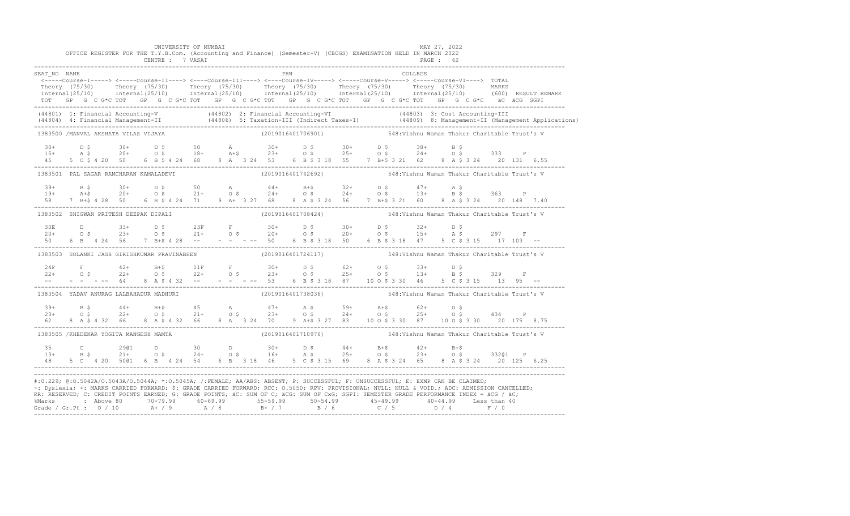| SEAT NO NAME<br>Theory (75/30) Theory (75/30) Theory (75/30) Theory (75/30) Theory (75/30) Theory (75/30) Theory (75/30) MARKS<br>Thternal(25/10) Internal(25/10) Internal(25/10) Internal(25/10) Internal(25/10) Internal(25/10) (600) RESULTREM |  |  | CENTRE : 7 VASAI |  |  |     |                                                                                                                                                                                                                                                                                                                                                                                                                                                                                                                                                                                              |  |         | PAGE: 62 |                                               |  |                                                                                                                                                                                                                                   |
|---------------------------------------------------------------------------------------------------------------------------------------------------------------------------------------------------------------------------------------------------|--|--|------------------|--|--|-----|----------------------------------------------------------------------------------------------------------------------------------------------------------------------------------------------------------------------------------------------------------------------------------------------------------------------------------------------------------------------------------------------------------------------------------------------------------------------------------------------------------------------------------------------------------------------------------------------|--|---------|----------|-----------------------------------------------|--|-----------------------------------------------------------------------------------------------------------------------------------------------------------------------------------------------------------------------------------|
|                                                                                                                                                                                                                                                   |  |  |                  |  |  | PRN |                                                                                                                                                                                                                                                                                                                                                                                                                                                                                                                                                                                              |  | COLLEGE |          |                                               |  |                                                                                                                                                                                                                                   |
|                                                                                                                                                                                                                                                   |  |  |                  |  |  |     | <-----Course-I-----> <-----Course-II----> <----Course-III----> <----Course-IV-----> <----Course-V-----> <----Course-VI----> TOTAL                                                                                                                                                                                                                                                                                                                                                                                                                                                            |  |         |          |                                               |  |                                                                                                                                                                                                                                   |
|                                                                                                                                                                                                                                                   |  |  |                  |  |  |     |                                                                                                                                                                                                                                                                                                                                                                                                                                                                                                                                                                                              |  |         |          |                                               |  |                                                                                                                                                                                                                                   |
|                                                                                                                                                                                                                                                   |  |  |                  |  |  |     |                                                                                                                                                                                                                                                                                                                                                                                                                                                                                                                                                                                              |  |         |          |                                               |  |                                                                                                                                                                                                                                   |
|                                                                                                                                                                                                                                                   |  |  |                  |  |  |     | TOT GP G C G*C TOT GP G C G*C TOT GP G C G*C TOT GP G C G*C TOT GP G C G*C TOT GP G C G*C äC äCG SGPI                                                                                                                                                                                                                                                                                                                                                                                                                                                                                        |  |         |          |                                               |  |                                                                                                                                                                                                                                   |
|                                                                                                                                                                                                                                                   |  |  |                  |  |  |     |                                                                                                                                                                                                                                                                                                                                                                                                                                                                                                                                                                                              |  |         |          |                                               |  | (44801) 1: Financial Accounting-V (44802) 2: Financial Accounting-VI (44803) 3: Cost Accounting-III<br>(44804) 4: Financial Management-II (44806) 5: Taxation-III (Indirect Taxes-I) (44809) 8: Management-II (Management Applica |
| 1383500 /MANVAL AKSHATA VILAS VIJAYA                                                                                                                                                                                                              |  |  |                  |  |  |     | (2019016401706901)                                                                                                                                                                                                                                                                                                                                                                                                                                                                                                                                                                           |  |         |          | 548: Vishnu Waman Thakur Charitable Trust's V |  |                                                                                                                                                                                                                                   |
|                                                                                                                                                                                                                                                   |  |  |                  |  |  |     |                                                                                                                                                                                                                                                                                                                                                                                                                                                                                                                                                                                              |  |         |          |                                               |  |                                                                                                                                                                                                                                   |
|                                                                                                                                                                                                                                                   |  |  |                  |  |  |     |                                                                                                                                                                                                                                                                                                                                                                                                                                                                                                                                                                                              |  |         |          |                                               |  |                                                                                                                                                                                                                                   |
|                                                                                                                                                                                                                                                   |  |  |                  |  |  |     | $15+$ $15+$ $15+$ $15+$ $15+$ $15+$ $15+$ $15+$ $15+$ $15+$ $15+$ $15+$ $15+$ $15+$ $15+$ $15+$ $15+$ $15+$ $15+$ $15+$ $15+$ $15+$ $15+$ $15+$ $15+$ $15+$ $15+$ $15+$ $15+$ $15+$ $15+$ $15+$ $15+$ $15+$ $15+$ $15+$ $15+$                                                                                                                                                                                                                                                                                                                                                                |  |         |          |                                               |  |                                                                                                                                                                                                                                   |
| 1383501 PAL SAGAR RAMCHARAN KAMALADEVI                                                                                                                                                                                                            |  |  |                  |  |  |     | (2019016401742692) 548: Vishnu Waman Thakur Charitable Trust's V                                                                                                                                                                                                                                                                                                                                                                                                                                                                                                                             |  |         |          |                                               |  |                                                                                                                                                                                                                                   |
|                                                                                                                                                                                                                                                   |  |  |                  |  |  |     |                                                                                                                                                                                                                                                                                                                                                                                                                                                                                                                                                                                              |  |         |          |                                               |  |                                                                                                                                                                                                                                   |
|                                                                                                                                                                                                                                                   |  |  |                  |  |  |     |                                                                                                                                                                                                                                                                                                                                                                                                                                                                                                                                                                                              |  |         |          |                                               |  |                                                                                                                                                                                                                                   |
|                                                                                                                                                                                                                                                   |  |  |                  |  |  |     |                                                                                                                                                                                                                                                                                                                                                                                                                                                                                                                                                                                              |  |         |          |                                               |  |                                                                                                                                                                                                                                   |
| 1383502 SHIGWAN PRITESH DEEPAK DIPALI                                                                                                                                                                                                             |  |  |                  |  |  |     | (2019016401708424)                                                                                                                                                                                                                                                                                                                                                                                                                                                                                                                                                                           |  |         |          | 548: Vishnu Waman Thakur Charitable Trust's V |  |                                                                                                                                                                                                                                   |
|                                                                                                                                                                                                                                                   |  |  |                  |  |  |     |                                                                                                                                                                                                                                                                                                                                                                                                                                                                                                                                                                                              |  |         |          |                                               |  |                                                                                                                                                                                                                                   |
|                                                                                                                                                                                                                                                   |  |  |                  |  |  |     |                                                                                                                                                                                                                                                                                                                                                                                                                                                                                                                                                                                              |  |         |          |                                               |  |                                                                                                                                                                                                                                   |
|                                                                                                                                                                                                                                                   |  |  |                  |  |  |     |                                                                                                                                                                                                                                                                                                                                                                                                                                                                                                                                                                                              |  |         |          |                                               |  |                                                                                                                                                                                                                                   |
|                                                                                                                                                                                                                                                   |  |  |                  |  |  |     | 1383503 SOLANKI JASH GIRISHKUMAR PRAVINABHEN (2019016401724117) 548:Vishnu Waman Thakur Charitable Trust's V                                                                                                                                                                                                                                                                                                                                                                                                                                                                                 |  |         |          |                                               |  |                                                                                                                                                                                                                                   |
|                                                                                                                                                                                                                                                   |  |  |                  |  |  |     |                                                                                                                                                                                                                                                                                                                                                                                                                                                                                                                                                                                              |  |         |          |                                               |  |                                                                                                                                                                                                                                   |
|                                                                                                                                                                                                                                                   |  |  |                  |  |  |     |                                                                                                                                                                                                                                                                                                                                                                                                                                                                                                                                                                                              |  |         |          |                                               |  |                                                                                                                                                                                                                                   |
|                                                                                                                                                                                                                                                   |  |  |                  |  |  |     |                                                                                                                                                                                                                                                                                                                                                                                                                                                                                                                                                                                              |  |         |          |                                               |  |                                                                                                                                                                                                                                   |
| 1383504 YADAV ANURAG LALBAHADUR MADHURI                                                                                                                                                                                                           |  |  |                  |  |  |     | (2019016401738036)                                                                                                                                                                                                                                                                                                                                                                                                                                                                                                                                                                           |  |         |          | 548:Vishnu Waman Thakur Charitable Trust's V  |  |                                                                                                                                                                                                                                   |
|                                                                                                                                                                                                                                                   |  |  |                  |  |  |     |                                                                                                                                                                                                                                                                                                                                                                                                                                                                                                                                                                                              |  |         |          |                                               |  |                                                                                                                                                                                                                                   |
|                                                                                                                                                                                                                                                   |  |  |                  |  |  |     |                                                                                                                                                                                                                                                                                                                                                                                                                                                                                                                                                                                              |  |         |          |                                               |  |                                                                                                                                                                                                                                   |
|                                                                                                                                                                                                                                                   |  |  |                  |  |  |     | $\begin{array}{cccccccccccccccc} 39+ & & B & S & & 44+ & B+5 & & 45 & A & & 47+ & A & S & & 59+ & A+5 & & 62+ & O & S \\ 23+ & & O & S & & 22+ & O & S & & 21+ & O & S & & 23+ & O & S & & 24+ & O & S & & 25+ & O & S & & 434 & P \\ 62 & & 8 & A & S & 4 & 32 & 66 & 8 & A & S & 4 & 324 & 70 & 9 & A+5 & 3 & 27 & 83 & & 10 & 0 & 5 & 3 & 30 & 87 & & 1$                                                                                                                                                                                                                                  |  |         |          |                                               |  |                                                                                                                                                                                                                                   |
| 1383505 /KHEDEKAR YOGITA MANGESH MAMTA                                                                                                                                                                                                            |  |  |                  |  |  |     | (2019016401710976)                                                                                                                                                                                                                                                                                                                                                                                                                                                                                                                                                                           |  |         |          | 548: Vishnu Waman Thakur Charitable Trust's V |  |                                                                                                                                                                                                                                   |
|                                                                                                                                                                                                                                                   |  |  |                  |  |  |     |                                                                                                                                                                                                                                                                                                                                                                                                                                                                                                                                                                                              |  |         |          |                                               |  |                                                                                                                                                                                                                                   |
|                                                                                                                                                                                                                                                   |  |  |                  |  |  |     |                                                                                                                                                                                                                                                                                                                                                                                                                                                                                                                                                                                              |  |         |          |                                               |  |                                                                                                                                                                                                                                   |
|                                                                                                                                                                                                                                                   |  |  |                  |  |  |     |                                                                                                                                                                                                                                                                                                                                                                                                                                                                                                                                                                                              |  |         |          |                                               |  |                                                                                                                                                                                                                                   |
|                                                                                                                                                                                                                                                   |  |  |                  |  |  |     | #:0.229; @:0.5042A/0.5043A/0.5044A; *:0.5045A; /:FEMALE; AA/ABS: ABSENT; P: SUCCESSFUL; F: UNSUCCESSFUL; E: EXMP CAN BE CLAIMED;<br>~: Dyslexia; +: MARKS CARRIED FORWARD; \$: GRADE CARRIED FORWARD; RCC: 0.5050; RPV: PROVISIONAL; NULL: NULL: WOID.; ADC: ADMISSION CANCELLED;<br>RR: RESERVED; C: CREDIT POINTS EARNED; G: GRADE POINTS; äC: SUM OF C; äCG: SUM OF CxG; SGPI: SEMESTER GRADE PERFORMANCE INDEX = äCG / äC;<br>%Marks : Above 80 70-79.99 60-69.99 55-59.99 50-54.99 45-49.99 40-44.99 Less than 40<br>Grade / Gr.Pt : 0 / 10 A+ / 9 A / 8 B+ / 7 B / 6 C / 5 D / 4 F / 0 |  |         |          |                                               |  |                                                                                                                                                                                                                                   |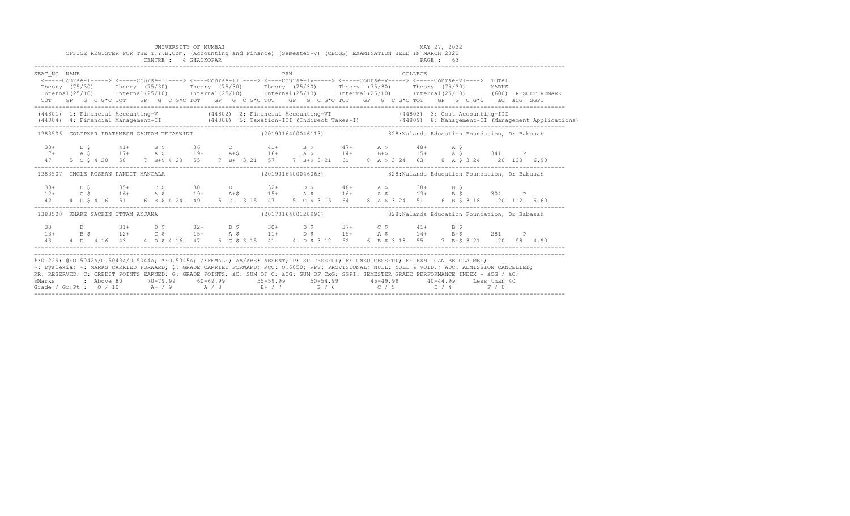|                                                                                                                                                                                                                                                                                                                                                                                                                                                                                                                   |  |  | OFFICE REGISTER FOR THE T.Y.B.Com. (Accounting and Finance) (Semester-V) (CBCGS) EXAMINATION HELD IN MARCH 2022 |  | UNIVERSITY OF MUMBAI<br>CENTRE : 4 GHATKOPAR |  |  |  |     |  |  |  |  |          | MAY 27, 2022<br>PAGE : 63 |     |  |                                                                  |  |                                                                                                                                                                         |
|-------------------------------------------------------------------------------------------------------------------------------------------------------------------------------------------------------------------------------------------------------------------------------------------------------------------------------------------------------------------------------------------------------------------------------------------------------------------------------------------------------------------|--|--|-----------------------------------------------------------------------------------------------------------------|--|----------------------------------------------|--|--|--|-----|--|--|--|--|----------|---------------------------|-----|--|------------------------------------------------------------------|--|-------------------------------------------------------------------------------------------------------------------------------------------------------------------------|
| SEAT NO NAME<br><-----Course-I-----> <-----Course-II----> <----Course-III----> <----Course-IV-----> <----Course-V-----> <----Course-VI----> TOTAL<br>Theory (75/30) Theory (75/30) Theory (75/30) Theory (75/30) Theory (75/30) Theory (75/30) MARKS<br>TOT GP G C G*C TOT GP G C G*C TOT GP G C G*C TOT GP G C G*C TOT GP G C G*C TOT GP G C G*C äC äCG SGPI                                                                                                                                                     |  |  |                                                                                                                 |  |                                              |  |  |  | PRN |  |  |  |  | COLLEGE. |                           |     |  |                                                                  |  | $Internal(25/10)$ $Internal(25/10)$ $Internal(25/10)$ $Internal(25/10)$ $Internal(25/10)$ $Internal(25/10)$ $Internal(25/10)$ $Internal(25/10)$ $(600)$ $RESULT REMARK$ |
| (44801) 1: Financial Accounting-V (44802) 2: Financial Accounting-VI (44803) 3: Cost Accounting-III                                                                                                                                                                                                                                                                                                                                                                                                               |  |  |                                                                                                                 |  |                                              |  |  |  |     |  |  |  |  |          |                           |     |  |                                                                  |  | (44804) 4: Financial Management-II (44806) 5: Taxation-III (Indirect Taxes-I) (44809) 8: Management-II (Management Applications)                                        |
| 1383506 GOLIPKAR PRATHMESH GAUTAM TEJASWINI (2019016400046113) 308:Nalanda Education Foundation, Dr Babasah                                                                                                                                                                                                                                                                                                                                                                                                       |  |  |                                                                                                                 |  |                                              |  |  |  |     |  |  |  |  |          |                           |     |  |                                                                  |  |                                                                                                                                                                         |
| $\begin{array}{cccccccccccccccc} 30+ & D & \xi & 41+ & B & \xi & 36 & C & 41+ & B & \xi & 47+ & A & \xi & 48+ & A & \xi & 341 & P \\ 17+ & A & \xi & 17+ & A & \xi & 19+ & A & \xi & 16+ & A & \xi & 14+ & B & \xi & 15+ & A & \xi & 341 & P \\ 47 & 5 & C & \xi & 4 & 20 & 58 & 7 & B & \xi & 4 & 28 & 55 & 7 & B & \xi & 3 & 21 & 57 & 7 & B & \xi & 3 & 31 & 61 &$                                                                                                                                             |  |  |                                                                                                                 |  |                                              |  |  |  |     |  |  |  |  |          |                           |     |  |                                                                  |  |                                                                                                                                                                         |
| 1383507 INGLE ROSHAN PANDIT MANGALA                                                                                                                                                                                                                                                                                                                                                                                                                                                                               |  |  |                                                                                                                 |  |                                              |  |  |  |     |  |  |  |  |          |                           |     |  | (2019016400046063) 328: Nalanda Education Foundation, Dr Babasah |  |                                                                                                                                                                         |
|                                                                                                                                                                                                                                                                                                                                                                                                                                                                                                                   |  |  |                                                                                                                 |  |                                              |  |  |  |     |  |  |  |  |          |                           |     |  |                                                                  |  |                                                                                                                                                                         |
| 1383508 KHARE SACHIN UTTAM ANJANA                                                                                                                                                                                                                                                                                                                                                                                                                                                                                 |  |  |                                                                                                                 |  |                                              |  |  |  |     |  |  |  |  |          |                           |     |  |                                                                  |  |                                                                                                                                                                         |
| 30<br>$13+$<br>43                                                                                                                                                                                                                                                                                                                                                                                                                                                                                                 |  |  | D 31+ D \$ 32+ D \$ 30+ D \$ 37+ C \$ 41+<br>B \$ 12+ C \$ 15+ A \$ 11+ D \$ 15+ A \$ 14+ B+\$ 281 P            |  |                                              |  |  |  |     |  |  |  |  |          |                           | B S |  |                                                                  |  |                                                                                                                                                                         |
| #:0.229; @:0.5042A/0.5043A/0.5044A; *:0.5045A; /:FEMALE; AA/ABS: ABSENT; P: SUCCESSFUL; F: UNSUCCESSFUL; E: EXMP CAN BE CLAIMED;<br>~: Dyslexia; +: MARKS CARRIED FORWARD; \$: GRADE CARRIED FORWARD; RCC: 0.5050; RPV: PROVISIONAL; NULL: NULL & VOID.; ADC: ADMISSION CANCELLED;<br>RR: RESERVED; C: CREDIT POINTS EARNED; G: GRADE POINTS; äC: SUM OF C; äCG: SUM OF CxG; SGPI: SEMESTER GRADE PERFORMANCE INDEX = äCG / äC;<br>%Marks<br>Grade / Gr.Pt : $0/10$ A + / 9 A / 8 B + / 7 B / 6 C / 5 D / 4 F / 0 |  |  |                                                                                                                 |  |                                              |  |  |  |     |  |  |  |  |          |                           |     |  |                                                                  |  |                                                                                                                                                                         |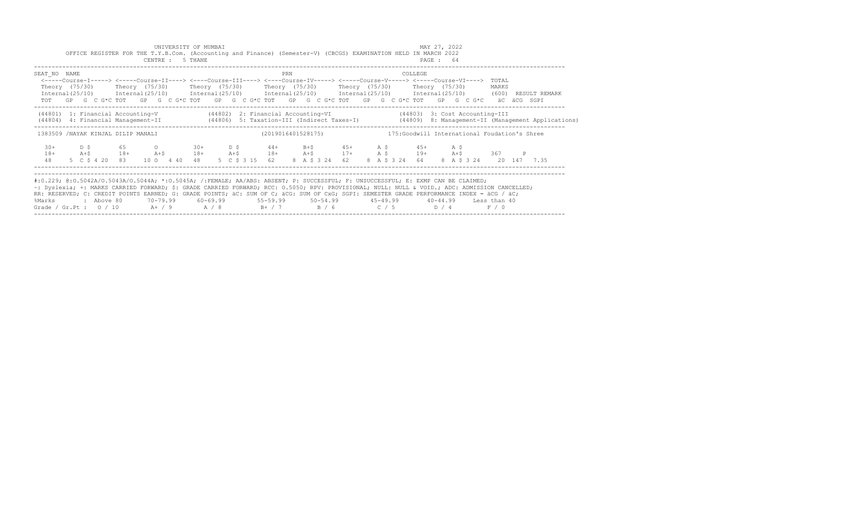|                                                                                                                                                                                                                                                                                                                                                                                                                                                                                                           | OFFICE REGISTER FOR THE T.Y.B.Com. (Accounting and Finance) (Semester-V) (CBCGS) EXAMINATION HELD IN MARCH 2022                                                                                                                                                                                                                                                                                                                                                             |                  |       | UNIVERSITY OF MUMBAI<br>CENTRE : 5 THANE |  |                |     |  |                |  |                                                                                                               | MAY 27, 2022<br>PAGE: 64 |  |                         |  |                                                                                                                                  |
|-----------------------------------------------------------------------------------------------------------------------------------------------------------------------------------------------------------------------------------------------------------------------------------------------------------------------------------------------------------------------------------------------------------------------------------------------------------------------------------------------------------|-----------------------------------------------------------------------------------------------------------------------------------------------------------------------------------------------------------------------------------------------------------------------------------------------------------------------------------------------------------------------------------------------------------------------------------------------------------------------------|------------------|-------|------------------------------------------|--|----------------|-----|--|----------------|--|---------------------------------------------------------------------------------------------------------------|--------------------------|--|-------------------------|--|----------------------------------------------------------------------------------------------------------------------------------|
| SEAT NO NAME                                                                                                                                                                                                                                                                                                                                                                                                                                                                                              | <-----Course-I-----> <----Course-II----> <----Course-III----> <----Course-IV-----> <----Course-V----> <----Course-VI----><br>Theory (75/30)    Theory (75/30)    Theory (75/30)    Theory (75/30)    Theory (75/30)    Theory (75/30)<br>Internal (25/10) Internal (25/10) Internal (25/10) Internal (25/10) Internal (25/10) Internal (25/10) (600) RESULT REMARK<br>TOT GP G C G*C TOT GP G C G*C TOT GP G C G*C TOT GP G C G*C TOT GP G C G*C TOT GP G C G*C aC aCG SGPI |                  |       |                                          |  |                | PRN |  |                |  | COLLEGE                                                                                                       |                          |  | TOTAL<br>MARKS          |  |                                                                                                                                  |
|                                                                                                                                                                                                                                                                                                                                                                                                                                                                                                           | (44801) 1: Financial Accounting-V (44802) 2: Financial Accounting-VI (44803) 3: Cost Accounting-III                                                                                                                                                                                                                                                                                                                                                                         |                  |       |                                          |  |                |     |  |                |  |                                                                                                               |                          |  |                         |  | (44806) 4: Financial Management-II (44806) 5: Taxation-III (Indirect Taxes-I) (44809) 8: Management-II (Management Applications) |
|                                                                                                                                                                                                                                                                                                                                                                                                                                                                                                           | 1383509 /NAYAK KINJAL DILIP MANALI                                                                                                                                                                                                                                                                                                                                                                                                                                          |                  |       |                                          |  |                |     |  |                |  | (2019016401528175) 175: Goodwill International Foudation's Shree                                              |                          |  |                         |  |                                                                                                                                  |
| $30+$<br>$18+$<br>48                                                                                                                                                                                                                                                                                                                                                                                                                                                                                      | D S<br>$A + S$<br>5 C \$ 4 20 83 10 0 4 40 48                                                                                                                                                                                                                                                                                                                                                                                                                               | 65 - 10<br>$18+$ | $A+S$ | $O$ $30+$ $D$ \$                         |  | 5 C \$ 3 15 62 |     |  | 8 A \$ 3 24 62 |  | $44+$ B+\$ $45+$ A \$ $45+$ A \$<br>$18+$ $A+5$ $18+$ $A+5$ $17+$ $A+5$ $19+$ $A+5$ $367$ P<br>8 A \$ 3 24 64 |                          |  | 8 A \$ 3 24 20 147 7.35 |  |                                                                                                                                  |
| #:0.229; @:0.5042A/0.5043A/0.5044A; *:0.5045A; /:FEMALE; AA/ABS: ABSENT; P: SUCCESSFUL; F: UNSUCCESSFUL; E: EXMP CAN BE CLAIMED;<br>~: Dyslexia; +: MARKS CARRIED FORWARD; \$: GRADE CARRIED FORWARD; RCC: 0.5050; RPV: PROVISIONAL; NULL: NULL & VOID.; ADC: ADMISSION CANCELLED;<br>RR: RESERVED; C: CREDIT POINTS EARNED; G: GRADE POINTS; äC: SUM OF C; äCG: SUM OF CxG; SGPI: SEMESTER GRADE PERFORMANCE INDEX = äCG / äC;<br>%Marks<br>Grade / Gr.Pt : $0/10$ A+ / 9 A / 8 B+ / 7 B / 6 C / 5 D / 4 | : Above 80                                                                                                                                                                                                                                                                                                                                                                                                                                                                  |                  |       |                                          |  |                |     |  |                |  | 70–79.99   60–69.99    55–59.99    50–54.99     45–49.99     40–44.99   Less than 40                          |                          |  | F / 0                   |  |                                                                                                                                  |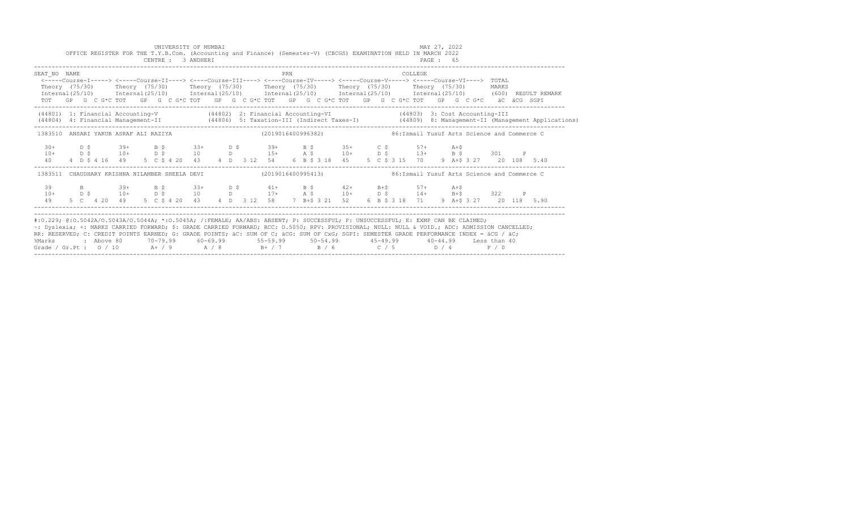|                                       |                                      |                                                                  | CENTRE : 3 ANDHERI | UNIVERSITY OF MUMBAI |      |                    |                |     | OFFICE REGISTER FOR THE T.Y.B.Com. (Accounting and Finance) (Semester-V) (CBCGS) EXAMINATION HELD IN MARCH 2022 |          |            |         |                           | PAGE: 65 | MAY 27, 2022                                                                                                                                                                                                                                                                                                                         |                    |  |                                                                                                                                  |
|---------------------------------------|--------------------------------------|------------------------------------------------------------------|--------------------|----------------------|------|--------------------|----------------|-----|-----------------------------------------------------------------------------------------------------------------|----------|------------|---------|---------------------------|----------|--------------------------------------------------------------------------------------------------------------------------------------------------------------------------------------------------------------------------------------------------------------------------------------------------------------------------------------|--------------------|--|----------------------------------------------------------------------------------------------------------------------------------|
| SEAT NO NAME<br>TOT                   | Theory (75/30)<br>Internal $(25/10)$ | Theory (75/30) Theory (75/30)<br>Internal(25/10) Internal(25/10) |                    |                      |      |                    |                | PRN | Theory (75/30)   Theory (75/30)                                                                                 |          |            |         | COLLEGE<br>Theory (75/30) |          | <-----Course-I-----> <----Course-II----> <----Course-III----> <----Course-IV-----> <----Course-V-----> <----Course-VI----> TOTAL<br>$International (25/10)$ $International (25/10)$ $International (25/10)$ (600) RESULT REMARK<br>GP G C G*C TOT GP G C G*C TOT GP G C G*C TOT GP G C G*C TOT GP G C G*C TOT GP G C G*C aC aCG SGPI | MARKS              |  |                                                                                                                                  |
|                                       |                                      |                                                                  |                    |                      |      |                    |                |     |                                                                                                                 |          |            |         |                           |          | (44801) 1: Financial Accounting-V (44802) 2: Financial Accounting-VI (44803) 3: Cost Accounting-III                                                                                                                                                                                                                                  |                    |  | (44804) 4: Financial Management-II (44806) 5: Taxation-III (Indirect Taxes-I) (44809) 8: Management-II (Management Applications) |
| 1383510 ANSARI YAKUB ASRAF ALI RAZIYA |                                      |                                                                  |                    |                      |      |                    |                |     | (2019016400996382)                                                                                              |          |            |         |                           |          | 86: Ismail Yusuf Arts Science and Commerce C                                                                                                                                                                                                                                                                                         |                    |  |                                                                                                                                  |
| $30+$<br>$10+$<br>40                  | D \$<br>D \$                         | $39+$                                                            | B \$ 33+           |                      | D S  |                    | $39+$          |     | $10+$ $D \tS$ $10$ $D$ $15+$ $A \tS$ $10+$ $D \tS$                                                              | B \$ 35+ | $C$ $S$    |         | $57+$                     |          | $A + S$<br>$13+$ B \$<br>4 D \$ 4 16 49 5 C \$ 4 20 43 4 D 3 12 54 6 B \$ 3 18 45 5 C \$ 3 15 70 9 A + \$ 3 27                                                                                                                                                                                                                       | 301<br>20 108 5.40 |  |                                                                                                                                  |
| 1383511                               |                                      | CHAUDHARY KRISHNA NILAMBER SHEELA DEVI                           |                    |                      |      |                    |                |     | (2019016400995413)                                                                                              |          |            |         |                           |          | 86: Ismail Yusuf Arts Science and Commerce C                                                                                                                                                                                                                                                                                         |                    |  |                                                                                                                                  |
| 39<br>$10+$<br>49                     | D S                                  | $39+$<br>$10+$<br>5 C 4 20 49                                    | B Ş<br>D S         | $33+$                | D \$ | $33+$ D \$<br>10 D | $41+$<br>$17+$ |     | $A \S$<br>5 C \$ 4 20 43 4 D 3 12 58 7 B+\$ 3 21 52 6 B \$ 3 18 71                                              | B \$ 42+ | $10+$ D \$ | $B + S$ | $57+$<br>$14 +$           |          | A+Ş<br>$B + S$<br>9 A+\$ 3 27 20 118 5.90                                                                                                                                                                                                                                                                                            | 322                |  |                                                                                                                                  |

| RR: RESERVED; C: CREDIT POINTS EARNED; G: GRADE POINTS; äC: SUM OF C; äCG: SUM OF CxG; SGPI: SEMESTER GRADE PERFORMANCE INDEX = äCG / äC;<br>%Marks : Above 80 70-79.99 60-69.99 55-59.99 50-54.99 45-49.99 40-44.99 Less than 40<br>Grade / Gr. Pt: $0/10$ A+ / 9 A / 8<br>D / 4 |  |  |          |     |            | ~: Dyslexia; +: MARKS CARRIED FORWARD; \$: GRADE CARRIED FORWARD; RCC: 0.5050; RPV: PROVISIONAL; NULL: NULL & VOID.; ADC: ADMISSION CANCELLED; |
|-----------------------------------------------------------------------------------------------------------------------------------------------------------------------------------------------------------------------------------------------------------------------------------|--|--|----------|-----|------------|------------------------------------------------------------------------------------------------------------------------------------------------|
|                                                                                                                                                                                                                                                                                   |  |  |          |     |            |                                                                                                                                                |
|                                                                                                                                                                                                                                                                                   |  |  |          |     |            |                                                                                                                                                |
|                                                                                                                                                                                                                                                                                   |  |  | $R+$ / 7 | R/6 | $\cap$ / 5 | F / 0                                                                                                                                          |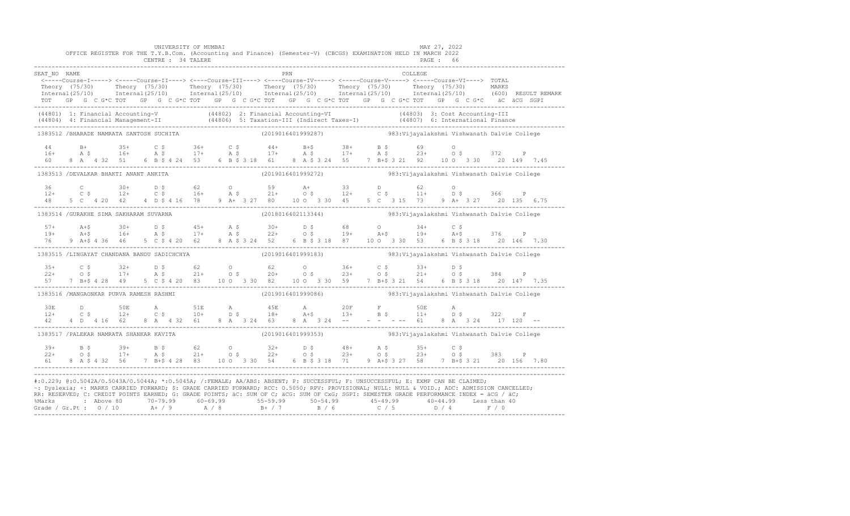|                                                                                                                                                                                                                                                                                                                                                                                                                                                                                                                                                                                                |  |  |  | UNIVERSITY OF MUMBAI<br>CENTRE : 34 TALERE |  | OFFICE REGISTER FOR THE T.Y.B.Com. (Accounting and Finance) (Semester-V) (CBCGS) EXAMINATION HELD IN MARCH 2022                                                                                                                                                                                                                                                         |  |  |  |         | MAY 27, 2022<br>PAGE : 66 |  |  |                                                                                                                                                                                                                                      |
|------------------------------------------------------------------------------------------------------------------------------------------------------------------------------------------------------------------------------------------------------------------------------------------------------------------------------------------------------------------------------------------------------------------------------------------------------------------------------------------------------------------------------------------------------------------------------------------------|--|--|--|--------------------------------------------|--|-------------------------------------------------------------------------------------------------------------------------------------------------------------------------------------------------------------------------------------------------------------------------------------------------------------------------------------------------------------------------|--|--|--|---------|---------------------------|--|--|--------------------------------------------------------------------------------------------------------------------------------------------------------------------------------------------------------------------------------------|
| SEAT NO NAME                                                                                                                                                                                                                                                                                                                                                                                                                                                                                                                                                                                   |  |  |  |                                            |  | <b>EXAMPLE 1988</b><br>TOT GP G C G*C TOT GP G C G*C TOT GP G C G*C TOT GP G C G*C TOT GP G C G*C TOT GP G C G*C äC äCG SGPI                                                                                                                                                                                                                                            |  |  |  | COLLEGE |                           |  |  | Theory (75/30) Theory (75/30) Theory (75/30) Theory (75/30) Theory (75/30) Theory (75/30) Theory (75/30) Theory (75/30) Theory (75/30) Theory (75/30) Theory (75/30) Theory (75/30) MARKS                                            |
|                                                                                                                                                                                                                                                                                                                                                                                                                                                                                                                                                                                                |  |  |  |                                            |  |                                                                                                                                                                                                                                                                                                                                                                         |  |  |  |         |                           |  |  | (44801) 1: Financial Accounting-V (44802) 2: Financial Accounting-VI (44803) 3: Cost Accounting-III<br>(44804) 4: Financial Management-II (44806) 5: Taxation-III (Indirect Taxes-I) (44807) 6: International Finance<br>----------- |
| 1383512 /BHARADE NAMRATA SANTOSH SUCHITA                                                                                                                                                                                                                                                                                                                                                                                                                                                                                                                                                       |  |  |  |                                            |  | (2019016401999287) 983:Vijayalakshmi Vishwanath Dalvie College                                                                                                                                                                                                                                                                                                          |  |  |  |         |                           |  |  |                                                                                                                                                                                                                                      |
| $16+$ $16+$ $35+$ $16+$ $16+$ $16+$ $16+$ $16+$ $16+$ $16+$ $16+$ $16+$ $16+$ $16+$ $16+$ $16+$ $16+$ $16+$ $16+$ $16+$ $16+$ $16+$ $16+$ $16+$ $16+$ $16+$ $16+$ $16+$ $16+$ $16+$ $16+$ $16+$ $16+$ $16+$ $16+$ $16+$ $16+$                                                                                                                                                                                                                                                                                                                                                                  |  |  |  |                                            |  |                                                                                                                                                                                                                                                                                                                                                                         |  |  |  |         |                           |  |  |                                                                                                                                                                                                                                      |
|                                                                                                                                                                                                                                                                                                                                                                                                                                                                                                                                                                                                |  |  |  |                                            |  | 1383513 /DEVALKAR BHAKTI ANANT ANKITA (2019016401999272) 383:Vijayalakshmi Vishwanath Dalvie College                                                                                                                                                                                                                                                                    |  |  |  |         |                           |  |  |                                                                                                                                                                                                                                      |
|                                                                                                                                                                                                                                                                                                                                                                                                                                                                                                                                                                                                |  |  |  |                                            |  | $12+$ C $5$ $12+$ C $5$ $16+$ A $5$ $21+$ O $5$ $12+$ C $5$ $11+$ D $5$ $16$ C $5$ $12+$ C $5$ $12+$ C $5$ $12+$ C $5$ $12+$ C $5$ $12+$ D $5$ $16$ D                                                                                                                                                                                                                   |  |  |  |         |                           |  |  |                                                                                                                                                                                                                                      |
| 1383514 / GURAKHE SIMA SAKHARAM SUVARNA                                                                                                                                                                                                                                                                                                                                                                                                                                                                                                                                                        |  |  |  |                                            |  | (2018016402113344) 983: Vijayalakshmi Vishwanath Dalvie College                                                                                                                                                                                                                                                                                                         |  |  |  |         |                           |  |  |                                                                                                                                                                                                                                      |
|                                                                                                                                                                                                                                                                                                                                                                                                                                                                                                                                                                                                |  |  |  |                                            |  |                                                                                                                                                                                                                                                                                                                                                                         |  |  |  |         |                           |  |  | $19+$ $16+$ $16+$ $16+$ $17+$ $18+$ $19+$ $19+$ $19+$ $19+$ $19+$ $19+$ $19+$ $19+$ $19+$ $19+$ $19+$ $19+$ $19+$ $19+$ $19+$ $19+$ $19+$ $19+$ $19+$ $19+$ $19+$ $19+$ $19+$ $19+$ $19+$ $19+$ $19+$ $19+$ $19+$ $19+$ $19+$        |
|                                                                                                                                                                                                                                                                                                                                                                                                                                                                                                                                                                                                |  |  |  |                                            |  | 1383515 /LINGAYAT CHANDANA BANDU SADICHCHYA (2019016401999183) 383:Vijayalakshmi Vishwanath Dalvie College                                                                                                                                                                                                                                                              |  |  |  |         |                           |  |  |                                                                                                                                                                                                                                      |
|                                                                                                                                                                                                                                                                                                                                                                                                                                                                                                                                                                                                |  |  |  |                                            |  | $35+$ $C$ $5$ $32+$ $D$ $5$ $62$ $0$ $62$ $0$ $36+$ $C$ $5$ $33+$ $D$ $5$<br>$22+$ $0$ $5$ $17+$ $A$ $5$ $21+$ $0$ $5$ $20+$ $0$ $5$ $23+$ $0$ $5$ $21+$ $0$ $5$ $384$ $P$<br>$57$ $7$ $B+5$ $4$ $28$ $49$ $5$ $C$ $5$ $4$ $20$ $83$                                                                                                                                    |  |  |  |         |                           |  |  |                                                                                                                                                                                                                                      |
| 1383516 /MANGAONKAR PURVA RAMESH RASHMI (2019016401999086) 383:Vijayalakshmi Vishwanath Dalvie College                                                                                                                                                                                                                                                                                                                                                                                                                                                                                         |  |  |  |                                            |  |                                                                                                                                                                                                                                                                                                                                                                         |  |  |  |         |                           |  |  |                                                                                                                                                                                                                                      |
|                                                                                                                                                                                                                                                                                                                                                                                                                                                                                                                                                                                                |  |  |  |                                            |  |                                                                                                                                                                                                                                                                                                                                                                         |  |  |  |         |                           |  |  |                                                                                                                                                                                                                                      |
| 1383517 /PALEKAR NAMRATA SHANKAR KAVITA (2019016401999353) 383:Vijayalakshmi Vishwanath Dalvie College                                                                                                                                                                                                                                                                                                                                                                                                                                                                                         |  |  |  |                                            |  |                                                                                                                                                                                                                                                                                                                                                                         |  |  |  |         |                           |  |  |                                                                                                                                                                                                                                      |
|                                                                                                                                                                                                                                                                                                                                                                                                                                                                                                                                                                                                |  |  |  |                                            |  | $\begin{array}{cccccccccccccccc} 39+ & & B & \hat{S} & & 39+ & B & \hat{S} & & 62 & O & 32+ & D & \hat{S} & & 48+ & A & \hat{S} & & 35+ & C & \hat{S} \\ 22+ & & O & \hat{S} & & 17+ & A & \hat{S} & & 21+ & O & \hat{S} & & 22+ & O & \hat{S} & & 23+ & O & \hat{S} & & 23+ & O & \hat{S} & & 383 & P \\ 61 & & 8 & A & \hat{S} & 4 & 32 & 56 & 7 & B+ \hat{S} & 4 & $ |  |  |  |         |                           |  |  |                                                                                                                                                                                                                                      |
| #:0.229; @:0.5042A/0.5043A/0.5044A; *:0.5045A; /:FEMALE; AA/ABS: ABSENT; P: SUCCESSFUL; F: UNSUCCESSFUL; E: EXMP CAN BE CLAIMED;<br>~: Dyslexia; +: MARKS CARRIED FORWARD; \$: GRADE CARRIED FORWARD; RCC: 0.5050; RPV: PROVISIONAL; NULL: NULL & VOID.; ADC: ADMISSION CANCELLED;<br>RR: RESERVED; C: CREDIT POINTS EARNED; G: GRADE POINTS; äC: SUM OF C; äCG: SUM OF CxG; SGPI: SEMESTER GRADE PERFORMANCE INDEX = äCG / äC;<br>% Marks : Above 80 70-79.99 60-69.99 55-59.99 50-54.99 45-49.99 40-44.99 Less than 40<br>Grade / Gr.Pt : 0 / 10 A+ / 9 A / 8 B+ / 7 B / 6 C / 5 D / 4 F / 0 |  |  |  |                                            |  |                                                                                                                                                                                                                                                                                                                                                                         |  |  |  |         |                           |  |  |                                                                                                                                                                                                                                      |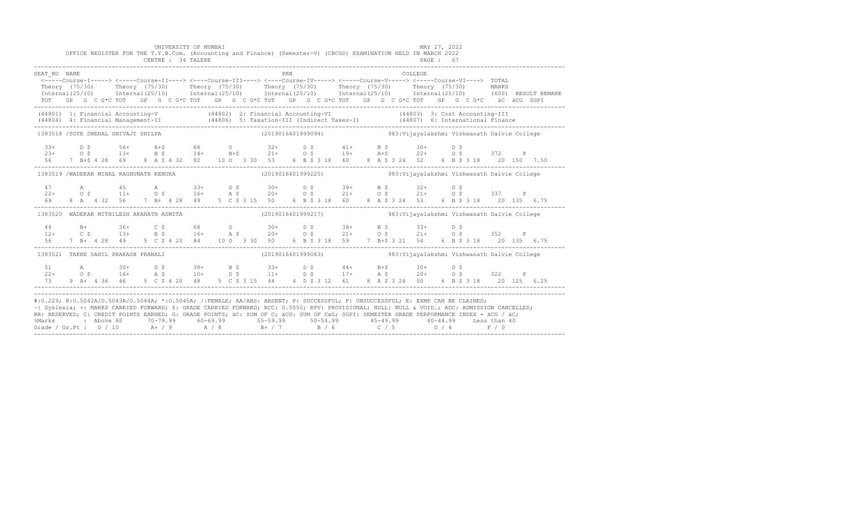|              |                                     | UNIVERSITY OF MUMBAI<br>OFFICE REGISTER FOR THE T.Y.B.Com. (Accounting and Finance) (Semester-V) (CBCGS) EXAMINATION HELD IN MARCH 2022<br>CENTRE : 34 TALERE                                                                                                                                                                                                                                                                                                                                                                                                                                 |  |                                                                                         |  |                 | MAY 27, 2022 |  |  |  |
|--------------|-------------------------------------|-----------------------------------------------------------------------------------------------------------------------------------------------------------------------------------------------------------------------------------------------------------------------------------------------------------------------------------------------------------------------------------------------------------------------------------------------------------------------------------------------------------------------------------------------------------------------------------------------|--|-----------------------------------------------------------------------------------------|--|-----------------|--------------|--|--|--|
| SEAT NO NAME |                                     | <----Course-I-----> <----Course-II----> <----Course-III----> <----Course-IV-----> <----Course-V-----> <----Course-VI----> TOTAL<br>Theory (75/30) Theory (75/30) Theory (75/30) Theory (75/30) Theory (75/30) Theory (75/30) MARKS<br>Internal(25/10) Internal(25/10) Internal(25/10) Internal(25/10) Internal(25/10) Internal(25/10) (600)RESULTREMARK<br>TOT GP G C G*C TOT GP G C G*C TOT GP G C G*C TOT GP G C G*C TOT GP G C G*C TOT GP G C G*C äC äCG SGPI                                                                                                                              |  | PRN                                                                                     |  | COLLEGE.        |              |  |  |  |
|              |                                     | (44801) 1: Financial Accounting-V (44802) 2: Financial Accounting-VI (44803) 3: Cost Accounting-III<br>(44804) 4: Financial Management-II (44806) 5: Taxation-III (Indirect Taxes-I) (44807) 6: International Finance<br>-----------                                                                                                                                                                                                                                                                                                                                                          |  |                                                                                         |  |                 |              |  |  |  |
|              |                                     | 1383518 /SOYE SNEHAL SHIVAJI SHILPA (2019016401999094) 983:Vijayalakshmi Vishwanath Dalvie College                                                                                                                                                                                                                                                                                                                                                                                                                                                                                            |  |                                                                                         |  |                 |              |  |  |  |
|              |                                     | $33+$ D \$ $56+$ A+\$ 68 0 32+ D \$ 41+<br>$23+$ 0.5 13+ B, 3 14+ B+\$ 21+ 0.5 19+ 2+ 0.5 372 P<br>56 7 B+\$ 4.28 69 8 A, \$ 4.32 82 10.0 3.30 53 6 B \$ 3.18 60 8 A, \$ 3.24 52 6 B \$ 3.18 20 150 7.50                                                                                                                                                                                                                                                                                                                                                                                      |  |                                                                                         |  | $B \S 30+ D \S$ |              |  |  |  |
|              |                                     | 1383519 /WADEKAR MINAL RAGHUNATH RENUKA (2019016401999225) 383:Vijayalakshmi Vishwanath Dalvie College                                                                                                                                                                                                                                                                                                                                                                                                                                                                                        |  |                                                                                         |  |                 |              |  |  |  |
|              |                                     |                                                                                                                                                                                                                                                                                                                                                                                                                                                                                                                                                                                               |  |                                                                                         |  |                 |              |  |  |  |
|              |                                     | 1383520 WADEKAR MITHILESH AKANATH ASMITA                                                                                                                                                                                                                                                                                                                                                                                                                                                                                                                                                      |  | (2019016401999217) 983: Vijayalakshmi Vishwanath Dalvie College                         |  |                 |              |  |  |  |
|              |                                     | $\begin{array}{cccccccccccccccc} 44 & B+ & 36+ & C$ & 68 & O & 30+ & D$ & 38+ & B$ & 33+ & D$ & 352 & P\\ 12+ & C$ & 13+ & B$ & 16+ & A$ & 20+ & O$ & 21+ & O$ & 21+ & O$ & 352 & P\\ 56 & 7 & B+ & 4&28 & 49 & 5 & C$ & 4& 20 & 84 & 10 & 3 & 30 & 50 & 6 & B$ & 3& 18 & 59 & 7 & B$ & 3& 21 & 54 & 6 & B$ & 3& 18 & 20 &$                                                                                                                                                                                                                                                                   |  |                                                                                         |  |                 |              |  |  |  |
|              | 1383521 TAKKE SAHIL PRAKASH PRANALI |                                                                                                                                                                                                                                                                                                                                                                                                                                                                                                                                                                                               |  | (2019016401999063)                         983: Vijayalakshmi Vishwanath Dalvie College |  |                 |              |  |  |  |
|              |                                     |                                                                                                                                                                                                                                                                                                                                                                                                                                                                                                                                                                                               |  |                                                                                         |  |                 |              |  |  |  |
|              |                                     | #:0.229; @:0.5042A/0.5043A/0.5044A; *:0.5045A; /:FEMALE; AA/ABS: ABSENT; P: SUCCESSFUL; F: UNSUCCESSFUL; E: EXMP CAN BE CLAIMED;<br>~: Dyslexia; +: MARKS CARRIED FORWARD; \$: GRADE CARRIED FORWARD; RCC: 0.5050; RPV: PROVISIONAL; NULL: NULL & VOID.; ADC: ADMISSION CANCELLED;<br>RR: RESERVED; C: CREDIT POINTS EARNED; G: GRADE POINTS; äC: SUM OF C; äCG: SUM OF CxG; SGPI: SEMESTER GRADE PERFORMANCE INDEX = äCG / äC;<br>%Marks : Above 80 70-79.99 60-69.99 55-59.99 50-54.99 45-49.99 40-44.99 Less than 40<br>Grade / Gr.Pt : 0 / 10 A+ / 9 A / 8 B+ / 7 B / 6 C / 5 D / 4 F / 0 |  |                                                                                         |  |                 |              |  |  |  |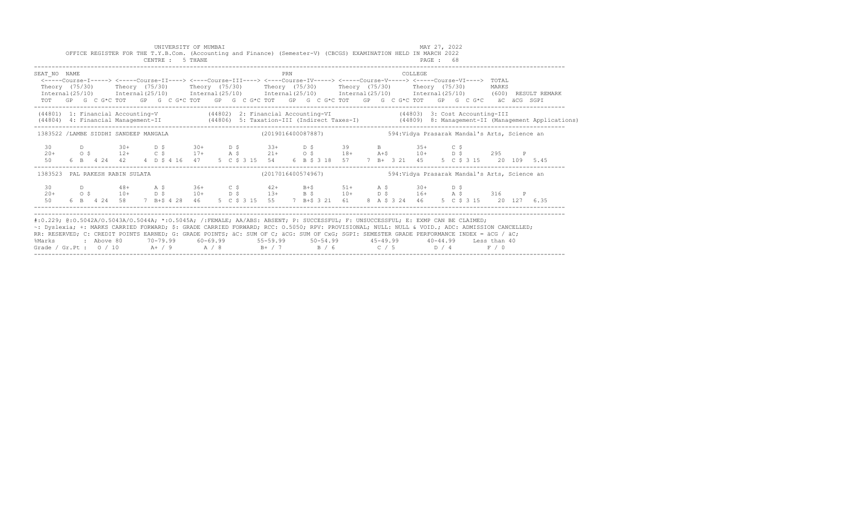|                                                                                                                                                                                                                                                                                                                                                                                                                                                                                                                |  |  |  |  | UNIVERSITY OF MUMBAI<br>CENTRE : 5 THANE |  |  |     |  | OFFICE REGISTER FOR THE T.Y.B.Com. (Accounting and Finance) (Semester-V) (CBCGS) EXAMINATION HELD IN MARCH 2022                                                                                                                                                                                                                                                                                                                                                                                         |  |  | MAY 27, 2022 |  |  |  |  |                                                                                                                                  |  |
|----------------------------------------------------------------------------------------------------------------------------------------------------------------------------------------------------------------------------------------------------------------------------------------------------------------------------------------------------------------------------------------------------------------------------------------------------------------------------------------------------------------|--|--|--|--|------------------------------------------|--|--|-----|--|---------------------------------------------------------------------------------------------------------------------------------------------------------------------------------------------------------------------------------------------------------------------------------------------------------------------------------------------------------------------------------------------------------------------------------------------------------------------------------------------------------|--|--|--------------|--|--|--|--|----------------------------------------------------------------------------------------------------------------------------------|--|
| SEAT NO NAME<br><----Course-I-----> <----Course-II----> <----Course-III----> <----Course-IV-----> <----Course-V-----> <----Course-VI----> TOTAL<br>Theory (75/30) Theory (75/30) Theory (75/30) Theory (75/30) Theory (75/30) Theory (75/30) MARKS<br>TOT GP G C G*C TOT GP G C G*C TOT GP G C G*C TOT GP G C G*C TOT GP G C G*C TOT GP G C G*C äC äCG SGPI                                                                                                                                                    |  |  |  |  |                                          |  |  | PRN |  |                                                                                                                                                                                                                                                                                                                                                                                                                                                                                                         |  |  | COLLEGE.     |  |  |  |  | Internal (25/10) Internal (25/10) Internal (25/10) Internal (25/10) Internal (25/10) Internal (25/10) (600) RESULT REMARK        |  |
| (44801) 1: Financial Accounting-V (44802) 2: Financial Accounting-VI (44803) 3: Cost Accounting-III                                                                                                                                                                                                                                                                                                                                                                                                            |  |  |  |  |                                          |  |  |     |  |                                                                                                                                                                                                                                                                                                                                                                                                                                                                                                         |  |  |              |  |  |  |  | (44804) 4: Financial Management-II (44806) 5: Taxation-III (Indirect Taxes-I) (44809) 8: Management-II (Management Applications) |  |
| 1383522 /LAMBE SIDDHI SANDEEP MANGALA                                                                                                                                                                                                                                                                                                                                                                                                                                                                          |  |  |  |  |                                          |  |  |     |  |                                                                                                                                                                                                                                                                                                                                                                                                                                                                                                         |  |  |              |  |  |  |  |                                                                                                                                  |  |
| 30<br>$20+$<br>50                                                                                                                                                                                                                                                                                                                                                                                                                                                                                              |  |  |  |  |                                          |  |  |     |  | D 30+ D \$ 30+ D \$ 33+ D \$ 39 B 35+ C \$<br>$\overline{0}$ \$ $\overline{12}$ + $\overline{0}$ \$ $\overline{21}$ + $\overline{0}$ + $\overline{0}$ + $\overline{0}$ + $\overline{0}$ + $\overline{0}$ + $\overline{0}$ + $\overline{0}$ + $\overline{0}$ + $\overline{0}$ + $\overline{0}$ + $\overline{0}$ + $\overline{0}$ + $\overline{0}$ + $\overline{0}$ + $\overline{0}$ + $\overline{0}$ +<br>6 B 4 24 42 4 D \$ 4 16 47 5 C \$ 3 15 54 6 B \$ 3 18 57 7 B + 3 21 45 5 C \$ 3 15 20 109 5.45 |  |  |              |  |  |  |  |                                                                                                                                  |  |
| 1383523 PAL RAKESH RABIN SULATA                                                                                                                                                                                                                                                                                                                                                                                                                                                                                |  |  |  |  |                                          |  |  |     |  | (2017016400574967) 594: Vidya Prasarak Mandal's Arts, Science an                                                                                                                                                                                                                                                                                                                                                                                                                                        |  |  |              |  |  |  |  |                                                                                                                                  |  |
| 30<br>$20+$<br>50                                                                                                                                                                                                                                                                                                                                                                                                                                                                                              |  |  |  |  |                                          |  |  |     |  | D 48+ A \$ 36+ C \$ 42+ B+\$ 51+ A \$ 30+ D \$<br>O \$ 10+ D \$ 10+ D \$ 13+ B \$ 10+ D \$ 16+ A \$ 316 P<br>6 B  4 24 58  7 B+\$ 4 28  46  5  C  \$ 3 15  55  7 B+\$ 3 21  61  8  A  \$ 3  24  46  5  C  \$ 3  15  20  127  6.35                                                                                                                                                                                                                                                                       |  |  |              |  |  |  |  |                                                                                                                                  |  |
| #:0.229; @:0.5042A/0.5043A/0.5044A; *:0.5045A; /:FEMALE; AA/ABS: ABSENT; P: SUCCESSFUL; F: UNSUCCESSFUL; E: EXMP CAN BE CLAIMED;<br>~: Dyslexia; +: MARKS CARRIED FORWARD; \$: GRADE CARRIED FORWARD; RCC: 0.5050; RPV: PROVISIONAL; NULL: NULL & VOID.; ADC: ADMISSION CANCELLED;<br>RR: RESERVED; C: CREDIT POINTS EARNED; G: GRADE POINTS; äC: SUM OF C; äCG: SUM OF CxG; SGPI: SEMESTER GRADE PERFORMANCE INDEX = äCG / äC;<br>%Marks<br>Grade / Gr.Pt: $0/10$ A+ / 9 A / 8 B+ / 7 B / 6 C / 5 D / 4 F / 0 |  |  |  |  |                                          |  |  |     |  | 2 Above 80    70-79.99    60-69.99     55-59.99     50-54.99      45-49.99     40-44.99   Less than:                                                                                                                                                                                                                                                                                                                                                                                                    |  |  |              |  |  |  |  |                                                                                                                                  |  |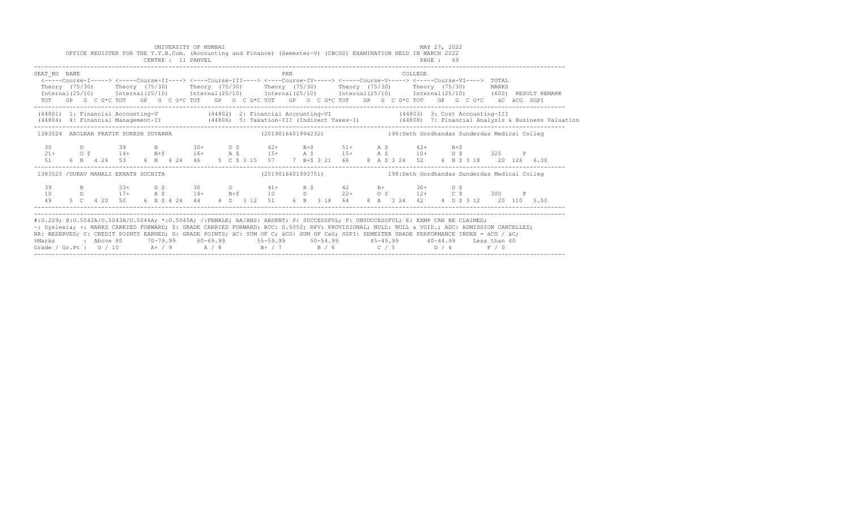|                                                                                                                                                                                                                                                                                                                                                                                                                                           |  |            |           | CENTRE : 11 PANVEL |  | UNIVERSITY OF MUMBAI |  |     |  | OFFICE REGISTER FOR THE T.Y.B.Com. (Accounting and Finance) (Semester-V) (CBCGS) EXAMINATION HELD IN MARCH 2022                                                                                                                                                                                                                                                                                                                                                                       |  |                | MAY 27, 2022<br>PAGE: 69 |       |  |       |                                        |                                                                                                                                  |
|-------------------------------------------------------------------------------------------------------------------------------------------------------------------------------------------------------------------------------------------------------------------------------------------------------------------------------------------------------------------------------------------------------------------------------------------|--|------------|-----------|--------------------|--|----------------------|--|-----|--|---------------------------------------------------------------------------------------------------------------------------------------------------------------------------------------------------------------------------------------------------------------------------------------------------------------------------------------------------------------------------------------------------------------------------------------------------------------------------------------|--|----------------|--------------------------|-------|--|-------|----------------------------------------|----------------------------------------------------------------------------------------------------------------------------------|
| SEAT NO NAME<br>Theory (75/30)                                                                                                                                                                                                                                                                                                                                                                                                            |  |            |           |                    |  |                      |  | PRN |  | <----Course-I-----> <----Course-II----> <----Course-III----> <----Course-IV-----> <----Course-V-----> <----Course-VI----> TOTAL<br>Theory (75/30)    Theory (75/30)    Theory (75/30)    Theory (75/30)    Theory (75/30)<br>$Internal (25/10)$ $Internal (25/10)$ $Internal (25/10)$ $Internal (25/10)$ $Internal (25/10)$ $Internal (25/10)$ $Internal (25/10)$ $[7, 600)$<br>TOT GP G C G*C TOT GP G C G*C TOT GP G C G*C TOT GP G C G*C TOT GP G C G*C TOT GP G C G*C äC äCG SGPI |  | <b>COLLEGE</b> |                          |       |  | MARKS | RESULT REMARK                          |                                                                                                                                  |
|                                                                                                                                                                                                                                                                                                                                                                                                                                           |  |            |           |                    |  |                      |  |     |  | (44801) 1: Financial Accounting-V (44802) 2: Financial Accounting-VI (44803) 3: Cost Accounting-III                                                                                                                                                                                                                                                                                                                                                                                   |  |                |                          |       |  |       |                                        | (44804) 4: Financial Management-II (44806) 5: Taxation-III (Indirect Taxes-I) (44808) 7: Financial Analysis & Business Valuation |
|                                                                                                                                                                                                                                                                                                                                                                                                                                           |  |            |           |                    |  |                      |  |     |  | 1383524 AROLKAR PRATIK SURESH SUVARNA (2019016401994232) 138:Seth Gordhandas Sunderdas Medical Colleg                                                                                                                                                                                                                                                                                                                                                                                 |  |                |                          |       |  |       |                                        |                                                                                                                                  |
| 30<br>$21+$<br>51                                                                                                                                                                                                                                                                                                                                                                                                                         |  |            |           |                    |  | 39 B $30+$ D \$      |  |     |  | $42+$ B+\$ 51+ A \$ 42+<br>$0.5$ $14+$ $B+5$ $16+$ $A.5$ $15+$ $A.5$ $15+$ $A.5$ $10+$ $D.5$ $325$ P<br>6 B 4 24 53 6 B 4 24 46 5 C \$ 3 15 57 7 B+\$ 3 21 66                                                                                                                                                                                                                                                                                                                         |  |                |                          | $B+S$ |  |       | 8 A \$ 3 24 52 6 B \$ 3 18 20 126 6.30 |                                                                                                                                  |
| 1383525 / GURAV MANALI EKNATH SUCHITA                                                                                                                                                                                                                                                                                                                                                                                                     |  |            |           |                    |  |                      |  |     |  | (2019016401993751) 198:Seth Gordhandas Sunderdas Medical Colleg                                                                                                                                                                                                                                                                                                                                                                                                                       |  |                |                          |       |  |       |                                        |                                                                                                                                  |
| 39<br>10<br>49                                                                                                                                                                                                                                                                                                                                                                                                                            |  |            | $33+$ D S |                    |  |                      |  |     |  | 30 D 41+ B \$ 42 B + 30 +<br>D 17+ A \$ 14+ B+\$ 10 D 22+ 0 \$ 12+ C \$ 300 P<br>5 C  4 20  50  6  B  \$  4  24  44  4  D  3  12  51  6  B  3  18  64                                                                                                                                                                                                                                                                                                                                 |  |                |                          | D S   |  |       | 8 A 3 24 42 4 D \$ 3 12 20 110 5.50    |                                                                                                                                  |
| #:0.229; @:0.5042A/0.5043A/0.5044A; *:0.5045A; /:FEMALE; AA/ABS: ABSENT; P: SUCCESSFUL; F: UNSUCCESSFUL; E: EXMP CAN BE CLAIMED;<br>~: Dyslexia; +: MARKS CARRIED FORWARD; \$: GRADE CARRIED FORWARD; RCC: 0.5050; RPV: PROVISIONAL; NULL: NULL & VOID.; ADC: ADMISSION CANCELLED;<br>RR: RESERVED; C: CREDIT POINTS EARNED; G: GRADE POINTS; äC: SUM OF C; äCG: SUM OF CxG; SGPI: SEMESTER GRADE PERFORMANCE INDEX = äCG / äC;<br>%Marks |  | : Above 80 |           |                    |  |                      |  |     |  | 70-79.99 60-69.99 55-59.99 50-54.99 45-49.99 40-44.99 Less than 40                                                                                                                                                                                                                                                                                                                                                                                                                    |  |                |                          |       |  | F / 0 |                                        |                                                                                                                                  |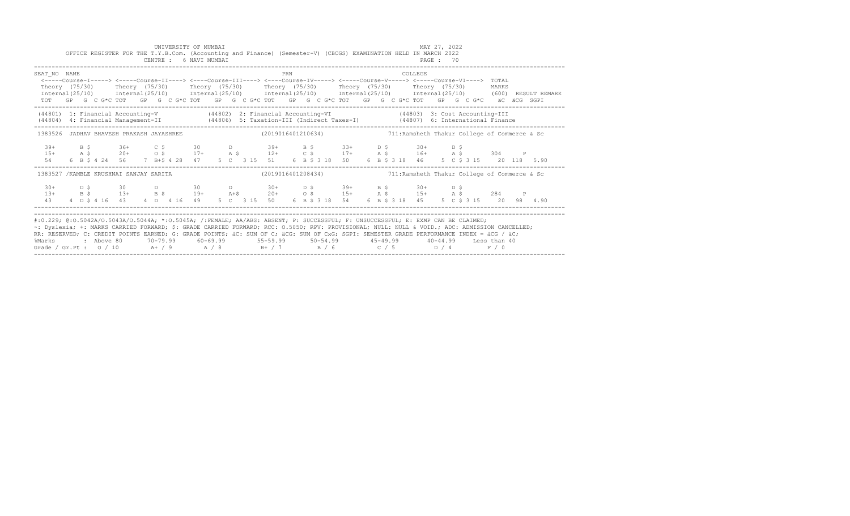|                                                                                                                                                                                                                                                                                                                                                                                                                                                                                                                            |  |  |  |  |  | UNIVERSITY OF MUMBAI<br>CENTRE : 6 NAVI MUMBAI |  |  |     |  | OFFICE REGISTER FOR THE T.Y.B.Com. (Accounting and Finance) (Semester-V) (CBCGS) EXAMINATION HELD IN MARCH 2022                                                                                                                                                                                                                               |  |  |         | MAY 27, 2022<br>PAGE: 70 |  |  |  |                                                                                                                           |  |
|----------------------------------------------------------------------------------------------------------------------------------------------------------------------------------------------------------------------------------------------------------------------------------------------------------------------------------------------------------------------------------------------------------------------------------------------------------------------------------------------------------------------------|--|--|--|--|--|------------------------------------------------|--|--|-----|--|-----------------------------------------------------------------------------------------------------------------------------------------------------------------------------------------------------------------------------------------------------------------------------------------------------------------------------------------------|--|--|---------|--------------------------|--|--|--|---------------------------------------------------------------------------------------------------------------------------|--|
| SEAT NO NAME                                                                                                                                                                                                                                                                                                                                                                                                                                                                                                               |  |  |  |  |  |                                                |  |  | PRN |  | <-----Course-I-----> <-----Course-II----> <----Course-III----> <----Course-IV-----> <----Course-V-----> <----Course-VI----> TOTAL<br>Theory (75/30) Theory (75/30) Theory (75/30) Theory (75/30) Theory (75/30) Theory (75/30) MARKS<br>TOT GP G C G*C TOT GP G C G*C TOT GP G C G*C TOT GP G C G*C TOT GP G C G*C TOT GP G C G*C äC äCG SGPI |  |  | COLLEGE |                          |  |  |  | Internal (25/10) Internal (25/10) Internal (25/10) Internal (25/10) Internal (25/10) Internal (25/10) (600) RESULT REMARK |  |
|                                                                                                                                                                                                                                                                                                                                                                                                                                                                                                                            |  |  |  |  |  |                                                |  |  |     |  | (44801) 1: Financial Accounting-V (44802) 2: Financial Accounting-VI (44803) 3: Cost Accounting-III<br>(44804) 4: Financial Management-II (44806) 5: Taxation-III (Indirect Taxes-I) (44807) 6: International Finance                                                                                                                         |  |  |         |                          |  |  |  |                                                                                                                           |  |
| 1383526 JADHAV BHAVESH PRAKASH JAYASHREE (2019016401210634) 1383526 JADHAVI College of Commerce & Sc                                                                                                                                                                                                                                                                                                                                                                                                                       |  |  |  |  |  |                                                |  |  |     |  |                                                                                                                                                                                                                                                                                                                                               |  |  |         |                          |  |  |  |                                                                                                                           |  |
| $39+$                                                                                                                                                                                                                                                                                                                                                                                                                                                                                                                      |  |  |  |  |  |                                                |  |  |     |  | B \$ 36+ C \$ 30 D 39+ B \$ 33+ D \$ 30+ D \$                                                                                                                                                                                                                                                                                                 |  |  |         |                          |  |  |  |                                                                                                                           |  |
| 1383527 / KAMBLE KRUSHNAI SANJAY SARITA                                                                                                                                                                                                                                                                                                                                                                                                                                                                                    |  |  |  |  |  |                                                |  |  |     |  | $(2019016401208434)$ 711:Ramsheth Thakur College of Commerce & Sc                                                                                                                                                                                                                                                                             |  |  |         |                          |  |  |  |                                                                                                                           |  |
|                                                                                                                                                                                                                                                                                                                                                                                                                                                                                                                            |  |  |  |  |  |                                                |  |  |     |  |                                                                                                                                                                                                                                                                                                                                               |  |  |         |                          |  |  |  |                                                                                                                           |  |
| #:0.229; @:0.5042A/0.5043A/0.5044A; *:0.5045A; /:FEMALE; AA/ABS: ABSENT; P: SUCCESSFUL; F: UNSUCCESSFUL; E: EXMP CAN BE CLAIMED;<br>~: Dyslexia; +: MARKS CARRIED FORWARD; \$: GRADE CARRIED FORWARD; RCC: 0.5050; RPV: PROVISIONAL; NULL: NULL & VOID.; ADC: ADMISSION CANCELLED;<br>RR: RESERVED; C: CREDIT POINTS EARNED; G: GRADE POINTS; äC: SUM OF C; äCG: SUM OF CxG; SGPI: SEMESTER GRADE PERFORMANCE INDEX = äCG / äC;<br>%Marks<br>Grade / Gr.Pt : $0/10$ A $+$ / 9 A $/8$ B $+$ / 7 B $/6$ C $/5$ D $/4$ F $/0$ |  |  |  |  |  |                                                |  |  |     |  | : Above 80    70-79.99    60-69.99     55-59.99     50-54.99      45-49.99     40-44.99   Less than 40                                                                                                                                                                                                                                        |  |  |         |                          |  |  |  |                                                                                                                           |  |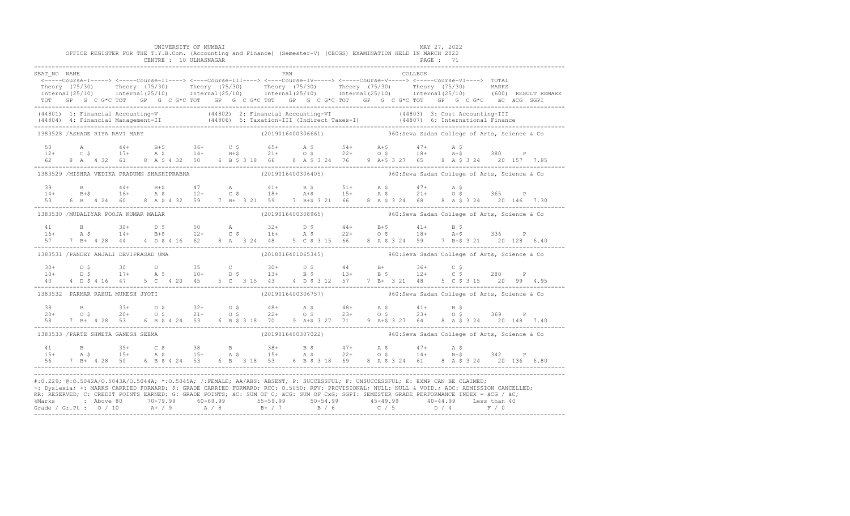|                                        |  |  |  |  |  | UNIVERSITY OF MUMBAI   |  |  |  |     | OFFICE REGISTER FOR THE T.Y.B.Com. (Accounting and Finance) (Semester-V) (CBCGS) EXAMINATION HELD IN MARCH 2022                                                                                                                                                                                                                                                                                                                                                                                                                                                                              |  |                                               |         | MAY 27, 2022 |  |  |  |
|----------------------------------------|--|--|--|--|--|------------------------|--|--|--|-----|----------------------------------------------------------------------------------------------------------------------------------------------------------------------------------------------------------------------------------------------------------------------------------------------------------------------------------------------------------------------------------------------------------------------------------------------------------------------------------------------------------------------------------------------------------------------------------------------|--|-----------------------------------------------|---------|--------------|--|--|--|
|                                        |  |  |  |  |  | CENTRE : 10 ULHASNAGAR |  |  |  |     |                                                                                                                                                                                                                                                                                                                                                                                                                                                                                                                                                                                              |  |                                               |         | PAGE: 71     |  |  |  |
| SEAT NO NAME                           |  |  |  |  |  |                        |  |  |  | PRN | <-----Course-I-----> <----Course-II----> <----Course-III----> <----Course-IV-----> <----Course-V----> TOTAL                                                                                                                                                                                                                                                                                                                                                                                                                                                                                  |  |                                               | COLLEGE |              |  |  |  |
|                                        |  |  |  |  |  |                        |  |  |  |     |                                                                                                                                                                                                                                                                                                                                                                                                                                                                                                                                                                                              |  |                                               |         |              |  |  |  |
|                                        |  |  |  |  |  |                        |  |  |  |     | Theory (75/30) Theory (75/30) Theory (75/30) Theory (75/30) Theory (75/30) Theory (75/30) MARKS<br>Internal(25/10) Internal(25/10) Internal(25/10) Internal(25/10) Internal(25/10) Internal(25/10) (600) RESULTREMARK                                                                                                                                                                                                                                                                                                                                                                        |  |                                               |         |              |  |  |  |
|                                        |  |  |  |  |  |                        |  |  |  |     |                                                                                                                                                                                                                                                                                                                                                                                                                                                                                                                                                                                              |  |                                               |         |              |  |  |  |
|                                        |  |  |  |  |  |                        |  |  |  |     | (44801) 1: Financial Accounting-V (44802) 2: Financial Accounting-VI (44803) 3: Cost Accounting-III<br>(44804) 4: Financial Management-II (44806) 5: Taxation-III (Indirect Taxes-I) (44807) 6: International Finance<br>-----------                                                                                                                                                                                                                                                                                                                                                         |  |                                               |         |              |  |  |  |
| 1383528 / ASHADE RIYA RAVI MARY        |  |  |  |  |  |                        |  |  |  |     | (2019016400306661)                                                                                                                                                                                                                                                                                                                                                                                                                                                                                                                                                                           |  | 960: Seva Sadan College of Arts, Science & Co |         |              |  |  |  |
|                                        |  |  |  |  |  |                        |  |  |  |     |                                                                                                                                                                                                                                                                                                                                                                                                                                                                                                                                                                                              |  |                                               |         |              |  |  |  |
|                                        |  |  |  |  |  |                        |  |  |  |     |                                                                                                                                                                                                                                                                                                                                                                                                                                                                                                                                                                                              |  |                                               |         |              |  |  |  |
|                                        |  |  |  |  |  |                        |  |  |  |     | 50 A $44+$ B+\$ 36+ C \$ $45+$ A \$ $54+$ A+\$ $47+$ A \$ 380 P<br>12+ C \$ 17+ A \$ 14+ B+\$ 21+ O \$ 22+ O \$ 18+ A+\$ 380 P<br>62 8 A 4 32 61 8 A \$ 4 32 50 6 B \$ 3 18 66 8 A \$ 3 24 76 9 A+\$ 3 27 65 8 A \$ 3 24 20 157 7.85<br>--------------                                                                                                                                                                                                                                                                                                                                       |  |                                               |         |              |  |  |  |
|                                        |  |  |  |  |  |                        |  |  |  |     | 1383529 /MISHRA VEDIKA PRADUMN SHASHIPRABHA (2019016400306405) 480:Seva Sadan College of Arts, Science & Co                                                                                                                                                                                                                                                                                                                                                                                                                                                                                  |  |                                               |         |              |  |  |  |
| 39                                     |  |  |  |  |  |                        |  |  |  |     |                                                                                                                                                                                                                                                                                                                                                                                                                                                                                                                                                                                              |  |                                               |         |              |  |  |  |
| $14+$                                  |  |  |  |  |  |                        |  |  |  |     |                                                                                                                                                                                                                                                                                                                                                                                                                                                                                                                                                                                              |  |                                               |         |              |  |  |  |
|                                        |  |  |  |  |  |                        |  |  |  |     |                                                                                                                                                                                                                                                                                                                                                                                                                                                                                                                                                                                              |  |                                               |         |              |  |  |  |
| 1383530 /MUDALIYAR POOJA KUMAR MALAR   |  |  |  |  |  |                        |  |  |  |     | (2019016400308965) 360:Seva Sadan College of Arts, Science & Co                                                                                                                                                                                                                                                                                                                                                                                                                                                                                                                              |  |                                               |         |              |  |  |  |
|                                        |  |  |  |  |  |                        |  |  |  |     |                                                                                                                                                                                                                                                                                                                                                                                                                                                                                                                                                                                              |  |                                               |         |              |  |  |  |
|                                        |  |  |  |  |  |                        |  |  |  |     |                                                                                                                                                                                                                                                                                                                                                                                                                                                                                                                                                                                              |  |                                               |         |              |  |  |  |
|                                        |  |  |  |  |  |                        |  |  |  |     |                                                                                                                                                                                                                                                                                                                                                                                                                                                                                                                                                                                              |  |                                               |         |              |  |  |  |
| 1383531 / PANDEY ANJALI DEVIPRASAD UMA |  |  |  |  |  |                        |  |  |  |     | (2018016401065345) 360: Seva Sadan College of Arts, Science & Co                                                                                                                                                                                                                                                                                                                                                                                                                                                                                                                             |  |                                               |         |              |  |  |  |
|                                        |  |  |  |  |  |                        |  |  |  |     |                                                                                                                                                                                                                                                                                                                                                                                                                                                                                                                                                                                              |  |                                               |         |              |  |  |  |
|                                        |  |  |  |  |  |                        |  |  |  |     |                                                                                                                                                                                                                                                                                                                                                                                                                                                                                                                                                                                              |  |                                               |         |              |  |  |  |
|                                        |  |  |  |  |  |                        |  |  |  |     | $10+$ $15$ $17+$ $185$ $10+$ $195$ $13+$ $185$ $13+$ $185$ $12+$ $12+$ $15+$ $12+$ $15+$ $12+$ $15+$ $15+$ $15+$ $15+$ $15+$ $15+$ $15+$ $15+$ $15+$ $15+$ $15+$ $15+$ $15+$ $15+$ $15+$ $15+$ $15+$ $15+$ $15+$ $15+$ $15+$                                                                                                                                                                                                                                                                                                                                                                 |  |                                               |         |              |  |  |  |
| 1383532 PARMAR RAHUL MUKESH JYOTI      |  |  |  |  |  |                        |  |  |  |     | (2019016400306757) 960: Seva Sadan College of Arts, Science & Co                                                                                                                                                                                                                                                                                                                                                                                                                                                                                                                             |  |                                               |         |              |  |  |  |
|                                        |  |  |  |  |  |                        |  |  |  |     |                                                                                                                                                                                                                                                                                                                                                                                                                                                                                                                                                                                              |  |                                               |         |              |  |  |  |
|                                        |  |  |  |  |  |                        |  |  |  |     |                                                                                                                                                                                                                                                                                                                                                                                                                                                                                                                                                                                              |  |                                               |         |              |  |  |  |
|                                        |  |  |  |  |  |                        |  |  |  |     | $38$ B $33+$ D $\frac{5}{42}$ $33+$ D $\frac{5}{42}$ $32+$ D $\frac{5}{48}$ $32+$ D $\frac{5}{48}$ $32+$ D $\frac{5}{48}$ $33+$ D $\frac{5}{48}$ $32+$ D $\frac{5}{48}$ $32+$ D $\frac{5}{48}$ $32+$ D $\frac{5}{48}$ $32+$ D $\frac{5}{48}$ $32+$ D $\frac{5}{48}$ $32+$                                                                                                                                                                                                                                                                                                                    |  |                                               |         |              |  |  |  |
| 1383533 / PARTE SHWETA GANESH SEEMA    |  |  |  |  |  |                        |  |  |  |     | (2019016400307022) 360: 960: Seva Sadan College of Arts, Science & Co                                                                                                                                                                                                                                                                                                                                                                                                                                                                                                                        |  |                                               |         |              |  |  |  |
|                                        |  |  |  |  |  |                        |  |  |  |     |                                                                                                                                                                                                                                                                                                                                                                                                                                                                                                                                                                                              |  |                                               |         |              |  |  |  |
|                                        |  |  |  |  |  |                        |  |  |  |     |                                                                                                                                                                                                                                                                                                                                                                                                                                                                                                                                                                                              |  |                                               |         |              |  |  |  |
|                                        |  |  |  |  |  |                        |  |  |  |     |                                                                                                                                                                                                                                                                                                                                                                                                                                                                                                                                                                                              |  |                                               |         |              |  |  |  |
|                                        |  |  |  |  |  |                        |  |  |  |     | #:0.229; @:0.5042A/0.5043A/0.5044A; *:0.5045A; /:FEMALE; AA/ABS: ABSENT; P: SUCCESSFUL; F: UNSUCCESSFUL; E: EXMP CAN BE CLAIMED;<br>~: Dyslexia; +: MARKS CARRIED FORWARD; \$: GRADE CARRIED FORWARD; RCC: 0.5050; RPV: PROVISIONAL; NULL: NULL: WOID.; ADC: ADMISSION CANCELLED;<br>RR: RESERVED; C: CREDIT POINTS EARNED; G: GRADE POINTS; äC: SUM OF C; äCG: SUM OF CxG; SGPI: SEMESTER GRADE PERFORMANCE INDEX = äCG / äC;<br>%Marks : Above 80 70-79.99 60-69.99 55-59.99 50-54.99 45-49.99 40-44.99 Less than 40<br>Grade / Gr.Pt : 0 / 10 A+ / 9 A / 8 B+ / 7 B / 6 C / 5 D / 4 F / 0 |  |                                               |         |              |  |  |  |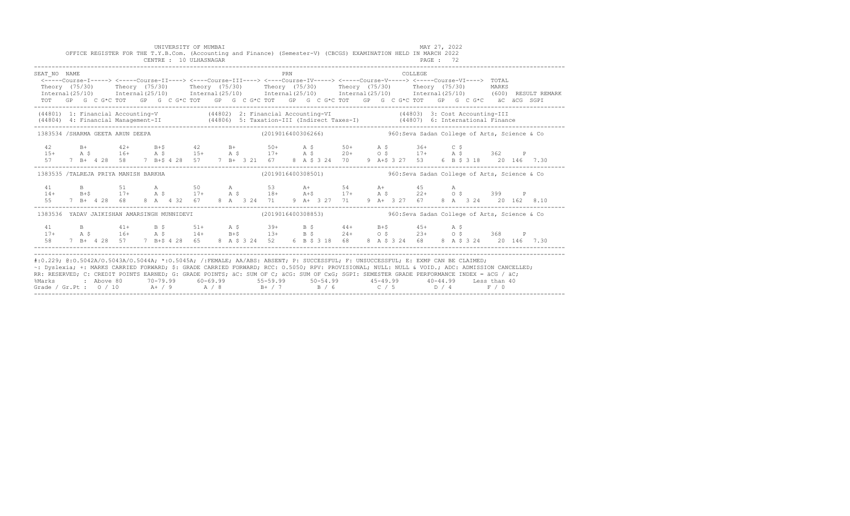|                                                                                                                                                                                                                                                                                                                                                                                                                                                                                                             |                                                                                                                    |  |  |  |  |  |  |  |  |  | UNIVERSITY OF MUMBAI<br>CENTRE : 10 ULHASNAGAR |  |  |  |  |  | OFFICE REGISTER FOR THE T.Y.B.Com. (Accounting and Finance) (Semester-V) (CBCGS) EXAMINATION HELD IN MARCH 2022                                                                                               |     |  |  |                                                                   |  |  |  |  |  |          | MAY 27, 2022<br>PAGE : 72 |  |  |  |  |  |       |  |  |  |
|-------------------------------------------------------------------------------------------------------------------------------------------------------------------------------------------------------------------------------------------------------------------------------------------------------------------------------------------------------------------------------------------------------------------------------------------------------------------------------------------------------------|--------------------------------------------------------------------------------------------------------------------|--|--|--|--|--|--|--|--|--|------------------------------------------------|--|--|--|--|--|---------------------------------------------------------------------------------------------------------------------------------------------------------------------------------------------------------------|-----|--|--|-------------------------------------------------------------------|--|--|--|--|--|----------|---------------------------|--|--|--|--|--|-------|--|--|--|
| SEAT NO NAME<br><-----Course-I-----> <-----Course-II----> <----Course-III----> <----Course-IV-----> <----Course-V-----> <----Course-VI----> TOTAL<br>Theory (75/30) Theory (75/30) Theory (75/30) Theory (75/30) Theory (75/30) Theory (75/30) MARKS<br>Internal(25/10) Internal(25/10) Internal(25/10) Internal(25/10) Internal(25/10) Internal(25/10) (600) RESULT REMARK<br>TOT GP G C G*C TOT GP G C G*C TOT GP G C G*C TOT GP G C G*C TOT GP G C G*C TOT GP G C G*C äC äCG SGPI                        |                                                                                                                    |  |  |  |  |  |  |  |  |  |                                                |  |  |  |  |  |                                                                                                                                                                                                               | PRN |  |  |                                                                   |  |  |  |  |  | COLLEGE. |                           |  |  |  |  |  |       |  |  |  |
| (44801) 1: Financial Accounting-V (44802) 2: Financial Accounting-VI (44803) 3: Cost Accounting-III<br>(44804) 4: Financial Management-II (44806) 5: Taxation-III (Indirect Taxes-I) (44807) 6: International Finance                                                                                                                                                                                                                                                                                       |                                                                                                                    |  |  |  |  |  |  |  |  |  |                                                |  |  |  |  |  |                                                                                                                                                                                                               |     |  |  |                                                                   |  |  |  |  |  |          |                           |  |  |  |  |  |       |  |  |  |
|                                                                                                                                                                                                                                                                                                                                                                                                                                                                                                             | 1383534 /SHARMA GEETA ARUN DEEPA                                                                                   |  |  |  |  |  |  |  |  |  |                                                |  |  |  |  |  |                                                                                                                                                                                                               |     |  |  | (2019016400306266)  960: Seva Sadan College of Arts, Science & Co |  |  |  |  |  |          |                           |  |  |  |  |  |       |  |  |  |
| 42<br>$1.5+$<br>57                                                                                                                                                                                                                                                                                                                                                                                                                                                                                          |                                                                                                                    |  |  |  |  |  |  |  |  |  |                                                |  |  |  |  |  | B+ 42+ B+\$ 42 B+ 50+ A \$ 50+ A \$ 36+ C \$<br>A \$ 16+ A \$ 15+ A \$ 17+ A \$ 20+ O \$ 17+ A \$ 362 P<br>7 B+ 4 28 58 7 B+\$ 4 28 57 7 B+ 3 21 67 8 A \$ 3 24 70 9 A+\$ 3 27 53 6 B \$ 3 18 20 146 7.30     |     |  |  |                                                                   |  |  |  |  |  |          |                           |  |  |  |  |  |       |  |  |  |
| 1383535 /TALREJA PRIYA MANISH BARKHA                                                                                                                                                                                                                                                                                                                                                                                                                                                                        |                                                                                                                    |  |  |  |  |  |  |  |  |  |                                                |  |  |  |  |  | $(2019016400308501)$ 960: Seva Sadan College of Arts, Science & Co                                                                                                                                            |     |  |  |                                                                   |  |  |  |  |  |          |                           |  |  |  |  |  |       |  |  |  |
| 41<br>$14+$<br>55                                                                                                                                                                                                                                                                                                                                                                                                                                                                                           |                                                                                                                    |  |  |  |  |  |  |  |  |  |                                                |  |  |  |  |  |                                                                                                                                                                                                               |     |  |  |                                                                   |  |  |  |  |  |          |                           |  |  |  |  |  |       |  |  |  |
|                                                                                                                                                                                                                                                                                                                                                                                                                                                                                                             | 1383536 YADAV JAIKISHAN AMARSINGH MUNNIDEVI (2019016400308853) 388539 360:Seva Sadan College of Arts, Science & Co |  |  |  |  |  |  |  |  |  |                                                |  |  |  |  |  |                                                                                                                                                                                                               |     |  |  |                                                                   |  |  |  |  |  |          |                           |  |  |  |  |  |       |  |  |  |
| 41<br>$17+$<br>58 .                                                                                                                                                                                                                                                                                                                                                                                                                                                                                         |                                                                                                                    |  |  |  |  |  |  |  |  |  |                                                |  |  |  |  |  | B 41+ B \$ 51+ A \$ 39+ B \$ 44+ B+\$ 45+ A \$<br>A \$ 16+ A \$ 14+ B+\$ 13+ B \$ 24+ 0 \$ 23+ 0 \$ 368 P<br>7 B+ 4 28 57 7 B+\$ 4 28 65 8 A \$ 3 24 52 6 B \$ 3 18 68 8 A \$ 3 24 68 8 A \$ 3 24 20 146 7.30 |     |  |  |                                                                   |  |  |  |  |  |          |                           |  |  |  |  |  |       |  |  |  |
| #:0.229; @:0.5042A/0.5043A/0.5044A; *:0.5045A; /:FEMALE; AA/ABS: ABSENT; P: SUCCESSFUL; F: UNSUCCESSFUL; E: EXMP CAN BE CLAIMED;<br>~: Dyslexia; +: MARKS CARRIED FORWARD; \$: GRADE CARRIED FORWARD; RCC: 0.5050; RPV: PROVISIONAL; NULL: NULL & VOID.; ADC: ADMISSION CANCELLED;<br>RR: RESERVED; C: CREDIT POINTS EARNED; G: GRADE POINTS; äC: SUM OF C; äCG: SUM OF CxG; SGPI: SEMESTER GRADE PERFORMANCE INDEX = äCG / äC;<br>%Marks<br>Grade / Gr.Pt : $0/10$ A + / 9 A / 8 B + / 7 B / 6 C / 5 D / 4 |                                                                                                                    |  |  |  |  |  |  |  |  |  |                                                |  |  |  |  |  | 2 Above 80    70-79.99    60-69.99     55-59.99     50-54.99     45-49.99     40-44.99   Less than 40                                                                                                         |     |  |  |                                                                   |  |  |  |  |  |          |                           |  |  |  |  |  | F / 0 |  |  |  |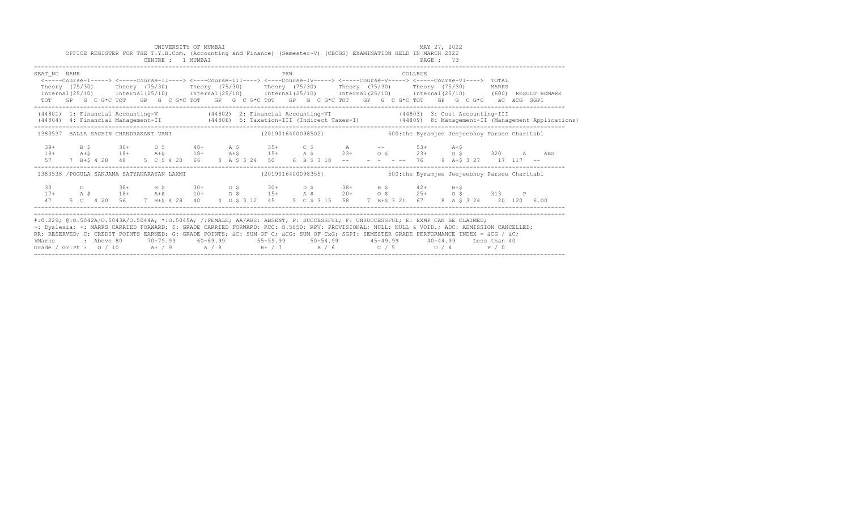|                                                                                                                                                                                                                                                                                                                                                                                                                                                                                                                |  |  |  |  |  | UNIVERSITY OF MUMBAI<br>CENTRE : 1 MUMBAI |  |  |  |     |  | OFFICE REGISTER FOR THE T.Y.B.Com. (Accounting and Finance) (Semester-V) (CBCGS) EXAMINATION HELD IN MARCH 2022<br>PAGE : 73                                                                                                                                                                          |  |  |         | MAY 27, 2022 |  |  |  |                                                                                                                                                                                                                                     |  |
|----------------------------------------------------------------------------------------------------------------------------------------------------------------------------------------------------------------------------------------------------------------------------------------------------------------------------------------------------------------------------------------------------------------------------------------------------------------------------------------------------------------|--|--|--|--|--|-------------------------------------------|--|--|--|-----|--|-------------------------------------------------------------------------------------------------------------------------------------------------------------------------------------------------------------------------------------------------------------------------------------------------------|--|--|---------|--------------|--|--|--|-------------------------------------------------------------------------------------------------------------------------------------------------------------------------------------------------------------------------------------|--|
| SEAT NO NAME<br>Theory (75/30) Theory (75/30) Theory (75/30) Theory (75/30) Theory (75/30) Theory (75/30) MARKS                                                                                                                                                                                                                                                                                                                                                                                                |  |  |  |  |  |                                           |  |  |  | PRN |  | <-----Course-I-----> <----Course-II----> <----Course-III----> <----Course-IV-----> <----Course-V-----> <----Course-VI----> TOTAL<br>TOT GP G C G*C TOT GP G C G*C TOT GP G C G*C TOT GP G C G*C TOT GP G C G*C TOT GP G C G*C äC äCG SGPI                                                             |  |  | COLLEGE |              |  |  |  | Internal (25/10) Internal (25/10) Internal (25/10) Internal (25/10) Internal (25/10) Internal (25/10) (600) RESULT REMARK                                                                                                           |  |
| (44801) 1: Financial Accounting-V (44802) 2: Financial Accounting-VI (44803) 3: Cost Accounting-III                                                                                                                                                                                                                                                                                                                                                                                                            |  |  |  |  |  |                                           |  |  |  |     |  |                                                                                                                                                                                                                                                                                                       |  |  |         |              |  |  |  | (44804) 4: Financial Management-II (44806) 5: Taxation-III (Indirect Taxes-I) (44809) 8: Management-II (Management Applications)                                                                                                    |  |
| 1383537 BALLA SACHIN CHANDRAKANT VANI (2019016400098502) 500:the Byramjee Jeejeebhoy Parsee Charitabl                                                                                                                                                                                                                                                                                                                                                                                                          |  |  |  |  |  |                                           |  |  |  |     |  |                                                                                                                                                                                                                                                                                                       |  |  |         |              |  |  |  |                                                                                                                                                                                                                                     |  |
| $39+$<br>$18+$                                                                                                                                                                                                                                                                                                                                                                                                                                                                                                 |  |  |  |  |  |                                           |  |  |  |     |  | B \$ 30+ D \$ 48+ A \$ 35+ C \$ A -- 53+ A+\$                                                                                                                                                                                                                                                         |  |  |         |              |  |  |  | ды солного солно.<br>Диформация и диформация и солного солного солного солного солного солного солного солного солного солного солн<br>Председательно солного солного солного солного солного солного солного солного солного солно |  |
| 1383538 /POGULA SANJANA SATYANARAYAN LAXMI                                                                                                                                                                                                                                                                                                                                                                                                                                                                     |  |  |  |  |  |                                           |  |  |  |     |  | (2019016400098355) 500:the Byramjee Jeejeebhoy Parsee Charitabl                                                                                                                                                                                                                                       |  |  |         |              |  |  |  |                                                                                                                                                                                                                                     |  |
| 47                                                                                                                                                                                                                                                                                                                                                                                                                                                                                                             |  |  |  |  |  |                                           |  |  |  |     |  | $17+$ $36$ $D$ $38+$ $B$ $5$ $30+$ $D$ $5$ $30+$ $D$ $5$ $38+$ $B$ $5$ $42+$ $B+5$<br>$17+$ $A$ $5$ $18+$ $A+5$ $10+$ $D$ $5$ $15+$ $A$ $5$ $20+$ $0$ $5$ $25+$ $0$ $5$ $313$ P<br>5 C  4 20 56  7 B+\$ 4 28  40  4  D  \$ 3 12  45  5  C  \$ 3 15  58  7 B+\$ 3 21  67  8  A  \$ 3 24  20  120  6.00 |  |  |         |              |  |  |  |                                                                                                                                                                                                                                     |  |
| #:0.229; @:0.5042A/0.5043A/0.5044A; *:0.5045A; /:FEMALE; AA/ABS: ABSENT; P: SUCCESSFUL; F: UNSUCCESSFUL; E: EXMP CAN BE CLAIMED;<br>~: Dyslexia; +: MARKS CARRIED FORWARD; \$: GRADE CARRIED FORWARD; RCC: 0.5050; RPV: PROVISIONAL; NULL: NULL & VOID.; ADC: ADMISSION CANCELLED;<br>RR: RESERVED; C: CREDIT POINTS EARNED; G: GRADE POINTS; äC: SUM OF C; äCG: SUM OF CxG; SGPI: SEMESTER GRADE PERFORMANCE INDEX = äCG / äC;<br>%Marks<br>Grade / Gr.Pt: $0/10$ A+ / 9 A / 8 B+ / 7 B / 6 C / 5 D / 4 F / 0 |  |  |  |  |  |                                           |  |  |  |     |  | : Above 80    70-79.99    60-69.99     55-59.99     50-54.99     45-49.99     40-44.99   Less than 40                                                                                                                                                                                                 |  |  |         |              |  |  |  |                                                                                                                                                                                                                                     |  |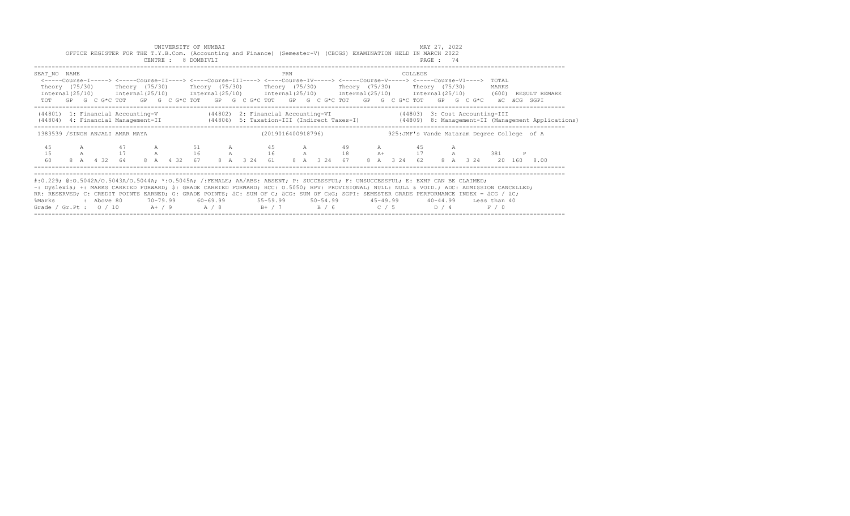|                                                                                                                                                                                                                                                                                                                                                                                                                                                                                                           |   |            |                         |              | UNIVERSITY OF MUMBAI<br>CENTRE : 8 DOMBIVLI |              |          |     | OFFICE REGISTER FOR THE T.Y.B.Com. (Accounting and Finance) (Semester-V) (CBCGS) EXAMINATION HELD IN MARCH 2022                                                                                                                       |    |             |             | MAY 27, 2022<br>PAGE: 74 |      |                                                                                                                                                                                                                                                                                                |   |                                                                                                                                  |
|-----------------------------------------------------------------------------------------------------------------------------------------------------------------------------------------------------------------------------------------------------------------------------------------------------------------------------------------------------------------------------------------------------------------------------------------------------------------------------------------------------------|---|------------|-------------------------|--------------|---------------------------------------------|--------------|----------|-----|---------------------------------------------------------------------------------------------------------------------------------------------------------------------------------------------------------------------------------------|----|-------------|-------------|--------------------------|------|------------------------------------------------------------------------------------------------------------------------------------------------------------------------------------------------------------------------------------------------------------------------------------------------|---|----------------------------------------------------------------------------------------------------------------------------------|
| SEAT NO NAME                                                                                                                                                                                                                                                                                                                                                                                                                                                                                              |   |            |                         |              |                                             |              |          | PRN | <-----Course-I-----> <----Course-II----> <----Course-III----> <----Course-IV-----> <----Course-V----> <----Course-VI----><br>Theory (75/30)    Theory (75/30)    Theory (75/30)    Theory (75/30)    Theory (75/30)    Theory (75/30) |    |             | COLLEGE     |                          |      | TOTAL<br>MARKS<br>$Internal(25/10)$ $Internal(25/10)$ $Internal(25/10)$ $Internal(25/10)$ $Internal(25/10)$ $Internal(25/10)$ $Internal(25/10)$ $Internal(25/10)$ (600) RESULT REMARK<br>TOT GP G C G*C TOT GP G C G*C TOT GP G C G*C TOT GP G C G*C TOT GP G C G*C TOT GP G C G*C äC äCG SGPI |   |                                                                                                                                  |
| (44801) 1: Financial Accounting-V (44802) 2: Financial Accounting-VI (44803) 3: Cost Accounting-III                                                                                                                                                                                                                                                                                                                                                                                                       |   |            |                         |              |                                             |              |          |     |                                                                                                                                                                                                                                       |    |             |             |                          |      |                                                                                                                                                                                                                                                                                                |   | (44806) 4: Financial Management-II (44806) 5: Taxation-III (Indirect Taxes-I) (44809) 8: Management-II (Management Applications) |
| 1383539 /SINGH ANJALI AMAR MAYA                                                                                                                                                                                                                                                                                                                                                                                                                                                                           |   |            |                         |              |                                             |              |          |     |                                                                                                                                                                                                                                       |    |             |             |                          |      | (2019016400918796) 925: JMF's Vande Mataram Degree College of A                                                                                                                                                                                                                                |   |                                                                                                                                  |
| 45<br>15<br>60                                                                                                                                                                                                                                                                                                                                                                                                                                                                                            | A | $A \sim 1$ | 47<br>17<br>8 A 4 32 64 | $\mathbb{A}$ | $\mathbb A$                                 | 51 7<br>16 A | $A \sim$ |     | 45 A<br>$16$ A $18$ A+<br>8 A 4 32 67 8 A 3 24 61 8 A 3 24 67                                                                                                                                                                         | 49 | $A$ and $A$ | 8 A 3 24 62 |                          | 17 A | 381<br>8 A 3 24 20 160 8.00                                                                                                                                                                                                                                                                    | P |                                                                                                                                  |
| #:0.229; @:0.5042A/0.5043A/0.5044A; *:0.5045A; /:FEMALE; AA/ABS: ABSENT; P: SUCCESSFUL; F: UNSUCCESSFUL; E: EXMP CAN BE CLAIMED;<br>~: Dyslexia; +: MARKS CARRIED FORWARD; \$: GRADE CARRIED FORWARD; RCC: 0.5050; RPV: PROVISIONAL; NULL: NULL & VOID.; ADC: ADMISSION CANCELLED;<br>RR: RESERVED; C: CREDIT POINTS EARNED; G: GRADE POINTS; äC: SUM OF C; äCG: SUM OF CxG; SGPI: SEMESTER GRADE PERFORMANCE INDEX = äCG / äC;<br>%Marks<br>Grade / Gr.Pt : $0/10$ A+ / 9 A / 8 B+ / 7 B / 6 C / 5 D / 4 |   | : Above 80 |                         |              |                                             |              |          |     |                                                                                                                                                                                                                                       |    |             |             |                          |      | 70-79.99 60-69.99 55-59.99 50-54.99 45-49.99 40-44.99 Less than 40<br>F / 0                                                                                                                                                                                                                    |   |                                                                                                                                  |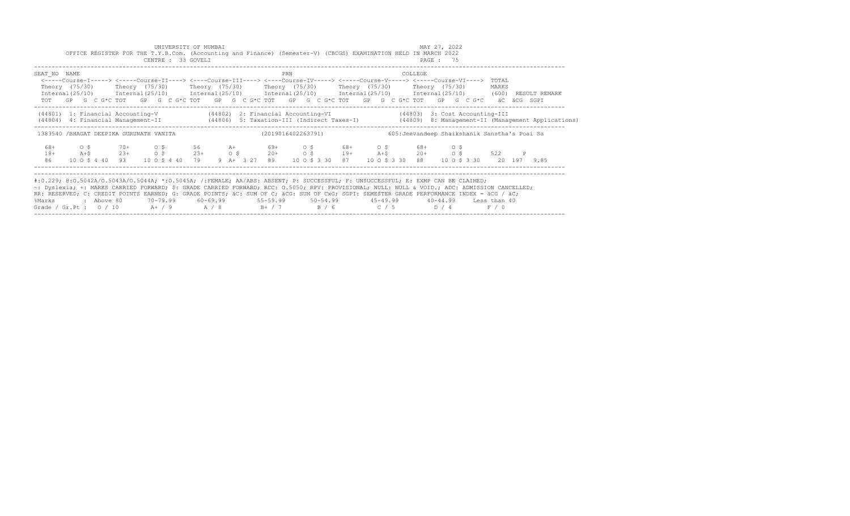|                                                                                                                                                                                                                                                                                                                                                                                                                                                                                                           |                 |  |         |            |                          |  | UNIVERSITY OF MUMBAI<br>CENTRE : 33 GOVELI    |  | OFFICE REGISTER FOR THE T.Y.B.Com. (Accounting and Finance) (Semester-V) (CBCGS) EXAMINATION HELD IN MARCH 2022                                                                                                                                                                                                                                |     |  |                                  |  |         | MAY 27, 2022<br>PAGE: 75 |     |  |                                               |   |                                                                                                                                  |
|-----------------------------------------------------------------------------------------------------------------------------------------------------------------------------------------------------------------------------------------------------------------------------------------------------------------------------------------------------------------------------------------------------------------------------------------------------------------------------------------------------------|-----------------|--|---------|------------|--------------------------|--|-----------------------------------------------|--|------------------------------------------------------------------------------------------------------------------------------------------------------------------------------------------------------------------------------------------------------------------------------------------------------------------------------------------------|-----|--|----------------------------------|--|---------|--------------------------|-----|--|-----------------------------------------------|---|----------------------------------------------------------------------------------------------------------------------------------|
| SEAT NO NAME                                                                                                                                                                                                                                                                                                                                                                                                                                                                                              |                 |  |         |            |                          |  |                                               |  | <-----Course-I-----> <----Course-II----> <----Course-III----> <----Course-IV-----> <----Course-V----> <----Course-VI----><br>Theory (75/30)    Theory (75/30)    Theory (75/30)    Theory (75/30)    Theory (75/30)    Theory (75/30)<br>TOT GP G C G*C TOT GP G C G*C TOT GP G C G*C TOT GP G C G*C TOT GP G C G*C TOT GP G C G*C aC aCG SGPI | PRN |  |                                  |  | COLLEGE |                          |     |  | TOTAL<br>MARKS                                |   | Internal (25/10) Internal (25/10) Internal (25/10) Internal (25/10) Internal (25/10) Internal (25/10) (600) RESULT REMARK        |
| (44801) 1: Financial Accounting-V (44802) 2: Financial Accounting-VI (44803) 3: Cost Accounting-III                                                                                                                                                                                                                                                                                                                                                                                                       |                 |  |         |            |                          |  |                                               |  |                                                                                                                                                                                                                                                                                                                                                |     |  |                                  |  |         |                          |     |  |                                               |   | (44806) 4: Financial Management-II (44806) 5: Taxation-III (Indirect Taxes-I) (44809) 8: Management-II (Management Applications) |
| 1383540 /BHAGAT DEEPIKA GURUNATH VANITA                                                                                                                                                                                                                                                                                                                                                                                                                                                                   |                 |  |         |            |                          |  |                                               |  | (2019016402263791)                                                                                                                                                                                                                                                                                                                             |     |  |                                  |  |         |                          |     |  | 605: Jeevandeep Shaikshanik Sanstha's Poai Sa |   |                                                                                                                                  |
| 68+<br>$18+$<br>86                                                                                                                                                                                                                                                                                                                                                                                                                                                                                        | $\circ$ $\circ$ |  | $A + S$ |            | $70+$ 0 \$<br>$23+$ 0 \$ |  | $23+$ 0 \$<br>10 0 \$ 4 40 93 10 0 \$ 4 40 79 |  | 56 A+ 69+ O \$ 68+ O \$ 68+<br>9 A+ 3 27 89 10 0 \$ 3 30 87 10 0 \$ 3 30 88 10 0 \$ 3 30 20 197 9.85                                                                                                                                                                                                                                           |     |  | $20+$ 0 \$ 19+ A+\$ 20+ 0 \$ 522 |  |         |                          | OS. |  |                                               | P |                                                                                                                                  |
| #:0.229; @:0.5042A/0.5043A/0.5044A; *:0.5045A; /:FEMALE; AA/ABS: ABSENT; P: SUCCESSFUL; F: UNSUCCESSFUL; E: EXMP CAN BE CLAIMED;<br>~: Dyslexia; +: MARKS CARRIED FORWARD; \$: GRADE CARRIED FORWARD; RCC: 0.5050; RPV: PROVISIONAL; NULL: NULL & VOID.; ADC: ADMISSION CANCELLED;<br>RR: RESERVED; C: CREDIT POINTS EARNED; G: GRADE POINTS; äC: SUM OF C; äCG: SUM OF CxG; SGPI: SEMESTER GRADE PERFORMANCE INDEX = äCG / äC;<br>%Marks<br>Grade / Gr.Pt : $0/10$ A+ / 9 A / 8 B+ / 7 B / 6 C / 5 D / 4 |                 |  |         | : Above 80 |                          |  |                                               |  | 70-79.99   60-69.99    55-59.99    50-54.99     45-49.99     40-44.99   Less than 40                                                                                                                                                                                                                                                           |     |  |                                  |  |         |                          |     |  | F / 0                                         |   |                                                                                                                                  |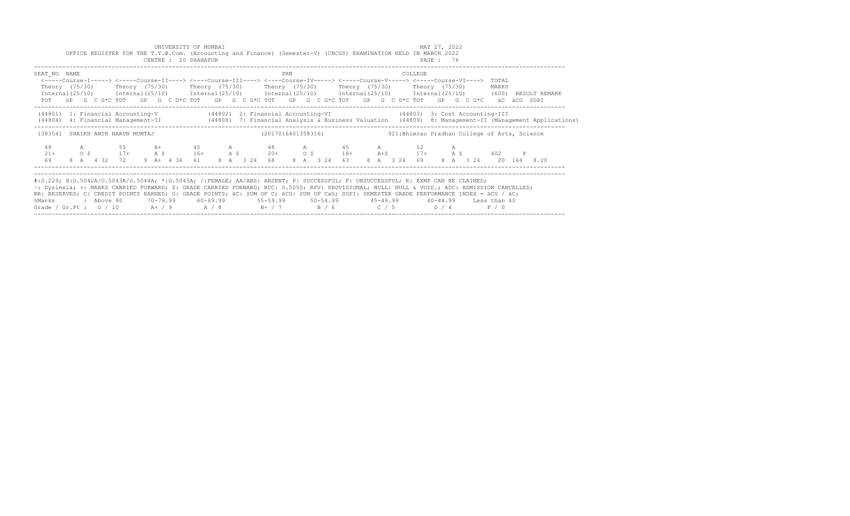|                                                                                                                                                                                                                                                                                                                                                                                                                                                                                                            |  |                             |    |        |  | UNIVERSITY OF MUMBAI<br>CENTRE : 20 SHAHAPUR |  | OFFICE REGISTER FOR THE T.Y.B.Com. (Accounting and Finance) (Semester-V) (CBCGS) EXAMINATION HELD IN MARCH 2022                                                                                                                    |     |             |  |  |                                               | MAY 27, 2022<br>PAGE: 76 |  |                |                      |                                                                                                                                          |
|------------------------------------------------------------------------------------------------------------------------------------------------------------------------------------------------------------------------------------------------------------------------------------------------------------------------------------------------------------------------------------------------------------------------------------------------------------------------------------------------------------|--|-----------------------------|----|--------|--|----------------------------------------------|--|------------------------------------------------------------------------------------------------------------------------------------------------------------------------------------------------------------------------------------|-----|-------------|--|--|-----------------------------------------------|--------------------------|--|----------------|----------------------|------------------------------------------------------------------------------------------------------------------------------------------|
| SEAT NO NAME<br>Theory (75/30)  Theory (75/30)  Theory (75/30)  Theory (75/30)  Theory (75/30)  Theory (75/30)<br>Internal (25/10) Internal (25/10) Internal (25/10) Internal (25/10) Internal (25/10) Internal (25/10) (600) RESULT REMARK                                                                                                                                                                                                                                                                |  |                             |    |        |  |                                              |  | <-----Course-I-----> <----Course-II----> <----Course-III----> <----Course-IV-----> <----Course-V----> <----Course-VI----><br>TOT GP G C G*C TOT GP G C G*C TOT GP G C G*C TOT GP G C G*C TOT GP G C G*C TOT GP G C G*C aC aCG SGPI | PRN |             |  |  | COLLEGE                                       |                          |  | TOTAL<br>MARKS |                      |                                                                                                                                          |
| (44801) 1: Financial Accounting-V (44802) 2: Financial Accounting-VI (44803) 3: Cost Accounting-III                                                                                                                                                                                                                                                                                                                                                                                                        |  |                             |    |        |  |                                              |  |                                                                                                                                                                                                                                    |     |             |  |  |                                               |                          |  |                |                      | (44804) 4: Financial Management-II (44808) 7: Financial Analysis & Business Valuation (44809) 8: Management-II (Management Applications) |
| 1383541 SHAIKH AMIN HARUN MUMTAJ                                                                                                                                                                                                                                                                                                                                                                                                                                                                           |  |                             |    |        |  |                                              |  | (2017016401358316)                                                                                                                                                                                                                 |     |             |  |  | 921: Bhimrao Pradhan College of Arts, Science |                          |  |                |                      |                                                                                                                                          |
| 48<br>$21 +$                                                                                                                                                                                                                                                                                                                                                                                                                                                                                               |  | $A \sim$<br>$0 \,$ \$ $17+$ | 55 | $A$ \$ |  | $16+$ A \$                                   |  | A+ 45 A 48 A 45 A                                                                                                                                                                                                                  |     |             |  |  | 52<br>$20+$ 0 \$ 18+ A+\$ 17+ A \$ 402        |                          |  |                | $\mathbb{P}$         |                                                                                                                                          |
| 69                                                                                                                                                                                                                                                                                                                                                                                                                                                                                                         |  | 8 A 4 32 72                 |    |        |  |                                              |  | 9 A + 4 36 61 8 A 3 24 68                                                                                                                                                                                                          |     | 8 A 3 24 63 |  |  | 8 A 3 24 69                                   |                          |  |                | 8 A 3 24 20 164 8.20 |                                                                                                                                          |
| #:0.229; @:0.5042A/0.5043A/0.5044A; *:0.5045A; /:FEMALE; AA/ABS: ABSENT; P: SUCCESSFUL; F: UNSUCCESSFUL; E: EXMP CAN BE CLAIMED;<br>~: Dyslexia; +: MARKS CARRIED FORWARD; \$: GRADE CARRIED FORWARD; RCC: 0.5050; RPV: PROVISIONAL; NULL: NULL: & VOID.; ADC: ADMISSION CANCELLED;<br>RR: RESERVED; C: CREDIT POINTS EARNED; G: GRADE POINTS; äC: SUM OF C; äCG: SUM OF CxG; SGPI: SEMESTER GRADE PERFORMANCE INDEX = äCG / äC;<br>%Marks<br>Grade / Gr.Pt : $0/10$ A+ / 9 A / 8 B+ / 7 B / 6 C / 5 D / 4 |  | : Above 80                  |    |        |  |                                              |  | 70–79.99   60–69.99     55–59.99     50–54.99      45–49.99      40–44.99   Less than 40                                                                                                                                           |     |             |  |  |                                               |                          |  | F / 0          |                      |                                                                                                                                          |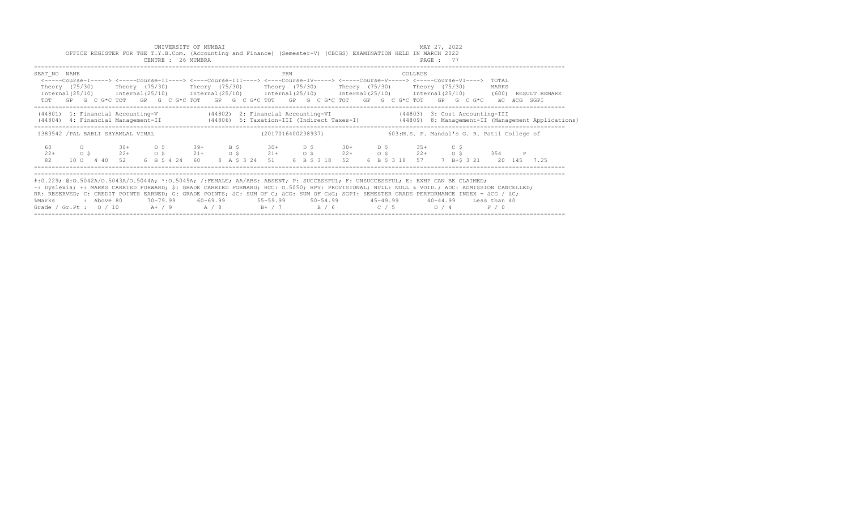| UNIVERSITY OF MUMBAI<br>OFFICE REGISTER FOR THE T.Y.B.Com. (Accounting and Finance) (Semester-V) (CBCGS) EXAMINATION HELD IN MARCH 2022<br>CENTRE : 26 MUMBRA                                                                                                                                                                                                                                                                                                                                                              |  |  |          |  |                                                                                                                                                                                                                                                                                                                                          |  |  |  |            |  |  |     |  |                                                                                  |  |  |                                          | MAY 27, 2022<br>PAGE: 77 |      |  |                |  |                                                                                                                                  |  |
|----------------------------------------------------------------------------------------------------------------------------------------------------------------------------------------------------------------------------------------------------------------------------------------------------------------------------------------------------------------------------------------------------------------------------------------------------------------------------------------------------------------------------|--|--|----------|--|------------------------------------------------------------------------------------------------------------------------------------------------------------------------------------------------------------------------------------------------------------------------------------------------------------------------------------------|--|--|--|------------|--|--|-----|--|----------------------------------------------------------------------------------|--|--|------------------------------------------|--------------------------|------|--|----------------|--|----------------------------------------------------------------------------------------------------------------------------------|--|
| SEAT NO NAME                                                                                                                                                                                                                                                                                                                                                                                                                                                                                                               |  |  |          |  | <-----Course-I-----> <-----Course-II----> <----Course-III----> <----Course-IV-----> <-----Course-V-----> <-----Course-VI----><br>Theory (75/30)  Theory (75/30)  Theory (75/30)  Theory (75/30)  Theory (75/30)  Theory (75/30)<br>TOT GP G C G*C TOT GP G C G*C TOT GP G C G*C TOT GP G C G*C TOT GP G C G*C TOT GP G C G*C aC aCG SGPI |  |  |  |            |  |  | PRN |  |                                                                                  |  |  | COLLEGE                                  |                          |      |  | TOTAL<br>MARKS |  | Internal (25/10) Internal (25/10) Internal (25/10) Internal (25/10) Internal (25/10) Internal (25/10) (600) RESULT REMARK        |  |
| (44801) 1: Financial Accounting-V (44802) 2: Financial Accounting-VI (44803) 3: Cost Accounting-III                                                                                                                                                                                                                                                                                                                                                                                                                        |  |  |          |  |                                                                                                                                                                                                                                                                                                                                          |  |  |  |            |  |  |     |  |                                                                                  |  |  |                                          |                          |      |  |                |  | (44806) 4: Financial Management-II (44806) 5: Taxation-III (Indirect Taxes-I) (44809) 8: Management-II (Management Applications) |  |
| 1383542 / PAL BABLI SHYAMLAL VIMAL                                                                                                                                                                                                                                                                                                                                                                                                                                                                                         |  |  |          |  |                                                                                                                                                                                                                                                                                                                                          |  |  |  |            |  |  |     |  | (2017016400238937) 603:M.S. P. Mandal's G. R. Patil College of                   |  |  |                                          |                          |      |  |                |  |                                                                                                                                  |  |
| 60<br>$22+$<br>82                                                                                                                                                                                                                                                                                                                                                                                                                                                                                                          |  |  |          |  | $O$ 30+ D \$<br>$0 \tS$ 22+ $0 \tS$<br>10 0 4 40 52 6 B \$ 4 24 60 8 A \$ 3 24 51 6 B \$ 3 18 52                                                                                                                                                                                                                                         |  |  |  | $39+$ B \$ |  |  |     |  | $30+$ D \$ $30+$ D \$ $35+$<br>$21+$ 0 \$ $21+$ 0 \$ $22+$ 0 \$ $22+$ 0 \$ 354 P |  |  | 6 B \$ 3 18 57 7 B + \$ 3 21 20 145 7.25 |                          | C \$ |  |                |  |                                                                                                                                  |  |
| #:0.229; @:0.5042A/0.5043A/0.5044A; *:0.5045A; /:FEMALE; AA/ABS: ABSENT; P: SUCCESSFUL; F: UNSUCCESSFUL; E: EXMP CAN BE CLAIMED;<br>~: Dyslexia; +: MARKS CARRIED FORWARD; \$: GRADE CARRIED FORWARD; RCC: 0.5050; RPV: PROVISIONAL; NULL: NULL & VOID.; ADC: ADMISSION CANCELLED;<br>RR: RESERVED; C: CREDIT POINTS EARNED; G: GRADE POINTS; äC: SUM OF C; äCG: SUM OF CxG; SGPI: SEMESTER GRADE PERFORMANCE INDEX = äCG / äC;<br>%Marks<br>Grade / Gr.Pt : $0/10$ A $+$ / 9 A $/8$ B $+$ / 7 B $/6$ C $/5$ D $/4$ F $/0$ |  |  | above 80 |  |                                                                                                                                                                                                                                                                                                                                          |  |  |  |            |  |  |     |  |                                                                                  |  |  |                                          |                          |      |  |                |  |                                                                                                                                  |  |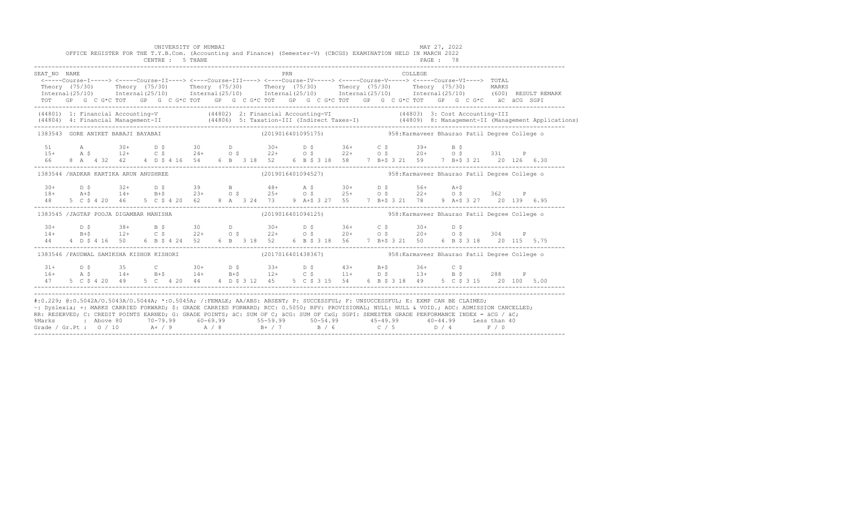|                                                                                                                                                                                                                                                                                                                                                                                                                                                                                                                                                                                               |  |  |  |  | UNIVERSITY OF MUMBAI<br>CENTRE : 5 THANE |  |  |     |  | OFFICE REGISTER FOR THE T.Y.B.Com. (Accounting and Finance) (Semester-V) (CBCGS) EXAMINATION HELD IN MARCH 2022 |  |  | PAGE : 78 | MAY 27, 2022 |  |                                                                                                                                                                                                                                                                    |                                                                                                                                  |
|-----------------------------------------------------------------------------------------------------------------------------------------------------------------------------------------------------------------------------------------------------------------------------------------------------------------------------------------------------------------------------------------------------------------------------------------------------------------------------------------------------------------------------------------------------------------------------------------------|--|--|--|--|------------------------------------------|--|--|-----|--|-----------------------------------------------------------------------------------------------------------------|--|--|-----------|--------------|--|--------------------------------------------------------------------------------------------------------------------------------------------------------------------------------------------------------------------------------------------------------------------|----------------------------------------------------------------------------------------------------------------------------------|
| SEAT NO NAME<br><-----Course-I-----> <-----Course-II----> <----Course-III----> <----Course-IV-----> <----Course-V-----> <----Course-VI----> TOTAL<br>Theory (75/30) Theory (75/30) Theory (75/30) Theory (75/30) Theory (75/30) Theory (75/30) MARKS<br>TOT GP G C G*C TOT GP G C G*C TOT GP G C G*C TOT GP G C G*C TOT GP G C G*C TOT GP G C G*C äC äCG SGPI                                                                                                                                                                                                                                 |  |  |  |  |                                          |  |  | PRN |  |                                                                                                                 |  |  | COLLEGE   |              |  |                                                                                                                                                                                                                                                                    | Internal (25/10) Internal (25/10) Internal (25/10) Internal (25/10) Internal (25/10) Internal (25/10) (600) RESULT REMARK        |
| (44801) 1: Financial Accounting-V (44802) 2: Financial Accounting-VI (44803) 3: Cost Accounting-III                                                                                                                                                                                                                                                                                                                                                                                                                                                                                           |  |  |  |  |                                          |  |  |     |  |                                                                                                                 |  |  |           |              |  |                                                                                                                                                                                                                                                                    | (44804) 4: Financial Management-II (44806) 5: Taxation-III (Indirect Taxes-I) (44809) 8: Management-II (Management Applications) |
| 1383543 GORE ANIKET BABAJI BAYABAI                                                                                                                                                                                                                                                                                                                                                                                                                                                                                                                                                            |  |  |  |  |                                          |  |  |     |  |                                                                                                                 |  |  |           |              |  | (2019016401095175) 58: Karmaveer Bhaurao Patil Degree College o                                                                                                                                                                                                    |                                                                                                                                  |
|                                                                                                                                                                                                                                                                                                                                                                                                                                                                                                                                                                                               |  |  |  |  |                                          |  |  |     |  |                                                                                                                 |  |  |           |              |  |                                                                                                                                                                                                                                                                    |                                                                                                                                  |
| 1383544 /HADKAR KARTIKA ARUN ANUSHREE                                                                                                                                                                                                                                                                                                                                                                                                                                                                                                                                                         |  |  |  |  |                                          |  |  |     |  |                                                                                                                 |  |  |           |              |  | (2019016401094527)                       958: Karmaveer Bhaurao Patil Degree College o                                                                                                                                                                             |                                                                                                                                  |
|                                                                                                                                                                                                                                                                                                                                                                                                                                                                                                                                                                                               |  |  |  |  |                                          |  |  |     |  |                                                                                                                 |  |  |           |              |  | $18 +$ $24 +$ $32 +$ $56 +$ $56 +$ $56 +$ $56 +$ $56 +$ $56 +$ $56 +$ $56 +$ $56 +$ $56 +$ $56 +$ $56 +$ $56 +$ $56 +$ $56 +$ $56 +$ $56 +$ $56 +$ $56 +$ $56 +$ $56 +$ $56 +$ $56 +$ $56 +$ $56 +$ $56 +$ $56 +$ $56 +$ $56 +$ $56 +$ $56 +$ $56 +$ $56 +$ $56 +$ | 48 5 C \$ 4 20 46 5 C \$ 4 20 62 8 A 3 24 73 9 A+\$ 3 27 55 7 B+\$ 3 21 78 9 A+\$ 3 27 20 139 6.95                               |
| 1383545 /JAGTAP POOJA DIGAMBAR MANISHA (2019016401094125) 358: Karmaveer Bhaurao Patil Degree College o                                                                                                                                                                                                                                                                                                                                                                                                                                                                                       |  |  |  |  |                                          |  |  |     |  |                                                                                                                 |  |  |           |              |  |                                                                                                                                                                                                                                                                    |                                                                                                                                  |
|                                                                                                                                                                                                                                                                                                                                                                                                                                                                                                                                                                                               |  |  |  |  |                                          |  |  |     |  |                                                                                                                 |  |  |           |              |  | $14+$ $12+$ $12+$ $12+$ $12+$ $12+$ $12+$ $12+$ $12+$ $12+$ $12+$ $12+$ $12+$ $12+$ $12+$ $12+$ $12+$ $12+$ $12+$ $12+$ $12+$ $12+$ $12+$ $12+$ $12+$ $12+$ $12+$ $12+$ $12+$ $12+$ $12+$ $12+$ $12+$ $12+$ $12+$ $12+$ $12+$                                      | 44  4  D \$ 4  16  50  6  B \$ 4  24  52  6  B  3  18  52  6  B  \$ 3  18  56  7  B+\$ 3  21  50  6  B  \$ 3  18  20  115  5.75  |
| 1383546 / PAUDWAL SAMIKSHA KISHOR KISHORI                                                                                                                                                                                                                                                                                                                                                                                                                                                                                                                                                     |  |  |  |  |                                          |  |  |     |  |                                                                                                                 |  |  |           |              |  | (2017016401438367)  958: Karmaveer Bhaurao Patil Degree College of                                                                                                                                                                                                 |                                                                                                                                  |
|                                                                                                                                                                                                                                                                                                                                                                                                                                                                                                                                                                                               |  |  |  |  |                                          |  |  |     |  | $31+$ D \$ 35 C 30+ D \$ 33+ D \$ 43+ B+\$ 36+ C \$                                                             |  |  |           |              |  | 16+ A \$ 14+ B+\$ 14+ B+\$ 12+ C \$ 11+ D \$ 13+ B \$ 288 P                                                                                                                                                                                                        | 47 5 C \$ 4 20 49 5 C 4 20 44 4 D \$ 3 12 45 5 C \$ 3 15 54 6 B \$ 3 18 49 5 C \$ 3 15 20 100 5.00                               |
| #:0.229; @:0.5042A/0.5043A/0.5044A; *:0.5045A; /:FEMALE; AA/ABS: ABSENT; P: SUCCESSFUL; F: UNSUCCESSFUL; E: EXMP CAN BE CLAIMED;<br>~: Dyslexia; +: MARKS CARRIED FORWARD; \$: GRADE CARRIED FORWARD; RCC: 0.5050; RPV: PROVISIONAL; NULL: NULL & VOID.; ADC: ADMISSION CANCELLED;<br>RR: RESERVED, C: CREDIT POINTS EARNED, G: GRADE POINTS, AC: SUM OF C; ACG: SUM OF CxG; SGPI: SEMESTER GRADE PERFORMANCE INDEX = ACG / AC;<br>%Marks : Above 80 70-79.99 60-69.99 55-59.99 50-54.99 45-49.99 40-44.99 Less than 40<br>Grade / Gr.Pt : 0 / 10 A+ / 9 A / 8 B+ / 7 B / 6 C / 5 D / 4 F / 0 |  |  |  |  |                                          |  |  |     |  |                                                                                                                 |  |  |           |              |  |                                                                                                                                                                                                                                                                    |                                                                                                                                  |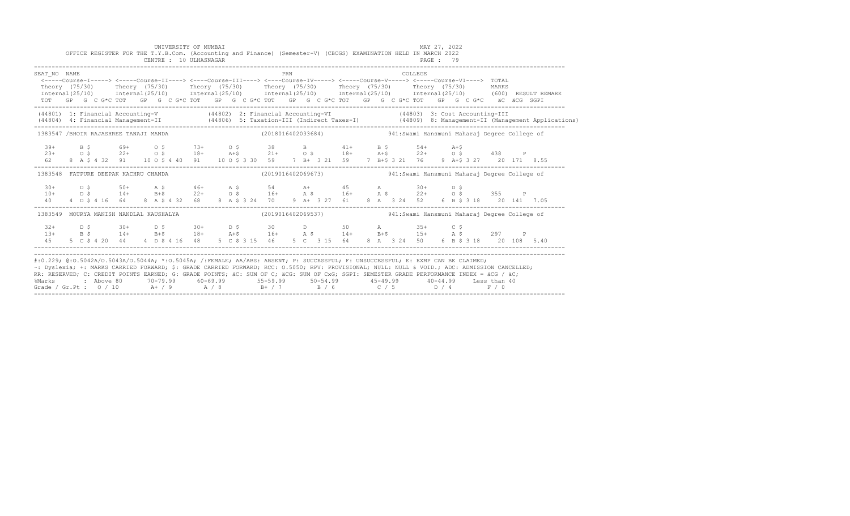|                                                                                                                                                                                                                                                                                                                                                                                                                                                                                                                                          |  | OFFICE REGISTER FOR THE T.Y.B.Com. (Accounting and Finance) (Semester-V) (CBCGS) EXAMINATION HELD IN MARCH 2022                                                                                                                                                                                                                                                                                                                                                                                         |  | UNIVERSITY OF MUMBAI<br>CENTRE : 10 ULHASNAGAR |  |  |  |     |  |  |  |  |                                                                                         | MAY 27, 2022<br>PAGE : 79 |  |  |  |                                                                                                                                  |
|------------------------------------------------------------------------------------------------------------------------------------------------------------------------------------------------------------------------------------------------------------------------------------------------------------------------------------------------------------------------------------------------------------------------------------------------------------------------------------------------------------------------------------------|--|---------------------------------------------------------------------------------------------------------------------------------------------------------------------------------------------------------------------------------------------------------------------------------------------------------------------------------------------------------------------------------------------------------------------------------------------------------------------------------------------------------|--|------------------------------------------------|--|--|--|-----|--|--|--|--|-----------------------------------------------------------------------------------------|---------------------------|--|--|--|----------------------------------------------------------------------------------------------------------------------------------|
| SEAT NO NAME<br><-----Course-I-----> <-----Course-II----> <----Course-III----> <----Course-IV-----> <----Course-V-----> <----Course-VI----> TOTAL<br>Theory (75/30) Theory (75/30) Theory (75/30) Theory (75/30) Theory (75/30) Theory (75/30) MARKS<br>$Internal(25/10)$ $Internal(25/10)$ $Internal(25/10)$ $Internal(25/10)$ $Internal(25/10)$ $Internal(25/10)$ $Internal(25/10)$ $Internal(25/10)$ $(600)$ $RESULT REMARK$<br>TOT GP G C G*C TOT GP G C G*C TOT GP G C G*C TOT GP G C G*C TOT GP G C G*C TOT GP G C G*C äC äCG SGPI |  |                                                                                                                                                                                                                                                                                                                                                                                                                                                                                                         |  |                                                |  |  |  | PRN |  |  |  |  | <b>COLLEGE</b>                                                                          |                           |  |  |  |                                                                                                                                  |
| (44801) 1: Financial Accounting-V (44802) 2: Financial Accounting-VI (44803) 3: Cost Accounting-III                                                                                                                                                                                                                                                                                                                                                                                                                                      |  |                                                                                                                                                                                                                                                                                                                                                                                                                                                                                                         |  |                                                |  |  |  |     |  |  |  |  |                                                                                         |                           |  |  |  | (44804) 4: Financial Management-II (44806) 5: Taxation-III (Indirect Taxes-I) (44809) 8: Management-II (Management Applications) |
| 1383547 /BHOIR RAJASHREE TANAJI MANDA                                                                                                                                                                                                                                                                                                                                                                                                                                                                                                    |  |                                                                                                                                                                                                                                                                                                                                                                                                                                                                                                         |  |                                                |  |  |  |     |  |  |  |  | (2018016402033684)  941:Swami Hansmuni Maharaj Degree College of                        |                           |  |  |  |                                                                                                                                  |
|                                                                                                                                                                                                                                                                                                                                                                                                                                                                                                                                          |  | $139+$ B $5$ $69+$ O $5$ $73+$ O $5$ $38$ B $41+$ B $5$ $54+$ A $+5$<br>$23+$ O $5$ $22+$ O $5$ $18+$ A $+5$ $21+$ O $5$ $18+$ A $+5$ $22+$ O $5$ $438$ P<br>$62$ 8 A $5$ 4 $32$ 91 10 O $5$ 4 40 91 10 O $5$ 3 30 59 7 B $+$ 3 2                                                                                                                                                                                                                                                                       |  |                                                |  |  |  |     |  |  |  |  |                                                                                         |                           |  |  |  |                                                                                                                                  |
| 1383548 FATPURE DEEPAK KACHRU CHANDA                                                                                                                                                                                                                                                                                                                                                                                                                                                                                                     |  |                                                                                                                                                                                                                                                                                                                                                                                                                                                                                                         |  |                                                |  |  |  |     |  |  |  |  | (2019016402069673)                         941:Swami Hansmuni Maharaj Degree College of |                           |  |  |  |                                                                                                                                  |
|                                                                                                                                                                                                                                                                                                                                                                                                                                                                                                                                          |  |                                                                                                                                                                                                                                                                                                                                                                                                                                                                                                         |  |                                                |  |  |  |     |  |  |  |  | 9 A+ 3 27 61 8 A 3 24 52 6 B \$ 3 18 20 141 7.05                                        |                           |  |  |  |                                                                                                                                  |
| 1383549 MOURYA MANISH NANDLAL KAUSHALYA                                                                                                                                                                                                                                                                                                                                                                                                                                                                                                  |  |                                                                                                                                                                                                                                                                                                                                                                                                                                                                                                         |  |                                                |  |  |  |     |  |  |  |  | (2019016402069537)                         941:Swami Hansmuni Maharaj Degree College of |                           |  |  |  |                                                                                                                                  |
| $32+$<br>45                                                                                                                                                                                                                                                                                                                                                                                                                                                                                                                              |  | $\texttt{D} \, \texttt{S}$ $\texttt{30+}$ $\texttt{D} \, \texttt{S}$ $\texttt{30+}$ $\texttt{D} \, \texttt{S}$ $\texttt{S}$ $\texttt{D}$ $\texttt{D}$ $\texttt{S}$ $\texttt{D}$ $\texttt{S}$ $\texttt{D}$ $\texttt{S}$ $\texttt{D}$ $\texttt{S}$ $\texttt{D}$ $\texttt{S}$ $\texttt{D}$ $\texttt{S}$ $\texttt{D}$ $\texttt{S}$ $\texttt$<br>13+ B \$ 14+ B+\$ 18+ A+\$ 16+ A \$ 14+ B+\$ 15+ A \$ 297 P<br>5 C \$ 4 20 44 4 D \$ 4 16 48 5 C \$ 3 15 46 5 C 3 15 64 8 A 3 24 50 6 B \$ 3 18 20 108 5.40 |  |                                                |  |  |  |     |  |  |  |  |                                                                                         |                           |  |  |  |                                                                                                                                  |
| #:0.229; @:0.5042A/0.5043A/0.5044A; *:0.5045A; /:FEMALE; AA/ABS: ABSENT; P: SUCCESSFUL; F: UNSUCCESSFUL; E: EXMP CAN BE CLAIMED;<br>~: Dyslexia; +: MARKS CARRIED FORWARD; \$: GRADE CARRIED FORWARD; RCC: 0.5050; RPV: PROVISIONAL; NULL: NULL & VOID.; ADC: ADMISSION CANCELLED;<br>RR: RESERVED; C: CREDIT POINTS EARNED; G: GRADE POINTS; äC: SUM OF C; äCG: SUM OF CxG; SGPI: SEMESTER GRADE PERFORMANCE INDEX = äCG / äC;<br>%Marks<br>Grade / Gr.Pt : $0/10$ A + / 9 A / 8 B + / 7 B / 6 C / 5 D / 4 F / 0                        |  | 2 Above 80          70-79.99           60-69.99             55-59.99           50-54.99             45-49.99             40-44.99        Less than 40                                                                                                                                                                                                                                                                                                                                                   |  |                                                |  |  |  |     |  |  |  |  |                                                                                         |                           |  |  |  |                                                                                                                                  |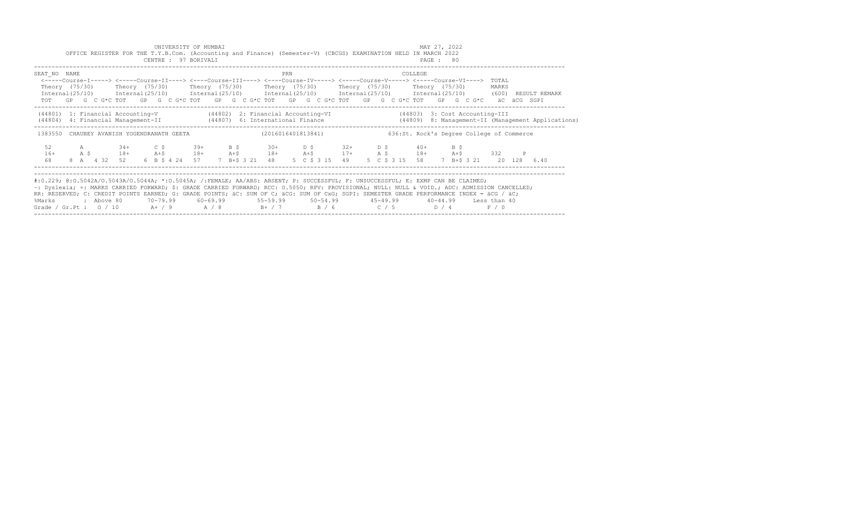| UNIVERSITY OF MUMBAI<br>OFFICE REGISTER FOR THE T.Y.B.Com. (Accounting and Finance) (Semester-V) (CBCGS) EXAMINATION HELD IN MARCH 2022                                                                                                                                                                                                                                                                                                                                                                   |  |  |  |            |                        |        |  |  |                       |  |  |                                                                                                                                                                                                                                                                  |     |  |                |  |  |                                           | MAY 27, 2022 |                |  |                |              |                         |                                                                                                                        |
|-----------------------------------------------------------------------------------------------------------------------------------------------------------------------------------------------------------------------------------------------------------------------------------------------------------------------------------------------------------------------------------------------------------------------------------------------------------------------------------------------------------|--|--|--|------------|------------------------|--------|--|--|-----------------------|--|--|------------------------------------------------------------------------------------------------------------------------------------------------------------------------------------------------------------------------------------------------------------------|-----|--|----------------|--|--|-------------------------------------------|--------------|----------------|--|----------------|--------------|-------------------------|------------------------------------------------------------------------------------------------------------------------|
|                                                                                                                                                                                                                                                                                                                                                                                                                                                                                                           |  |  |  |            |                        |        |  |  | CENTRE : 97 BORIVALI  |  |  |                                                                                                                                                                                                                                                                  |     |  |                |  |  |                                           | PAGE : 80    |                |  |                |              |                         |                                                                                                                        |
| SEAT NO NAME                                                                                                                                                                                                                                                                                                                                                                                                                                                                                              |  |  |  |            |                        |        |  |  |                       |  |  | <-----Course-I-----> <----Course-II----> <----Course-III----> <----Course-IV-----> <----Course-V-----> <----Course-VI----><br>Theory (75/30)  Theory (75/30)  Theory (75/30)  Theory (75/30)  Theory (75/30)  Theory (75/30)                                     | PRN |  |                |  |  | COLLEGE                                   |              |                |  | TOTAL<br>MARKS |              |                         |                                                                                                                        |
|                                                                                                                                                                                                                                                                                                                                                                                                                                                                                                           |  |  |  |            |                        |        |  |  |                       |  |  | $International (25/10)$ $International (25/10)$ $International (25/10)$ $International (25/10)$ $International (25/10)$ $International (25/10)$ $(600)$<br>TOT GP G C G*C TOT GP G C G*C TOT GP G C G*C TOT GP G C G*C TOT GP G C G*C TOT GP G C G*C aC aCG SGPI |     |  |                |  |  |                                           |              |                |  |                |              |                         | RESULT REMARK                                                                                                          |
|                                                                                                                                                                                                                                                                                                                                                                                                                                                                                                           |  |  |  |            |                        |        |  |  |                       |  |  | (44801) 1: Financial Accounting-V (44802) 2: Financial Accounting-VI (44803) 3: Cost Accounting-III                                                                                                                                                              |     |  |                |  |  |                                           |              |                |  |                |              |                         | (44804) 4: Financial Management-II (44807) 6: International Finance (44809) 8: Management-II (Management Applications) |
|                                                                                                                                                                                                                                                                                                                                                                                                                                                                                                           |  |  |  |            |                        |        |  |  |                       |  |  | 1383550 CHAUBEY AVANISH YOGENDRANATH GEETA (2016016401813841)                                                                                                                                                                                                    |     |  |                |  |  | 636:St. Rock's Degree College of Commerce |              |                |  |                |              |                         |                                                                                                                        |
| 52<br>$16+$<br>68                                                                                                                                                                                                                                                                                                                                                                                                                                                                                         |  |  |  |            | A 34+<br>A \$ 18+ A+\$ | $C$ \$ |  |  | $39+$ B $\frac{6}{7}$ |  |  | $30+$ $D \tS$ $32+$ $D \tS$ $40+$<br>$18+$ $24+5$ $18+$ $34+5$ $17+$ $38+$ $18+$ $332$<br>8 A 4 32 52 6 B \$ 4 24 57 7 B + \$ 3 21 48                                                                                                                            |     |  | 5 C \$ 3 15 49 |  |  | 5 C \$ 3 15 58                            |              | $B$ $\sqrt{5}$ |  |                | $\mathbb{P}$ | 7 B+\$ 3 21 20 128 6.40 |                                                                                                                        |
| #:0.229; @:0.5042A/0.5043A/0.5044A; *:0.5045A; /:FEMALE; AA/ABS: ABSENT; P: SUCCESSFUL; F: UNSUCCESSFUL; E: EXMP CAN BE CLAIMED;<br>~: Dyslexia; +: MARKS CARRIED FORWARD; \$: GRADE CARRIED FORWARD; RCC: 0.5050; RPV: PROVISIONAL; NULL: NULL & VOID.; ADC: ADMISSION CANCELLED;<br>RR: RESERVED; C: CREDIT POINTS EARNED; G: GRADE POINTS; äC: SUM OF C; äCG: SUM OF CxG; SGPI: SEMESTER GRADE PERFORMANCE INDEX = äCG / äC;<br>%Marks<br>Grade / Gr.Pt : $0/10$ A+ / 9 A / 8 B+ / 7 B / 6 C / 5 D / 4 |  |  |  | : Above 80 |                        |        |  |  |                       |  |  | 70–79.99   60–69.99    55–59.99    50–54.99     45–49.99     40–44.99   Less than 40                                                                                                                                                                             |     |  |                |  |  |                                           |              |                |  | F / 0          |              |                         |                                                                                                                        |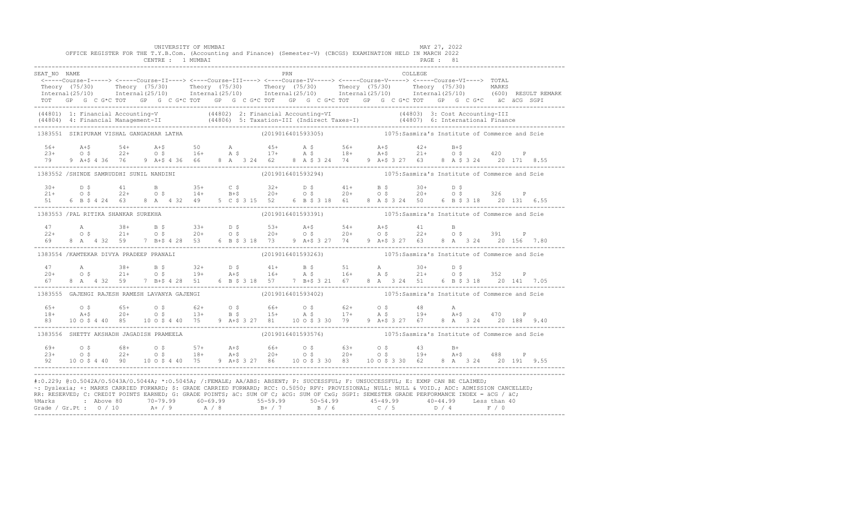|                                          |  |  |  |  | UNIVERSITY OF MUMBAI |  |  |     | OFFICE REGISTER FOR THE T.Y.B.Com. (Accounting and Finance) (Semester-V) (CBCGS) EXAMINATION HELD IN MARCH 2022                                                                                                                                                                                                                                                                                                                                                                                                                                                                              |  |  | MAY 27, 2022 |  |  |  |                                                                                                                                                                                                                       |
|------------------------------------------|--|--|--|--|----------------------|--|--|-----|----------------------------------------------------------------------------------------------------------------------------------------------------------------------------------------------------------------------------------------------------------------------------------------------------------------------------------------------------------------------------------------------------------------------------------------------------------------------------------------------------------------------------------------------------------------------------------------------|--|--|--------------|--|--|--|-----------------------------------------------------------------------------------------------------------------------------------------------------------------------------------------------------------------------|
|                                          |  |  |  |  | CENTRE : 1 MUMBAI    |  |  |     |                                                                                                                                                                                                                                                                                                                                                                                                                                                                                                                                                                                              |  |  | PAGE : 81    |  |  |  |                                                                                                                                                                                                                       |
| SEAT NO NAME                             |  |  |  |  |                      |  |  | PRN |                                                                                                                                                                                                                                                                                                                                                                                                                                                                                                                                                                                              |  |  | COLLEGE      |  |  |  |                                                                                                                                                                                                                       |
|                                          |  |  |  |  |                      |  |  |     | <-----Course-I-----> <----Course-II----> <----Course-III----> <----Course-IV-----> <----Course-V----> TOTAL                                                                                                                                                                                                                                                                                                                                                                                                                                                                                  |  |  |              |  |  |  |                                                                                                                                                                                                                       |
|                                          |  |  |  |  |                      |  |  |     |                                                                                                                                                                                                                                                                                                                                                                                                                                                                                                                                                                                              |  |  |              |  |  |  | Theory (75/30) Theory (75/30) Theory (75/30) Theory (75/30) Theory (75/30) Theory (75/30) MARKS<br>Internal(25/10) Internal(25/10) Internal(25/10) Internal(25/10) Internal(25/10) Internal(25/10) (600) RESULTREMARK |
|                                          |  |  |  |  |                      |  |  |     | TOT GP G C G*C TOT GP G C G*C TOT GP G C G*C TOT GP G C G*C TOT GP G C G*C TOT GP G C G*C äC äCG SGPI                                                                                                                                                                                                                                                                                                                                                                                                                                                                                        |  |  |              |  |  |  |                                                                                                                                                                                                                       |
|                                          |  |  |  |  |                      |  |  |     | (44801) 1: Financial Accounting-V (44802) 2: Financial Accounting-VI (44803) 3: Cost Accounting-III<br>(44804) 4: Financial Management-II (44806) 5: Taxation-III (Indirect Taxes-I) (44807) 6: International Finance<br>-----------                                                                                                                                                                                                                                                                                                                                                         |  |  |              |  |  |  |                                                                                                                                                                                                                       |
| 1383551 SIRIPURAM VISHAL GANGADHAR LATHA |  |  |  |  |                      |  |  |     | (2019016401593305) 1075:Sasmira's Institute of Commerce and Scie                                                                                                                                                                                                                                                                                                                                                                                                                                                                                                                             |  |  |              |  |  |  |                                                                                                                                                                                                                       |
|                                          |  |  |  |  |                      |  |  |     |                                                                                                                                                                                                                                                                                                                                                                                                                                                                                                                                                                                              |  |  |              |  |  |  |                                                                                                                                                                                                                       |
|                                          |  |  |  |  |                      |  |  |     |                                                                                                                                                                                                                                                                                                                                                                                                                                                                                                                                                                                              |  |  |              |  |  |  |                                                                                                                                                                                                                       |
|                                          |  |  |  |  |                      |  |  |     | $10+5$<br>$23+$<br>$23+$<br>$24+$<br>$25+$<br>$26+$<br>$279$<br>$26+$<br>$279$<br>$26+$<br>$279$<br>$26+$<br>$279$<br>$26+$<br>$279$<br>$26+$<br>$279$<br>$26+$<br>$279$<br>$26+$<br>$279$<br>$26+$<br>$279$<br>$26+$<br>$279$<br>$26+$<br>$279$<br>$279$<br>$28+5$<br>$26+$<br>$279$<br>$2$                                                                                                                                                                                                                                                                                                 |  |  |              |  |  |  |                                                                                                                                                                                                                       |
| 1383552 /SHINDE SAMRUDDHI SUNIL NANDINI  |  |  |  |  |                      |  |  |     | (2019016401593294) 1075: Sasmira's Institute of Commerce and Scie                                                                                                                                                                                                                                                                                                                                                                                                                                                                                                                            |  |  |              |  |  |  |                                                                                                                                                                                                                       |
|                                          |  |  |  |  |                      |  |  |     |                                                                                                                                                                                                                                                                                                                                                                                                                                                                                                                                                                                              |  |  |              |  |  |  |                                                                                                                                                                                                                       |
|                                          |  |  |  |  |                      |  |  |     |                                                                                                                                                                                                                                                                                                                                                                                                                                                                                                                                                                                              |  |  |              |  |  |  |                                                                                                                                                                                                                       |
|                                          |  |  |  |  |                      |  |  |     | $10+$ $10+$ $11+$ $10+$ $11+$ $10+$ $11+$ $10+$ $11+$ $10+$ $11+$ $10+$ $11+$ $10+$ $11+$ $10+$ $11+$ $10+$ $11+$ $10+$ $11+$ $10+$ $11+$ $10+$ $11+$ $10+$ $10+$ $10+$ $10+$ $10+$ $10+$ $10+$ $10+$ $10+$ $10+$ $10+$ $10+$                                                                                                                                                                                                                                                                                                                                                                |  |  |              |  |  |  |                                                                                                                                                                                                                       |
| 1383553 / PAL RITIKA SHANKAR SUREKHA     |  |  |  |  |                      |  |  |     | (2019016401593391) 1075: Sasmira's Institute of Commerce and Scie                                                                                                                                                                                                                                                                                                                                                                                                                                                                                                                            |  |  |              |  |  |  |                                                                                                                                                                                                                       |
| 47                                       |  |  |  |  |                      |  |  |     |                                                                                                                                                                                                                                                                                                                                                                                                                                                                                                                                                                                              |  |  |              |  |  |  |                                                                                                                                                                                                                       |
| $22+$                                    |  |  |  |  |                      |  |  |     |                                                                                                                                                                                                                                                                                                                                                                                                                                                                                                                                                                                              |  |  |              |  |  |  |                                                                                                                                                                                                                       |
| 69                                       |  |  |  |  |                      |  |  |     |                                                                                                                                                                                                                                                                                                                                                                                                                                                                                                                                                                                              |  |  |              |  |  |  |                                                                                                                                                                                                                       |
| 1383554 /KAMTEKAR DIVYA PRADEEP PRANALI  |  |  |  |  |                      |  |  |     | (2019016401593263) 1075: Sasmira's Institute of Commerce and Scie                                                                                                                                                                                                                                                                                                                                                                                                                                                                                                                            |  |  |              |  |  |  |                                                                                                                                                                                                                       |
|                                          |  |  |  |  |                      |  |  |     |                                                                                                                                                                                                                                                                                                                                                                                                                                                                                                                                                                                              |  |  |              |  |  |  |                                                                                                                                                                                                                       |
|                                          |  |  |  |  |                      |  |  |     |                                                                                                                                                                                                                                                                                                                                                                                                                                                                                                                                                                                              |  |  |              |  |  |  |                                                                                                                                                                                                                       |
|                                          |  |  |  |  |                      |  |  |     | $\begin{array}{cccccccccccccccc} 47 & & & {\rm A} & & & 38+ & & {\rm B}\ \hat{S} & & & 32+ & & {\rm D}\ \hat{S} & & & 41+ & & {\rm B}\ \hat{S} & & & 51 & & {\rm A} & & 30+ & & {\rm D}\ \hat{S} & & & 21+ & & 0\ \hat{S} & & & 21+ & & 0\ \hat{S} & & & 21+ & & 0\ \hat{S} & & & 21+ & & 0\ \hat{S} & & & 21+ & & 0\ \hat{S} & & & 21+ & & 0\ \hat{S} & & & 21+ & & 0\ \hat{$                                                                                                                                                                                                               |  |  |              |  |  |  |                                                                                                                                                                                                                       |
|                                          |  |  |  |  |                      |  |  |     | 1383555 GAJENGI RAJESH RAMESH LAVANYA GAJENGI (2019016401593402) 1075:Sasmira's Institute of Commerce and Scie                                                                                                                                                                                                                                                                                                                                                                                                                                                                               |  |  |              |  |  |  |                                                                                                                                                                                                                       |
| $65+$                                    |  |  |  |  |                      |  |  |     | $\begin{array}{cccccccccccccccc} 0 & 5 & 65+ & 0 & 5 & 62+ & 0 & 5 & 66+ & 0 & 5 & 62+ & 0 & 5 & 48 & A \\ \text{A+$ & 20+ & 0 & 5 & 13+ & B & 5 & 15+ & A & 5 & 17+ & A & 5 & 19+ & A & 5 & 470 & P \\ 10 & 0 & 5 & 4 & 40 & 5 & 10 & 0 & 5 & 4 & 4 & 3 & 27 & 81 & 4 & 20 & 188 & 324 & 20 & 188 & 9.40 \\ \end{array}$                                                                                                                                                                                                                                                                    |  |  |              |  |  |  |                                                                                                                                                                                                                       |
| $18+$                                    |  |  |  |  |                      |  |  |     |                                                                                                                                                                                                                                                                                                                                                                                                                                                                                                                                                                                              |  |  |              |  |  |  |                                                                                                                                                                                                                       |
| 8.3                                      |  |  |  |  |                      |  |  |     |                                                                                                                                                                                                                                                                                                                                                                                                                                                                                                                                                                                              |  |  |              |  |  |  |                                                                                                                                                                                                                       |
| 1383556 SHETTY AKSHADH JAGADISH PRAMEELA |  |  |  |  |                      |  |  |     | (2019016401593576) 1075:Sasmira's Institute of Commerce and Scie                                                                                                                                                                                                                                                                                                                                                                                                                                                                                                                             |  |  |              |  |  |  |                                                                                                                                                                                                                       |
|                                          |  |  |  |  |                      |  |  |     |                                                                                                                                                                                                                                                                                                                                                                                                                                                                                                                                                                                              |  |  |              |  |  |  |                                                                                                                                                                                                                       |
|                                          |  |  |  |  |                      |  |  |     |                                                                                                                                                                                                                                                                                                                                                                                                                                                                                                                                                                                              |  |  |              |  |  |  |                                                                                                                                                                                                                       |
|                                          |  |  |  |  |                      |  |  |     |                                                                                                                                                                                                                                                                                                                                                                                                                                                                                                                                                                                              |  |  |              |  |  |  |                                                                                                                                                                                                                       |
|                                          |  |  |  |  |                      |  |  |     | #:0.229; @:0.5042A/0.5043A/0.5044A; *:0.5045A; /:FEMALE; AA/ABS: ABSENT; P: SUCCESSFUL; F: UNSUCCESSFUL; E: EXMP CAN BE CLAIMED;<br>~: Dyslexia; +: MARKS CARRIED FORWARD; \$: GRADE CARRIED FORWARD; RCC: 0.5050; RPV: PROVISIONAL; NULL: NULL: WOID.; ADC: ADMISSION CANCELLED;<br>RR: RESERVED; C: CREDIT POINTS EARNED; G: GRADE POINTS; äC: SUM OF C; äCG: SUM OF CxG; SGPI: SEMESTER GRADE PERFORMANCE INDEX = äCG / äC;<br>%Marks : Above 80 70-79.99 60-69.99 55-59.99 50-54.99 50-54.99 40-44.99 Less than 40<br>Grade / Gr.Pt : 0 / 10 A+ / 9 A / 8 B+ / 7 B / 6 C / 5 D / 4 F / 0 |  |  |              |  |  |  |                                                                                                                                                                                                                       |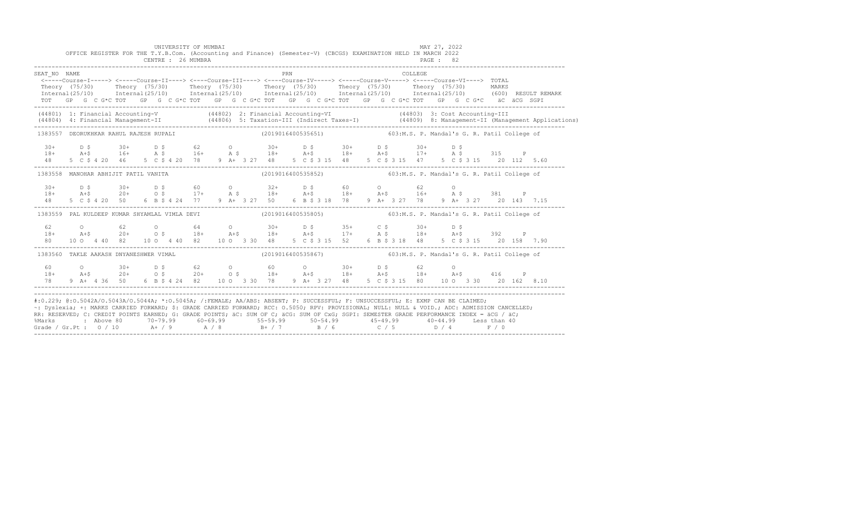|              | OFFICE REGISTER FOR THE T.Y.B.Com. (Accounting and Finance) (Semester-V) (CBCGS) EXAMINATION HELD IN MARCH 2022 | UNIVERSITY OF MUMBAI<br>CENTRE : 26 MUMBRA |  |     |  |  |         | MAY 27, 2022<br>PAGE : 82                                                                                                                                                                                                                                                                                                                                                                                                                                                                                                                                                                     |  |  |
|--------------|-----------------------------------------------------------------------------------------------------------------|--------------------------------------------|--|-----|--|--|---------|-----------------------------------------------------------------------------------------------------------------------------------------------------------------------------------------------------------------------------------------------------------------------------------------------------------------------------------------------------------------------------------------------------------------------------------------------------------------------------------------------------------------------------------------------------------------------------------------------|--|--|
| SEAT NO NAME |                                                                                                                 |                                            |  | PRN |  |  | COLLEGE | <-----Course-I-----> <-----Course-II----> <----Course-III----> <----Course-IV-----> <----Course-V-----> <----Course-VI----> TOTAL<br>Theory (75/30) Theory (75/30) Theory (75/30) Theory (75/30) Theory (75/30) Theory (75/30) MARKS<br>Internal (25/10) Internal (25/10) Internal (25/10) Internal (25/10) Internal (25/10) Internal (25/10) (600) RESULT REMARK<br>TOT GP G C G*C TOT GP G C G*C TOT GP G C G*C TOT GP G C G*C TOT GP G C G*C TOT GP G C G*C äC äCG SGPI                                                                                                                    |  |  |
|              |                                                                                                                 |                                            |  |     |  |  |         | (44801) 1: Financial Accounting-V (44802) 2: Financial Accounting-VI (44803) 3: Cost Accounting-III<br>(44804) 4: Financial Management-II (44806) 5: Taxation-III (Indirect Taxes-I) (44809) 8: Management-II (Management Applications)                                                                                                                                                                                                                                                                                                                                                       |  |  |
|              |                                                                                                                 |                                            |  |     |  |  |         | 1383557 DEORUKHKAR RAHUL RAJESH RUPALI (2019016400535651) 603:M.S. P. Mandal's G. R. Patil College of                                                                                                                                                                                                                                                                                                                                                                                                                                                                                         |  |  |
|              |                                                                                                                 |                                            |  |     |  |  |         |                                                                                                                                                                                                                                                                                                                                                                                                                                                                                                                                                                                               |  |  |
|              |                                                                                                                 |                                            |  |     |  |  |         | 1383558 MANOHAR ABHIJIT PATIL VANITA (2019016400535852) 603:M.S. P. Mandal's G. R. Patil College of                                                                                                                                                                                                                                                                                                                                                                                                                                                                                           |  |  |
| 48           |                                                                                                                 |                                            |  |     |  |  |         | 5 C \$ 4 20 50 6 B \$ 4 24 77 9 A + 3 27 50 6 B \$ 3 18 78 9 A + 3 27 78 9 A + 3 27 20 143 7.15                                                                                                                                                                                                                                                                                                                                                                                                                                                                                               |  |  |
|              |                                                                                                                 |                                            |  |     |  |  |         | 1383559 PAL KULDEEP KUMAR SHYAMLAL VIMLA DEVI (2019016400535805) 603:M.S. P. Mandal's G. R. Patil College of                                                                                                                                                                                                                                                                                                                                                                                                                                                                                  |  |  |
|              |                                                                                                                 |                                            |  |     |  |  |         | 80 10 0 4 40 82 10 0 4 40 82 10 0 3 30 48 5 C \$ 3 15 52 6 B \$ 3 18 48 5 C \$ 3 15 20 158 7.90                                                                                                                                                                                                                                                                                                                                                                                                                                                                                               |  |  |
|              | 1383560 TAKLE AAKASH DNYANESHWER VIMAL                                                                          |                                            |  |     |  |  |         | (2019016400535867) 603:M.S. P. Mandal's G. R. Patil College of                                                                                                                                                                                                                                                                                                                                                                                                                                                                                                                                |  |  |
| 78 —         | 60 0 30+ D \$ 62 0 60 0 30+ D \$ 62 0                                                                           |                                            |  |     |  |  |         | $18+$ $20+$ $0.5$ $20+$ $0.5$ $18+$ $20+$ $0.5$ $18+$ $20+$ $0.5$ $18+$ $0.5$ $18+$ $0.5$ $18+$ $0.5$ $18+$ $0.5$ $0.5$<br>9 A+ 4 36 50 6 B \$ 4 24 82 10 0 3 30 78 9 A+ 3 27 48 5 C \$ 3 15 80 10 0 3 30 20 162 8.10                                                                                                                                                                                                                                                                                                                                                                         |  |  |
|              |                                                                                                                 |                                            |  |     |  |  |         | #:0.229; @:0.5042A/0.5043A/0.5044A; *:0.5045A; /:FEMALE; AA/ABS: ABSENT; P: SUCCESSFUL; F: UNSUCCESSFUL; E: EXMP CAN BE CLAIMED;<br>~: Dyslexia; +: MARKS CARRIED FORWARD; \$: GRADE CARRIED FORWARD; RCC: 0.5050; RPV: PROVISIONAL; NULL: NULL & VOID.; ADC: ADMISSION CANCELLED;<br>RR: RESERVED, C: CREDIT POINTS EARNED, G: GRADE POINTS, AC: SUM OF C; ACG: SUM OF CxG; SGPI: SEMESTER GRADE PERFORMANCE INDEX = ACG / AC;<br>%Marks : Above 80 70-79.99 60-69.99 55-59.99 50-54.99 45-49.99 40-44.99 Less than 40<br>Grade / Gr.Pt : 0 / 10 A+ / 9 A / 8 B+ / 7 B / 6 C / 5 D / 4 F / 0 |  |  |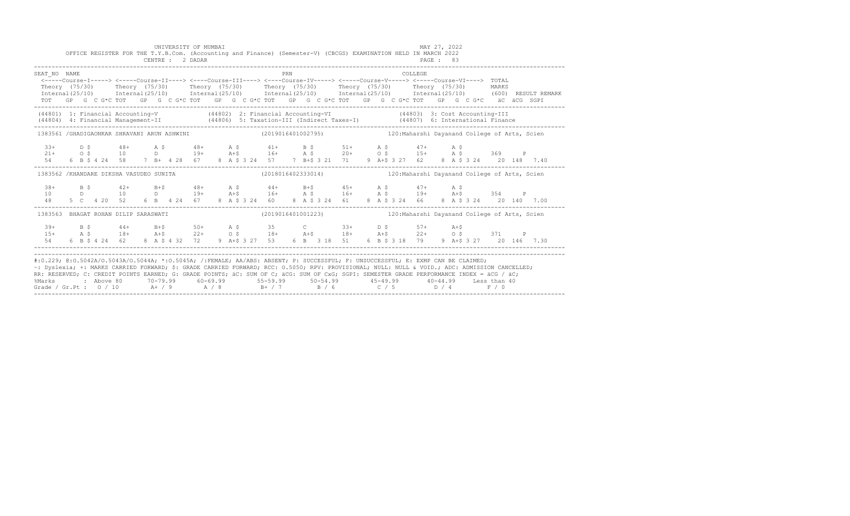|                                                                                                                                                                                                                                                                                                                                                                                                                                                                                                                 |  |  |  |  |  | UNIVERSITY OF MUMBAI<br>CENTRE : 2 DADAR |  |  |     |  |  | OFFICE REGISTER FOR THE T.Y.B.Com. (Accounting and Finance) (Semester-V) (CBCGS) EXAMINATION HELD IN MARCH 2022                                                                                                                                                                                                                                                                     |  |         | MAY 27, 2022<br>PAGE : 83 |  |  |  |  |
|-----------------------------------------------------------------------------------------------------------------------------------------------------------------------------------------------------------------------------------------------------------------------------------------------------------------------------------------------------------------------------------------------------------------------------------------------------------------------------------------------------------------|--|--|--|--|--|------------------------------------------|--|--|-----|--|--|-------------------------------------------------------------------------------------------------------------------------------------------------------------------------------------------------------------------------------------------------------------------------------------------------------------------------------------------------------------------------------------|--|---------|---------------------------|--|--|--|--|
| SEAT NO NAME<br>Theory (75/30) Theory (75/30) Theory (75/30) Theory (75/30) Theory (75/30) Theory (75/30) MARKS<br>Internal(25/10) Internal(25/10) Internal(25/10) Internal(25/10) Internal(25/10) Internal(25/10) (600)RESULTREMARK                                                                                                                                                                                                                                                                            |  |  |  |  |  |                                          |  |  | PRN |  |  | <-----Course-I-----> <-----Course-II----> <----Course-III----> <----Course-IV-----> <----Course-V-----> <----Course-VI----> TOTAL<br>TOT GP G C G*C TOT GP G C G*C TOT GP G C G*C TOT GP G C G*C TOT GP G C G*C TOT GP G C G*C äC äCG SGPI                                                                                                                                          |  | COLLEGE |                           |  |  |  |  |
| (44801) 1: Financial Accounting-V (44802) 2: Financial Accounting-VI (44803) 3: Cost Accounting-III<br>(44804) 4: Financial Management-II (44806) 5: Taxation-III (Indirect Taxes-I) (44807) 6: International Finance<br>-----------                                                                                                                                                                                                                                                                            |  |  |  |  |  |                                          |  |  |     |  |  |                                                                                                                                                                                                                                                                                                                                                                                     |  |         |                           |  |  |  |  |
| 1383561 /GHADIGAONKAR SHRAVANI ARUN ASHWINI (2019016401002795) 120: Maharshi Davanand College of Arts, Scien                                                                                                                                                                                                                                                                                                                                                                                                    |  |  |  |  |  |                                          |  |  |     |  |  |                                                                                                                                                                                                                                                                                                                                                                                     |  |         |                           |  |  |  |  |
|                                                                                                                                                                                                                                                                                                                                                                                                                                                                                                                 |  |  |  |  |  |                                          |  |  |     |  |  | $\begin{array}{cccccccccccccccc} 33+ & & & & 5 & & & 48+ & & \text{A}\ \S\ & & & 48+ & & \text{A}\ \S\ & & & 10 & & & \text{D} & & 19+ & & \text{A}\ \S\ & & & 51+ & & \text{A}\ \S\ & & & 6 & & \text{B}\ \S\ & & 4 & & 5 & & 7 & \text{B}+ & 4 & 28 & \text{6}7 & & 8 & \text{A}\ \S\ & & 20+ & & 57 & & 7 & \text{B}+ \text{S} & 321 & \text{71} & & 9 & \text{A}+ \text{S} & 3$ |  |         |                           |  |  |  |  |
| 1383562 /KHANDARE DIKSHA VASUDEO SUNITA                                                                                                                                                                                                                                                                                                                                                                                                                                                                         |  |  |  |  |  |                                          |  |  |     |  |  | (2018016402333014) 120: Maharshi Dayanand College of Arts, Scien                                                                                                                                                                                                                                                                                                                    |  |         |                           |  |  |  |  |
|                                                                                                                                                                                                                                                                                                                                                                                                                                                                                                                 |  |  |  |  |  |                                          |  |  |     |  |  |                                                                                                                                                                                                                                                                                                                                                                                     |  |         |                           |  |  |  |  |
| 1383563 BHAGAT ROHAN DILIP SARASWATI                                                                                                                                                                                                                                                                                                                                                                                                                                                                            |  |  |  |  |  |                                          |  |  |     |  |  | (2019016401001223) 120: Maharshi Dayanand College of Arts, Scien                                                                                                                                                                                                                                                                                                                    |  |         |                           |  |  |  |  |
| $39+$                                                                                                                                                                                                                                                                                                                                                                                                                                                                                                           |  |  |  |  |  |                                          |  |  |     |  |  | B \$ 44+ B+\$ 50+ A \$ 35 C 33+ D \$ 57+ A+\$                                                                                                                                                                                                                                                                                                                                       |  |         |                           |  |  |  |  |
| #:0.229; @:0.5042A/0.5043A/0.5044A; *:0.5045A; /:FEMALE; AA/ABS: ABSENT; P: SUCCESSFUL; F: UNSUCCESSFUL; E: EXMP CAN BE CLAIMED;<br>~: Dyslexia; +: MARKS CARRIED FORWARD; \$: GRADE CARRIED FORWARD; RCC: 0.5050; RPV: PROVISIONAL; NULL: NULL & VOID.; ADC: ADMISSION CANCELLED;<br>RR: RESERVED; C: CREDIT POINTS EARNED; G: GRADE POINTS; äC: SUM OF C; äCG: SUM OF CxG; SGPI: SEMESTER GRADE PERFORMANCE INDEX = äCG / äC;<br>%Marks<br>Grade / Gr.Pt : $0/10$ A+ / 9 A / 8 B+ / 7 B / 6 C / 5 D / 4 F / 0 |  |  |  |  |  |                                          |  |  |     |  |  | 2 Above 80    70-79.99    60-69.99     55-59.99     50-54.99     45-49.99     40-44.99   Less than 40                                                                                                                                                                                                                                                                               |  |         |                           |  |  |  |  |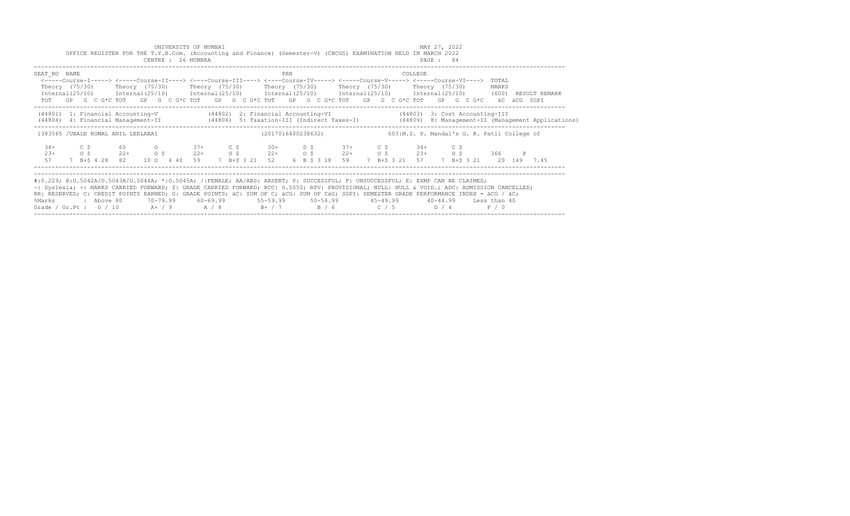|                      |                                       |                  | OFFICE REGISTER FOR THE T.Y.B.Com. (Accounting and Finance) (Semester-V) (CBCGS) EXAMINATION HELD IN MARCH 2022<br>CENTRE : 26 MUMBRA                                                                                                                                                                                                                                                                                                                                                                                                                                                   | UNIVERSITY OF MUMBAI |                     |        |                                                                       |     |  |                |  |                | MAY 27, 2022<br>PAGE : 84 |      |                         |                                                                                                                                  |  |
|----------------------|---------------------------------------|------------------|-----------------------------------------------------------------------------------------------------------------------------------------------------------------------------------------------------------------------------------------------------------------------------------------------------------------------------------------------------------------------------------------------------------------------------------------------------------------------------------------------------------------------------------------------------------------------------------------|----------------------|---------------------|--------|-----------------------------------------------------------------------|-----|--|----------------|--|----------------|---------------------------|------|-------------------------|----------------------------------------------------------------------------------------------------------------------------------|--|
| SEAT NO NAME         |                                       |                  | <-----Course-I-----> <----Course-II----> <----Course-III----> <----Course-IV-----> <----Course-V----> <----Course-VI----><br>Theory (75/30)    Theory (75/30)    Theory (75/30)    Theory (75/30)    Theory (75/30)    Theory (75/30)<br>Internal (25/10) Internal (25/10) Internal (25/10) Internal (25/10) Internal (25/10) Internal (25/10) (600) RESULT REMARK<br>TOT GP G C G*C TOT GP G C G*C TOT GP G C G*C TOT GP G C G*C TOT GP G C G*C TOT GP G C G*C aC aCG SGPI                                                                                                             |                      |                     |        |                                                                       | PRN |  |                |  | COLLEGE        |                           |      | TOTAL<br>MARKS          |                                                                                                                                  |  |
|                      |                                       |                  | (44801) 1: Financial Accounting-V (44802) 2: Financial Accounting-VI (44803) 3: Cost Accounting-III                                                                                                                                                                                                                                                                                                                                                                                                                                                                                     |                      |                     |        |                                                                       |     |  |                |  |                |                           |      |                         | (44806) 4: Financial Management-II (44806) 5: Taxation-III (Indirect Taxes-I) (44809) 8: Management-II (Management Applications) |  |
|                      | 1383565 / UBALE KOMAL ANIL LEELABAI   |                  |                                                                                                                                                                                                                                                                                                                                                                                                                                                                                                                                                                                         |                      |                     |        | (2017016400238632) 603:M.S. P. Mandal's G. R. Patil College of        |     |  |                |  |                |                           |      |                         |                                                                                                                                  |  |
| $34+$<br>$23+$<br>57 | C S<br>$\circ$ $\circ$<br>7 B+\$ 4 28 | 60 — 10<br>$22+$ | $\Omega$<br>$\circ$ $\circ$<br>82 10 0 4 40 59 7 B+\$ 3 21 52                                                                                                                                                                                                                                                                                                                                                                                                                                                                                                                           |                      | $37+$<br>$22+$ 0 \$ | $C$ \$ | $30+$ D \$ $37+$ C \$ $34+$<br>$22+$ 0 \$ $22+$ 0 \$ $23+$ 0 \$ 366 P |     |  | 6 B \$ 3 18 59 |  | 7 B+\$ 3 21 57 |                           | C \$ | 7 B+\$ 3 21 20 149 7.45 |                                                                                                                                  |  |
| %Marks               | : Above 80                            |                  | #:0.229; @:0.5042A/0.5043A/0.5044A; *:0.5045A; /:FEMALE; AA/ABS: ABSENT; P: SUCCESSFUL; F: UNSUCCESSFUL; E: EXMP CAN BE CLAIMED;<br>~: Dyslexia; +: MARKS CARRIED FORWARD; \$: GRADE CARRIED FORWARD; RCC: 0.5050; RPV: PROVISIONAL; NULL: NULL & VOID.; ADC: ADMISSION CANCELLED;<br>RR: RESERVED; C: CREDIT POINTS EARNED; G: GRADE POINTS; äC: SUM OF C; äCG: SUM OF CxG; SGPI: SEMESTER GRADE PERFORMANCE INDEX = äCG / äC;<br>70–79.99   60–69.99    55–59.99    50–54.99     45–49.99     40–44.99   Less than 40<br>Grade / Gr.Pt : $0/10$ A+ / 9 A / 8 B+ / 7 B / 6 C / 5 D / 4 |                      |                     |        |                                                                       |     |  |                |  |                |                           |      | F / 0                   |                                                                                                                                  |  |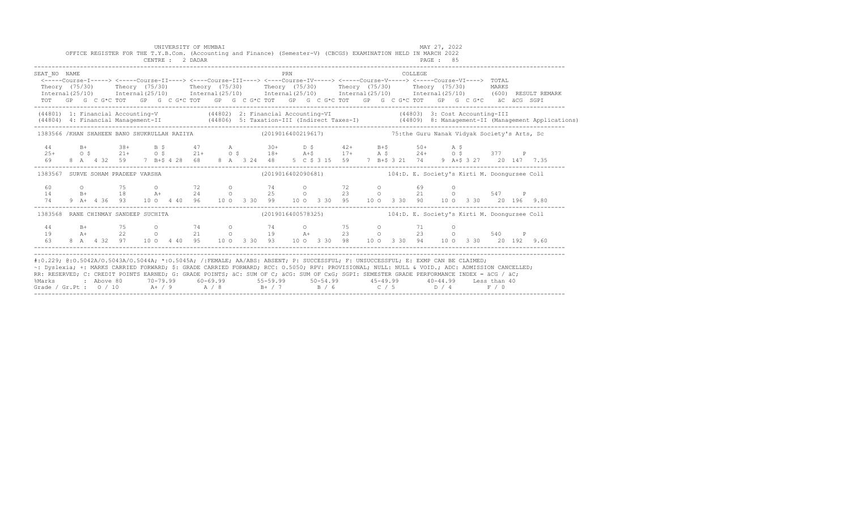|                                                                                                                                                                                                                                                                                                                                                                                                                                                                                                               |  |  | OFFICE REGISTER FOR THE T.Y.B.Com. (Accounting and Finance) (Semester-V) (CBCGS) EXAMINATION HELD IN MARCH 2022<br>CENTRE : 2 DADAR                                                                                                                                                                                                          |  | UNIVERSITY OF MUMBAI                                                                                         |  |  |  |            |  |  |  |  |                                                                 |  |         | MAY 27, 2022<br>PAGE: 85 |  |  |  |  |                                                                                                                                                                                                                                   |  |  |  |  |  |
|---------------------------------------------------------------------------------------------------------------------------------------------------------------------------------------------------------------------------------------------------------------------------------------------------------------------------------------------------------------------------------------------------------------------------------------------------------------------------------------------------------------|--|--|----------------------------------------------------------------------------------------------------------------------------------------------------------------------------------------------------------------------------------------------------------------------------------------------------------------------------------------------|--|--------------------------------------------------------------------------------------------------------------|--|--|--|------------|--|--|--|--|-----------------------------------------------------------------|--|---------|--------------------------|--|--|--|--|-----------------------------------------------------------------------------------------------------------------------------------------------------------------------------------------------------------------------------------|--|--|--|--|--|
| SEAT NO NAME                                                                                                                                                                                                                                                                                                                                                                                                                                                                                                  |  |  | <-----Course-I-----> <-----Course-II----> <----Course-III----> <----Course-IV----> <----Course-V-----> <----Course-VI----> TOTAL<br>Theory (75/30) Theory (75/30) Theory (75/30) Theory (75/30) Theory (75/30) Theory (75/30) MARKS<br>TOT GP G C G*C TOT GP G C G*C TOT GP G C G*C TOT GP G C G*C TOT GP G C G*C TOT GP G C G*C äC äCG SGPI |  |                                                                                                              |  |  |  | <b>PRN</b> |  |  |  |  |                                                                 |  | COLLEGE |                          |  |  |  |  | Internal (25/10) Internal (25/10) Internal (25/10) Internal (25/10) Internal (25/10) Internal (25/10) (600) RESULT REMARK                                                                                                         |  |  |  |  |  |
|                                                                                                                                                                                                                                                                                                                                                                                                                                                                                                               |  |  |                                                                                                                                                                                                                                                                                                                                              |  |                                                                                                              |  |  |  |            |  |  |  |  |                                                                 |  |         |                          |  |  |  |  | (44801) 1: Financial Accounting-V (44802) 2: Financial Accounting-VI (44803) 3: Cost Accounting-III<br>(44804) 4: Financial Management-II (44806) 5: Taxation-III (Indirect Taxes-I) (44809) 8: Management-II (Management Applica |  |  |  |  |  |
|                                                                                                                                                                                                                                                                                                                                                                                                                                                                                                               |  |  |                                                                                                                                                                                                                                                                                                                                              |  | 1383566 /KHAN SHAHEEN BANO SHUKRULLAH RAZIYA (2019016400219617) 383566 /KHAN Nanak Vidyak Society's Arts, Sc |  |  |  |            |  |  |  |  |                                                                 |  |         |                          |  |  |  |  |                                                                                                                                                                                                                                   |  |  |  |  |  |
| 44<br>$25+$<br>69                                                                                                                                                                                                                                                                                                                                                                                                                                                                                             |  |  | B+ 38+ B \$ 47 A 30+ D \$ 42+ B+\$ 50+ A \$<br>O \$ 21+ O \$ 21+ O \$ 18+ A+\$ 17+ A \$ 24+ O \$ 377 P<br>8 A 4 32 59 7 B+\$ 4 28 68 8 A 3 24 48 5 C \$ 3 15 59 7 B+\$ 3 21 74 9 A+\$ 3 27 20 147 7.35                                                                                                                                       |  |                                                                                                              |  |  |  |            |  |  |  |  |                                                                 |  |         |                          |  |  |  |  |                                                                                                                                                                                                                                   |  |  |  |  |  |
| 1383567 SURVE SOHAM PRADEEP VARSHA                                                                                                                                                                                                                                                                                                                                                                                                                                                                            |  |  |                                                                                                                                                                                                                                                                                                                                              |  |                                                                                                              |  |  |  |            |  |  |  |  | (2019016402090681) 104:D. E. Society's Kirti M. Doongursee Coll |  |         |                          |  |  |  |  |                                                                                                                                                                                                                                   |  |  |  |  |  |
| 60<br>14<br>74 —                                                                                                                                                                                                                                                                                                                                                                                                                                                                                              |  |  | 0 75 0 72 0 74 0 72 0 69 0<br>B+ 18 A+ 24 0 25 0 23 0 21 0 547 P<br>9 A+ 4 36 93 10 0 4 40 96 10 0 3 30 99 10 0 3 30 95 10 0 3 30 90 10 0 3 30 20 196 9.80                                                                                                                                                                                   |  |                                                                                                              |  |  |  |            |  |  |  |  |                                                                 |  |         |                          |  |  |  |  |                                                                                                                                                                                                                                   |  |  |  |  |  |
| 1383568 RANE CHINMAY SANDEEP SUCHITA                                                                                                                                                                                                                                                                                                                                                                                                                                                                          |  |  |                                                                                                                                                                                                                                                                                                                                              |  |                                                                                                              |  |  |  |            |  |  |  |  |                                                                 |  |         |                          |  |  |  |  |                                                                                                                                                                                                                                   |  |  |  |  |  |
| 44<br>19<br>63                                                                                                                                                                                                                                                                                                                                                                                                                                                                                                |  |  | B+ 75 0 74 0 74 0 75 0 71 0<br>A+ 22 0 21 0 19 A+ 23 0 23 0 540 P<br>8 A 4 32 97 10 0 4 40 95 10 0 3 30 93 10 0 3 30 98 10 0 3 30 94 10 0 3 30 20 192 9.60                                                                                                                                                                                   |  |                                                                                                              |  |  |  |            |  |  |  |  |                                                                 |  |         |                          |  |  |  |  |                                                                                                                                                                                                                                   |  |  |  |  |  |
| #:0.229; @:0.5042A/0.5043A/0.5044A; *:0.5045A; /:FEMALE; AA/ABS: ABSENT; P: SUCCESSFUL; F: UNSUCCESSFUL; E: EXMP CAN BE CLAIMED;<br>~: Dyslexia; +: MARKS CARRIED FORWARD; \$: GRADE CARRIED FORWARD; RCC: 0.5050; RPV: PROVISIONAL; NULL: NULL: NULL: ADC: ADMISSION CANCELLED;<br>RR: RESERVED; C: CREDIT POINTS EARNED; G: GRADE POINTS; äC: SUM OF C; äCG: SUM OF CxG; SGPI: SEMESTER GRADE PERFORMANCE INDEX = äCG / äC;<br>%Marks<br>Grade / Gr.Pt : $0/10$ A+ / 9 A / 8 B+ / 7 B / 6 C / 5 D / 4 F / 0 |  |  |                                                                                                                                                                                                                                                                                                                                              |  |                                                                                                              |  |  |  |            |  |  |  |  |                                                                 |  |         |                          |  |  |  |  |                                                                                                                                                                                                                                   |  |  |  |  |  |